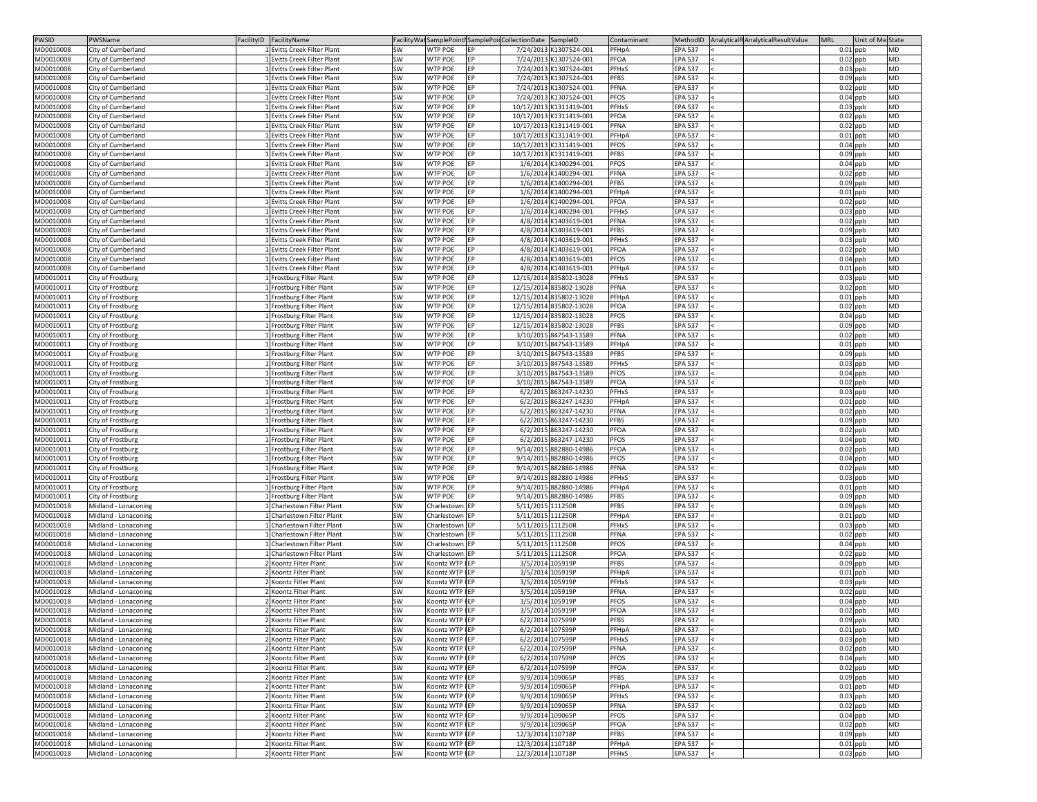| <b>PWSID</b> | PWSName              | FacilityID   FacilityName   |           | FacilityWat SamplePoint SamplePoin Collection Date SampleID |                   |                         | Contaminant                    | MethodID AnalyticalR AnalyticalResultValue<br><b>MRL</b><br>Unit of Me State |  |
|--------------|----------------------|-----------------------------|-----------|-------------------------------------------------------------|-------------------|-------------------------|--------------------------------|------------------------------------------------------------------------------|--|
| MD0010008    | City of Cumberland   | 1 Evitts Creek Filter Plant | <b>SW</b> | <b>WTP POE</b><br><b>IEP</b>                                |                   | 7/24/2013 K1307524-001  | PFHpA<br><b>EPA 537</b>        | $0.01$ ppb<br><b>MD</b>                                                      |  |
| MD0010008    | City of Cumberland   | 1 Evitts Creek Filter Plant | SW        | <b>WTP POE</b><br>EP                                        |                   | 7/24/2013 K1307524-001  | <b>PFOA</b><br><b>EPA 537</b>  | $0.02$ ppb<br><b>MD</b>                                                      |  |
| MD0010008    | City of Cumberland   | 1 Evitts Creek Filter Plant | SW        | <b>WTP POE</b><br>EP                                        |                   | 7/24/2013 K1307524-001  | PFHxS<br><b>EPA 537</b>        | $0.03$ ppb<br><b>MD</b>                                                      |  |
| MD0010008    | City of Cumberland   | 1 Evitts Creek Filter Plant | <b>SW</b> | <b>WTP POE</b><br>EP                                        |                   | 7/24/2013 K1307524-001  | <b>PFBS</b><br><b>EPA 537</b>  | $0.09$ ppb<br><b>MD</b>                                                      |  |
| MD0010008    | City of Cumberland   | 1 Evitts Creek Filter Plant | SW        | <b>WTP POE</b><br>EP                                        |                   | 7/24/2013 K1307524-001  | <b>PFNA</b><br><b>EPA 537</b>  | <b>MD</b><br>$0.02$ ppb                                                      |  |
| MD0010008    | City of Cumberland   | 1 Evitts Creek Filter Plant | <b>SW</b> | <b>WTP POE</b><br>EP                                        |                   | 7/24/2013 K1307524-001  | <b>PFOS</b><br><b>EPA 537</b>  | <b>MD</b><br>$0.04$ ppb                                                      |  |
| MD0010008    | City of Cumberland   | 1 Evitts Creek Filter Plant | SW        | <b>WTP POE</b><br>IEP.                                      |                   | 10/17/2013 K1311419-001 | <b>PFHxS</b><br><b>EPA 537</b> | $0.03$ ppb<br><b>MD</b>                                                      |  |
|              |                      |                             |           | <b>FP</b>                                                   |                   |                         | PFOA                           | <b>MD</b>                                                                    |  |
| MD0010008    | City of Cumberland   | 1 Evitts Creek Filter Plant | SW        | <b>WTP POE</b>                                              |                   | 10/17/2013 K1311419-001 | <b>EPA 537</b>                 | $0.02$ ppb                                                                   |  |
| MD0010008    | City of Cumberland   | 1 Evitts Creek Filter Plant | SW        | <b>WTP POE</b><br><b>FP</b>                                 |                   | 10/17/2013 K1311419-001 | PFNA<br><b>EPA 537</b>         | $0.02$ ppb<br><b>MD</b>                                                      |  |
| MD0010008    | City of Cumberland   | 1 Evitts Creek Filter Plant | SW        | <b>WTP POE</b><br>EP                                        |                   | 10/17/2013 K1311419-001 | PFHpA<br><b>EPA 537</b>        | $0.01$ ppb<br><b>MD</b>                                                      |  |
| MD0010008    | City of Cumberland   | 1 Evitts Creek Filter Plant | <b>SW</b> | <b>WTP POE</b><br>EP                                        |                   | 10/17/2013 K1311419-001 | <b>PFOS</b><br><b>EPA 537</b>  | $0.04$ ppb<br><b>MD</b>                                                      |  |
| MD0010008    | City of Cumberland   | 1 Evitts Creek Filter Plant | SW        | <b>WTP POE</b><br>EP                                        |                   | 10/17/2013 K1311419-001 | <b>PFBS</b><br><b>EPA 537</b>  | $0.09$ ppb<br><b>MD</b>                                                      |  |
| MD0010008    | City of Cumberland   | 1 Evitts Creek Filter Plant | SW        | <b>WTP POE</b><br>IEP.                                      |                   | 1/6/2014 K1400294-001   | <b>PFOS</b><br><b>EPA 537</b>  | $0.04$ ppb<br><b>MD</b>                                                      |  |
| MD0010008    | City of Cumberland   | 1 Evitts Creek Filter Plant | SW        | <b>WTP POE</b><br><b>FP</b>                                 |                   | 1/6/2014 K1400294-001   | <b>PFNA</b><br><b>EPA 537</b>  | <b>MD</b><br>$0.02$ ppb                                                      |  |
| MD0010008    | City of Cumberland   | 1 Evitts Creek Filter Plant | SW        | <b>WTP POE</b><br>EP                                        |                   | 1/6/2014 K1400294-001   | <b>PFBS</b><br><b>EPA 537</b>  | $0.09$ ppb<br><b>MD</b>                                                      |  |
| MD0010008    | City of Cumberland   | 1 Evitts Creek Filter Plant | SW        | <b>WTP POE</b><br>EP                                        |                   | 1/6/2014 K1400294-001   | <b>EPA 537</b><br>PFHpA        | $0.01$ ppb<br><b>MD</b>                                                      |  |
| MD0010008    | City of Cumberland   | 1 Evitts Creek Filter Plant | SW        | <b>WTP POE</b><br>EP                                        |                   | 1/6/2014 K1400294-001   | PFOA<br><b>EPA 537</b>         | $0.02$ ppb<br><b>MD</b>                                                      |  |
| MD0010008    | City of Cumberland   | 1 Evitts Creek Filter Plant | <b>SW</b> | <b>WTP POE</b><br>EP                                        |                   | 1/6/2014 K1400294-001   | <b>PFHxS</b><br><b>EPA 537</b> | $0.03$ ppb<br><b>MD</b>                                                      |  |
| MD0010008    | City of Cumberland   | 1 Evitts Creek Filter Plant | SW        | <b>WTP POE</b><br>EP                                        |                   | 4/8/2014 K1403619-001   | <b>PFNA</b><br><b>EPA 537</b>  | $0.02$ ppb<br><b>MD</b>                                                      |  |
| MD0010008    | City of Cumberland   | 1 Evitts Creek Filter Plant | SW        | <b>WTP POE</b><br>EP                                        |                   | 4/8/2014 K1403619-001   | <b>PFBS</b><br><b>EPA 537</b>  | <b>MD</b><br>$0.09$ ppb                                                      |  |
| MD0010008    | City of Cumberland   | 1 Evitts Creek Filter Plant | SW        | <b>WTP POE</b><br>EP                                        |                   | 4/8/2014 K1403619-001   | <b>PFHxS</b><br><b>EPA 537</b> | $0.03$ ppb<br><b>MD</b>                                                      |  |
| MD0010008    | City of Cumberland   | 1 Evitts Creek Filter Plant | SW        | <b>WTP POE</b><br>IEP.                                      |                   | 4/8/2014 K1403619-001   | PFOA<br><b>EPA 537</b>         | $0.02$ ppb<br><b>MD</b>                                                      |  |
| MD0010008    | City of Cumberland   | 1 Evitts Creek Filter Plant | SW        | <b>WTP POE</b><br>IEP.                                      |                   | 4/8/2014 K1403619-001   | <b>PFOS</b><br><b>EPA 537</b>  | $0.04$ ppb<br><b>MD</b>                                                      |  |
|              |                      |                             |           |                                                             |                   |                         |                                | <b>MD</b>                                                                    |  |
| MD0010008    | City of Cumberland   | 1 Evitts Creek Filter Plant | SW        | <b>WTP POE</b><br>EP                                        |                   | 4/8/2014 K1403619-001   | PFHpA<br><b>EPA 537</b>        | $0.01$ ppb<br><b>MD</b>                                                      |  |
| MD0010011    | City of Frostburg    | 1 Frostburg Filter Plant    | <b>SW</b> | <b>WTP POE</b><br>EP                                        |                   | 12/15/2014 835802-13028 | <b>PFHxS</b><br><b>EPA 537</b> | $0.03$ ppb                                                                   |  |
| MD0010011    | City of Frostburg    | 1 Frostburg Filter Plant    | SW        | <b>WTP POE</b><br><b>IEP</b>                                |                   | 12/15/2014 835802-13028 | PFNA<br><b>EPA 537</b>         | $0.02$ ppb<br><b>MD</b>                                                      |  |
| MD0010011    | City of Frostburg    | 1 Frostburg Filter Plant    | SW        | <b>WTP POE</b><br>FP.                                       |                   | 12/15/2014 835802-13028 | PFHpA<br><b>EPA 537</b>        | $0.01$ ppb<br><b>MD</b>                                                      |  |
| MD0010011    | City of Frostburg    | L Frostburg Filter Plant    | SW        | <b>WTP POE</b><br><b>FP</b>                                 |                   | 12/15/2014 835802-13028 | <b>PFOA</b><br><b>EPA 537</b>  | $0.02$ ppb<br><b>MD</b>                                                      |  |
| MD0010011    | City of Frostburg    | 1 Frostburg Filter Plant    | SW        | <b>WTP POE</b><br>EP                                        |                   | 12/15/2014 835802-13028 | <b>PFOS</b><br><b>EPA 537</b>  | $0.04$ ppb<br><b>MD</b>                                                      |  |
| MD0010011    | City of Frostburg    | 1 Frostburg Filter Plant    | <b>SW</b> | <b>WTP POE</b>                                              |                   | 12/15/2014 835802-13028 | <b>PFBS</b><br><b>EPA 537</b>  | $0.09$ ppb<br><b>MD</b>                                                      |  |
| MD0010011    | City of Frostburg    | 1 Frostburg Filter Plant    | <b>SW</b> | <b>WTP POE</b><br>EP                                        |                   | 3/10/2015 847543-13589  | <b>PFNA</b><br><b>EPA 537</b>  | $0.02$ ppb<br><b>MD</b>                                                      |  |
| MD0010011    | City of Frostburg    | 1 Frostburg Filter Plant    | SW        | <b>WTP POE</b><br>IEP.                                      |                   | 3/10/2015 847543-13589  | PFHpA<br><b>EPA 537</b>        | $0.01$ ppb<br><b>MD</b>                                                      |  |
| MD0010011    | City of Frostburg    | 1 Frostburg Filter Plant    | SW        | <b>WTP POE</b><br>EP                                        |                   | 3/10/2015 847543-13589  | <b>PFBS</b><br><b>EPA 537</b>  | <b>MD</b><br>$0.09$ ppb                                                      |  |
| MD0010011    | City of Frostburg    | 1 Frostburg Filter Plant    | SW        | <b>WTP POE</b><br>EP                                        |                   | 3/10/2015 847543-13589  | PFHxS<br><b>EPA 537</b>        | $0.03$ ppb<br><b>MD</b>                                                      |  |
| MD0010011    | City of Frostburg    | L Frostburg Filter Plant    | SW        | <b>WTP POE</b><br>IEP.                                      |                   | 3/10/2015 847543-13589  | <b>PFOS</b><br><b>EPA 537</b>  | $0.04$ ppb<br><b>MD</b>                                                      |  |
| MD0010011    | City of Frostburg    | 1 Frostburg Filter Plant    | SW        | <b>WTP POE</b><br>EP                                        |                   | 3/10/2015 847543-13589  | <b>PFOA</b><br><b>EPA 537</b>  | $0.02$ ppb<br><b>MD</b>                                                      |  |
| MD0010011    | City of Frostburg    | 1 Frostburg Filter Plant    | <b>SW</b> | <b>WTP POE</b><br>EP                                        |                   | 6/2/2015 863247-14230   | <b>PFHxS</b><br><b>EPA 537</b> | <b>MD</b><br>$0.03$ ppb                                                      |  |
| MD0010011    | City of Frostburg    | 1 Frostburg Filter Plant    | SW        | <b>WTP POE</b><br>EP                                        |                   | 6/2/2015 863247-14230   | PFHpA<br><b>EPA 537</b>        | $0.01$ ppb<br><b>MD</b>                                                      |  |
| MD0010011    | City of Frostburg    | 1 Frostburg Filter Plant    | SW        | <b>WTP POE</b><br><b>FP</b>                                 |                   | 6/2/2015 863247-14230   | PFNA<br><b>EPA 537</b>         | <b>MD</b><br>$0.02$ ppb                                                      |  |
|              |                      |                             |           | <b>WTP POE</b><br>EP                                        |                   |                         | <b>PFBS</b>                    | <b>MD</b>                                                                    |  |
| MD0010011    | City of Frostburg    | 1 Frostburg Filter Plant    | SW        |                                                             |                   | 6/2/2015 863247-14230   | <b>EPA 537</b>                 | $0.09$ ppb                                                                   |  |
| MD0010011    | City of Frostburg    | 1 Frostburg Filter Plant    | SW        | <b>WTP POE</b><br>EP                                        |                   | 6/2/2015 863247-14230   | PFOA<br><b>EPA 537</b>         | $0.02$ ppb<br><b>MD</b>                                                      |  |
| MD0010011    | City of Frostburg    | 1 Frostburg Filter Plant    | SW        | <b>WTP POE</b><br>EP                                        |                   | 6/2/2015 863247-14230   | <b>PFOS</b><br><b>EPA 537</b>  | $0.04$ ppb<br><b>MD</b>                                                      |  |
| MD0010011    | City of Frostburg    | 1 Frostburg Filter Plant    | <b>SW</b> | <b>WTP POE</b><br>EP                                        |                   | 9/14/2015 882880-14986  | <b>PFOA</b><br><b>EPA 537</b>  | MD<br>$0.02$ ppb                                                             |  |
| MD0010011    | City of Frostburg    | 1 Frostburg Filter Plant    | SW        | <b>WTP POE</b><br>IEP.                                      |                   | 9/14/2015 882880-14986  | <b>PFOS</b><br><b>EPA 537</b>  | $0.04$ ppb<br><b>MD</b>                                                      |  |
| MD0010011    | City of Frostburg    | 1 Frostburg Filter Plant    | SW        | <b>WTP POE</b><br><b>IEP</b>                                |                   | 9/14/2015 882880-14986  | PFNA<br><b>EPA 537</b>         | <b>MD</b><br>$0.02$ ppb                                                      |  |
| MD0010011    | City of Frostburg    | 1 Frostburg Filter Plant    | SW        | <b>WTP POE</b><br><b>FP</b>                                 |                   | 9/14/2015 882880-14986  | PFHxS<br><b>EPA 537</b>        | <b>MD</b><br>$0.03$ ppb                                                      |  |
| MD0010011    | City of Frostburg    | L Frostburg Filter Plant    | SW        | <b>WTP POE</b><br>EP                                        |                   | 9/14/2015 882880-14986  | PFHpA<br><b>EPA 537</b>        | <b>MD</b><br>$0.01$ ppb                                                      |  |
| MD0010011    | City of Frostburg    | 1 Frostburg Filter Plant    | SW        | <b>WTP POE</b><br>EP                                        |                   | 9/14/2015 882880-14986  | PFBS<br><b>EPA 537</b>         | $0.09$ ppb<br><b>MD</b>                                                      |  |
| MD0010018    | Midland - Lonaconing | 1 Charlestown Filter Plant  | <b>SW</b> | Charlestown   EP                                            | 5/11/2015 111250R |                         | <b>PFBS</b><br><b>EPA 537</b>  | $0.09$ ppb<br><b>MD</b>                                                      |  |
| MD0010018    | Midland - Lonaconing | 1 Charlestown Filter Plant  | SW        | Charlestown <b>EP</b>                                       | 5/11/2015 111250R |                         | PFHpA<br><b>EPA 537</b>        | $0.01$ ppb<br><b>MD</b>                                                      |  |
| MD0010018    | Midland - Lonaconing | 1 Charlestown Filter Plant  | SW        | Charlestown   EP                                            | 5/11/2015 111250R |                         | PFHxS<br><b>EPA 537</b>        | <b>MD</b><br>$0.03$ ppb                                                      |  |
| MD0010018    | Midland - Lonaconing | Charlestown Filter Plant    | SW        | Charlestown   EP                                            | 5/11/2015 111250R |                         | <b>PFNA</b><br><b>EPA 537</b>  | $0.02$ ppb<br><b>MD</b>                                                      |  |
| MD0010018    | Midland - Lonaconing | 1 Charlestown Filter Plant  | <b>SW</b> | Charlestown   EP                                            | 5/11/2015 111250R |                         | <b>PFOS</b><br><b>EPA 537</b>  | $0.04$ ppb<br><b>MD</b>                                                      |  |
| MD0010018    | Midland - Lonaconing | 1 Charlestown Filter Plant  | <b>SW</b> | Charlestown   EP                                            | 5/11/2015 111250R |                         | <b>PFOA</b><br><b>EPA 537</b>  | $0.02$ ppb<br><b>MD</b>                                                      |  |
| MD0010018    | Midland - Lonaconing | 2 Koontz Filter Plant       | SW        | Koontz WTP IEP                                              | 3/5/2014 105919P  |                         | <b>PFBS</b><br><b>EPA 537</b>  | $0.09$ ppb<br><b>MD</b>                                                      |  |
|              |                      | 2 Koontz Filter Plant       | <b>SW</b> | Koontz WTP IEP                                              | 3/5/2014 105919P  |                         | PFHpA<br><b>EPA 537</b>        | <b>MD</b>                                                                    |  |
| MD0010018    | Midland - Lonaconing |                             |           |                                                             |                   |                         | <b>PFHxS</b>                   | $0.01$ ppb<br><b>MD</b>                                                      |  |
| MD0010018    | Midland - Lonaconing | 2 Koontz Filter Plant       | SW        | Koontz WTP IEP                                              |                   | 3/5/2014 105919P        | <b>EPA 537</b>                 | $0.03$ ppb                                                                   |  |
| MD0010018    | Midland - Lonaconing | 2 Koontz Filter Plant       | SW        | Koontz WTP IEP                                              |                   | 3/5/2014 105919P        | <b>PFNA</b><br><b>EPA 537</b>  | $0.02$ ppb<br><b>MD</b>                                                      |  |
| MD0010018    | Midland - Lonaconing | 2 Koontz Filter Plant       | SW        | Koontz WTP IEP                                              |                   | 3/5/2014 105919P        | <b>PFOS</b><br><b>EPA 537</b>  | $0.04$ ppb<br><b>MD</b>                                                      |  |
| MD0010018    | Midland - Lonaconing | 2 Koontz Filter Plant       | SW        | Koontz WTP IEP                                              |                   | 3/5/2014 105919P        | PFOA<br><b>EPA 537</b>         | $0.02$ ppb<br><b>MD</b>                                                      |  |
| MD0010018    | Midland - Lonaconing | 2 Koontz Filter Plant       | <b>SW</b> | Koontz WTP IEP                                              |                   | 6/2/2014 107599P        | <b>PFBS</b><br><b>EPA 537</b>  | $0.09$ ppb<br><b>MD</b>                                                      |  |
| MD0010018    | Midland - Lonaconing | 2 Koontz Filter Plant       | <b>SW</b> | Koontz WTP IEP                                              |                   | 6/2/2014 107599P        | <b>EPA 537</b><br>PFHpA        | $0.01$ ppb<br><b>MD</b>                                                      |  |
| MD0010018    | Midland - Lonaconing | 2 Koontz Filter Plant       | SW        | Koontz WTP IEP                                              | 6/2/2014 107599P  |                         | PFHxS<br><b>EPA 537</b>        | $0.03$ ppb<br><b>MD</b>                                                      |  |
| MD0010018    | Midland - Lonaconing | 2 Koontz Filter Plant       | SW        | Koontz WTP IEP                                              |                   | 6/2/2014 107599P        | <b>PFNA</b><br><b>EPA 537</b>  | $0.02$ ppb<br><b>MD</b>                                                      |  |
| MD0010018    | Midland - Lonaconing | 2 Koontz Filter Plant       | <b>SW</b> | Koontz WTP IEP                                              |                   | 6/2/2014 107599P        | <b>PFOS</b><br><b>EPA 537</b>  | $0.04$ ppb<br><b>MD</b>                                                      |  |
| MD0010018    | Midland - Lonaconing | 2 Koontz Filter Plant       | SW        | Koontz WTP IEP                                              |                   | 6/2/2014 107599P        | <b>PFOA</b><br><b>EPA 537</b>  | $0.02$ ppb<br><b>MD</b>                                                      |  |
| MD0010018    | Midland - Lonaconing | 2 Koontz Filter Plant       | SW        | Koontz WTP IEP                                              | 9/9/2014 109065P  |                         | <b>PFBS</b><br><b>EPA 537</b>  | $0.09$ ppb<br><b>MD</b>                                                      |  |
| MD0010018    | Midland - Lonaconing | 2 Koontz Filter Plant       | <b>SW</b> | Koontz WTP IEP                                              | 9/9/2014 109065P  |                         | PFHpA<br><b>EPA 537</b>        | $0.01$ ppb<br><b>MD</b>                                                      |  |
| MD0010018    | Midland - Lonaconing | 2 Koontz Filter Plant       | SW        | Koontz WTP IEP                                              | 9/9/2014 109065P  |                         | PFHxS<br><b>EPA 537</b>        | $0.03$ ppb<br><b>MD</b>                                                      |  |
| MD0010018    | Midland - Lonaconing | 2 Koontz Filter Plant       | <b>SW</b> | Koontz WTP IEP                                              | 9/9/2014 109065P  |                         | PFNA<br><b>EPA 537</b>         | $0.02$ ppb<br><b>MD</b>                                                      |  |
| MD0010018    | Midland - Lonaconing | 2 Koontz Filter Plant       | <b>SW</b> | Koontz WTP IEP                                              | 9/9/2014 109065P  |                         | <b>PFOS</b><br><b>EPA 537</b>  | $0.04$ ppb<br><b>MD</b>                                                      |  |
|              |                      | 2 Koontz Filter Plant       |           | Koontz WTP IEP                                              |                   |                         | <b>PFOA</b>                    | <b>MD</b>                                                                    |  |
| MD0010018    | Midland - Lonaconing |                             | SW        |                                                             | 9/9/2014 109065P  |                         | <b>EPA 537</b>                 | $0.02$ ppb                                                                   |  |
| MD0010018    | Midland - Lonaconing | 2 Koontz Filter Plant       | <b>SW</b> | Koontz WTP IEP                                              | 12/3/2014 110718P |                         | <b>PFBS</b><br><b>EPA 537</b>  | $0.09$ ppb<br><b>MD</b>                                                      |  |
| MD0010018    | Midland - Lonaconing | 2 Koontz Filter Plant       | SW        | Koontz WTP IEP                                              | 12/3/2014 110718P |                         | PFHpA<br><b>EPA 537</b>        | $0.01$ ppb<br><b>MD</b>                                                      |  |
| MD0010018    | Midland - Lonaconing | 2 Koontz Filter Plant       | <b>SW</b> | Koontz WTP IEP                                              | 12/3/2014 110718P |                         | PFHxS<br><b>EPA 537</b>        | <b>MD</b><br>$0.03$ ppb                                                      |  |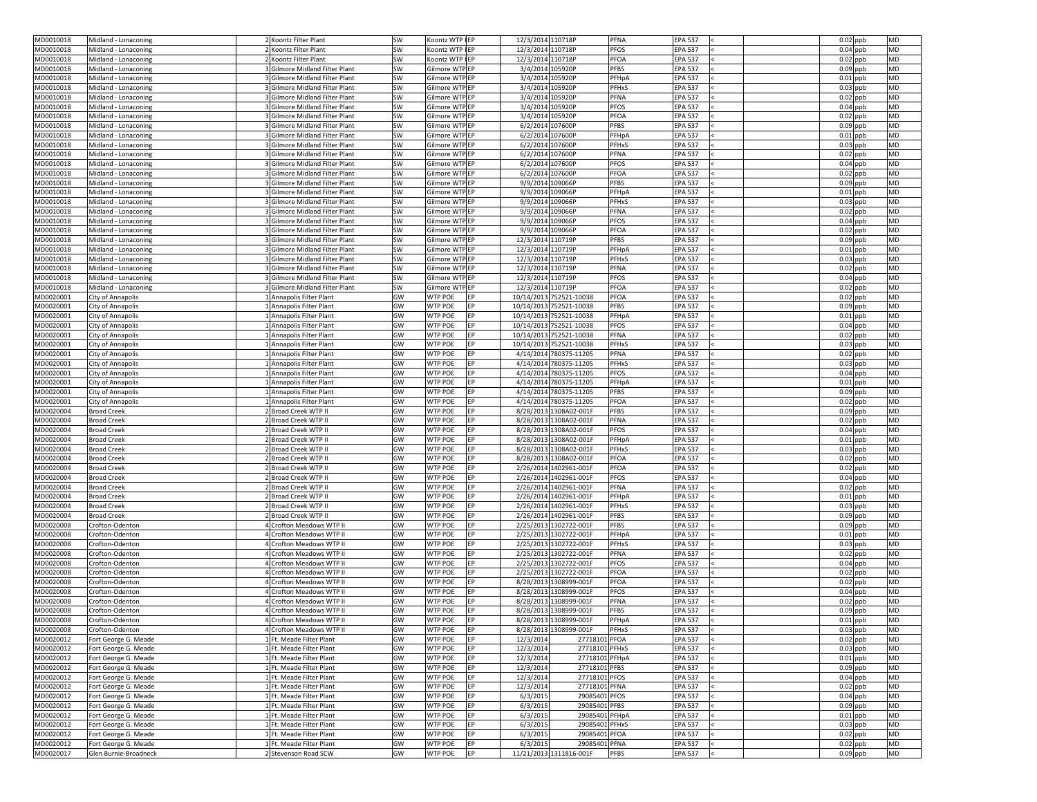| MD0010018                                                                                            | Midland - Lonaconing                          | 2 Koontz Filter Plant                                            | <b>SW</b>       | Koontz WTP IEP                               | 12/3/2014 110718P                      |                                                  | <b>PFNA</b><br><b>EPA 537</b>                                  | $0.02$ ppb<br><b>MD</b>                     |  |
|------------------------------------------------------------------------------------------------------|-----------------------------------------------|------------------------------------------------------------------|-----------------|----------------------------------------------|----------------------------------------|--------------------------------------------------|----------------------------------------------------------------|---------------------------------------------|--|
| MD0010018                                                                                            | Midland - Lonaconing                          | 2 Koontz Filter Plant                                            | SW              | Koontz WTP IEP                               | 12/3/2014 110718P                      |                                                  | <b>PFOS</b><br><b>EPA 537</b>                                  | $0.04$ ppb<br><b>MD</b>                     |  |
| MD0010018                                                                                            | Midland - Lonaconing                          | 2 Koontz Filter Plant                                            | SW              | Koontz WTP IEP                               | 12/3/2014 110718P                      |                                                  | PFOA<br><b>EPA 537</b>                                         | $0.02$ ppb<br><b>MD</b>                     |  |
| MD0010018                                                                                            | Midland - Lonaconing                          | 3 Gilmore Midland Filter Plant                                   | <b>SW</b>       | Gilmore WTPEP                                | 3/4/2014 105920P                       |                                                  | <b>PFBS</b><br><b>EPA 537</b>                                  | $0.09$ ppb<br><b>MD</b>                     |  |
| MD0010018                                                                                            | Midland - Lonaconing                          | 3 Gilmore Midland Filter Plant                                   | <b>SW</b>       | Gilmore WTPEP                                | 3/4/2014 105920P                       |                                                  | PFHpA<br><b>EPA 537</b>                                        | $0.01$ ppb<br><b>MD</b>                     |  |
| MD0010018                                                                                            | Midland - Lonaconing                          | 3 Gilmore Midland Filter Plant                                   | SW              | Gilmore WTPEP                                | 3/4/2014 105920P                       |                                                  | <b>PFHxS</b><br><b>EPA 537</b>                                 | $0.03$ ppb<br><b>MD</b>                     |  |
| MD0010018                                                                                            | Midland - Lonaconing                          | 3 Gilmore Midland Filter Plant                                   | <b>SW</b>       | Gilmore WTPEP                                | 3/4/2014 105920P                       |                                                  | <b>PFNA</b><br><b>EPA 537</b>                                  | $0.02$ ppb<br><b>MD</b>                     |  |
| MD0010018                                                                                            | Midland - Lonaconing                          | 3 Gilmore Midland Filter Plant                                   | <b>SW</b>       | Gilmore WTP EP                               | 3/4/2014 105920P                       |                                                  | <b>PFOS</b><br><b>EPA 537</b>                                  | $0.04$ ppb<br><b>MD</b>                     |  |
| MD0010018                                                                                            | Midland - Lonaconing                          | 3 Gilmore Midland Filter Plant                                   | <b>SW</b>       | Gilmore WTP EP                               | 3/4/2014 105920P                       |                                                  | <b>PFOA</b><br><b>EPA 537</b>                                  | $0.02$ ppb<br><b>MD</b>                     |  |
| MD0010018                                                                                            | Midland - Lonaconing                          | 3 Gilmore Midland Filter Plant                                   | <b>SW</b>       | Gilmore WTPEP                                | 6/2/2014 107600P                       |                                                  | <b>PFBS</b><br><b>EPA 537</b>                                  | $0.09$ ppb<br><b>MD</b>                     |  |
| MD0010018                                                                                            | Midland - Lonaconing                          | 3 Gilmore Midland Filter Plant                                   | <b>SW</b>       | Gilmore WTPEP                                | 6/2/2014 107600P                       |                                                  | PFHpA<br><b>EPA 537</b>                                        | $0.01$ ppb<br><b>MD</b>                     |  |
| MD0010018                                                                                            | Midland - Lonaconing                          | 3 Gilmore Midland Filter Plant                                   | <b>SW</b>       | Gilmore WTPEP                                | 6/2/2014 107600P                       |                                                  | PFHxS<br><b>EPA 537</b>                                        | $0.03$ ppb<br><b>MD</b>                     |  |
| MD0010018                                                                                            | Midland - Lonaconing                          | 3 Gilmore Midland Filter Plant                                   | SW              | Gilmore WTP EP                               | 6/2/2014 107600P                       |                                                  | <b>PFNA</b><br><b>EPA 537</b>                                  | $0.02$ ppb<br><b>MD</b>                     |  |
| MD0010018                                                                                            | Midland - Lonaconing                          | 3 Gilmore Midland Filter Plant                                   | <b>SW</b>       | Gilmore WTPEP                                | 6/2/2014 107600P                       |                                                  | <b>PFOS</b><br><b>EPA 537</b>                                  | <b>MD</b><br>$0.04$ ppb                     |  |
| MD0010018                                                                                            | Midland - Lonaconing                          | 3 Gilmore Midland Filter Plant                                   | <b>SW</b>       | Gilmore WTPEP                                | 6/2/2014 107600P                       |                                                  | <b>PFOA</b><br><b>EPA 537</b>                                  | $0.02$ ppb<br><b>MD</b>                     |  |
| MD0010018                                                                                            | Midland - Lonaconing                          | 3 Gilmore Midland Filter Plant                                   | <b>SW</b>       | Gilmore WTPEP                                | 9/9/2014 109066P                       |                                                  | <b>PFBS</b><br><b>EPA 537</b>                                  | $0.09$ ppb<br><b>MD</b>                     |  |
| MD0010018                                                                                            | Midland - Lonaconing                          | 3 Gilmore Midland Filter Plant                                   | <b>SW</b>       | Gilmore WTPEP                                | 9/9/2014 109066P                       |                                                  | PFHpA<br><b>EPA 537</b>                                        | $0.01$ ppb<br><b>MD</b>                     |  |
| MD0010018                                                                                            | Midland - Lonaconing                          | 3 Gilmore Midland Filter Plant                                   | SW              | Gilmore WTP EP                               | 9/9/2014 109066P                       |                                                  | PFHxS<br><b>EPA 537</b>                                        | $0.03$ ppb<br><b>MD</b>                     |  |
| MD0010018                                                                                            | Midland - Lonaconing                          | 3 Gilmore Midland Filter Plant                                   | <b>SW</b>       | Gilmore WTPEP                                | 9/9/2014 109066P                       |                                                  | <b>PFNA</b><br><b>EPA 537</b>                                  | $0.02$ ppb<br><b>MD</b>                     |  |
| MD0010018                                                                                            | Midland - Lonaconing                          | 3 Gilmore Midland Filter Plant                                   | SW              | Gilmore WTPEP                                | 9/9/2014 109066P                       |                                                  | <b>PFOS</b><br><b>EPA 537</b>                                  | $0.04$ ppb<br><b>MD</b>                     |  |
| MD0010018                                                                                            | Midland - Lonaconing                          | 3 Gilmore Midland Filter Plant                                   | <b>SW</b>       | Gilmore WTPEP                                | 9/9/2014 109066P                       |                                                  | <b>PFOA</b><br><b>EPA 537</b><br><b>PFBS</b>                   | $0.02$ ppb<br><b>MD</b><br><b>MD</b>        |  |
| MD0010018                                                                                            | Midland - Lonaconing                          | 3 Gilmore Midland Filter Plant                                   | SW              | Gilmore WTPEP                                | 12/3/2014 110719P                      |                                                  | <b>EPA 537</b>                                                 | $0.09$ ppb<br><b>MD</b>                     |  |
| MD0010018<br>MD0010018                                                                               | Midland - Lonaconing<br>Midland - Lonaconing  | 3 Gilmore Midland Filter Plant<br>3 Gilmore Midland Filter Plant | SW<br><b>SW</b> | Gilmore WTP EP<br>Gilmore WTPEP              | 12/3/2014 110719P<br>12/3/2014 110719P |                                                  | PFHpA<br><b>EPA 537</b><br>PFHxS<br><b>EPA 537</b>             | $0.01$ ppb<br>$0.03$ ppb<br><b>MD</b>       |  |
| MD0010018                                                                                            | Midland - Lonaconing                          | 3 Gilmore Midland Filter Plant                                   | SW              | Gilmore WTPEP                                | 12/3/2014 110719P                      |                                                  | <b>PFNA</b><br><b>EPA 537</b>                                  | $0.02$ ppb<br><b>MD</b>                     |  |
| MD0010018                                                                                            | Midland - Lonaconing                          | 3 Gilmore Midland Filter Plant                                   | <b>SW</b>       | Gilmore WTP EP                               | 12/3/2014 110719P                      |                                                  | <b>PFOS</b><br><b>EPA 537</b>                                  | <b>MD</b><br>$0.04$ ppb                     |  |
| MD0010018                                                                                            | Midland - Lonaconing                          | 3 Gilmore Midland Filter Plant                                   | SW              | Gilmore WTP EP                               | 12/3/2014 110719P                      |                                                  | <b>PFOA</b><br><b>EPA 537</b>                                  | $0.02$ ppb<br><b>MD</b>                     |  |
| MD0020001                                                                                            | City of Annapolis                             | 1 Annapolis Filter Plant                                         | GW              | <b>WTP POE</b><br>EP                         |                                        | 10/14/2013 752521-10038                          | <b>PFOA</b><br><b>EPA 537</b>                                  | $0.02$ ppb<br><b>MD</b>                     |  |
| MD0020001                                                                                            | City of Annapolis                             | 1 Annapolis Filter Plant                                         | GW              | <b>WTP POE</b><br>EP                         |                                        | 10/14/2013 752521-10038                          | <b>PFBS</b><br><b>EPA 537</b>                                  | $0.09$ ppb<br><b>MD</b>                     |  |
| MD0020001                                                                                            | City of Annapolis                             | 1 Annapolis Filter Plant                                         | GW              | <b>WTP POE</b><br>IEP.                       |                                        | 10/14/2013 752521-10038                          | PFHpA<br><b>EPA 537</b>                                        | $0.01$ ppb<br><b>MD</b>                     |  |
| MD0020001                                                                                            | <b>City of Annapolis</b>                      | 1 Annapolis Filter Plant                                         | GW              | <b>WTP POE</b>                               |                                        | 10/14/2013 752521-10038                          | <b>PFOS</b><br><b>EPA 537</b>                                  | $0.04$ ppb<br><b>MD</b>                     |  |
| MD0020001                                                                                            | City of Annapolis                             | 1 Annapolis Filter Plant                                         | GW              | <b>WTP POE</b><br>IEP.                       |                                        | 10/14/2013 752521-10038                          | <b>PFNA</b><br><b>EPA 537</b>                                  | $0.02$ ppb<br><b>MD</b>                     |  |
| MD0020001                                                                                            | City of Annapolis                             | 1 Annapolis Filter Plant                                         | GW              | <b>WTP POE</b><br>IFP.                       |                                        | 10/14/2013 752521-10038                          | PFHxS<br><b>EPA 537</b>                                        | $0.03$ ppb<br><b>MD</b>                     |  |
| MD0020001                                                                                            | City of Annapolis                             | 1 Annapolis Filter Plant                                         | GW              | <b>WTP POE</b><br>IEP.                       |                                        | 4/14/2014 780375-11205                           | <b>PFNA</b><br><b>EPA 537</b>                                  | $0.02$ ppb<br><b>MD</b>                     |  |
| MD0020001                                                                                            | City of Annapolis                             | 1 Annapolis Filter Plant                                         | GW              | <b>WTP POE</b><br>EP                         |                                        | 4/14/2014 780375-11205                           | <b>PFHxS</b><br><b>EPA 537</b>                                 | $0.03$ ppb<br><b>MD</b>                     |  |
| MD0020001                                                                                            | City of Annapolis                             | 1 Annapolis Filter Plant                                         | GW              | <b>WTP POE</b><br>EP                         |                                        | 4/14/2014 780375-11205                           | <b>PFOS</b><br><b>EPA 537</b>                                  | $0.04$ ppb<br><b>MD</b>                     |  |
| MD0020001                                                                                            | City of Annapolis                             | 1 Annapolis Filter Plant                                         | GW              | <b>WTP POE</b><br>EP                         |                                        | 4/14/2014 780375-11205                           | PFHpA<br><b>EPA 537</b>                                        | $0.01$ ppb<br><b>MD</b>                     |  |
|                                                                                                      |                                               |                                                                  |                 |                                              |                                        |                                                  |                                                                | <b>MD</b>                                   |  |
| MD0020001                                                                                            | City of Annapolis                             | 1 Annapolis Filter Plant                                         | GW              | <b>WTP POE</b><br>IFP.                       |                                        | 4/14/2014 780375-11205                           | <b>PFBS</b><br><b>EPA 537</b>                                  | $0.09$ ppb                                  |  |
| MD0020001                                                                                            | City of Annapolis                             | 1 Annapolis Filter Plant                                         | GW              | <b>WTP POE</b><br>FP.                        |                                        | 4/14/2014 780375-11205                           | PFOA<br><b>EPA 537</b>                                         | $0.02$ ppb<br><b>MD</b>                     |  |
| MD0020004                                                                                            | <b>Broad Creek</b>                            | 2 Broad Creek WTP II                                             | GW              | <b>WTP POE</b><br>EP                         |                                        | 8/28/2013 1308A02-001F                           | <b>PFBS</b><br><b>EPA 537</b>                                  | <b>MD</b><br>$0.09$ ppb                     |  |
| MD0020004                                                                                            | <b>Broad Creek</b>                            | 2 Broad Creek WTP II                                             | GW              | <b>WTP POE</b><br>EP                         |                                        | 8/28/2013 1308A02-001F                           | <b>EPA 537</b><br><b>PFNA</b>                                  | $0.02$ ppb<br><b>MD</b>                     |  |
| MD0020004                                                                                            | <b>Broad Creek</b>                            | 2 Broad Creek WTP II                                             | GW              | <b>WTP POE</b><br>EP                         |                                        | 8/28/2013 1308A02-001F                           | <b>PFOS</b><br><b>EPA 537</b>                                  | $0.04$ ppb<br><b>MD</b>                     |  |
| MD0020004                                                                                            | <b>Broad Creek</b>                            | 2 Broad Creek WTP II                                             | GW              | <b>WTP POE</b><br><b>IEP</b>                 |                                        | 8/28/2013 1308A02-001F                           | PFHpA<br><b>EPA 537</b>                                        | <b>MD</b><br>$0.01$ ppb                     |  |
| MD0020004                                                                                            | <b>Broad Creek</b>                            | 2 Broad Creek WTP II                                             | GW              | <b>WTP POE</b><br>IEP.                       |                                        | 8/28/2013 1308A02-001F                           | <b>PFHxS</b><br><b>EPA 537</b>                                 | $0.03$ ppb<br><b>MD</b>                     |  |
| MD0020004                                                                                            | <b>Broad Creek</b>                            | 2 Broad Creek WTP II                                             | GW              | <b>WTP POE</b><br>IFP.                       |                                        | 8/28/2013 1308A02-001F                           | PFOA<br><b>EPA 537</b>                                         | $0.02$ ppb<br><b>MD</b>                     |  |
| MD0020004                                                                                            | <b>Broad Creek</b>                            | <b>Pould Seek WTP II</b>                                         | GW              | <b>WTP POE</b><br><b>IEP</b>                 |                                        | 2/26/2014 1402961-001F                           | PFOA<br><b>EPA 537</b>                                         | $0.02$ ppb<br><b>MD</b>                     |  |
|                                                                                                      | <b>Broad Creek</b>                            | 2 Broad Creek WTP II                                             | GW              | <b>WTP POE</b><br>EP                         |                                        | 2/26/2014 1402961-001F                           | <b>PFOS</b><br><b>EPA 537</b>                                  | $0.04$ ppb<br><b>MD</b>                     |  |
| MD0020004<br>MD0020004                                                                               | <b>Broad Creek</b>                            | 2 Broad Creek WTP II                                             | GW              | <b>WTP POE</b><br><b>IEP</b>                 |                                        | 2/26/2014 1402961-001F                           | <b>PFNA</b><br><b>EPA 537</b>                                  | <b>MD</b><br>$0.02$ ppb                     |  |
| MD0020004                                                                                            | <b>Broad Creek</b>                            | 2 Broad Creek WTP II                                             | GW              | <b>WTP POE</b><br>EP                         |                                        | 2/26/2014 1402961-001F                           | PFHpA<br><b>EPA 537</b>                                        | $0.01$ ppb<br><b>MD</b>                     |  |
| MD0020004                                                                                            | <b>Broad Creek</b>                            | 2 Broad Creek WTP II                                             | GW              | <b>WTP POE</b><br>EP                         |                                        | 2/26/2014 1402961-001F                           | <b>PFHxS</b><br><b>EPA 537</b>                                 | $0.03$ ppb<br><b>MD</b>                     |  |
| MD0020004                                                                                            | <b>Broad Creek</b>                            | 2 Broad Creek WTP II                                             | GW              | <b>WTP POE</b><br>FP.                        |                                        | 2/26/2014 1402961-001F                           | <b>PFBS</b><br><b>EPA 537</b>                                  | $0.09$ ppb<br><b>MD</b>                     |  |
| MD0020008                                                                                            | Crofton-Odenton                               | <b>I</b> Crofton Meadows WTP II                                  | GW              | <b>WTP POE</b><br>EP                         |                                        | 2/25/2013 1302722-001F                           | <b>PFBS</b><br><b>EPA 537</b>                                  | $0.09$ ppb<br><b>MD</b>                     |  |
| MD0020008                                                                                            | Crofton-Odenton                               | 4 Crofton Meadows WTP II                                         | GW              | <b>WTP POE</b><br><b>IEP</b>                 |                                        | 2/25/2013 1302722-001F                           | PFHpA<br><b>EPA 537</b>                                        | $0.01$ ppb<br><b>MD</b>                     |  |
| MD0020008                                                                                            | Crofton-Odenton                               | Crofton Meadows WTP II                                           | GW              | <b>WTP POE</b><br>EP<br><b>IEP</b>           |                                        | 2/25/2013 1302722-001F                           | <b>PFHxS</b><br><b>EPA 537</b>                                 | $0.03$ ppb<br><b>MD</b><br><b>MD</b>        |  |
| MD0020008                                                                                            | Crofton-Odenton                               | 4 Crofton Meadows WTP II                                         | GW              | <b>WTP POE</b><br><b>WTP POE</b><br>IEP.     |                                        | 2/25/2013 1302722-001F                           | <b>PFNA</b><br><b>EPA 537</b>                                  | $0.02$ ppb<br><b>MD</b>                     |  |
| MD0020008<br>MD0020008                                                                               | Crofton-Odenton<br>Crofton-Odenton            | 4 Crofton Meadows WTP II<br>4 Crofton Meadows WTP II             | GW<br>GW        | <b>WTP POE</b><br>EP.                        |                                        | 2/25/2013 1302722-001F<br>2/25/2013 1302722-001F | <b>PFOS</b><br><b>EPA 537</b><br><b>PFOA</b><br><b>EPA 537</b> | $0.04$ ppb<br><b>MD</b><br>$0.02$ ppb       |  |
| MD0020008                                                                                            | Crofton-Odenton                               | Crofton Meadows WTP II                                           | GW              | <b>WTP POE</b><br>EP                         |                                        | 8/28/2013 1308999-001F                           | PFOA<br><b>EPA 537</b>                                         | <b>MD</b><br>$0.02$ ppb                     |  |
| MD0020008                                                                                            | Crofton-Odenton                               | Crofton Meadows WTP II                                           | GW              | <b>WTP POE</b><br>EP                         |                                        | 8/28/2013 1308999-001F                           | <b>PFOS</b><br><b>EPA 537</b>                                  | <b>MD</b><br>$0.04$ ppb                     |  |
| MD0020008                                                                                            | Crofton-Odenton                               | <b>I</b> Crofton Meadows WTP II                                  | GW              | <b>WTP POE</b><br>EP                         |                                        | 8/28/2013 1308999-001F                           | PFNA<br><b>EPA 537</b>                                         | $0.02$ ppb<br><b>MD</b>                     |  |
| MD0020008                                                                                            | Crofton-Odenton                               | <b>I</b> Crofton Meadows WTP II                                  | GW              | <b>WTP POE</b><br><b>IEP</b>                 |                                        | 8/28/2013 1308999-001F                           | <b>PFBS</b><br><b>EPA 537</b>                                  | $0.09$ ppb<br><b>MD</b>                     |  |
|                                                                                                      | Crofton-Odenton                               | 4 Crofton Meadows WTP II                                         | GW              | <b>WTP POE</b>                               |                                        | 8/28/2013 1308999-001F                           | <b>EPA 537</b><br>PFHpA                                        | $0.01$ ppb<br><b>MD</b>                     |  |
|                                                                                                      | Crofton-Odenton                               | 4 Crofton Meadows WTP II                                         | GW              | <b>WTP POE</b><br>EP                         |                                        | 8/28/2013 1308999-001F                           | <b>PFHxS</b><br><b>EPA 537</b>                                 | $0.03$ ppb<br><b>MD</b>                     |  |
|                                                                                                      | Fort George G. Meade                          | 1 Ft. Meade Filter Plant                                         | GW              | <b>WTP POE</b><br>EP                         | 12/3/2014                              | 27718101 PFOA                                    | <b>EPA 537</b>                                                 | $0.02$ ppb<br><b>MD</b>                     |  |
|                                                                                                      | Fort George G. Meade                          | 1 Ft. Meade Filter Plant                                         | GW              | <b>WTP POE</b><br>EP                         | 12/3/2014                              | 27718101 PFHxS                                   | <b>EPA 537</b>                                                 | $0.03$ ppb<br><b>MD</b>                     |  |
|                                                                                                      | Fort George G. Meade                          | 1 Ft. Meade Filter Plant                                         | GW              | <b>WTP POE</b><br>EP                         | 12/3/2014                              | 27718101 PFHpA                                   | <b>EPA 537</b>                                                 | $0.01$ ppb<br><b>MD</b>                     |  |
|                                                                                                      | Fort George G. Meade                          | 1 Ft. Meade Filter Plant                                         | GW              | <b>WTP POE</b><br>EP                         | 12/3/2014                              | 27718101 PFBS                                    | <b>EPA 537</b>                                                 | $0.09$ ppb<br><b>MD</b>                     |  |
|                                                                                                      | Fort George G. Meade                          | 1 Ft. Meade Filter Plant                                         | GW              | <b>WTP POE</b><br>EP                         | 12/3/2014                              | 27718101 PFOS                                    | <b>EPA 537</b>                                                 | $0.04$ ppb<br><b>MD</b>                     |  |
| MD0020008<br>MD0020008<br>MD0020012<br>MD0020012<br>MD0020012<br>MD0020012<br>MD0020012<br>MD0020012 | Fort George G. Meade                          | 1 Ft. Meade Filter Plant                                         | GW              | <b>WTP POE</b><br>EP                         | 12/3/2014                              | 27718101 PFNA                                    | <b>EPA 537</b>                                                 | $0.02$ ppb<br><b>MD</b>                     |  |
|                                                                                                      | Fort George G. Meade                          | 1 Ft. Meade Filter Plant                                         | GW              | <b>WTP POE</b><br>IEP.                       | 6/3/2015                               | 29085401 PFOS                                    | <b>EPA 537</b>                                                 | $0.04$ ppb<br><b>MD</b>                     |  |
| MD0020012<br>MD0020012                                                                               | Fort George G. Meade                          | 1 Ft. Meade Filter Plant                                         | GW              | <b>WTP POE</b><br>EP                         | 6/3/2015                               | 29085401 PFBS                                    | <b>EPA 537</b>                                                 | $0.09$ ppb<br><b>MD</b>                     |  |
| MD0020012                                                                                            | Fort George G. Meade                          | 1 Ft. Meade Filter Plant                                         | GW              | <b>WTP POE</b><br>EP                         | 6/3/2015                               | 29085401 PFHpA                                   | <b>EPA 537</b>                                                 | $0.01$ ppb<br><b>MD</b>                     |  |
| MD0020012                                                                                            | Fort George G. Meade                          | 1 Ft. Meade Filter Plant                                         | GW              | <b>WTP POE</b><br>EP                         | 6/3/2015                               | 29085401 PFHxS                                   | <b>EPA 537</b>                                                 | $0.03$ ppb<br><b>MD</b>                     |  |
| MD0020012                                                                                            | Fort George G. Meade                          | 1 Ft. Meade Filter Plant                                         | GW              | <b>WTP POE</b><br>EP                         | 6/3/2015                               | 29085401 PFOA                                    | <b>EPA 537</b>                                                 | $0.02$ ppb<br><b>MD</b>                     |  |
| MD0020012<br>MD0020017                                                                               | Fort George G. Meade<br>Glen Burnie-Broadneck | 1 Ft. Meade Filter Plant<br>2 Stevenson Road SCW                 | GW<br>GW        | <b>WTP POE</b><br>EP<br><b>WTP POE</b><br>EP | 6/3/2015                               | 29085401 PFNA<br>11/21/2013 1311816-001F         | <b>EPA 537</b><br><b>PFBS</b><br><b>EPA 537</b>                | $0.02$ ppb<br><b>MD</b><br>MD<br>$0.09$ ppb |  |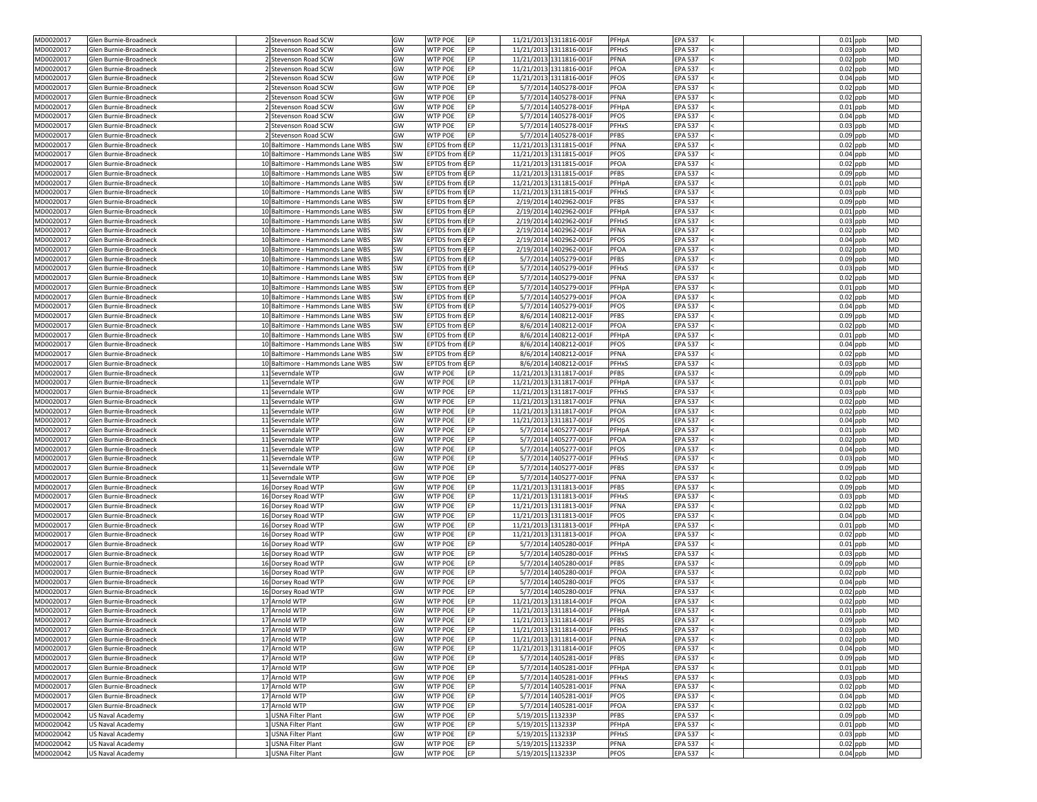| MD0020017              | Glen Burnie-Broadneck                          | 2 Stevenson Road SCW                                                 | GW              | <b>IEP</b><br><b>WTP POE</b>                        |                   | 11/21/2013 1311816-001F                            | PFHpA<br><b>EPA 537</b>                                         | $0.01$ ppb<br><b>MD</b>                            |
|------------------------|------------------------------------------------|----------------------------------------------------------------------|-----------------|-----------------------------------------------------|-------------------|----------------------------------------------------|-----------------------------------------------------------------|----------------------------------------------------|
| MD0020017              | Glen Burnie-Broadneck                          | 2 Stevenson Road SCW                                                 | GW              | <b>WTP POE</b><br>EP                                |                   | 11/21/2013 1311816-001F                            | <b>PFHxS</b><br><b>EPA 537</b>                                  | $0.03$ ppb<br><b>MD</b>                            |
| MD0020017              | Glen Burnie-Broadneck                          | 2 Stevenson Road SCW                                                 | GW              | <b>WTP POE</b><br>EP                                |                   | 11/21/2013 1311816-001F                            | PFNA<br><b>EPA 537</b>                                          | $0.02$ ppb<br><b>MD</b>                            |
| MD0020017              | Glen Burnie-Broadneck                          | 2 Stevenson Road SCW                                                 | GW              | <b>WTP POE</b><br>EP                                |                   | 11/21/2013 1311816-001F                            | PFOA<br><b>EPA 537</b>                                          | $0.02$ ppb<br><b>MD</b>                            |
| MD0020017              | Glen Burnie-Broadneck                          | 2 Stevenson Road SCW                                                 | GW              | <b>WTP POE</b><br><b>IEP</b>                        |                   | 11/21/2013 1311816-001F                            | <b>PFOS</b><br><b>EPA 537</b>                                   | $0.04$ ppb<br><b>MD</b>                            |
| MD0020017              | Glen Burnie-Broadneck                          | 2 Stevenson Road SCW                                                 | GW              | <b>WTP POE</b><br><b>IEP</b>                        |                   | 5/7/2014 1405278-001F                              | PFOA<br><b>EPA 537</b>                                          | <b>MD</b><br>$0.02$ ppb                            |
| MD0020017              | Glen Burnie-Broadneck                          | 2 Stevenson Road SCW                                                 | GW              | <b>WTP POE</b><br><b>IEP</b>                        |                   | 5/7/2014 1405278-001F                              | <b>PFNA</b><br><b>EPA 537</b>                                   | $0.02$ ppb<br><b>MD</b>                            |
| MD0020017              | Glen Burnie-Broadneck                          | 2 Stevenson Road SCW                                                 | GW              | <b>WTP POE</b><br>EP                                |                   | 5/7/2014 1405278-001F                              | PFHpA<br><b>EPA 537</b>                                         | $0.01$ ppb<br><b>MD</b>                            |
| MD0020017              | Glen Burnie-Broadneck                          | 2 Stevenson Road SCW                                                 | GW              | <b>WTP POE</b><br>EP                                |                   | 5/7/2014 1405278-001F                              | <b>PFOS</b><br><b>EPA 537</b>                                   | $0.04$ ppb<br><b>MD</b>                            |
| MD0020017              | Glen Burnie-Broadneck                          | 2 Stevenson Road SCW                                                 | GW              | <b>WTP POE</b><br><b>EP</b>                         |                   | 5/7/2014 1405278-001F                              | <b>PFHxS</b><br><b>EPA 537</b>                                  | $0.03$ ppb<br><b>MD</b>                            |
| MD0020017              | Glen Burnie-Broadneck                          | 2 Stevenson Road SCW                                                 | GW              | <b>WTP POE</b><br>EP                                |                   | 5/7/2014 1405278-001F                              | <b>PFBS</b><br><b>EPA 537</b>                                   | $0.09$ ppb<br><b>MD</b>                            |
| MD0020017              | Glen Burnie-Broadneck                          | 10 Baltimore - Hammonds Lane WBS                                     | <b>SW</b>       | <b>EPTDS</b> from <b>BEP</b>                        |                   | 11/21/2013 1311815-001F                            | <b>PFNA</b><br><b>EPA 537</b>                                   | $0.02$ ppb<br><b>MD</b>                            |
| MD0020017              | Glen Burnie-Broadneck                          | 10 Baltimore - Hammonds Lane WBS                                     | SW              | <b>EPTDS from HEP</b>                               |                   | 11/21/2013 1311815-001F                            | <b>PFOS</b><br><b>EPA 537</b>                                   | $0.04$ ppb<br><b>MD</b>                            |
| MD0020017              | Glen Burnie-Broadneck                          | 10 Baltimore - Hammonds Lane WBS                                     | <b>SW</b>       | <b>EPTDS</b> from <b>BEP</b>                        |                   | 11/21/2013 1311815-001F                            | PFOA<br><b>EPA 537</b>                                          | $0.02$ ppb<br><b>MD</b>                            |
| MD0020017              | Glen Burnie-Broadneck                          | 10 Baltimore - Hammonds Lane WBS                                     | <b>SW</b>       | EPTDS from EEP                                      |                   | 11/21/2013 1311815-001F                            | <b>PFBS</b><br><b>EPA 537</b>                                   | $0.09$ ppb<br><b>MD</b>                            |
| MD0020017              | Glen Burnie-Broadneck                          | 10 Baltimore - Hammonds Lane WBS                                     | SW              | <b>EPTDS from EEP</b>                               |                   | 11/21/2013 1311815-001F                            | PFHpA<br><b>EPA 537</b>                                         | $0.01$ ppb<br><b>MD</b>                            |
| MD0020017<br>MD0020017 | Glen Burnie-Broadneck                          | 10 Baltimore - Hammonds Lane WBS<br>10 Baltimore - Hammonds Lane WBS | SW              | <b>EPTDS from BEP</b><br><b>EPTDS from HEP</b>      |                   | 11/21/2013 1311815-001F<br>2/19/2014 1402962-001F  | <b>PFHxS</b><br><b>EPA 537</b><br><b>PFBS</b><br><b>EPA 537</b> | $0.03$ ppb<br><b>MD</b><br>$0.09$ ppb<br><b>MD</b> |
| MD0020017              | Glen Burnie-Broadneck<br>Glen Burnie-Broadneck | 10 Baltimore - Hammonds Lane WBS                                     | SW<br><b>SW</b> | <b>EPTDS from HEP</b>                               |                   | 2/19/2014 1402962-001F                             | PFHpA<br><b>EPA 537</b>                                         | $0.01$ ppb<br><b>MD</b>                            |
| MD0020017              | Glen Burnie-Broadneck                          | 10 Baltimore - Hammonds Lane WBS                                     | SW              | <b>EPTDS from BEP</b>                               |                   | 2/19/2014 1402962-001F                             | PFHxS<br><b>EPA 537</b>                                         | $0.03$ ppb<br><b>MD</b>                            |
| MD0020017              | Glen Burnie-Broadneck                          | 10 Baltimore - Hammonds Lane WBS                                     | <b>SW</b>       | <b>EPTDS from EEP</b>                               |                   | 2/19/2014 1402962-001F                             | <b>PFNA</b><br><b>EPA 537</b>                                   | $0.02$ ppb<br><b>MD</b>                            |
| MD0020017              | Glen Burnie-Broadneck                          | 10 Baltimore - Hammonds Lane WBS                                     | <b>SW</b>       | <b>EPTDS from BEP</b>                               |                   | 2/19/2014 1402962-001F                             | <b>PFOS</b><br><b>EPA 537</b>                                   | $0.04$ ppb<br><b>MD</b>                            |
| MD0020017              | Glen Burnie-Broadneck                          | 10 Baltimore - Hammonds Lane WBS                                     | SW              | <b>EPTDS from HEP</b>                               |                   | 2/19/2014 1402962-001F                             | <b>PFOA</b><br><b>EPA 537</b>                                   | $0.02$ ppb<br><b>MD</b>                            |
| MD0020017              | Glen Burnie-Broadneck                          | 10 Baltimore - Hammonds Lane WBS                                     | <b>SW</b>       | <b>EPTDS from BEP</b>                               |                   | 5/7/2014 1405279-001F                              | <b>PFBS</b><br><b>EPA 537</b>                                   | <b>MD</b><br>$0.09$ ppb                            |
| MD0020017              | Glen Burnie-Broadneck                          | 10 Baltimore - Hammonds Lane WBS                                     | SW              | <b>EPTDS from EEP</b>                               |                   | 5/7/2014 1405279-001F                              | <b>PFHxS</b><br><b>EPA 537</b>                                  | $0.03$ ppb<br><b>MD</b>                            |
| MD0020017              | Glen Burnie-Broadneck                          | 10 Baltimore - Hammonds Lane WBS                                     | <b>SW</b>       | <b>EPTDS from HEP</b>                               |                   | 5/7/2014 1405279-001F                              | <b>PFNA</b><br><b>EPA 537</b>                                   | <b>MD</b><br>$0.02$ ppb                            |
| MD0020017              | Glen Burnie-Broadneck                          | 10 Baltimore - Hammonds Lane WBS                                     | SW              | <b>EPTDS from HEP</b>                               |                   | 5/7/2014 1405279-001F                              | PFHpA<br><b>EPA 537</b>                                         | $0.01$ ppb<br><b>MD</b>                            |
| MD0020017              | Glen Burnie-Broadneck                          | 10 Baltimore - Hammonds Lane WBS                                     | <b>SW</b>       | <b>EPTDS from EEP</b>                               |                   | 5/7/2014 1405279-001F                              | PFOA<br><b>EPA 537</b>                                          | $0.02$ ppb<br><b>MD</b>                            |
| MD0020017              | Glen Burnie-Broadneck                          | 10 Baltimore - Hammonds Lane WBS                                     | <b>SW</b>       | <b>EPTDS from EEP</b>                               |                   | 5/7/2014 1405279-001F                              | <b>PFOS</b><br><b>EPA 537</b>                                   | $0.04$ ppb<br><b>MD</b>                            |
| MD0020017              | Glen Burnie-Broadneck                          | 10 Baltimore - Hammonds Lane WBS                                     | <b>SW</b>       | <b>EPTDS from HEP</b>                               |                   | 8/6/2014 1408212-001F                              | <b>PFBS</b><br><b>EPA 537</b>                                   | $0.09$ ppb<br><b>MD</b>                            |
| MD0020017              | Glen Burnie-Broadneck                          | 10 Baltimore - Hammonds Lane WBS                                     | <b>SW</b>       | <b>EPTDS from BEP</b>                               |                   | 8/6/2014 1408212-001F                              | <b>EPA 537</b><br>PFOA                                          | $0.02$ ppb<br><b>MD</b>                            |
| MD0020017              | Glen Burnie-Broadneck                          | 10 Baltimore - Hammonds Lane WBS                                     | <b>SW</b>       | <b>EPTDS</b> from <b>BEP</b>                        |                   | 8/6/2014 1408212-001F                              | <b>EPA 537</b><br>PFHpA                                         | $0.01$ ppb<br><b>MD</b>                            |
| MD0020017              | Glen Burnie-Broadneck                          | 10 Baltimore - Hammonds Lane WBS                                     | <b>SW</b>       | <b>EPTDS from EEP</b>                               |                   | 8/6/2014 1408212-001F                              | <b>PFOS</b><br><b>EPA 537</b>                                   | $0.04$ ppb<br><b>MD</b>                            |
| MD0020017              | Glen Burnie-Broadneck                          | 10 Baltimore - Hammonds Lane WBS                                     | <b>SW</b>       | <b>EPTDS from EEP</b>                               |                   | 8/6/2014 1408212-001F                              | <b>PFNA</b><br><b>EPA 537</b>                                   | $0.02$ ppb<br><b>MD</b>                            |
| MD0020017              | Glen Burnie-Broadneck                          | 10 Baltimore - Hammonds Lane WBS                                     | SW              | <b>EPTDS</b> from <b>BEP</b>                        |                   | 8/6/2014 1408212-001F                              | <b>PFHxS</b><br><b>EPA 537</b>                                  | $0.03$ ppb<br><b>MD</b>                            |
| MD0020017              | Glen Burnie-Broadneck                          | 11 Severndale WTP                                                    | GW              | <b>WTP POE</b><br>EP                                |                   | 11/21/2013 1311817-001F                            | <b>PFBS</b><br><b>EPA 537</b>                                   | $0.09$ ppb<br><b>MD</b>                            |
| MD0020017              | Glen Burnie-Broadneck                          | 11 Severndale WTP                                                    | GW              | <b>EP</b><br><b>WTP POE</b>                         |                   | 11/21/2013 1311817-001F                            | PFHpA<br><b>EPA 537</b>                                         | $0.01$ ppb<br><b>MD</b>                            |
| MD0020017              | Glen Burnie-Broadneck                          | 11 Severndale WTP                                                    | GW              | <b>WTP POE</b><br>EP                                |                   | 11/21/2013 1311817-001F                            | <b>PFHxS</b><br><b>EPA 537</b>                                  | <b>MD</b><br>$0.03$ ppb                            |
| MD0020017              | Glen Burnie-Broadneck                          | 11 Severndale WTP                                                    | GW              | <b>WTP POE</b><br><b>IEP</b>                        |                   | 11/21/2013 1311817-001F                            | <b>PFNA</b><br><b>EPA 537</b>                                   | $0.02$ ppb<br><b>MD</b>                            |
| MD0020017              | Glen Burnie-Broadneck                          | 11 Severndale WTP                                                    | GW              | <b>WTP POE</b><br>EP                                |                   | 11/21/2013 1311817-001F                            | PFOA<br><b>EPA 537</b>                                          | $0.02$ ppb<br><b>MD</b><br><b>MD</b>               |
| MD0020017<br>MD0020017 | Glen Burnie-Broadneck<br>Glen Burnie-Broadneck | 11 Severndale WTP<br>11 Severndale WTP                               | GW<br>GW        | <b>WTP POE</b><br><b>EP</b><br><b>WTP POE</b><br>EP |                   | 11/21/2013 1311817-001F<br>5/7/2014 1405277-001F   | <b>PFOS</b><br><b>EPA 537</b><br>PFHpA<br><b>EPA 537</b>        | $0.04$ ppb<br>$0.01$ ppb<br><b>MD</b>              |
| MD0020017              | Glen Burnie-Broadneck                          | 11 Severndale WTP                                                    | GW              | <b>WTP POE</b><br>EP                                |                   | 5/7/2014 1405277-001F                              | <b>PFOA</b><br><b>EPA 537</b>                                   | $0.02$ ppb<br><b>MD</b>                            |
| MD0020017              | Glen Burnie-Broadneck                          | 11 Severndale WTP                                                    | GW              | <b>WTP POE</b><br><b>IEP</b>                        |                   | 5/7/2014 1405277-001F                              | <b>PFOS</b><br><b>EPA 537</b>                                   | $0.04$ ppb<br><b>MD</b>                            |
| MD0020017              | Glen Burnie-Broadneck                          | 11 Severndale WTP                                                    | GW              | <b>WTP POE</b><br>EP                                |                   | 5/7/2014 1405277-001F                              | <b>PFHxS</b><br><b>EPA 537</b>                                  | $0.03$ ppb<br><b>MD</b>                            |
| MD0020017              | Glen Burnie-Broadneck                          | 11 Severndale WTP                                                    | GW              | <b>WTP POE</b><br><b>IEP</b>                        |                   | 5/7/2014 1405277-001F                              | <b>PFBS</b><br><b>EPA 537</b>                                   | $0.09$ ppb<br><b>MD</b>                            |
| MD0020017              | Glen Burnie-Broadneck                          | 11 Severndale WTP                                                    | GW              | <b>WTP POE</b><br>EP                                |                   | 5/7/2014 1405277-001F                              | <b>PFNA</b><br><b>EPA 537</b>                                   | $0.02$ ppb<br><b>MD</b>                            |
| MD0020017              | Glen Burnie-Broadneck                          | 16 Dorsey Road WTP                                                   | GW              | <b>WTP POE</b><br>EP                                |                   | 11/21/2013 1311813-001F                            | <b>PFBS</b><br><b>EPA 537</b>                                   | $0.09$ ppb<br><b>MD</b>                            |
| MD0020017              | Glen Burnie-Broadneck                          | 16 Dorsey Road WTP                                                   | GW              | <b>WTP POE</b><br>EP                                |                   | 11/21/2013 1311813-001F                            | <b>PFHxS</b><br><b>EPA 537</b>                                  | $0.03$ ppb<br><b>MD</b>                            |
| MD0020017              | Glen Burnie-Broadneck                          | 16 Dorsey Road WTP                                                   | GW              | <b>WTP POE</b><br><b>EP</b>                         |                   | 11/21/2013 1311813-001F                            | <b>PFNA</b><br><b>EPA 537</b>                                   | $0.02$ ppb<br><b>MD</b>                            |
| MD0020017              | Glen Burnie-Broadneck                          | 16 Dorsey Road WTP                                                   | GW              | <b>WTP POE</b><br>EP                                |                   | 11/21/2013 1311813-001F                            | <b>PFOS</b><br><b>EPA 537</b>                                   | <b>MD</b><br>$0.04$ ppb                            |
| MD0020017              | Glen Burnie-Broadneck                          | 16 Dorsey Road WTP                                                   | GW              | <b>WTP POE</b><br>EP                                |                   | 11/21/2013 1311813-001F                            | PFHpA<br><b>EPA 537</b>                                         | $0.01$ ppb<br><b>MD</b>                            |
| MD0020017              | Glen Burnie-Broadneck                          | 16 Dorsey Road WTP                                                   | GW              | <b>WTP POE</b><br>EP                                |                   | 11/21/2013 1311813-001F                            | PFOA<br><b>EPA 537</b>                                          | $0.02$ ppb<br><b>MD</b>                            |
| MD0020017              | Glen Burnie-Broadneck                          | 16 Dorsey Road WTP                                                   | GW              | <b>WTP POE</b><br>EP                                |                   | 5/7/2014 1405280-001F                              | PFHpA<br><b>EPA 537</b>                                         | $0.01$ ppb<br><b>MD</b>                            |
| MD0020017              | Glen Burnie-Broadneck                          | 16 Dorsey Road WTP                                                   | GW              | <b>WTP POE</b><br><b>EP</b>                         |                   | 5/7/2014 1405280-001F                              | <b>PFHxS</b><br><b>EPA 537</b>                                  | $0.03$ ppb<br><b>MD</b>                            |
| MD0020017              | Glen Burnie-Broadneck                          | 16 Dorsey Road WTP                                                   | GW              | <b>WTP POE</b><br><b>IEP</b>                        |                   | 5/7/2014 1405280-001F                              | <b>PFBS</b><br><b>EPA 537</b>                                   | $0.09$ ppb<br><b>MD</b>                            |
| MD0020017              | Glen Burnie-Broadneck                          | 16 Dorsey Road WTP                                                   | GW              | <b>WTP POE</b><br>EP                                |                   | 5/7/2014 1405280-001F                              | <b>PFOA</b><br><b>EPA 537</b>                                   | <b>MD</b><br>$0.02$ ppb                            |
| MD0020017              | Glen Burnie-Broadneck                          | 16 Dorsey Road WTP                                                   | GW              | <b>WTP POE</b><br>EP                                |                   | 5/7/2014 1405280-001F                              | <b>PFOS</b><br><b>EPA 537</b>                                   | <b>MD</b><br>$0.04$ ppb                            |
| MD0020017              | Glen Burnie-Broadneck                          | 16 Dorsey Road WTP                                                   | GW              | <b>WTP POE</b><br>EP                                |                   | 5/7/2014 1405280-001F                              | <b>PFNA</b><br><b>EPA 537</b>                                   | $0.02$ ppb<br><b>MD</b>                            |
| MD0020017              | Glen Burnie-Broadneck                          | 17 Arnold WTP<br>17 Arnold WTP                                       | GW<br>GW        | <b>WTP POE</b><br>EP<br><b>WTP POE</b>              |                   | 11/21/2013 1311814-001F                            | <b>PFOA</b><br><b>EPA 537</b>                                   | <b>MD</b><br>$0.02$ ppb<br><b>MD</b>               |
| MD0020017<br>MD0020017 | Glen Burnie-Broadneck<br>Glen Burnie-Broadneck | 17 Arnold WTP                                                        | GW              | EP<br><b>WTP POE</b><br>IEP.                        |                   | 11/21/2013 1311814-001F<br>11/21/2013 1311814-001F | <b>EPA 537</b><br>PFHpA<br><b>PFBS</b><br><b>EPA 537</b>        | $0.01$ ppb<br>$0.09$ ppb<br><b>MD</b>              |
| MD0020017              | Glen Burnie-Broadneck                          | 17 Arnold WTP                                                        | GW              | <b>WTP POE</b><br>EP                                |                   | 11/21/2013 1311814-001F                            | <b>EPA 537</b><br><b>PFHxS</b>                                  | $0.03$ ppb<br><b>MD</b>                            |
| MD0020017              | Glen Burnie-Broadneck                          | 17 Arnold WTP                                                        | GW              | <b>WTP POE</b><br>EP                                |                   | 11/21/2013 1311814-001F                            | <b>EPA 537</b><br><b>PFNA</b>                                   | $0.02$ ppb<br><b>MD</b>                            |
| MD0020017              | Glen Burnie-Broadneck                          | 17 Arnold WTP                                                        | GW              | <b>WTP POE</b><br>EP                                |                   | 11/21/2013 1311814-001F                            | <b>PFOS</b><br><b>EPA 537</b>                                   | $0.04$ ppb<br><b>MD</b>                            |
| MD0020017              | Glen Burnie-Broadneck                          | 17 Arnold WTP                                                        | GW              | <b>WTP POE</b><br>EP                                |                   | 5/7/2014 1405281-001F                              | <b>EPA 537</b><br><b>PFBS</b>                                   | $0.09$ ppb<br><b>MD</b>                            |
| MD0020017              | Glen Burnie-Broadneck                          | 17 Arnold WTP                                                        | GW              | <b>WTP POE</b><br>EP                                |                   | 5/7/2014 1405281-001F                              | <b>EPA 537</b><br>PFHpA                                         | $0.01$ ppb<br><b>MD</b>                            |
| MD0020017              | Glen Burnie-Broadneck                          | 17 Arnold WTP                                                        | GW              | <b>WTP POE</b><br>EP                                |                   | 5/7/2014 1405281-001F                              | <b>EPA 537</b><br>PFHxS                                         | $0.03$ ppb<br><b>MD</b>                            |
| MD0020017              | Glen Burnie-Broadneck                          | 17 Arnold WTP                                                        | GW              | <b>WTP POE</b><br><b>EP</b>                         |                   | 5/7/2014 1405281-001F                              | <b>PFNA</b><br><b>EPA 537</b>                                   | $0.02$ ppb<br><b>MD</b>                            |
| MD0020017              | Glen Burnie-Broadneck                          | 17 Arnold WTP                                                        | GW              | <b>WTP POE</b><br>EP                                |                   | 5/7/2014 1405281-001F                              | <b>PFOS</b><br><b>EPA 537</b>                                   | $0.04$ ppb<br><b>MD</b>                            |
| MD0020017              | Glen Burnie-Broadneck                          | 17 Arnold WTP                                                        | GW              | <b>WTP POE</b><br>EP                                |                   | 5/7/2014 1405281-001F                              | <b>PFOA</b><br><b>EPA 537</b>                                   | $0.02$ ppb<br><b>MD</b>                            |
| MD0020042              | <b>US Naval Academy</b>                        | LUSNA Filter Plant                                                   | GW              | EP<br><b>WTP POE</b>                                | 5/19/2015 113233P |                                                    | <b>PFBS</b><br><b>EPA 537</b>                                   | $0.09$ ppb<br><b>MD</b>                            |
| MD0020042              | <b>US Naval Academy</b>                        | USNA Filter Plant                                                    | GW              | <b>WTP POE</b><br>EP                                | 5/19/2015 113233P |                                                    | <b>EPA 537</b><br>PFHpA                                         | $0.01$ ppb<br><b>MD</b>                            |
| MD0020042              | <b>US Naval Academy</b>                        | 1 USNA Filter Plant                                                  | GW              | <b>WTP POE</b><br>EP                                | 5/19/2015 113233P |                                                    | PFHxS<br><b>EPA 537</b>                                         | $0.03$ ppb<br><b>MD</b>                            |
| MD0020042              | <b>US Naval Academy</b>                        | USNA Filter Plant                                                    | GW              | <b>WTP POE</b><br>EP                                | 5/19/2015 113233P |                                                    | PFNA<br><b>EPA 537</b>                                          | $0.02$ ppb<br><b>MD</b>                            |
| MD0020042              | <b>US Naval Academy</b>                        | 1USNA Filter Plant                                                   | GW              | <b>WTP POE</b><br>EP                                | 5/19/2015 113233P |                                                    | PFOS<br><b>EPA 537</b>                                          | <b>MD</b><br>$0.04$ ppb                            |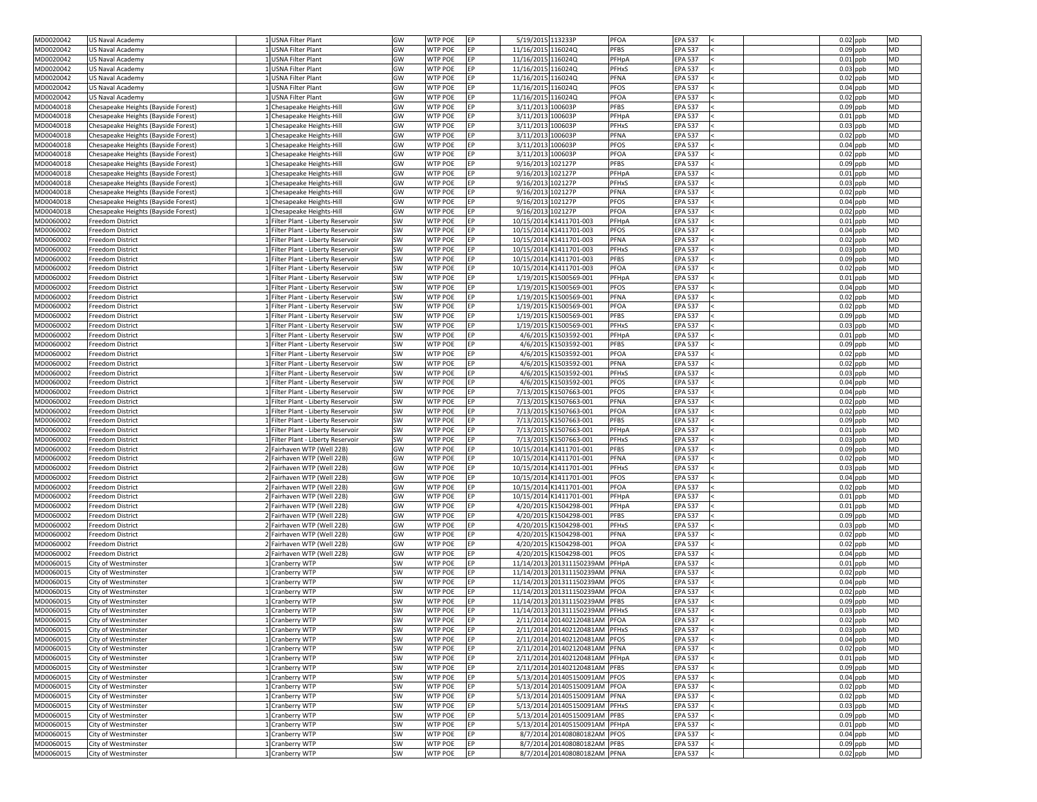| MD0020042              | <b>US Naval Academy</b>                     | 1 USNA Filter Plant                                                      | GW                     | <b>WTP POE</b><br>IEP.                        | 5/19/2015 113233P  |                                                  | <b>PFOA</b><br><b>EPA 537</b>                | $0.02$ ppb<br><b>MD</b>               |  |
|------------------------|---------------------------------------------|--------------------------------------------------------------------------|------------------------|-----------------------------------------------|--------------------|--------------------------------------------------|----------------------------------------------|---------------------------------------|--|
| MD0020042              | <b>US Naval Academy</b>                     | LUSNA Filter Plant                                                       | GW                     | <b>WTP POE</b><br>EP                          | 11/16/2015 116024Q |                                                  | <b>PFBS</b><br><b>EPA 537</b>                | $0.09$ ppb<br><b>MD</b>               |  |
| MD0020042              | <b>US Naval Academy</b>                     | 1 USNA Filter Plant                                                      | GW                     | WTP POE<br><b>IEP</b>                         | 11/16/2015 116024Q |                                                  | PFHpA<br><b>EPA 537</b>                      | $0.01$ ppb<br><b>MD</b>               |  |
| MD0020042              | <b>US Naval Academy</b>                     | 1 USNA Filter Plant                                                      | GW                     | <b>WTP POE</b><br>EP                          | 11/16/2015 116024Q |                                                  | <b>PFHxS</b><br><b>EPA 537</b>               | $0.03$ ppb<br><b>MD</b>               |  |
| MD0020042              | <b>US Naval Academy</b>                     | 1 USNA Filter Plant                                                      | GW                     | <b>WTP POE</b><br>IFP.                        | 11/16/2015 116024Q |                                                  | <b>PFNA</b><br><b>EPA 537</b>                | $0.02$ ppb<br><b>MD</b>               |  |
| MD0020042              | <b>US Naval Academy</b>                     | USNA Filter Plant                                                        | GW                     | <b>WTP POE</b><br>FP                          | 11/16/2015 116024Q |                                                  | <b>PFOS</b><br><b>EPA 537</b>                | $0.04$ ppb<br><b>MD</b>               |  |
| MD0020042              | <b>US Naval Academy</b>                     | LUSNA Filter Plant                                                       | GW                     | <b>WTP POE</b><br>FP                          | 11/16/2015 116024Q |                                                  | <b>PFOA</b><br><b>EPA 537</b>                | <b>MD</b><br>$0.02$ ppb               |  |
| MD0040018              | Chesapeake Heights (Bayside Forest)         | L Chesapeake Heights-Hill                                                | GW                     | <b>WTP POE</b><br><b>IEP</b>                  | 3/11/2013 100603P  |                                                  | <b>PFBS</b><br><b>EPA 537</b>                | <b>MD</b><br>$0.09$ ppb               |  |
| MD0040018              | Chesapeake Heights (Bayside Forest)         | 1 Chesapeake Heights-Hill                                                | GW                     | <b>WTP POE</b><br>EP                          | 3/11/2013 100603P  |                                                  | PFHpA<br><b>EPA 537</b>                      | $0.01$ ppb<br><b>MD</b>               |  |
| MD0040018              | Chesapeake Heights (Bayside Forest)         | 1 Chesapeake Heights-Hill                                                | GW                     | <b>WTP POE</b><br><b>IEP</b>                  | 3/11/2013 100603P  |                                                  | <b>PFHxS</b><br><b>EPA 537</b>               | $0.03$ ppb<br><b>MD</b>               |  |
| MD0040018              | Chesapeake Heights (Bayside Forest)         | 1 Chesapeake Heights-Hill                                                | GW                     | <b>WTP POE</b><br>EP                          | 3/11/2013 100603P  |                                                  | <b>PFNA</b><br><b>EPA 537</b>                | $0.02$ ppb<br><b>MD</b>               |  |
| MD0040018              | Chesapeake Heights (Bayside Forest)         | 1 Chesapeake Heights-Hill                                                | GW                     | <b>WTP POE</b><br><b>IEP</b>                  | 3/11/2013 100603P  |                                                  | <b>PFOS</b><br><b>EPA 537</b>                | $0.04$ ppb<br><b>MD</b>               |  |
| MD0040018              | Chesapeake Heights (Bayside Forest)         | L Chesapeake Heights-Hill                                                | GW                     | <b>WTP POE</b>                                | 3/11/2013 100603P  |                                                  | <b>PFOA</b><br><b>EPA 537</b>                | $0.02$ ppb<br><b>MD</b>               |  |
| MD0040018              | Chesapeake Heights (Bayside Forest)         | 1 Chesapeake Heights-Hill                                                | GW                     | <b>WTP POE</b><br>EP                          | 9/16/2013 102127P  |                                                  | <b>PFBS</b><br><b>EPA 537</b>                | $0.09$ ppb<br><b>MD</b>               |  |
| MD0040018              | Chesapeake Heights (Bayside Forest)         | 1 Chesapeake Heights-Hill                                                | GW                     | <b>WTP POE</b><br>IEP.                        | 9/16/2013 102127P  |                                                  | PFHpA<br><b>EPA 537</b>                      | $0.01$ ppb<br><b>MD</b>               |  |
| MD0040018              | Chesapeake Heights (Bayside Forest)         | 1 Chesapeake Heights-Hill                                                | GW                     | <b>WTP POE</b><br>EP                          | 9/16/2013 102127P  |                                                  | <b>PFHxS</b><br><b>EPA 537</b>               | $0.03$ ppb<br><b>MD</b>               |  |
| MD0040018              | Chesapeake Heights (Bayside Forest)         | 1 Chesapeake Heights-Hill                                                | GW                     | <b>WTP POE</b><br>EP                          | 9/16/2013 102127P  |                                                  | <b>PFNA</b><br><b>EPA 537</b>                | $0.02$ ppb<br><b>MD</b>               |  |
| MD0040018              | Chesapeake Heights (Bayside Forest)         | 1 Chesapeake Heights-Hill                                                | GW                     | <b>WTP POE</b><br>EP                          | 9/16/2013 102127P  |                                                  | <b>PFOS</b><br><b>EPA 537</b>                | $0.04$ ppb<br><b>MD</b>               |  |
| MD0040018              | Chesapeake Heights (Bayside Forest)         | 1 Chesapeake Heights-Hill                                                | GW                     | <b>WTP POE</b><br>FP.                         | 9/16/2013 102127P  |                                                  | <b>PFOA</b><br><b>EPA 537</b>                | $0.02$ ppb<br><b>MD</b>               |  |
| MD0060002              | Freedom District                            | 1 Filter Plant - Liberty Reservoir                                       | SW                     | <b>WTP POE</b><br>FP.                         |                    | 10/15/2014 K1411701-003                          | PFHpA<br><b>EPA 537</b>                      | <b>MD</b><br>$0.01$ ppb               |  |
| MD0060002              | Freedom District                            | 1 Filter Plant - Liberty Reservoir                                       | <b>SW</b>              | <b>WTP POE</b><br>EP                          |                    | 10/15/2014 K1411701-003                          | <b>PFOS</b><br><b>EPA 537</b>                | $0.04$ ppb<br><b>MD</b>               |  |
| MD0060002              | Freedom District                            | 1 Filter Plant - Liberty Reservoir                                       | <b>SW</b>              | <b>WTP POE</b><br><b>IEP</b>                  |                    | 10/15/2014 K1411701-003                          | PFNA<br><b>EPA 537</b>                       | $0.02$ ppb<br><b>MD</b>               |  |
| MD0060002              | <b>Freedom District</b>                     | 1 Filter Plant - Liberty Reservoir                                       | <b>SW</b>              | <b>WTP POE</b><br>IEP.                        |                    | 10/15/2014 K1411701-003                          | <b>PFHxS</b><br><b>EPA 537</b>               | <b>MD</b><br>$0.03$ ppb               |  |
| MD0060002              | <b>Freedom District</b>                     | 1 Filter Plant - Liberty Reservoir                                       | <b>SW</b>              | <b>WTP POE</b><br>IFP.                        |                    | 10/15/2014 K1411701-003                          | <b>PFBS</b><br><b>EPA 537</b>                | $0.09$ ppb<br><b>MD</b>               |  |
| MD0060002              | Freedom District                            | 1 Filter Plant - Liberty Reservoir                                       | <b>SW</b>              | <b>WTP POE</b><br>EP.                         |                    | 10/15/2014 K1411701-003                          | <b>PFOA</b><br><b>EPA 537</b>                | <b>MD</b><br>$0.02$ ppb               |  |
| MD0060002              | Freedom District                            | 1 Filter Plant - Liberty Reservoir                                       | <b>SW</b>              | <b>WTP POE</b><br>EP                          |                    | 1/19/2015 K1500569-001                           | PFHpA<br><b>EPA 537</b>                      | <b>MD</b><br>$0.01$ ppb               |  |
| MD0060002              | Freedom District                            | 1 Filter Plant - Liberty Reservoir                                       | <b>SW</b>              | <b>WTP POE</b><br>IFP.                        |                    | 1/19/2015 K1500569-001                           | <b>PFOS</b><br><b>EPA 537</b>                | <b>MD</b><br>$0.04$ ppb               |  |
| MD0060002              | <b>Freedom District</b>                     | 1 Filter Plant - Liberty Reservoir                                       | <b>SW</b>              | <b>WTP POE</b><br>EP                          |                    | 1/19/2015 K1500569-001                           | PFNA<br><b>EPA 537</b>                       | $0.02$ ppb<br><b>MD</b>               |  |
| MD0060002              | <b>Freedom District</b>                     | 1 Filter Plant - Liberty Reservoir                                       | <b>SW</b>              | <b>WTP POE</b><br><b>IEP</b>                  |                    | 1/19/2015 K1500569-001                           | PFOA<br><b>EPA 537</b>                       | $0.02$ ppb<br><b>MD</b>               |  |
| MD0060002              | Freedom District                            | 1 Filter Plant - Liberty Reservoir                                       | <b>SW</b>              | <b>WTP POE</b><br>EP                          |                    | 1/19/2015 K1500569-001                           | <b>PFBS</b><br><b>EPA 537</b>                | $0.09$ ppb<br><b>MD</b>               |  |
| MD0060002              | <b>Freedom District</b>                     | 1 Filter Plant - Liberty Reservoir                                       | <b>SW</b>              | <b>WTP POE</b>                                |                    | 1/19/2015 K1500569-001                           | <b>PFHxS</b><br><b>EPA 537</b>               | $0.03$ ppb<br><b>MD</b>               |  |
| MD0060002              | Freedom District                            | 1 Filter Plant - Liberty Reservoir                                       | <b>SW</b>              | <b>WTP POE</b><br>IEP.                        |                    | 4/6/2015 K1503592-001                            | PFHpA<br><b>EPA 537</b>                      | $0.01$ ppb<br><b>MD</b>               |  |
| MD0060002              | Freedom District                            | 1 Filter Plant - Liberty Reservoir                                       | <b>SW</b>              | <b>WTP POE</b><br>EP                          |                    | 4/6/2015 K1503592-001                            | <b>PFBS</b><br><b>EPA 537</b>                | $0.09$ ppb<br><b>MD</b>               |  |
| MD0060002              | Freedom District                            | 1 Filter Plant - Liberty Reservoir                                       | SW                     | <b>WTP POE</b><br>EP                          |                    | 4/6/2015 K1503592-001                            | PFOA<br><b>EPA 537</b>                       | $0.02$ ppb<br><b>MD</b>               |  |
| MD0060002              | Freedom District                            | 1 Filter Plant - Liberty Reservoir                                       | <b>SW</b>              | <b>WTP POE</b><br>EP                          |                    | 4/6/2015 K1503592-001                            | PFNA<br><b>EPA 537</b>                       | $0.02$ ppb<br><b>MD</b>               |  |
| MD0060002              | Freedom District                            | 1 Filter Plant - Liberty Reservoir                                       | <b>SW</b>              | <b>WTP POE</b><br>EP                          |                    | 4/6/2015 K1503592-001                            | <b>PFHxS</b><br><b>EPA 537</b>               | $0.03$ ppb<br><b>MD</b>               |  |
| MD0060002              | Freedom District                            | 1 Filter Plant - Liberty Reservoir                                       | SW                     | <b>WTP POE</b><br>IEP.                        |                    | 4/6/2015 K1503592-001                            | <b>PFOS</b><br><b>EPA 537</b><br><b>PFOS</b> | $0.04$ ppb<br><b>MD</b><br><b>MD</b>  |  |
| MD0060002              | Freedom District                            | 1 Filter Plant - Liberty Reservoir                                       | <b>SW</b>              | <b>WTP POE</b><br>EP<br>WTP POE<br><b>IEP</b> |                    | 7/13/2015 K1507663-001                           | <b>EPA 537</b><br><b>PFNA</b>                | $0.04$ ppb<br><b>MD</b>               |  |
| MD0060002<br>MD0060002 | Freedom District<br><b>Freedom District</b> | 1 Filter Plant - Liberty Reservoir<br>1 Filter Plant - Liberty Reservoir | <b>SW</b><br><b>SW</b> | <b>WTP POE</b><br>EP                          |                    | 7/13/2015 K1507663-001<br>7/13/2015 K1507663-001 | <b>EPA 537</b><br>PFOA<br><b>EPA 537</b>     | $0.02$ ppb<br>$0.02$ ppb<br><b>MD</b> |  |
| MD0060002              | <b>Freedom District</b>                     | 1 Filter Plant - Liberty Reservoir                                       | <b>SW</b>              | <b>WTP POE</b><br>EP                          |                    | 7/13/2015 K1507663-001                           | <b>PFBS</b><br><b>EPA 537</b>                | $0.09$ ppb<br><b>MD</b>               |  |
| MD0060002              | <b>Freedom District</b>                     | 1 Filter Plant - Liberty Reservoir                                       | <b>SW</b>              | <b>WTP POE</b><br>EP                          |                    | 7/13/2015 K1507663-001                           | PFHpA<br><b>EPA 537</b>                      | $0.01$ ppb<br><b>MD</b>               |  |
| MD0060002              | Freedom District                            | 1 Filter Plant - Liberty Reservoir                                       | <b>SW</b>              | <b>WTP POE</b><br>IEP.                        |                    | 7/13/2015 K1507663-001                           | <b>PFHxS</b><br><b>EPA 537</b>               | $0.03$ ppb<br><b>MD</b>               |  |
| MD0060002              | Freedom District                            | 2 Fairhaven WTP (Well 22B)                                               | GW                     | <b>WTP POE</b><br>IEP.                        |                    | 10/15/2014 K1411701-001                          | <b>PFBS</b><br><b>EPA 537</b>                | $0.09$ ppb<br><b>MD</b>               |  |
| MD0060002              | <b>Freedom District</b>                     | 2 Fairhaven WTP (Well 22B)                                               | GW                     | <b>WTP POE</b><br>EP                          |                    | 10/15/2014 K1411701-001                          | PFNA<br><b>EPA 537</b>                       | $0.02$ ppb<br><b>MD</b>               |  |
| MD0060002              | <b>Freedom District</b>                     | 2 Fairhaven WTP (Well 22B)                                               | GW                     | <b>WTP POE</b><br>IFP.                        |                    | 10/15/2014 K1411701-001                          | PFHxS<br><b>EPA 537</b>                      | $0.03$ ppb<br><b>MD</b>               |  |
| MD0060002              | <b>Freedom District</b>                     | 2 Fairhaven WTP (Well 22B)                                               | GW                     | <b>WTP POE</b><br>EP                          |                    | 10/15/2014 K1411701-001                          | <b>PFOS</b><br><b>EPA 537</b>                | $0.04$ ppb<br><b>MD</b>               |  |
| MD0060002              | Freedom District                            | 2 Fairhaven WTP (Well 22B)                                               | GW                     | <b>WTP POE</b><br>EP                          |                    | 10/15/2014 K1411701-001                          | <b>PFOA</b><br><b>EPA 537</b>                | $0.02$ ppb<br><b>MD</b>               |  |
| MD0060002              | Freedom District                            | 2 Fairhaven WTP (Well 22B)                                               | GW                     | <b>WTP POE</b><br>EP                          |                    | 10/15/2014 K1411701-001                          | PFHpA<br><b>EPA 537</b>                      | $0.01$ ppb<br><b>MD</b>               |  |
| MD0060002              | Freedom District                            | 2 Fairhaven WTP (Well 22B)                                               | GW                     | <b>WTP POE</b><br>IEP.                        |                    | 4/20/2015 K1504298-001                           | PFHpA<br><b>EPA 537</b>                      | $0.01$ ppb<br><b>MD</b>               |  |
| MD0060002              | Freedom District                            | 2 Fairhaven WTP (Well 22B)                                               | GW                     | <b>WTP POE</b><br><b>IEP</b>                  |                    | 4/20/2015 K1504298-001                           | <b>PFBS</b><br><b>EPA 537</b>                | <b>MD</b><br>$0.09$ ppb               |  |
| MD0060002              | Freedom District                            | 2 Fairhaven WTP (Well 22B)                                               | GW                     | <b>WTP POE</b><br>EP                          |                    | 4/20/2015 K1504298-001                           | <b>PFHxS</b><br><b>EPA 537</b>               | $0.03$ ppb<br><b>MD</b>               |  |
| MD0060002              | Freedom District                            | 2 Fairhaven WTP (Well 22B)                                               | GW                     | <b>WTP POE</b><br><b>IEP</b>                  |                    | 4/20/2015 K1504298-001                           | PFNA<br><b>EPA 537</b>                       | $0.02$ ppb<br><b>MD</b>               |  |
| MD0060002              | Freedom District                            | 2 Fairhaven WTP (Well 22B)                                               | GW                     | <b>WTP POE</b><br>EP                          |                    | 4/20/2015 K1504298-001                           | PFOA<br><b>EPA 537</b>                       | $0.02$ ppb<br><b>MD</b>               |  |
| MD0060002              | <b>Freedom District</b>                     | 2 Fairhaven WTP (Well 22B)                                               | GW                     | <b>WTP POE</b><br>IEP.                        |                    | 4/20/2015 K1504298-001                           | <b>PFOS</b><br><b>EPA 537</b>                | $0.04$ ppb<br><b>MD</b>               |  |
| MD0060015              | City of Westminster                         | L Cranberry WTP                                                          | SW                     | <b>WTP POE</b><br>EP                          |                    | 11/14/2013 201311150239AM                        | PFHpA<br><b>EPA 537</b>                      | $0.01$ ppb<br><b>MD</b>               |  |
| MD0060015              | City of Westminster                         | 1 Cranberry WTP                                                          | SW                     | <b>WTP POE</b><br>EP.                         |                    | 11/14/2013 201311150239AM PFNA                   | <b>EPA 537</b>                               | $0.02$ ppb<br><b>MD</b>               |  |
| MD0060015              | City of Westminster                         | L Cranberry WTP                                                          | SW                     | <b>WTP POE</b><br>IEP.                        |                    | 11/14/2013 201311150239AM PFOS                   | <b>EPA 537</b>                               | $0.04$ ppb<br><b>MD</b>               |  |
| MD0060015              | City of Westminster                         | 1 Cranberry WTP                                                          | SW                     | <b>WTP POE</b><br>EP                          |                    | 11/14/2013 201311150239AM                        | PFOA<br><b>EPA 537</b>                       | $0.02$ ppb<br><b>MD</b>               |  |
| MD0060015              | City of Westminster                         | 1 Cranberry WTP                                                          | <b>SW</b>              | <b>WTP POE</b><br>EP                          |                    | 11/14/2013 201311150239AM PFBS                   | <b>EPA 537</b>                               | <b>MD</b><br>$0.09$ ppb               |  |
| MD0060015              | City of Westminster                         | 1 Cranberry WTP                                                          | SW                     | <b>WTP POE</b><br>EP                          |                    | 11/14/2013 201311150239AM PFHxS                  | <b>EPA 537</b>                               | $0.03$ ppb<br><b>MD</b>               |  |
| MD0060015              | City of Westminster                         | 1 Cranberry WTP                                                          | <b>SW</b>              | <b>WTP POE</b>                                |                    | 2/11/2014 201402120481AM PFOA                    | <b>EPA 537</b>                               | $0.02$ ppb<br><b>MD</b>               |  |
| MD0060015              | City of Westminster                         | 1 Cranberry WTP                                                          | <b>SW</b>              | <b>WTP POE</b><br>EP                          |                    | 2/11/2014 201402120481AM PFHxS                   | <b>EPA 537</b>                               | $0.03$ ppb<br><b>MD</b>               |  |
| MD0060015              | City of Westminster                         | 1 Cranberry WTP                                                          | SW                     | EP<br><b>WTP POE</b>                          |                    | 2/11/2014 201402120481AM PFOS                    | <b>EPA 537</b>                               | $0.04$ ppb<br><b>MD</b>               |  |
| MD0060015              | City of Westminster                         | 1 Cranberry WTP                                                          | <b>SW</b>              | <b>WTP POE</b><br>EP                          |                    | 2/11/2014 201402120481AM PFNA                    | <b>EPA 537</b>                               | $0.02$ ppb<br><b>MD</b>               |  |
| MD0060015              | City of Westminster                         | 1 Cranberry WTP                                                          | <b>SW</b>              | <b>WTP POE</b><br>EP                          |                    | 2/11/2014 201402120481AM PFHpA                   | <b>EPA 537</b>                               | $0.01$ ppb<br><b>MD</b>               |  |
| MD0060015              | City of Westminster                         | 1 Cranberry WTP                                                          | <b>SW</b>              | <b>WTP POE</b><br>EP                          |                    | 2/11/2014 201402120481AM PFBS                    | <b>EPA 537</b>                               | $0.09$ ppb<br><b>MD</b>               |  |
| MD0060015              | City of Westminster                         | 1 Cranberry WTP                                                          | SW                     | <b>WTP POE</b><br>EP                          |                    | 5/13/2014 201405150091AM PFOS                    | <b>EPA 537</b>                               | $0.04$ ppb<br><b>MD</b>               |  |
| MD0060015              | City of Westminster                         | 1 Cranberry WTP                                                          | SW                     | <b>WTP POE</b><br>EP                          |                    | 5/13/2014 201405150091AM PFOA                    | <b>EPA 537</b>                               | $0.02$ ppb<br><b>MD</b>               |  |
| MD0060015              | City of Westminster                         | 1 Cranberry WTP                                                          | SW                     | <b>WTP POE</b><br>EP                          |                    | 5/13/2014 201405150091AM PFNA                    | <b>EPA 537</b>                               | $0.02$ ppb<br><b>MD</b>               |  |
| MD0060015              | City of Westminster                         | 1 Cranberry WTP                                                          | <b>SW</b>              | <b>WTP POE</b><br>EP                          |                    | 5/13/2014 201405150091AM PFHxS                   | <b>EPA 537</b>                               | $0.03$ ppb<br><b>MD</b>               |  |
| MD0060015              | City of Westminster                         | 1 Cranberry WTP                                                          | <b>SW</b>              | <b>WTP POE</b><br>EP                          |                    | 5/13/2014 201405150091AM PFBS                    | <b>EPA 537</b>                               | $0.09$ ppb<br><b>MD</b>               |  |
| MD0060015              | City of Westminster                         | 1 Cranberry WTP                                                          | SW                     | <b>WTP POE</b><br>EP                          |                    | 5/13/2014 201405150091AM PFHpA                   | <b>EPA 537</b>                               | $0.01$ ppb<br><b>MD</b>               |  |
| MD0060015              | City of Westminster                         | 1 Cranberry WTP                                                          | <b>SW</b>              | <b>WTP POE</b><br>EP                          |                    | 8/7/2014 201408080182AM PFOS                     | <b>EPA 537</b>                               | $0.04$ ppb<br><b>MD</b>               |  |
| MD0060015              | City of Westminster                         | 1 Cranberry WTP                                                          | <b>SW</b>              | <b>WTP POE</b><br>EP                          |                    | 8/7/2014 201408080182AM PFBS                     | <b>EPA 537</b>                               | $0.09$ ppb<br><b>MD</b>               |  |
| MD0060015              | City of Westminster                         | 1 Cranberry WTP                                                          | SW                     | <b>WTP POE</b><br>EP                          |                    | 8/7/2014 201408080182AM PFNA                     | <b>EPA 537</b>                               | MD<br>$0.02$ ppb                      |  |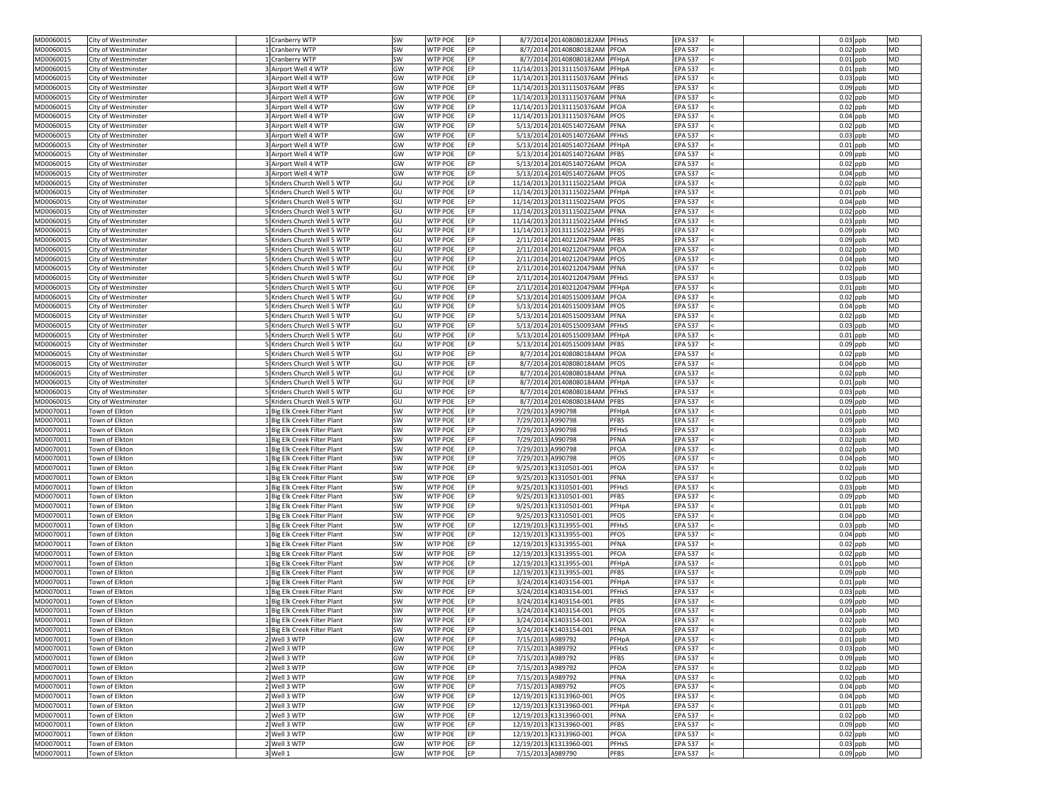| MD0060015                                                                                                                                                | City of Westminster              | 1 Cranberry WTP              | SW        | <b>EP</b><br><b>WTP POE</b>                  |                   | 8/7/2014 201408080182AM PFHxS   | <b>EPA 537</b>                                           | $0.03$ ppb<br><b>MD</b>                            |  |
|----------------------------------------------------------------------------------------------------------------------------------------------------------|----------------------------------|------------------------------|-----------|----------------------------------------------|-------------------|---------------------------------|----------------------------------------------------------|----------------------------------------------------|--|
| MD0060015                                                                                                                                                | City of Westminster              | Cranberry WTP                | SW        | <b>WTP POE</b><br><b>IEP</b>                 |                   | 8/7/2014 201408080182AM PFOA    | <b>EPA 537</b>                                           | $0.02$ ppb<br><b>MD</b>                            |  |
| MD0060015                                                                                                                                                | City of Westminster              | <b>Cranberry WTP</b>         | SW        | <b>WTP POE</b><br><b>IEP</b>                 |                   | 8/7/2014 201408080182AM PFHpA   | <b>EPA 537</b>                                           | $0.01$ ppb<br><b>MD</b>                            |  |
| MD0060015                                                                                                                                                | City of Westminster              | 3 Airport Well 4 WTP         | GW        | <b>WTP POE</b><br><b>EP</b>                  |                   | 11/14/2013 201311150376AM       | <b>EPA 537</b><br>PFHpA                                  | $0.01$ ppb<br><b>MD</b>                            |  |
| MD0060015                                                                                                                                                | City of Westminster              | 3 Airport Well 4 WTP         | GW        | <b>WTP POE</b><br><b>EP</b>                  |                   | 11/14/2013 201311150376AM PFHxS | <b>EPA 537</b>                                           | $0.03$ ppb<br><b>MD</b>                            |  |
| MD0060015                                                                                                                                                | City of Westminster              | 3 Airport Well 4 WTP         | GW        | <b>WTP POE</b><br>EP                         |                   | 11/14/2013 201311150376AM PFBS  | <b>EPA 537</b>                                           | $0.09$ ppb<br><b>MD</b>                            |  |
| MD0060015                                                                                                                                                | City of Westminster              | 3 Airport Well 4 WTP         | GW        | <b>WTP POE</b><br>EP                         |                   | 11/14/2013 201311150376AM PFNA  | <b>EPA 537</b>                                           | $0.02$ ppb<br><b>MD</b>                            |  |
| MD0060015                                                                                                                                                | City of Westminster              | 3 Airport Well 4 WTP         | GW        | <b>WTP POE</b><br><b>IEP</b>                 |                   | 11/14/2013 201311150376AM PFOA  | <b>EPA 537</b>                                           | <b>MD</b><br>$0.02$ ppb                            |  |
| MD0060015                                                                                                                                                | City of Westminster              | 3 Airport Well 4 WTP         | GW        | <b>WTP POE</b><br>EP                         |                   | 11/14/2013 201311150376AM PFOS  | <b>EPA 537</b>                                           | $0.04$ ppb<br><b>MD</b>                            |  |
| MD0060015                                                                                                                                                | City of Westminster              | 3 Airport Well 4 WTP         | GW        | <b>WTP POE</b><br><b>EP</b>                  |                   | 5/13/2014 201405140726AM PFNA   | <b>EPA 537</b>                                           | $0.02$ ppb<br><b>MD</b>                            |  |
| MD0060015                                                                                                                                                | City of Westminster              | 3 Airport Well 4 WTP         | GW        | <b>WTP POE</b><br>EP                         |                   | 5/13/2014 201405140726AM PFHxS  | <b>EPA 537</b>                                           | $0.03$ ppb<br><b>MD</b>                            |  |
|                                                                                                                                                          |                                  |                              |           |                                              |                   |                                 |                                                          | <b>MD</b>                                          |  |
| MD0060015                                                                                                                                                | City of Westminster              | 3 Airport Well 4 WTP         | GW        | <b>WTP POE</b><br><b>EP</b>                  |                   | 5/13/2014 201405140726AM PFHpA  | <b>EPA 537</b>                                           | $0.01$ ppb                                         |  |
| MD0060015                                                                                                                                                | City of Westminster              | 3 Airport Well 4 WTP         | GW        | <b>WTP POE</b><br><b>IEP</b>                 |                   | 5/13/2014 201405140726AM PFBS   | <b>EPA 537</b>                                           | $0.09$ ppb<br><b>MD</b>                            |  |
| MD0060015                                                                                                                                                | City of Westminster              | 3 Airport Well 4 WTP         | GW        | <b>WTP POE</b><br><b>IEP</b>                 |                   | 5/13/2014 201405140726AM PFOA   | <b>EPA 537</b>                                           | $0.02$ ppb<br><b>MD</b>                            |  |
| MD0060015                                                                                                                                                | City of Westminster              | 3 Airport Well 4 WTP         | GW        | <b>WTP POE</b><br><b>IEP</b>                 |                   | 5/13/2014 201405140726AM PFOS   | <b>EPA 537</b>                                           | <b>MD</b><br>$0.04$ ppb                            |  |
| MD0060015                                                                                                                                                | City of Westminster              | 5 Kriders Church Well 5 WTP  | GU        | <b>WTP POE</b><br><b>EP</b>                  |                   | 11/14/2013 201311150225AM PFOA  | <b>EPA 537</b>                                           | $0.02$ ppb<br><b>MD</b>                            |  |
| MD0060015                                                                                                                                                | City of Westminster              | 5 Kriders Church Well 5 WTP  | GU        | <b>WTP POE</b><br><b>EP</b>                  |                   | 11/14/2013 201311150225AM PFHpA | <b>EPA 537</b>                                           | $0.01$ ppb<br><b>MD</b>                            |  |
| MD0060015                                                                                                                                                | City of Westminster              | 5 Kriders Church Well 5 WTP  | GU        | <b>WTP POE</b><br>EP                         |                   | 11/14/2013 201311150225AM PFOS  | <b>EPA 537</b>                                           | $0.04$ ppb<br><b>MD</b>                            |  |
| MD0060015                                                                                                                                                | City of Westminster              | 5 Kriders Church Well 5 WTP  | GU        | <b>WTP POE</b><br>EP                         |                   | 11/14/2013 201311150225AM PFNA  | <b>EPA 537</b>                                           | $0.02$ ppb<br><b>MD</b>                            |  |
| MD0060015                                                                                                                                                | City of Westminster              | Kriders Church Well 5 WTP    | GU        | <b>WTP POE</b><br><b>IEP</b>                 |                   | 11/14/2013 201311150225AM PFHxS | <b>EPA 537</b>                                           | $0.03$ ppb<br><b>MD</b>                            |  |
| MD0060015                                                                                                                                                | City of Westminster              | SKriders Church Well 5 WTP   | GU        | <b>WTP POE</b><br>EP                         |                   | 11/14/2013 201311150225AM PFBS  | <b>EPA 537</b>                                           | $0.09$ ppb<br><b>MD</b>                            |  |
| MD0060015                                                                                                                                                | City of Westminster              | Kriders Church Well 5 WTP    | GU        | <b>WTP POE</b><br><b>IEP</b>                 |                   | 2/11/2014 201402120479AM PFBS   | <b>EPA 537</b>                                           | $0.09$ ppb<br><b>MD</b>                            |  |
| MD0060015                                                                                                                                                | City of Westminster              | 5 Kriders Church Well 5 WTP  | GU        | <b>WTP POE</b><br>EP                         |                   | 2/11/2014 201402120479AM PFOA   | <b>EPA 537</b>                                           | $0.02$ ppb<br><b>MD</b>                            |  |
| MD0060015                                                                                                                                                | City of Westminster              | 5 Kriders Church Well 5 WTP  | GU        | <b>WTP POE</b><br>EP                         |                   | 2/11/2014 201402120479AM PFOS   | <b>EPA 537</b>                                           | $0.04$ ppb<br><b>MD</b>                            |  |
| MD0060015                                                                                                                                                | City of Westminster              | Kriders Church Well 5 WTP    | GU        | <b>WTP POE</b><br>EP                         |                   | 2/11/2014 201402120479AM PFNA   | <b>EPA 537</b>                                           | $0.02$ ppb<br><b>MD</b>                            |  |
| MD0060015                                                                                                                                                | City of Westminster              | 5 Kriders Church Well 5 WTP  | GU        | <b>WTP POE</b><br><b>IEP</b>                 |                   | 2/11/2014 201402120479AM PFHxS  | <b>EPA 537</b>                                           | $0.03$ ppb<br><b>MD</b>                            |  |
| MD0060015                                                                                                                                                | City of Westminster              | S Kriders Church Well 5 WTP  | GU        | <b>WTP POE</b><br>IEP.                       |                   | 2/11/2014 201402120479AM PFHpA  | <b>EPA 537</b>                                           | $0.01$ ppb<br><b>MD</b>                            |  |
| MD0060015                                                                                                                                                | City of Westminster              | Kriders Church Well 5 WTP    | GU        | <b>WTP POE</b><br>EP                         |                   | 5/13/2014 201405150093AM        | <b>EPA 537</b><br>PFOA                                   | $0.02$ ppb<br><b>MD</b>                            |  |
| MD0060015                                                                                                                                                | City of Westminster              | Kriders Church Well 5 WTP    | GU        | <b>WTP POE</b><br>EP                         |                   | 5/13/2014 201405150093AM PFOS   | <b>EPA 537</b>                                           | $0.04$ ppb<br><b>MD</b>                            |  |
| MD0060015                                                                                                                                                | City of Westminster              | 5 Kriders Church Well 5 WTP  | GU        | <b>WTP POE</b><br><b>EP</b>                  |                   | 5/13/2014 201405150093AM PFNA   | <b>EPA 537</b>                                           | $0.02$ ppb<br><b>MD</b>                            |  |
| MD0060015                                                                                                                                                | City of Westminster              | 5 Kriders Church Well 5 WTP  | GU        | <b>WTP POE</b><br>IFP.                       |                   | 5/13/2014 201405150093AM PFHxS  | <b>EPA 537</b>                                           | <b>MD</b><br>$0.03$ ppb                            |  |
| MD0060015                                                                                                                                                | City of Westminster              | 5 Kriders Church Well 5 WTP  | GU        | <b>WTP POE</b><br><b>EP</b>                  |                   | 5/13/2014 201405150093AM PFHpA  | <b>EPA 537</b>                                           | $0.01$ ppb<br><b>MD</b>                            |  |
| MD0060015                                                                                                                                                | City of Westminster              | 5 Kriders Church Well 5 WTP  | GU        | <b>WTP POE</b><br><b>IEP</b>                 |                   | 5/13/2014 201405150093AM PFBS   | <b>EPA 537</b>                                           | $0.09$ ppb<br><b>MD</b>                            |  |
| MD0060015                                                                                                                                                | City of Westminster              | 5 Kriders Church Well 5 WTP  | GU        | <b>WTP POE</b><br><b>IEP</b>                 |                   | 8/7/2014 201408080184AM PFOA    | <b>EPA 537</b>                                           | <b>MD</b><br>$0.02$ ppb                            |  |
| MD0060015                                                                                                                                                | City of Westminster              | 5 Kriders Church Well 5 WTP  | GU        | <b>WTP POE</b><br><b>EP</b>                  |                   | 8/7/2014 201408080184AM         | PFOS<br><b>EPA 537</b>                                   | $0.04$ ppb<br><b>MD</b>                            |  |
|                                                                                                                                                          | City of Westminster              | 5 Kriders Church Well 5 WTP  |           | <b>WTP POE</b><br><b>EP</b>                  |                   | 8/7/2014 201408080184AM PFNA    | <b>EPA 537</b>                                           | <b>MD</b>                                          |  |
| MD0060015                                                                                                                                                |                                  |                              | GU        |                                              |                   |                                 |                                                          | $0.02$ ppb                                         |  |
| MD0060015                                                                                                                                                | City of Westminster              | 5 Kriders Church Well 5 WTP  | GU<br>GU  | <b>WTP POE</b><br>EP                         |                   | 8/7/2014 201408080184AM PFHpA   | <b>EPA 537</b><br><b>EPA 537</b>                         | $0.01$ ppb<br><b>MD</b><br>$0.03$ ppb<br><b>MD</b> |  |
| MD0060015                                                                                                                                                | City of Westminster              | 5 Kriders Church Well 5 WTP  |           |                                              |                   |                                 |                                                          |                                                    |  |
|                                                                                                                                                          |                                  |                              |           | <b>WTP POE</b><br>EP                         |                   | 8/7/2014 201408080184AM PFHxS   |                                                          |                                                    |  |
| MD0060015                                                                                                                                                | City of Westminster              | 5 Kriders Church Well 5 WTP  | GU        | <b>WTP POE</b><br><b>IEP</b>                 |                   | 8/7/2014 201408080184AM         | <b>PFBS</b><br><b>EPA 537</b>                            | $0.09$ ppb<br><b>MD</b>                            |  |
| MD0070011                                                                                                                                                | Town of Elkton                   | 1 Big Elk Creek Filter Plant | SW        | <b>WTP POE</b><br>EP                         | 7/29/2013 A990798 |                                 | PFHpA<br><b>EPA 537</b>                                  | $0.01$ ppb<br><b>MD</b>                            |  |
| MD0070011                                                                                                                                                | Town of Elkton                   | 1Big Elk Creek Filter Plant  | SW        | <b>WTP POE</b><br><b>EP</b>                  | 7/29/2013 A990798 |                                 | <b>PFBS</b><br><b>EPA 537</b>                            | $0.09$ ppb<br><b>MD</b>                            |  |
| MD0070011                                                                                                                                                | Town of Elkton                   | 1Big Elk Creek Filter Plant  | SW        | <b>WTP POE</b><br>EP                         | 7/29/2013 A990798 |                                 | PFHxS<br><b>EPA 537</b>                                  | $0.03$ ppb<br><b>MD</b>                            |  |
| MD0070011                                                                                                                                                | Town of Elkton                   | 1Big Elk Creek Filter Plant  | <b>SW</b> | <b>WTP POE</b><br>EP                         | 7/29/2013 A990798 |                                 | PFNA<br><b>EPA 537</b>                                   | $0.02$ ppb<br><b>MD</b>                            |  |
| MD0070011                                                                                                                                                | Town of Elkton                   | 1Big Elk Creek Filter Plant  | SW        | <b>WTP POE</b><br><b>IEP</b>                 | 7/29/2013 A990798 |                                 | <b>PFOA</b><br><b>EPA 537</b>                            | $0.02$ ppb<br><b>MD</b>                            |  |
| MD0070011                                                                                                                                                | Town of Elkton                   | 1 Big Elk Creek Filter Plant | SW        | <b>WTP POE</b><br><b>IEP</b>                 | 7/29/2013 A990798 |                                 | <b>PFOS</b><br><b>EPA 537</b>                            | <b>MD</b><br>$0.04$ ppb                            |  |
| MD0070011                                                                                                                                                | Town of Elkton                   | LBig Elk Creek Filter Plant  | SW        | <b>WTP POE</b><br><b>EP</b>                  |                   | 9/25/2013 K1310501-001          | <b>PFOA</b><br><b>EPA 537</b>                            | $0.02$ ppb<br><b>MD</b>                            |  |
| MD0070011                                                                                                                                                | Town of Elkton                   | 1Big Elk Creek Filter Plant  | SW        | <b>WTP POE</b><br><b>EP</b>                  |                   | 9/25/2013 K1310501-001          | <b>PFNA</b><br><b>EPA 537</b>                            | $0.02$ ppb<br><b>MD</b>                            |  |
| MD0070011                                                                                                                                                | Town of Elkton                   | 1Big Elk Creek Filter Plant  | SW        | <b>WTP POE</b><br>EP                         |                   | 9/25/2013 K1310501-001          | <b>PFHxS</b><br><b>EPA 537</b>                           | $0.03$ ppb<br><b>MD</b>                            |  |
| MD0070011                                                                                                                                                | Town of Elkton                   | 1Big Elk Creek Filter Plant  | SW        | <b>WTP POE</b><br>EP                         |                   | 9/25/2013 K1310501-001          | <b>PFBS</b><br><b>EPA 537</b>                            | $0.09$ ppb<br><b>MD</b>                            |  |
| MD0070011                                                                                                                                                | Town of Elkton                   | 1 Big Elk Creek Filter Plant | <b>SW</b> | <b>WTP POE</b><br><b>EP</b>                  |                   | 9/25/2013 K1310501-001          | PFHpA<br><b>EPA 537</b>                                  | <b>MD</b><br>$0.01$ ppb                            |  |
| MD0070011                                                                                                                                                | Town of Elkton                   | 1 Big Elk Creek Filter Plant | SW        | <b>WTP POE</b><br><b>IEP</b>                 |                   | 9/25/2013 K1310501-001          | <b>PFOS</b><br><b>EPA 537</b>                            | $0.04$ ppb<br><b>MD</b>                            |  |
| MD0070011                                                                                                                                                | Town of Elkton                   | 1 Big Elk Creek Filter Plant | SW        | <b>WTP POE</b><br>EP                         |                   | 12/19/2013 K1313955-001         | <b>PFHxS</b><br><b>EPA 537</b>                           | $0.03$ ppb<br><b>MD</b>                            |  |
| MD0070011                                                                                                                                                | Town of Elkton                   | LBig Elk Creek Filter Plant  | SW        | <b>WTP POE</b><br>EP                         |                   | 12/19/2013 K1313955-001         | <b>PFOS</b><br><b>EPA 537</b>                            | $0.04$ ppb<br><b>MD</b>                            |  |
| MD0070011                                                                                                                                                | Town of Elkton                   | 1Big Elk Creek Filter Plant  | SW        | <b>WTP POE</b><br><b>EP</b>                  |                   | 12/19/2013 K1313955-001         | PFNA<br><b>EPA 537</b>                                   | $0.02$ ppb<br><b>MD</b>                            |  |
| MD0070011                                                                                                                                                | Town of Elkton                   | 1Big Elk Creek Filter Plant  | SW        | <b>WTP POE</b><br><b>EP</b>                  |                   | 12/19/2013 K1313955-001         | <b>PFOA</b><br><b>EPA 537</b>                            | $0.02$ ppb<br><b>MD</b>                            |  |
| MD0070011                                                                                                                                                | Town of Elkton                   | 1Big Elk Creek Filter Plant  | SW        | <b>WTP POE</b><br>EP                         |                   | 12/19/2013 K1313955-001         | PFHpA<br><b>EPA 537</b>                                  | $0.01$ ppb<br><b>MD</b>                            |  |
| MD0070011                                                                                                                                                | Town of Elkton                   | 1 Big Elk Creek Filter Plant | SW        | <b>WTP POE</b><br>EP                         |                   | 12/19/2013 K1313955-001         | <b>PFBS</b><br><b>EPA 537</b>                            | $0.09$ ppb<br><b>MD</b>                            |  |
| MD0070011                                                                                                                                                | Town of Elkton                   | LBig Elk Creek Filter Plant  | SW        | <b>WTP POE</b><br><b>IEP</b>                 |                   | 3/24/2014 K1403154-001          | PFHpA<br><b>EPA 537</b>                                  | $0.01$ ppb<br><b>MD</b>                            |  |
|                                                                                                                                                          | Town of Elkton                   | 1Big Elk Creek Filter Plant  |           | <b>WTP POE</b><br><b>EP</b>                  |                   |                                 | <b>PFHxS</b>                                             | <b>MD</b>                                          |  |
| MD0070011                                                                                                                                                |                                  |                              | SW        |                                              |                   | 3/24/2014 K1403154-001          | <b>EPA 537</b>                                           | $0.03$ ppb                                         |  |
| MD0070011                                                                                                                                                | Town of Elkton                   | 1Big Elk Creek Filter Plant  | SW        | <b>WTP POE</b><br>EP                         |                   | 3/24/2014 K1403154-001          | <b>EPA 537</b><br><b>PFBS</b>                            | $0.09$ ppb<br><b>MD</b>                            |  |
|                                                                                                                                                          | Town of Elkton                   | 1Big Elk Creek Filter Plant  | SW        | <b>WTP POE</b><br>EP<br>IFP.                 |                   | 3/24/2014 K1403154-001          | <b>PFOS</b><br><b>EPA 537</b>                            | $0.04$ ppb<br><b>MD</b>                            |  |
|                                                                                                                                                          | Town of Elkton                   | 1 Big Elk Creek Filter Plant | SW        | <b>WTP POE</b>                               |                   | 3/24/2014 K1403154-001          | PFOA<br><b>EPA 537</b>                                   | $0.02$ ppb<br><b>MD</b>                            |  |
| MD0070011                                                                                                                                                | Town of Elkton                   | 1 Big Elk Creek Filter Plant | SW        | <b>WTP POE</b><br>EP                         |                   | 3/24/2014 K1403154-001          | <b>PFNA</b><br><b>EPA 537</b>                            | $0.02$ ppb<br><b>MD</b>                            |  |
| MD0070011                                                                                                                                                | Town of Elkton                   | 2 Well 3 WTP                 | GW        | <b>WTP POE</b><br>EP                         | 7/15/2013 A989792 |                                 | PFHpA<br><b>EPA 537</b>                                  | $0.01$ ppb<br><b>MD</b>                            |  |
|                                                                                                                                                          | Town of Elkton                   | 2 Well 3 WTP                 | GW        | <b>WTP POE</b><br>EP                         | 7/15/2013 A989792 |                                 | PFHxS<br><b>EPA 537</b>                                  | <b>MD</b><br>$0.03$ ppb                            |  |
|                                                                                                                                                          | Town of Elkton                   | 2 Well 3 WTP                 | GW        | <b>WTP POE</b><br>EP                         | 7/15/2013 A989792 |                                 | <b>PFBS</b><br><b>EPA 537</b>                            | MD<br>$0.09$ ppb                                   |  |
|                                                                                                                                                          | Town of Elkton                   | 2 Well 3 WTP                 | GW        | <b>WTP POE</b><br>EP                         | 7/15/2013 A989792 |                                 | <b>PFOA</b><br><b>EPA 537</b>                            | $0.02$ ppb<br><b>MD</b>                            |  |
|                                                                                                                                                          | Town of Elkton                   | 2 Well 3 WTP                 | GW        | <b>WTP POE</b><br>EP                         | 7/15/2013 A989792 |                                 | PFNA<br><b>EPA 537</b>                                   | <b>MD</b><br>$0.02$ ppb                            |  |
|                                                                                                                                                          | Town of Elkton                   | 2 Well 3 WTP                 | GW        | <b>WTP POE</b><br>EP                         | 7/15/2013 A989792 |                                 | PFOS<br><b>EPA 537</b>                                   | $0.04$ ppb<br><b>MD</b>                            |  |
| MD0070011                                                                                                                                                | Town of Elkton                   | 2 Well 3 WTP                 | GW        | <b>WTP POE</b><br>EP                         |                   | 12/19/2013 K1313960-001         | <b>PFOS</b><br><b>EPA 537</b>                            | $0.04$ ppb<br><b>MD</b>                            |  |
|                                                                                                                                                          | Town of Elkton                   | 2 Well 3 WTP                 | GW        | <b>WTP POE</b><br>EP                         |                   | 12/19/2013 K1313960-001         | PFHpA<br><b>EPA 537</b>                                  | $0.01$ ppb<br><b>MD</b>                            |  |
| MD0070011                                                                                                                                                | Town of Elkton                   | 2 Well 3 WTP                 | GW        | EP<br><b>WTP POE</b>                         |                   | 12/19/2013 K1313960-001         | <b>PFNA</b><br><b>EPA 537</b>                            | $0.02$ ppb<br><b>MD</b>                            |  |
|                                                                                                                                                          | Town of Elkton                   | 2 Well 3 WTP                 | GW        | <b>WTP POE</b><br>EP                         |                   | 12/19/2013 K1313960-001         | <b>EPA 537</b><br><b>PFBS</b>                            | $0.09$ ppb<br><b>MD</b>                            |  |
|                                                                                                                                                          | Town of Elkton                   | 2 Well 3 WTP                 | GW        | <b>WTP POE</b><br>EP                         |                   | 12/19/2013 K1313960-001         | <b>PFOA</b><br><b>EPA 537</b>                            | $0.02$ ppb<br><b>MD</b>                            |  |
| MD0070011<br>MD0070011<br>MD0070011<br>MD0070011<br>MD0070011<br>MD0070011<br>MD0070011<br>MD0070011<br>MD0070011<br>MD0070011<br>MD0070011<br>MD0070011 | Town of Elkton<br>Town of Elkton | 2 Well 3 WTP<br>3 Well 1     | GW<br>GW  | <b>WTP POE</b><br>EP<br>EP<br><b>WTP POE</b> | 7/15/2013 A989790 | 12/19/2013 K1313960-001         | <b>EPA 537</b><br>PFHxS<br><b>PFBS</b><br><b>EPA 537</b> | $0.03$ ppb<br><b>MD</b><br>$0.09$ ppb<br><b>MD</b> |  |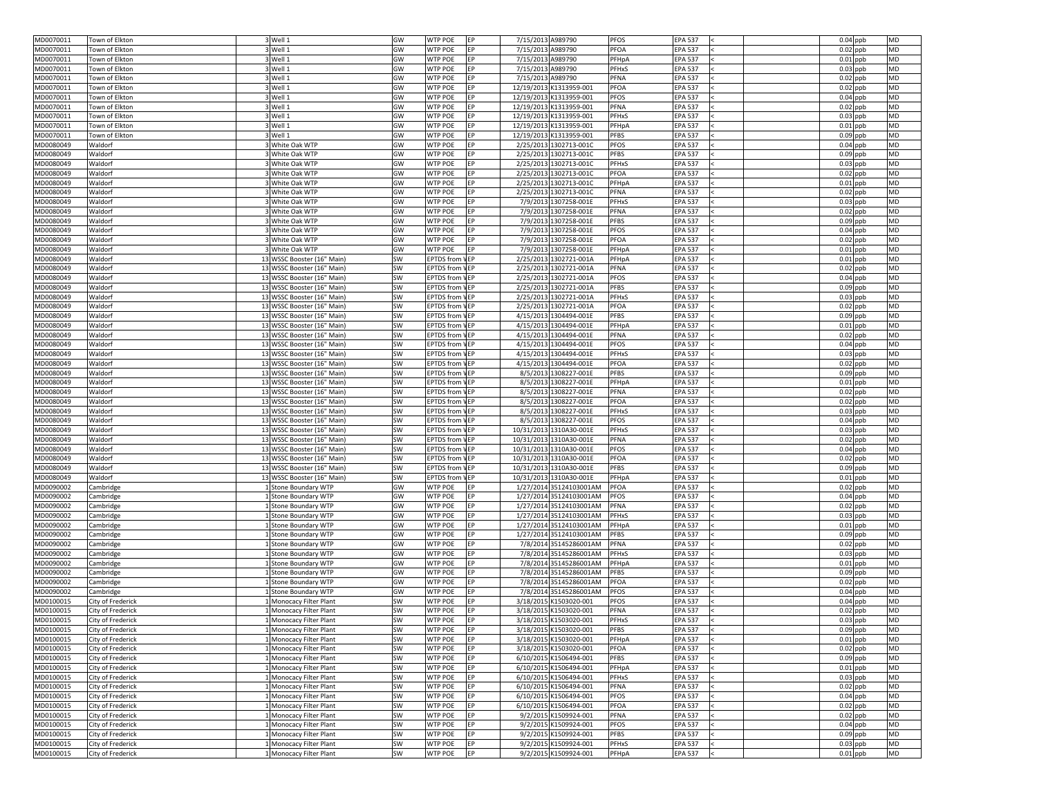| MD0070011              | Town of Elkton           | 3 Well 1                                                 | GW        | EP<br><b>WTP POE</b>         | 7/15/2013 A989790 |                         | <b>PFOS</b><br><b>EPA 537</b>  | $0.04$ ppb<br>MD                      |
|------------------------|--------------------------|----------------------------------------------------------|-----------|------------------------------|-------------------|-------------------------|--------------------------------|---------------------------------------|
| MD0070011              | Town of Elkton           | 3Well 1                                                  | GW        | <b>WTP POE</b><br>EP         | 7/15/2013 A989790 |                         | <b>PFOA</b><br><b>EPA 537</b>  | $0.02$ ppb<br><b>MD</b>               |
| MD0070011              | Town of Elkton           | 3Well 1                                                  | GW        | <b>WTP POE</b><br><b>IEP</b> | 7/15/2013 A989790 |                         | PFHpA<br><b>EPA 537</b>        | $0.01$ ppb<br><b>MD</b>               |
| MD0070011              | Town of Elkton           | Well 1                                                   | GW        | <b>WTP POE</b><br>EP         | 7/15/2013 A989790 |                         | <b>PFHxS</b><br><b>EPA 537</b> | $0.03$ ppb<br><b>MD</b>               |
| MD0070011              | Town of Elkton           | 3 Well 1                                                 | GW        | <b>WTP POE</b><br>EP         | 7/15/2013 A989790 |                         | PFNA<br><b>EPA 537</b>         | $0.02$ ppb<br><b>MD</b>               |
| MD0070011              | Town of Elkton           | 3Well 1                                                  | GW        | <b>WTP POE</b><br>EP         |                   | 12/19/2013 K1313959-001 | <b>PFOA</b><br><b>EPA 537</b>  | $0.02$ ppb<br><b>MD</b>               |
| MD0070011              | Town of Elkton           | 3 Well 1                                                 | GW        | <b>WTP POE</b><br>EP         |                   | 12/19/2013 K1313959-001 | <b>PFOS</b><br><b>EPA 537</b>  | <b>MD</b><br>$0.04$ ppb               |
| MD0070011              | Town of Elkton           | 3Well 1                                                  | GW        | <b>WTP POE</b><br>EP         |                   | 12/19/2013 K1313959-001 | <b>PFNA</b><br><b>EPA 537</b>  | <b>MD</b><br>$0.02$ ppb               |
| MD0070011              | Town of Elkton           | Well 1                                                   | GW        | <b>WTP POE</b><br>EP         |                   | 12/19/2013 K1313959-001 | <b>PFHxS</b><br><b>EPA 537</b> | $0.03$ ppb<br><b>MD</b>               |
| MD0070011              | Town of Elkton           | 3 Well 1                                                 | GW        | <b>WTP POE</b><br>EP         |                   | 12/19/2013 K1313959-001 | <b>EPA 537</b><br>PFHpA        | $0.01$ ppb<br><b>MD</b>               |
| MD0070011              | Town of Elkton           | 3 Well 1                                                 | GW        | <b>WTP POE</b><br>EP         |                   | 12/19/2013 K1313959-001 | <b>PFBS</b><br><b>EPA 537</b>  | $0.09$ ppb<br><b>MD</b>               |
| MD0080049              | Waldorf                  | 3 White Oak WTP                                          | GW        | EP<br><b>WTP POE</b>         |                   | 2/25/2013 1302713-001C  | <b>PFOS</b><br><b>EPA 537</b>  | $0.04$ ppb<br><b>MD</b>               |
| MD0080049              | Waldorf                  | White Oak WTP                                            | GW        | <b>WTP POE</b><br>EP         |                   | 2/25/2013 1302713-001C  | <b>PFBS</b><br><b>EPA 537</b>  | $0.09$ ppb<br><b>MD</b>               |
| MD0080049              | Waldorf                  | 3 White Oak WTP                                          | GW        | <b>WTP POE</b><br>EP         |                   | 2/25/2013 1302713-001C  | <b>PFHxS</b><br><b>EPA 537</b> | $0.03$ ppb<br><b>MD</b>               |
|                        | Waldorf                  |                                                          | GW        | <b>WTP POE</b><br>EP         |                   |                         | <b>PFOA</b><br><b>EPA 537</b>  | $0.02$ ppb<br><b>MD</b>               |
| MD0080049              |                          | White Oak WTP                                            |           |                              |                   | 2/25/2013 1302713-001C  |                                |                                       |
| MD0080049              | Waldorf                  | 3 White Oak WTP                                          | GW        | <b>WTP POE</b><br>EP         |                   | 2/25/2013 1302713-001C  | PFHpA<br><b>EPA 537</b>        | $0.01$ ppb<br><b>MD</b>               |
| MD0080049              | Waldorf                  | 3 White Oak WTP                                          | GW        | <b>WTP POE</b><br>EP         |                   | 2/25/2013 1302713-001C  | <b>PFNA</b><br><b>EPA 537</b>  | <b>MD</b><br>$0.02$ ppb               |
| MD0080049              | Waldorf                  | White Oak WTP                                            | GW        | <b>WTP POE</b><br>EP         |                   | 7/9/2013 1307258-001E   | <b>PFHxS</b><br><b>EPA 537</b> | $0.03$ ppb<br><b>MD</b>               |
| MD0080049              | Waldorf                  | 3 White Oak WTP                                          | GW        | <b>WTP POE</b><br>EP         |                   | 7/9/2013 1307258-001E   | <b>PFNA</b><br><b>EPA 537</b>  | $0.02$ ppb<br><b>MD</b>               |
| MD0080049              | Waldorf                  | 3 White Oak WTP                                          | GW        | <b>WTP POE</b><br>EP         |                   | 7/9/2013 1307258-001E   | <b>PFBS</b><br><b>EPA 537</b>  | $0.09$ ppb<br><b>MD</b>               |
| MD0080049              | Waldorf                  | 3 White Oak WTP                                          | GW        | EP<br><b>WTP POE</b>         |                   | 7/9/2013 1307258-001E   | <b>PFOS</b><br><b>EPA 537</b>  | $0.04$ ppb<br><b>MD</b>               |
| MD0080049              | Waldorf                  | White Oak WTP                                            | GW        | <b>WTP POE</b><br>EP         |                   | 7/9/2013 1307258-001E   | <b>PFOA</b><br><b>EPA 537</b>  | $0.02$ ppb<br><b>MD</b>               |
| MD0080049              | Waldorf                  | 3 White Oak WTP                                          | GW        | <b>WTP POE</b><br>EP         |                   | 7/9/2013 1307258-001E   | PFHpA<br><b>EPA 537</b>        | $0.01$ ppb<br><b>MD</b>               |
| MD0080049              | Waldorf                  | 13 WSSC Booster (16" Main)                               | SW        | <b>EPTDS from VEP</b>        |                   | 2/25/2013 1302721-001A  | PFHpA<br><b>EPA 537</b>        | $0.01$ ppb<br><b>MD</b>               |
| MD0080049              | Waldorf                  | 13 WSSC Booster (16" Main)                               | SW        | <b>EPTDS from VEP</b>        |                   | 2/25/2013 1302721-001A  | <b>PFNA</b><br><b>EPA 537</b>  | $0.02$ ppb<br><b>MD</b>               |
| MD0080049              | Waldorf                  | 13 WSSC Booster (16" Main)                               | SW        | <b>EPTDS from VEP</b>        |                   | 2/25/2013 1302721-001A  | <b>PFOS</b><br><b>EPA 537</b>  | <b>MD</b><br>$0.04$ ppb               |
| MD0080049              | Waldorf                  | 13 WSSC Booster (16" Main)                               | SW        | <b>EPTDS from VEP</b>        |                   | 2/25/2013 1302721-001A  | <b>PFBS</b><br><b>EPA 537</b>  | <b>MD</b><br>$0.09$ ppb               |
| MD0080049              | Waldorf                  | 13 WSSC Booster (16" Main)                               | SW        | <b>EPTDS from VEP</b>        |                   | 2/25/2013 1302721-001A  | <b>PFHxS</b><br><b>EPA 537</b> | $0.03$ ppb<br><b>MD</b>               |
| MD0080049              | Waldorf                  | 13 WSSC Booster (16" Main)                               | SW        | <b>EPTDS from VEP</b>        |                   | 2/25/2013 1302721-001A  | <b>PFOA</b><br><b>EPA 537</b>  | $0.02$ ppb<br><b>MD</b>               |
| MD0080049              | Waldorf                  | 13 WSSC Booster (16" Main)                               | SW        | <b>EPTDS from VEP</b>        |                   | 4/15/2013 1304494-001E  | <b>PFBS</b><br><b>EPA 537</b>  | $0.09$ ppb<br><b>MD</b>               |
| MD0080049              | Waldorf                  | 13 WSSC Booster (16" Main)                               | <b>SW</b> | <b>EPTDS</b> from VEP        |                   | 4/15/2013 1304494-001E  | <b>EPA 537</b><br>PFHpA        | $0.01$ ppb<br><b>MD</b>               |
| MD0080049              | Waldorf                  | 13 WSSC Booster (16" Main)                               | SW        | <b>EPTDS</b> from VEP        |                   | 4/15/2013 1304494-001E  | <b>PFNA</b><br><b>EPA 537</b>  | $0.02$ ppb<br><b>MD</b>               |
| MD0080049              | Waldorf                  | 13 WSSC Booster (16" Main)                               | SW        | <b>EPTDS from VEP</b>        |                   | 4/15/2013 1304494-001E  | <b>PFOS</b><br><b>EPA 537</b>  | $0.04$ ppb<br><b>MD</b>               |
| MD0080049              | Waldorf                  | 13 WSSC Booster (16" Main)                               | SW        | <b>EPTDS from VEP</b>        |                   | 4/15/2013 1304494-001E  | <b>PFHxS</b><br><b>EPA 537</b> | $0.03$ ppb<br><b>MD</b>               |
| MD0080049              | Waldorf                  | 13 WSSC Booster (16" Main)                               | SW        | <b>EPTDS from VEP</b>        |                   | 4/15/2013 1304494-001E  | PFOA<br><b>EPA 537</b>         | $0.02$ ppb<br><b>MD</b>               |
| MD0080049              | Waldorf                  | 13 WSSC Booster (16" Main)                               | SW        | <b>EPTDS from VEP</b>        |                   | 8/5/2013 1308227-001E   | <b>PFBS</b><br><b>EPA 537</b>  | $0.09$ ppb<br><b>MD</b>               |
| MD0080049              | Waldorf                  | 13 WSSC Booster (16" Main)                               | SW        | <b>EPTDS from VEP</b>        |                   | 8/5/2013 1308227-001E   | PFHpA<br><b>EPA 537</b>        | $0.01$ ppb<br><b>MD</b>               |
| MD0080049              | Waldorf                  | 13 WSSC Booster (16" Main)                               | SW        | <b>EPTDS from VEP</b>        |                   | 8/5/2013 1308227-001E   | PFNA<br><b>EPA 537</b>         | <b>MD</b><br>$0.02$ ppb               |
| MD0080049              | Waldorf                  | 13 WSSC Booster (16" Main)                               | SW        | <b>EPTDS from VEP</b>        |                   | 8/5/2013 1308227-001E   | PFOA<br><b>EPA 537</b>         | $0.02$ ppb<br><b>MD</b>               |
| MD0080049              | Waldorf                  | 13 WSSC Booster (16" Main)                               | SW        | <b>EPTDS</b> from VEP        |                   | 8/5/2013 1308227-001E   | <b>EPA 537</b><br><b>PFHxS</b> | <b>MD</b><br>$0.03$ ppb               |
| MD0080049              | Waldorf                  | 13 WSSC Booster (16" Main)                               | SW        | <b>EPTDS from VEP</b>        |                   | 8/5/2013 1308227-001E   | <b>PFOS</b><br><b>EPA 537</b>  | $0.04$ ppb<br><b>MD</b>               |
| MD0080049              | Waldorf                  | 13 WSSC Booster (16" Main)                               | SW        | <b>EPTDS from VEP</b>        |                   | 10/31/2013 1310A30-001E | <b>PFHxS</b><br><b>EPA 537</b> | $0.03$ ppb<br><b>MD</b>               |
|                        | Waldorf                  |                                                          |           | <b>EPTDS from VEP</b>        |                   | 10/31/2013 1310A30-001E | <b>PFNA</b><br><b>EPA 537</b>  | <b>MD</b>                             |
| MD0080049<br>MD0080049 | Waldorf                  | 13 WSSC Booster (16" Main)<br>13 WSSC Booster (16" Main) | SW<br>SW  | <b>EPTDS from VEP</b>        |                   | 10/31/2013 1310A30-001E | <b>PFOS</b><br><b>EPA 537</b>  | $0.02$ ppb<br>$0.04$ ppb<br><b>MD</b> |
|                        |                          |                                                          |           |                              |                   |                         |                                |                                       |
| MD0080049              | Waldorf                  | 13 WSSC Booster (16" Main)                               | SW        | <b>EPTDS from VEP</b>        |                   | 10/31/2013 1310A30-001E | <b>PFOA</b><br><b>EPA 537</b>  | $0.02$ ppb<br><b>MD</b>               |
| MD0080049              | Waldorf                  | 13 WSSC Booster (16" Main)                               | SW        | <b>EPTDS from VEP</b>        |                   | 10/31/2013 1310A30-001E | <b>PFBS</b><br><b>EPA 537</b>  | $0.09$ ppb<br><b>MD</b>               |
| MD0080049              | Waldorf                  | 13 WSSC Booster (16" Main)                               | SW        | <b>EPTDS from VEP</b>        |                   | 10/31/2013 1310A30-001E | PFHpA<br><b>EPA 537</b>        | $0.01$ ppb<br><b>MD</b>               |
| MD0090002              | Cambridge                | Stone Boundary WTP                                       | GW        | <b>WTP POE</b><br>EP         |                   | 1/27/2014 35124103001AM | <b>PFOA</b><br><b>EPA 537</b>  | <b>MD</b><br>$0.02$ ppb               |
| MD0090002              | Cambridge                | Stone Boundary WTP                                       | GW        | <b>WTP POE</b><br>EP         |                   | 1/27/2014 35124103001AM | <b>PFOS</b><br><b>EPA 537</b>  | $0.04$ ppb<br><b>MD</b>               |
| MD0090002              | Cambridge                | 1 Stone Boundary WTP                                     | GW        | <b>WTP POE</b><br>EP         |                   | 1/27/2014 35124103001AM | PFNA<br><b>EPA 537</b>         | $0.02$ ppb<br><b>MD</b>               |
| MD0090002              | Cambridge                | Stone Boundary WTP                                       | GW        | <b>WTP POE</b><br>EP         |                   | 1/27/2014 35124103001AM | <b>PFHxS</b><br><b>EPA 537</b> | <b>MD</b><br>$0.03$ ppb               |
| MD0090002              | Cambridge                | Stone Boundary WTP                                       | GW        | EP<br><b>WTP POE</b>         |                   | 1/27/2014 35124103001AM | PFHpA<br><b>EPA 537</b>        | <b>MD</b><br>$0.01$ ppb               |
| MD0090002              | Cambridge                | Stone Boundary WTP                                       | GW        | <b>WTP POE</b><br><b>IEP</b> |                   | 1/27/2014 35124103001AM | <b>PFBS</b><br><b>EPA 537</b>  | $0.09$ ppb<br><b>MD</b>               |
| MD0090002              | Cambridge                | Stone Boundary WTP                                       | GW        | <b>WTP POE</b><br>EP         |                   | 7/8/2014 35145286001AM  | <b>EPA 537</b><br><b>PFNA</b>  | $0.02$ ppb<br><b>MD</b>               |
| MD0090002              | Cambridge                | Stone Boundary WTP                                       | GW        | <b>WTP POE</b><br>EP         |                   | 7/8/2014 35145286001AM  | <b>EPA 537</b><br>PFHxS        | <b>MD</b><br>$0.03$ ppb               |
| MD0090002              | Cambridge                | Stone Boundary WTP                                       | GW        | EP<br><b>WTP POE</b>         |                   | 7/8/2014 35145286001AM  | PFHpA<br><b>EPA 537</b>        | $0.01$ ppb<br><b>MD</b>               |
| MD0090002              | Cambridge                | 1 Stone Boundary WTP                                     | GW        | EP<br><b>WTP POE</b>         |                   | 7/8/2014 35145286001AM  | <b>PFBS</b><br><b>EPA 537</b>  | <b>MD</b><br>$0.09$ ppb               |
| MD0090002              | Cambridge                | <b>Stone Boundary WTP</b>                                | GW        | <b>WTP POE</b><br>EP         |                   | 7/8/2014 35145286001AM  | PFOA<br><b>EPA 537</b>         | <b>MD</b><br>$0.02$ ppb               |
| MD0090002              | Cambridge                | Stone Boundary WTP                                       | GW        | <b>WTP POE</b><br>EP         |                   | 7/8/2014 35145286001AM  | <b>EPA 537</b><br><b>PFOS</b>  | <b>MD</b><br>$0.04$ ppb               |
| MD0100015              | <b>City of Frederick</b> | Monocacy Filter Plant                                    | SW        | <b>WTP POE</b><br>EP         |                   | 3/18/2015 K1503020-001  | <b>EPA 537</b><br><b>PFOS</b>  | $0.04$ ppb<br><b>MD</b>               |
| MD0100015              | City of Frederick        | Monocacy Filter Plant                                    | SW        | EP<br><b>WTP POE</b>         |                   | 3/18/2015 K1503020-001  | <b>PFNA</b><br><b>EPA 537</b>  | $0.02$ ppb<br><b>MD</b>               |
| MD0100015              | <b>City of Frederick</b> | 1 Monocacy Filter Plant                                  | SW        | <b>WTP POE</b><br><b>IEP</b> |                   | 3/18/2015 K1503020-001  | PFHxS<br><b>EPA 537</b>        | $0.03$ ppb<br><b>MD</b>               |
| MD0100015              | City of Frederick        | L Monocacy Filter Plant                                  | SW        | EP<br><b>WTP POE</b>         |                   | 3/18/2015 K1503020-001  | <b>PFBS</b><br><b>EPA 537</b>  | $0.09$ ppb<br><b>MD</b>               |
| MD0100015              | City of Frederick        | I Monocacy Filter Plant                                  | SW        | <b>WTP POE</b><br>EP         |                   | 3/18/2015 K1503020-001  | PFHpA<br><b>EPA 537</b>        | $0.01$ ppb<br><b>MD</b>               |
| MD0100015              | City of Frederick        | I Monocacy Filter Plant                                  | SW        | <b>WTP POE</b><br>EP         |                   | 3/18/2015 K1503020-001  | <b>PFOA</b><br><b>EPA 537</b>  | $0.02$ ppb<br><b>MD</b>               |
| MD0100015              | City of Frederick        | Monocacy Filter Plant                                    | SW        | <b>WTP POE</b><br>EP         |                   | 6/10/2015 K1506494-001  | <b>PFBS</b><br><b>EPA 537</b>  | $0.09$ ppb<br><b>MD</b>               |
| MD0100015              | City of Frederick        | Monocacy Filter Plant                                    | SW        | <b>WTP POE</b><br>EP         |                   | 6/10/2015 K1506494-001  | <b>EPA 537</b><br>PFHpA        | $0.01$ ppb<br><b>MD</b>               |
| MD0100015              | City of Frederick        | Monocacy Filter Plant                                    | SW        | EP<br><b>WTP POE</b>         |                   | 6/10/2015 K1506494-001  | <b>EPA 537</b><br>PFHxS        | <b>MD</b><br>$0.03$ ppb               |
| MD0100015              | City of Frederick        | 1 Monocacy Filter Plant                                  | SW        | EP<br><b>WTP POE</b>         |                   | 6/10/2015 K1506494-001  | <b>PFNA</b><br><b>EPA 537</b>  | $0.02$ ppb<br><b>MD</b>               |
| MD0100015              | City of Frederick        | Monocacy Filter Plant                                    | SW        | EP<br><b>WTP POE</b>         |                   | 6/10/2015 K1506494-001  | <b>PFOS</b><br><b>EPA 537</b>  | $0.04$ ppb<br><b>MD</b>               |
| MD0100015              | City of Frederick        | Monocacy Filter Plant                                    | <b>SW</b> | EP<br><b>WTP POE</b>         |                   | 6/10/2015 K1506494-001  | <b>PFOA</b><br><b>EPA 537</b>  | $0.02$ ppb<br><b>MD</b>               |
| MD0100015              |                          | Monocacy Filter Plant                                    |           | <b>WTP POE</b><br>EP         |                   | 9/2/2015 K1509924-001   | <b>EPA 537</b><br><b>PFNA</b>  | <b>MD</b>                             |
|                        | City of Frederick        |                                                          | SW        |                              |                   |                         |                                | $0.02$ ppb                            |
| MD0100015              | City of Frederick        | Monocacy Filter Plant                                    | SW        | EP<br><b>WTP POE</b>         |                   | 9/2/2015 K1509924-001   | <b>EPA 537</b><br><b>PFOS</b>  | $0.04$ ppb<br><b>MD</b>               |
| MD0100015              | City of Frederick        | Monocacy Filter Plant                                    | SW        | EP<br><b>WTP POE</b>         |                   | 9/2/2015 K1509924-001   | <b>PFBS</b><br><b>EPA 537</b>  | <b>MD</b><br>$0.09$ ppb               |
| MD0100015              | City of Frederick        | Monocacy Filter Plant                                    | SW        | EP<br><b>WTP POE</b>         |                   | 9/2/2015 K1509924-001   | <b>EPA 537</b><br>PFHxS        | $0.03$ ppb<br><b>MD</b>               |
| MD0100015              | City of Frederick        | 1 Monocacy Filter Plant                                  | SW        | EP<br><b>WTP POE</b>         |                   | 9/2/2015 K1509924-001   | <b>EPA 537</b><br>PFHpA        | <b>MD</b><br>$0.01$ ppb               |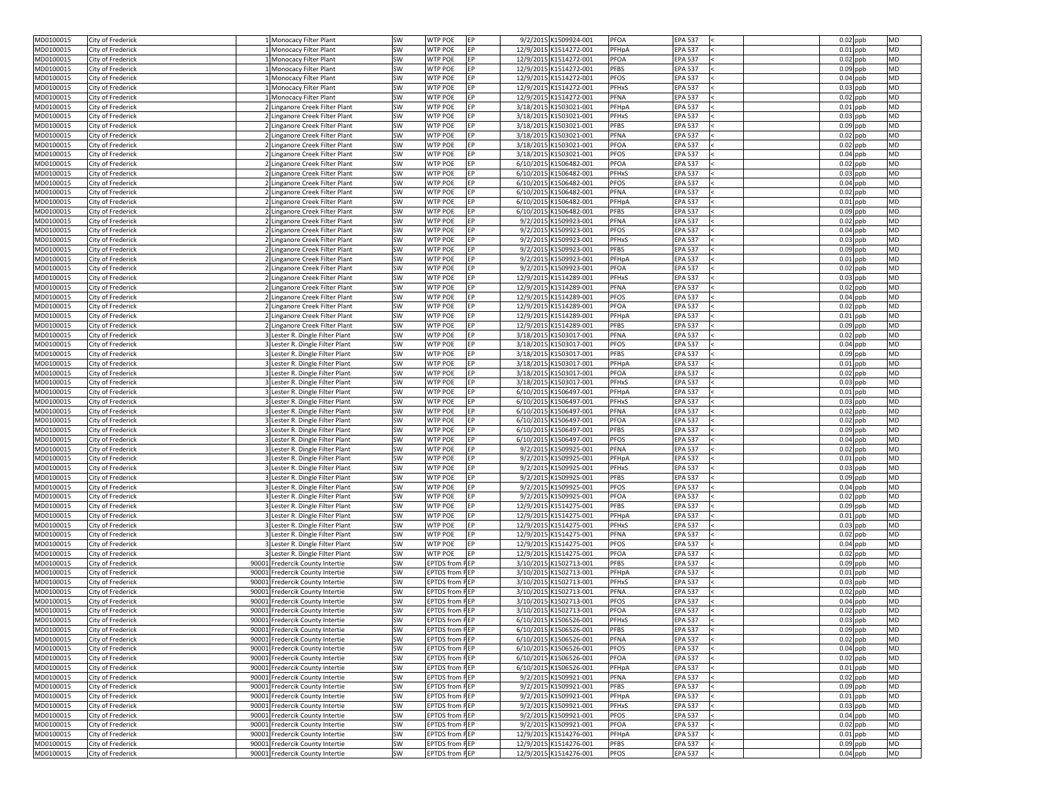| MD0100015              | City of Frederick                      | 1 Monocacy Filter Plant                                          | <b>SW</b>       | <b>WTP POE</b><br><b>IEP</b> | 9/2/2015 K1509924-001  | <b>PFOA</b><br><b>EPA 537</b>  | $0.02$ ppb               | <b>MD</b> |
|------------------------|----------------------------------------|------------------------------------------------------------------|-----------------|------------------------------|------------------------|--------------------------------|--------------------------|-----------|
| MD0100015              | City of Frederick                      | Monocacy Filter Plant                                            | SW              | <b>WTP POE</b><br>EP         | 12/9/2015 K1514272-001 | PFHpA<br><b>EPA 537</b>        | $0.01$ ppb               | <b>MD</b> |
| MD0100015              | City of Frederick                      | Monocacy Filter Plant                                            | SW              | <b>WTP POE</b><br>EP         | 12/9/2015 K1514272-001 | PFOA<br><b>EPA 537</b>         | $0.02$ ppb               | <b>MD</b> |
| MD0100015              | City of Frederick                      | Monocacy Filter Plant                                            | SW              | <b>WTP POE</b><br>EP         | 12/9/2015 K1514272-001 | <b>PFBS</b><br><b>EPA 537</b>  | $0.09$ ppb               | <b>MD</b> |
| MD0100015              | City of Frederick                      | L Monocacy Filter Plant                                          | SW              | <b>WTP POE</b><br><b>EP</b>  | 12/9/2015 K1514272-001 | <b>PFOS</b><br><b>EPA 537</b>  | $0.04$ ppb               | <b>MD</b> |
| MD0100015              | City of Frederick                      | Monocacy Filter Plant                                            | SW              | <b>WTP POE</b><br>EP         | 12/9/2015 K1514272-001 | <b>PFHxS</b><br><b>EPA 537</b> | $0.03$ ppb               | <b>MD</b> |
| MD0100015              | City of Frederick                      | L Monocacy Filter Plant                                          | SW              | <b>WTP POE</b><br><b>EP</b>  | 12/9/2015 K1514272-001 | <b>PFNA</b><br><b>EPA 537</b>  | $0.02$ ppb               | <b>MD</b> |
| MD0100015              | City of Frederick                      | 2 Linganore Creek Filter Plant                                   | <b>SW</b>       | <b>WTP POE</b><br>EP         | 3/18/2015 K1503021-001 | PFHpA<br><b>EPA 537</b>        | $0.01$ ppb               | <b>MD</b> |
| MD0100015              | City of Frederick                      | 2 Linganore Creek Filter Plant                                   | <b>SW</b>       | <b>WTP POE</b><br>EP         | 3/18/2015 K1503021-001 | <b>PFHxS</b><br><b>EPA 537</b> | $0.03$ ppb               | <b>MD</b> |
| MD0100015              | City of Frederick                      | 2 Linganore Creek Filter Plant                                   | <b>SW</b>       | <b>WTP POE</b><br><b>EP</b>  | 3/18/2015 K1503021-001 | <b>PFBS</b><br><b>EPA 537</b>  | $0.09$ ppb               | <b>MD</b> |
| MD0100015              | City of Frederick                      | 2 Linganore Creek Filter Plant                                   | SW              | EP<br><b>WTP POE</b>         | 3/18/2015 K1503021-001 | <b>PFNA</b><br><b>EPA 537</b>  | $0.02$ ppb               | <b>MD</b> |
| MD0100015              | City of Frederick                      | 2 Linganore Creek Filter Plant                                   | <b>SW</b>       | <b>WTP POE</b><br><b>EP</b>  | 3/18/2015 K1503021-001 | <b>PFOA</b><br><b>EPA 537</b>  | $0.02$ ppb               | <b>MD</b> |
| MD0100015              | City of Frederick                      | 2 Linganore Creek Filter Plant                                   | SW              | <b>WTP POE</b><br><b>IEP</b> | 3/18/2015 K1503021-001 | <b>PFOS</b><br><b>EPA 537</b>  | $0.04$ ppb               | <b>MD</b> |
| MD0100015              | City of Frederick                      | 2 Linganore Creek Filter Plant                                   | <b>SW</b>       | <b>WTP POE</b><br>EP         | 6/10/2015 K1506482-001 | PFOA<br><b>EPA 537</b>         | $0.02$ ppb               | <b>MD</b> |
|                        |                                        | 2 Linganore Creek Filter Plant                                   | <b>SW</b>       | <b>WTP POE</b><br><b>EP</b>  | 6/10/2015 K1506482-001 | <b>PFHxS</b><br><b>EPA 537</b> | $0.03$ ppb               | <b>MD</b> |
| MD0100015              | City of Frederick                      |                                                                  |                 |                              |                        |                                |                          |           |
| MD0100015              | City of Frederick                      | 2 Linganore Creek Filter Plant                                   | SW              | <b>WTP POE</b><br>EP         | 6/10/2015 K1506482-001 | <b>PFOS</b><br><b>EPA 537</b>  | $0.04$ ppb               | <b>MD</b> |
| MD0100015              | City of Frederick                      | 2 Linganore Creek Filter Plant                                   | <b>SW</b>       | <b>WTP POE</b><br>EP         | 6/10/2015 K1506482-001 | <b>PFNA</b><br><b>EPA 537</b>  | $0.02$ ppb               | <b>MD</b> |
| MD0100015              | City of Frederick                      | 2 Linganore Creek Filter Plant                                   | SW              | <b>WTP POE</b><br>EP         | 6/10/2015 K1506482-001 | PFHpA<br><b>EPA 537</b>        | $0.01$ ppb               | <b>MD</b> |
| MD0100015              | City of Frederick                      | 2 Linganore Creek Filter Plant                                   | <b>SW</b>       | <b>WTP POE</b><br>EP         | 6/10/2015 K1506482-001 | <b>PFBS</b><br><b>EPA 537</b>  | $0.09$ ppb               | <b>MD</b> |
| MD0100015              | City of Frederick                      | 2 Linganore Creek Filter Plant                                   | SW              | <b>WTP POE</b><br>EP         | 9/2/2015 K1509923-001  | <b>PFNA</b><br><b>EPA 537</b>  | $0.02$ ppb               | <b>MD</b> |
| MD0100015              | City of Frederick                      | 2 Linganore Creek Filter Plant                                   | SW              | <b>WTP POE</b><br>EP         | 9/2/2015 K1509923-001  | <b>PFOS</b><br><b>EPA 537</b>  | $0.04$ ppb               | <b>MD</b> |
| MD0100015              | City of Frederick                      | 2 Linganore Creek Filter Plant                                   | SW              | <b>WTP POE</b><br>EP         | 9/2/2015 K1509923-001  | <b>EPA 537</b><br><b>PFHxS</b> | $0.03$ ppb               | <b>MD</b> |
| MD0100015              | City of Frederick                      | 2 Linganore Creek Filter Plant                                   | SW              | <b>WTP POE</b><br>EP         | 9/2/2015 K1509923-001  | <b>PFBS</b><br><b>EPA 537</b>  | $0.09$ ppb               | <b>MD</b> |
| MD0100015              | City of Frederick                      | 2 Linganore Creek Filter Plant                                   | <b>SW</b>       | <b>WTP POE</b><br><b>EP</b>  | 9/2/2015 K1509923-001  | PFHpA<br><b>EPA 537</b>        | $0.01$ ppb               | <b>MD</b> |
| MD0100015              | City of Frederick                      | 2 Linganore Creek Filter Plant                                   | SW              | <b>WTP POE</b><br><b>IEP</b> | 9/2/2015 K1509923-001  | <b>PFOA</b><br><b>EPA 537</b>  | $0.02$ ppb               | <b>MD</b> |
| MD0100015              | City of Frederick                      | 2 Linganore Creek Filter Plant                                   | <b>SW</b>       | <b>WTP POE</b><br>EP         | 12/9/2015 K1514289-001 | <b>PFHxS</b><br><b>EPA 537</b> | $0.03$ ppb               | <b>MD</b> |
| MD0100015              | City of Frederick                      | 2 Linganore Creek Filter Plant                                   | SW              | <b>WTP POE</b><br><b>EP</b>  | 12/9/2015 K1514289-001 | <b>PFNA</b><br><b>EPA 537</b>  | $0.02$ ppb               | <b>MD</b> |
| MD0100015              | City of Frederick                      | 2 Linganore Creek Filter Plant                                   | <b>SW</b>       | <b>WTP POE</b><br>EP         | 12/9/2015 K1514289-001 | <b>PFOS</b><br><b>EPA 537</b>  | $0.04$ ppb               | <b>MD</b> |
|                        |                                        |                                                                  |                 | EP<br><b>WTP POE</b>         |                        | <b>PFOA</b><br><b>EPA 537</b>  |                          | <b>MD</b> |
| MD0100015<br>MD0100015 | City of Frederick<br>City of Frederick | 2 Linganore Creek Filter Plant<br>2 Linganore Creek Filter Plant | <b>SW</b><br>SW | <b>WTP POE</b><br>EP         | 12/9/2015 K1514289-001 | PFHpA<br><b>EPA 537</b>        | $0.02$ ppb<br>$0.01$ ppb | <b>MD</b> |
|                        |                                        |                                                                  |                 |                              | 12/9/2015 K1514289-001 |                                |                          |           |
| MD0100015              | City of Frederick                      | 2 Linganore Creek Filter Plant                                   | <b>SW</b>       | <b>WTP POE</b><br>IEP.       | 12/9/2015 K1514289-001 | <b>PFBS</b><br><b>EPA 537</b>  | $0.09$ ppb               | <b>MD</b> |
| MD0100015              | City of Frederick                      | 3 Lester R. Dingle Filter Plant                                  | <b>SW</b>       | <b>WTP POE</b><br>EP         | 3/18/2015 K1503017-001 | <b>PFNA</b><br><b>EPA 537</b>  | $0.02$ ppb               | <b>MD</b> |
| MD0100015              | City of Frederick                      | 3 Lester R. Dingle Filter Plant                                  | SW              | <b>WTP POE</b><br>EP         | 3/18/2015 K1503017-001 | <b>PFOS</b><br><b>EPA 537</b>  | $0.04$ ppb               | <b>MD</b> |
| MD0100015              | City of Frederick                      | 3 Lester R. Dingle Filter Plant                                  | <b>SW</b>       | <b>WTP POE</b><br>EP         | 3/18/2015 K1503017-001 | <b>PFBS</b><br><b>EPA 537</b>  | $0.09$ ppb               | <b>MD</b> |
| MD0100015              | City of Frederick                      | 3 Lester R. Dingle Filter Plant                                  | SW              | <b>WTP POE</b><br>EP         | 3/18/2015 K1503017-001 | PFHpA<br><b>EPA 537</b>        | $0.01$ ppb               | <b>MD</b> |
| MD0100015              | City of Frederick                      | 3 Lester R. Dingle Filter Plant                                  | <b>SW</b>       | <b>WTP POE</b><br>EP         | 3/18/2015 K1503017-001 | <b>PFOA</b><br><b>EPA 537</b>  | $0.02$ ppb               | <b>MD</b> |
| MD0100015              | City of Frederick                      | 3 Lester R. Dingle Filter Plant                                  | SW              | <b>WTP POE</b><br>EP         | 3/18/2015 K1503017-001 | <b>PFHxS</b><br><b>EPA 537</b> | $0.03$ ppb               | <b>MD</b> |
| MD0100015              | City of Frederick                      | 3 Lester R. Dingle Filter Plant                                  | SW              | <b>WTP POE</b><br><b>EP</b>  | 6/10/2015 K1506497-001 | PFHpA<br><b>EPA 537</b>        | $0.01$ ppb               | <b>MD</b> |
| MD0100015              | City of Frederick                      | 3 Lester R. Dingle Filter Plant                                  | SW              | <b>WTP POE</b><br>EP         | 6/10/2015 K1506497-001 | <b>PFHxS</b><br><b>EPA 537</b> | $0.03$ ppb               | <b>MD</b> |
| MD0100015              | City of Frederick                      | 3 Lester R. Dingle Filter Plant                                  | <b>SW</b>       | <b>WTP POE</b><br>EP         | 6/10/2015 K1506497-001 | <b>PFNA</b><br><b>EPA 537</b>  | $0.02$ ppb               | <b>MD</b> |
| MD0100015              | City of Frederick                      | 3 Lester R. Dingle Filter Plant                                  | <b>SW</b>       | <b>WTP POE</b><br>EP         | 6/10/2015 K1506497-001 | <b>PFOA</b><br><b>EPA 537</b>  | $0.02$ ppb               | <b>MD</b> |
| MD0100015              | City of Frederick                      | 3 Lester R. Dingle Filter Plant                                  | SW              | EP<br><b>WTP POE</b>         | 6/10/2015 K1506497-001 | <b>PFBS</b><br><b>EPA 537</b>  | $0.09$ ppb               | <b>MD</b> |
|                        |                                        |                                                                  |                 | <b>WTP POE</b><br>EP         |                        | <b>PFOS</b><br><b>EPA 537</b>  |                          | <b>MD</b> |
| MD0100015              | City of Frederick                      | 3 Lester R. Dingle Filter Plant                                  | <b>SW</b>       |                              | 6/10/2015 K1506497-001 |                                | $0.04$ ppb               |           |
| MD0100015              | City of Frederick                      | 3 Lester R. Dingle Filter Plant                                  | <b>SW</b>       | <b>WTP POE</b><br><b>IEP</b> | 9/2/2015 K1509925-001  | <b>PFNA</b><br><b>EPA 537</b>  | $0.02$ ppb               | <b>MD</b> |
| MD0100015              | City of Frederick                      | 3 Lester R. Dingle Filter Plant                                  | <b>SW</b>       | <b>WTP POE</b><br>EP         | 9/2/2015 K1509925-001  | PFHpA<br><b>EPA 537</b>        | $0.01$ ppb               | <b>MD</b> |
| MD0100015              | City of Frederick                      | 3 Lester R. Dingle Filter Plant                                  | <b>SW</b>       | <b>WTP POE</b><br>EP         | 9/2/2015 K1509925-001  | PFHxS<br><b>EPA 537</b>        | $0.03$ ppb               | <b>MD</b> |
| MD0100015              | City of Frederick                      | 3 Lester R. Dingle Filter Plant                                  | SW              | EP<br><b>WTP POE</b>         | 9/2/2015 K1509925-001  | <b>PFBS</b><br><b>EPA 537</b>  | $0.09$ ppb               | <b>MD</b> |
| MD0100015              | City of Frederick                      | 3 Lester R. Dingle Filter Plant                                  | <b>SW</b>       | <b>WTP POE</b><br>EP         | 9/2/2015 K1509925-001  | <b>PFOS</b><br><b>EPA 537</b>  | $0.04$ ppb               | <b>MD</b> |
| MD0100015              | City of Frederick                      | 3 Lester R. Dingle Filter Plant                                  | SW              | <b>WTP POE</b><br>EP         | 9/2/2015 K1509925-001  | PFOA<br><b>EPA 537</b>         | $0.02$ ppb               | <b>MD</b> |
| MD0100015              | City of Frederick                      | 3 Lester R. Dingle Filter Plant                                  | <b>SW</b>       | <b>WTP POE</b><br><b>EP</b>  | 12/9/2015 K1514275-001 | <b>PFBS</b><br><b>EPA 537</b>  | $0.09$ ppb               | <b>MD</b> |
| MD0100015              | City of Frederick                      | 3 Lester R. Dingle Filter Plant                                  | SW              | <b>WTP POE</b><br><b>EP</b>  | 12/9/2015 K1514275-001 | PFHpA<br><b>EPA 537</b>        | $0.01$ ppb               | <b>MD</b> |
| MD0100015              | City of Frederick                      | 3 Lester R. Dingle Filter Plant                                  | SW              | <b>WTP POE</b><br>EP         | 12/9/2015 K1514275-001 | <b>PFHxS</b><br><b>EPA 537</b> | $0.03$ ppb               | <b>MD</b> |
| MD0100015              | City of Frederick                      | 3 Lester R. Dingle Filter Plant                                  | <b>SW</b>       | <b>WTP POE</b><br>EP         | 12/9/2015 K1514275-001 | <b>PFNA</b><br><b>EPA 537</b>  | $0.02$ ppb               | <b>MD</b> |
| MD0100015              | City of Frederick                      | 3 Lester R. Dingle Filter Plant                                  | SW              | <b>WTP POE</b><br>EP         | 12/9/2015 K1514275-001 | <b>PFOS</b><br><b>EPA 537</b>  | $0.04$ ppb               | <b>MD</b> |
| MD0100015              | City of Frederick                      | 3 Lester R. Dingle Filter Plant                                  | <b>SW</b>       | <b>WTP POE</b><br><b>EP</b>  | 12/9/2015 K1514275-001 | <b>PFOA</b><br><b>EPA 537</b>  | $0.02$ ppb               | <b>MD</b> |
| MD0100015              | City of Frederick                      | 90001 Fredercik County Intertie                                  | SW              | EPTDS from <b>FEP</b>        | 3/10/2015 K1502713-001 | <b>PFBS</b><br><b>EPA 537</b>  | $0.09$ ppb               | <b>MD</b> |
| MD0100015              | City of Frederick                      | 90001 Fredercik County Intertie                                  | <b>SW</b>       | <b>EPTDS from FEP</b>        | 3/10/2015 K1502713-001 | PFHpA<br><b>EPA 537</b>        | $0.01$ ppb               | <b>MD</b> |
| MD0100015              | City of Frederick                      | 90001 Fredercik County Intertie                                  | <b>SW</b>       | <b>EPTDS from FEP</b>        | 3/10/2015 K1502713-001 | <b>PFHxS</b><br><b>EPA 537</b> | $0.03$ ppb               | <b>MD</b> |
| MD0100015              | City of Frederick                      | 90001 Fredercik County Intertie                                  | <b>SW</b>       | <b>EPTDS</b> from <b>FEP</b> | 3/10/2015 K1502713-001 | <b>PFNA</b><br><b>EPA 537</b>  | $0.02$ ppb               | <b>MD</b> |
| MD0100015              | City of Frederick                      | 90001 Fredercik County Intertie                                  | <b>SW</b>       | <b>EPTDS from FEP</b>        | 3/10/2015 K1502713-001 | <b>PFOS</b><br><b>EPA 537</b>  | $0.04$ ppb               | <b>MD</b> |
| MD0100015              | City of Frederick                      | 90001 Fredercik County Intertie                                  | SW              | <b>EPTDS from FEP</b>        | 3/10/2015 K1502713-001 | <b>PFOA</b><br><b>EPA 537</b>  | $0.02$ ppb               | <b>MD</b> |
| MD0100015              |                                        | 90001 Fredercik County Intertie                                  | <b>SW</b>       | <b>EPTDS from FEP</b>        | 6/10/2015 K1506526-001 | PFHxS<br><b>EPA 537</b>        | $0.03$ ppb               | <b>MD</b> |
|                        | City of Frederick                      |                                                                  |                 |                              |                        |                                |                          |           |
| MD0100015              | City of Frederick                      | 90001 Fredercik County Intertie                                  | <b>SW</b>       | <b>EPTDS</b> from <b>FEP</b> | 6/10/2015 K1506526-001 | <b>EPA 537</b><br><b>PFBS</b>  | $0.09$ ppb               | <b>MD</b> |
| MD0100015              | City of Frederick                      | 90001 Fredercik County Intertie                                  | <b>SW</b>       | <b>EPTDS</b> from <b>FEP</b> | 6/10/2015 K1506526-001 | <b>PFNA</b><br><b>EPA 537</b>  | $0.02$ ppb               | <b>MD</b> |
| MD0100015              | City of Frederick                      | 90001 Fredercik County Intertie                                  | <b>SW</b>       | <b>EPTDS from FEP</b>        | 6/10/2015 K1506526-001 | <b>PFOS</b><br><b>EPA 537</b>  | $0.04$ ppb               | <b>MD</b> |
| MD0100015              | City of Frederick                      | 90001 Fredercik County Intertie                                  | SW              | <b>EPTDS</b> from <b>FEP</b> | 6/10/2015 K1506526-001 | <b>PFOA</b><br><b>EPA 537</b>  | $0.02$ ppb               | <b>MD</b> |
| MD0100015              | City of Frederick                      | 90001 Fredercik County Intertie                                  | <b>SW</b>       | <b>EPTDS</b> from <b>FEP</b> | 6/10/2015 K1506526-001 | <b>EPA 537</b><br>PFHpA        | $0.01$ ppb               | <b>MD</b> |
| MD0100015              | City of Frederick                      | 90001 Fredercik County Intertie                                  | SW              | <b>EPTDS</b> from <b>FEP</b> | 9/2/2015 K1509921-001  | <b>PFNA</b><br><b>EPA 537</b>  | $0.02$ ppb               | <b>MD</b> |
| MD0100015              | City of Frederick                      | 90001 Fredercik County Intertie                                  | <b>SW</b>       | <b>EPTDS from FEP</b>        | 9/2/2015 K1509921-001  | <b>PFBS</b><br><b>EPA 537</b>  | $0.09$ ppb               | <b>MD</b> |
| MD0100015              | City of Frederick                      | 90001 Fredercik County Intertie                                  | SW              | <b>EPTDS</b> from <b>FEP</b> | 9/2/2015 K1509921-001  | PFHpA<br><b>EPA 537</b>        | $0.01$ ppb               | <b>MD</b> |
| MD0100015              | City of Frederick                      | 90001 Fredercik County Intertie                                  | SW              | <b>EPTDS</b> from <b>FEP</b> | 9/2/2015 K1509921-001  | <b>EPA 537</b><br>PFHxS        | $0.03$ ppb               | <b>MD</b> |
| MD0100015              | City of Frederick                      | 90001 Fredercik County Intertie                                  | <b>SW</b>       | <b>EPTDS</b> from <b>FEP</b> | 9/2/2015 K1509921-001  | <b>EPA 537</b><br><b>PFOS</b>  | $0.04$ ppb               | <b>MD</b> |
| MD0100015              | City of Frederick                      | 90001 Fredercik County Intertie                                  | SW              | <b>EPTDS</b> from <b>FEP</b> | 9/2/2015 K1509921-001  | PFOA<br><b>EPA 537</b>         | $0.02$ ppb               | <b>MD</b> |
| MD0100015              | City of Frederick                      | 90001 Fredercik County Intertie                                  | <b>SW</b>       | <b>EPTDS from FEP</b>        | 12/9/2015 K1514276-001 | PFHpA<br><b>EPA 537</b>        | $0.01$ ppb               | <b>MD</b> |
| MD0100015              | City of Frederick                      | 90001 Fredercik County Intertie                                  | <b>SW</b>       | <b>EPTDS from FEP</b>        | 12/9/2015 K1514276-001 | <b>PFBS</b><br><b>EPA 537</b>  | $0.09$ ppb               | <b>MD</b> |
| MD0100015              |                                        | 90001 Fredercik County Intertie                                  | SW              | <b>EPTDS from FEP</b>        | 12/9/2015 K1514276-001 | <b>PFOS</b><br><b>EPA 537</b>  |                          | <b>MD</b> |
|                        | City of Frederick                      |                                                                  |                 |                              |                        |                                | $0.04$ ppb               |           |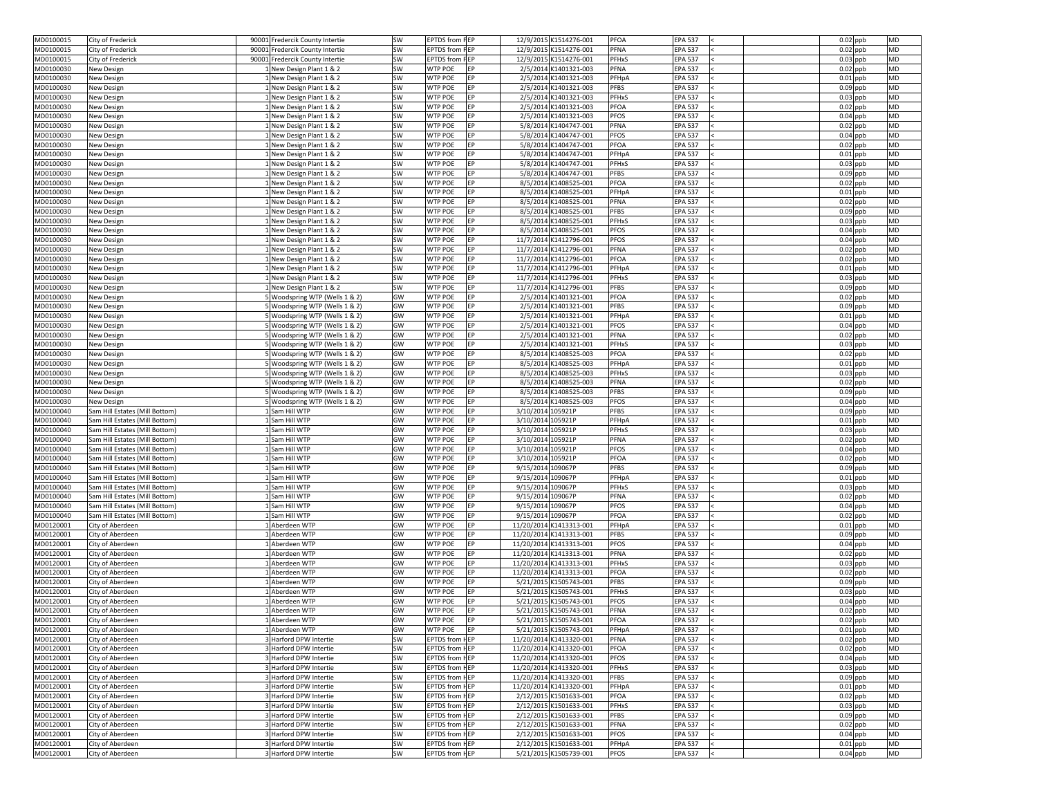| MD0100015              | City of Frederick                    | 90001 Fredercik County Intertie                  | <b>SW</b> | <b>EPTDS</b> from <b>FEP</b>                   |                   | 12/9/2015 K1514276-001                           | <b>PFOA</b><br><b>EPA 537</b>                            | $0.02$ ppb<br><b>MD</b>                            |
|------------------------|--------------------------------------|--------------------------------------------------|-----------|------------------------------------------------|-------------------|--------------------------------------------------|----------------------------------------------------------|----------------------------------------------------|
| MD0100015              | City of Frederick                    | 90001 Fredercik County Intertie                  | SW        | <b>EPTDS</b> from <b>FEP</b>                   |                   | 12/9/2015 K1514276-001                           | <b>PFNA</b><br><b>EPA 537</b>                            | $0.02$ ppb<br><b>MD</b>                            |
| MD0100015              | City of Frederick                    | 90001 Fredercik County Intertie                  | SW        | <b>EPTDS</b> from <b>FEP</b>                   |                   | 12/9/2015 K1514276-001                           | <b>PFHxS</b><br><b>EPA 537</b>                           | $0.03$ ppb<br><b>MD</b>                            |
| MD0100030              | New Design                           | New Design Plant 1 & 2                           | SW        | EP<br><b>WTP POE</b>                           |                   | 2/5/2014 K1401321-003                            | <b>EPA 537</b><br><b>PFNA</b>                            | $0.02$ ppb<br><b>MD</b>                            |
| MD0100030              | New Design                           | New Design Plant 1 & 2                           | SW        | EP<br><b>WTP POE</b>                           |                   | 2/5/2014 K1401321-003                            | PFHpA<br><b>EPA 537</b>                                  | <b>MD</b><br>$0.01$ ppb                            |
| MD0100030              | New Design                           | New Design Plant 1 & 2                           | SW        | <b>WTP POE</b><br>EP                           |                   | 2/5/2014 K1401321-003                            | <b>PFBS</b><br><b>EPA 537</b>                            | $0.09$ ppb<br><b>MD</b>                            |
| MD0100030              | New Design                           | INew Design Plant 1 & 2                          | SW        | EP<br><b>WTP POE</b>                           |                   | 2/5/2014 K1401321-003                            | <b>PFHxS</b><br><b>EPA 537</b>                           | $0.03$ ppb<br><b>MD</b>                            |
| MD0100030              | New Design                           | New Design Plant 1 & 2                           | SW        | <b>WTP POE</b><br>EP                           |                   | 2/5/2014 K1401321-003                            | <b>PFOA</b><br><b>EPA 537</b>                            | <b>MD</b><br>$0.02$ ppb                            |
| MD0100030              | New Design                           | New Design Plant 1 & 2                           | SW        | <b>WTP POE</b><br>EP                           |                   | 2/5/2014 K1401321-003                            | <b>PFOS</b><br><b>EPA 537</b>                            | <b>MD</b><br>$0.04$ ppb                            |
| MD0100030              | New Design                           | New Design Plant 1 & 2                           | SW        | <b>WTP POE</b><br>EP                           |                   | 5/8/2014 K1404747-001                            | <b>PFNA</b><br><b>EPA 537</b>                            | $0.02$ ppb<br><b>MD</b>                            |
| MD0100030              | New Design                           | New Design Plant 1 & 2                           | SW        | EP<br><b>WTP POE</b>                           |                   | 5/8/2014 K1404747-001                            | <b>PFOS</b><br><b>EPA 537</b>                            | $0.04$ ppb<br><b>MD</b>                            |
| MD0100030              | New Design                           | New Design Plant 1 & 2                           | SW        | EP<br><b>WTP POE</b>                           |                   | 5/8/2014 K1404747-001                            | <b>PFOA</b><br><b>EPA 537</b>                            | <b>MD</b><br>$0.02$ ppb                            |
| MD0100030              | New Design                           | New Design Plant 1 & 2                           | SW        | <b>WTP POE</b><br>EP                           |                   | 5/8/2014 K1404747-001                            | PFHpA<br><b>EPA 537</b>                                  | $0.01$ ppb<br><b>MD</b>                            |
| MD0100030              | New Design                           | INew Design Plant 1 & 2                          | SW        | <b>WTP POE</b><br>EP                           |                   | 5/8/2014 K1404747-001                            | <b>PFHxS</b><br><b>EPA 537</b>                           | $0.03$ ppb<br><b>MD</b>                            |
| MD0100030              | New Design                           | New Design Plant 1 & 2                           | SW        | <b>WTP POE</b><br>EP                           |                   | 5/8/2014 K1404747-001                            | <b>PFBS</b><br><b>EPA 537</b>                            | <b>MD</b><br>$0.09$ ppb                            |
| MD0100030              | New Design                           | New Design Plant 1 & 2                           | SW        | EP<br><b>WTP POE</b>                           |                   | 8/5/2014 K1408525-001                            | <b>PFOA</b><br><b>EPA 537</b>                            | $0.02$ ppb<br><b>MD</b>                            |
| MD0100030              | New Design                           | New Design Plant 1 & 2                           | SW        | <b>WTP POE</b><br>EP                           |                   | 8/5/2014 K1408525-001                            | PFHpA<br><b>EPA 537</b>                                  | <b>MD</b><br>$0.01$ ppb                            |
| MD0100030              | New Design                           | New Design Plant 1 & 2                           | SW        | <b>WTP POE</b><br>EP                           |                   | 8/5/2014 K1408525-001                            | <b>PFNA</b><br><b>EPA 537</b>                            | <b>MD</b><br>$0.02$ ppb                            |
| MD0100030              | New Design                           | 1 New Design Plant 1 & 2                         | SW        | EP<br><b>WTP POE</b>                           |                   | 8/5/2014 K1408525-001                            | <b>PFBS</b><br><b>EPA 537</b>                            | $0.09$ ppb<br><b>MD</b>                            |
| MD0100030              | New Design                           | New Design Plant 1 & 2                           | SW        | EP<br><b>WTP POE</b>                           |                   | 8/5/2014 K1408525-001                            | PFHxS<br><b>EPA 537</b>                                  | <b>MD</b><br>$0.03$ ppb                            |
| MD0100030              | New Design                           | New Design Plant 1 & 2                           | SW        | EP<br><b>WTP POE</b>                           |                   | 8/5/2014 K1408525-001                            | <b>PFOS</b><br><b>EPA 537</b>                            | $0.04$ ppb<br><b>MD</b>                            |
| MD0100030              | New Design                           | New Design Plant 1 & 2                           | SW        | <b>WTP POE</b><br><b>EP</b>                    |                   | 11/7/2014 K1412796-001                           | <b>PFOS</b><br><b>EPA 537</b>                            | $0.04$ ppb<br><b>MD</b>                            |
| MD0100030              | New Design                           | New Design Plant 1 & 2                           | SW        | <b>WTP POE</b><br>EP                           |                   | 11/7/2014 K1412796-001                           | <b>PFNA</b><br><b>EPA 537</b>                            | <b>MD</b><br>$0.02$ ppb                            |
| MD0100030              | New Design                           | New Design Plant 1 & 2                           | SW        | <b>WTP POE</b><br>EP                           |                   | 11/7/2014 K1412796-001                           | <b>PFOA</b><br><b>EPA 537</b>                            | $0.02$ ppb<br><b>MD</b>                            |
| MD0100030              | New Design                           | New Design Plant 1 & 2                           | SW        | EP<br><b>WTP POE</b>                           |                   | 11/7/2014 K1412796-001                           | <b>EPA 537</b><br>PFHpA                                  | $0.01$ ppb<br><b>MD</b>                            |
| MD0100030              | New Design                           | New Design Plant 1 & 2                           | SW        | EP<br><b>WTP POE</b>                           |                   | 11/7/2014 K1412796-001                           | <b>PFHxS</b><br><b>EPA 537</b>                           | <b>MD</b><br>$0.03$ ppb                            |
| MD0100030              | New Design                           | New Design Plant 1 & 2                           | SW        | <b>WTP POE</b><br>EP                           |                   | 11/7/2014 K1412796-001                           | <b>PFBS</b><br><b>EPA 537</b>                            | <b>MD</b><br>$0.09$ ppb                            |
| MD0100030              | New Design                           | Woodspring WTP (Wells 1 & 2)                     | GW        | <b>WTP POE</b><br>EP                           |                   | 2/5/2014 K1401321-001                            | PFOA<br><b>EPA 537</b>                                   | $0.02$ ppb<br><b>MD</b>                            |
| MD0100030              | New Design                           | 5 Woodspring WTP (Wells 1 & 2)                   | GW        | <b>WTP POE</b><br>EP                           |                   | 2/5/2014 K1401321-001                            | <b>PFBS</b><br><b>EPA 537</b>                            | $0.09$ ppb<br><b>MD</b>                            |
| MD0100030              | New Design                           | 5 Woodspring WTP (Wells 1 & 2)                   | GW        | EP<br><b>WTP POE</b>                           |                   | 2/5/2014 K1401321-001                            | PFHpA<br><b>EPA 537</b>                                  | <b>MD</b><br>$0.01$ ppb                            |
| MD0100030              | New Design                           | 5 Woodspring WTP (Wells 1 & 2)                   | GW        | <b>WTP POE</b><br><b>IEP</b>                   |                   | 2/5/2014 K1401321-001                            | <b>PFOS</b><br><b>EPA 537</b>                            | $0.04$ ppb<br><b>MD</b>                            |
| MD0100030              | New Design                           | 5 Woodspring WTP (Wells 1 & 2)                   | GW        | <b>WTP POE</b><br>EP                           |                   | 2/5/2014 K1401321-001                            | <b>PFNA</b><br><b>EPA 537</b>                            | $0.02$ ppb<br><b>MD</b>                            |
| MD0100030              | New Design                           | 5 Woodspring WTP (Wells 1 & 2)                   | GW        | <b>WTP POE</b><br>EP                           |                   | 2/5/2014 K1401321-001                            | <b>PFHxS</b><br><b>EPA 537</b>                           | <b>MD</b><br>$0.03$ ppb                            |
| MD0100030              | New Design                           | 5 Woodspring WTP (Wells 1 & 2)                   | GW        | <b>WTP POE</b><br>EP                           |                   | 8/5/2014 K1408525-003                            | <b>PFOA</b><br><b>EPA 537</b>                            | $0.02$ ppb<br><b>MD</b>                            |
| MD0100030              | New Design                           | Woodspring WTP (Wells 1 & 2)                     | GW        | EP<br><b>WTP POE</b>                           |                   | 8/5/2014 K1408525-003                            | PFHpA<br><b>EPA 537</b>                                  | $0.01$ ppb<br><b>MD</b>                            |
| MD0100030              | New Design                           | 5 Woodspring WTP (Wells 1 & 2)                   | GW        | <b>WTP POE</b><br>EP                           |                   | 8/5/2014 K1408525-003                            | PFHxS<br><b>EPA 537</b>                                  | $0.03$ ppb<br><b>MD</b>                            |
| MD0100030              | New Design                           | 5 Woodspring WTP (Wells 1 & 2)                   | GW        | EP<br><b>WTP POE</b>                           |                   | 8/5/2014 K1408525-003                            | <b>PFNA</b><br><b>EPA 537</b>                            | MD<br>$0.02$ ppb                                   |
| MD0100030              | New Design                           | 5 Woodspring WTP (Wells 1 & 2)                   | GW        | EP<br><b>WTP POE</b>                           |                   | 8/5/2014 K1408525-003                            | <b>PFBS</b><br><b>EPA 537</b>                            | $0.09$ ppb<br><b>MD</b>                            |
| MD0100030              | New Design                           | Woodspring WTP (Wells 1 & 2)                     | GW        | <b>WTP POE</b><br>EP                           |                   | 8/5/2014 K1408525-003                            | <b>PFOS</b><br><b>EPA 537</b>                            | <b>MD</b><br>$0.04$ ppb                            |
|                        |                                      |                                                  |           |                                                |                   |                                                  |                                                          |                                                    |
| MD0100040              | Sam Hill Estates (Mill Bottom)       | Sam Hill WTP                                     | GW        | <b>WTP POE</b><br>EP                           | 3/10/2014 105921P |                                                  | <b>PFBS</b><br><b>EPA 537</b>                            | $0.09$ ppb<br><b>MD</b>                            |
| MD0100040              | Sam Hill Estates (Mill Bottom)       | Sam Hill WTP                                     | GW        | <b>WTP POE</b><br>EP                           | 3/10/2014 105921P |                                                  | PFHpA<br><b>EPA 537</b>                                  | <b>MD</b><br>$0.01$ ppb                            |
| MD0100040              | Sam Hill Estates (Mill Bottom)       | Sam Hill WTP                                     | GW        | EP<br><b>WTP POE</b>                           | 3/10/2014 105921P |                                                  | PFHxS<br><b>EPA 537</b>                                  | $0.03$ ppb<br><b>MD</b>                            |
| MD0100040              | Sam Hill Estates (Mill Bottom)       | Sam Hill WTP                                     | GW        | EP<br><b>WTP POE</b>                           | 3/10/2014 105921P |                                                  | PFNA<br><b>EPA 537</b>                                   | MD<br>$0.02$ ppb                                   |
| MD0100040              | Sam Hill Estates (Mill Bottom)       | Sam Hill WTP                                     | GW        | <b>WTP POE</b><br>EP                           | 3/10/2014 105921P |                                                  | <b>PFOS</b><br><b>EPA 537</b>                            | $0.04$ ppb<br><b>MD</b>                            |
| MD0100040              | Sam Hill Estates (Mill Bottom)       | Sam Hill WTP                                     | GW        | <b>WTP POE</b><br>EP                           | 3/10/2014 105921P |                                                  | PFOA<br><b>EPA 537</b>                                   | $0.02$ ppb<br><b>MD</b>                            |
| MD0100040              | Sam Hill Estates (Mill Bottom)       | Sam Hill WTP                                     | GW        | <b>WTP POE</b><br>EP                           | 9/15/2014 109067P |                                                  | <b>PFBS</b><br><b>EPA 537</b>                            | $0.09$ ppb<br><b>MD</b>                            |
| MD0100040              | Sam Hill Estates (Mill Bottom)       | Sam Hill WTP                                     | GW        | <b>WTP POE</b><br>EP                           | 9/15/2014 109067P |                                                  | <b>EPA 537</b><br>PFHpA                                  | $0.01$ ppb<br><b>MD</b>                            |
| MD0100040              | Sam Hill Estates (Mill Bottom)       | Sam Hill WTP                                     | GW        | <b>WTP POE</b><br>EP                           | 9/15/2014 109067P |                                                  | PFHxS<br><b>EPA 537</b>                                  | <b>MD</b><br>$0.03$ ppb                            |
| MD0100040              | Sam Hill Estates (Mill Bottom)       | Sam Hill WTP                                     | GW        | <b>WTP POE</b><br>EP                           | 9/15/2014 109067P |                                                  | PFNA<br><b>EPA 537</b>                                   | <b>MD</b><br>$0.02$ ppb                            |
| MD0100040              | Sam Hill Estates (Mill Bottom)       | 1 Sam Hill WTP                                   | GW        | EP<br><b>WTP POE</b>                           | 9/15/2014 109067P |                                                  | PFOS<br><b>EPA 537</b>                                   | $0.04$ ppb<br><b>MD</b>                            |
| MD0100040              | Sam Hill Estates (Mill Bottom)       | Sam Hill WTP                                     | GW        | EP<br><b>WTP POE</b>                           | 9/15/2014 109067P |                                                  | <b>PFOA</b><br><b>EPA 537</b>                            | <b>MD</b><br>$0.02$ ppb                            |
| MD0120001              | City of Aberdeen                     | Aberdeen WTP                                     | GW        | <b>EP</b><br><b>WTP POE</b>                    |                   | 11/20/2014 K1413313-001                          | PFHpA<br><b>EPA 537</b>                                  | $0.01$ ppb<br><b>MD</b>                            |
| MD0120001              | City of Aberdeen                     | Aberdeen WTP                                     | GW        | <b>WTP POE</b><br>EP                           |                   | 11/20/2014 K1413313-001                          | <b>PFBS</b><br><b>EPA 537</b>                            | $0.09$ ppb<br><b>MD</b>                            |
| MD0120001              | City of Aberdeen                     | Aberdeen WTP                                     | GW        | EP<br><b>WTP POE</b>                           |                   | 11/20/2014 K1413313-001                          | <b>PFOS</b><br><b>EPA 537</b>                            | $0.04$ ppb<br><b>MD</b>                            |
| MD0120001              | City of Aberdeen                     | Aberdeen WTP                                     | GW        | <b>WTP POE</b><br>EP                           |                   | 11/20/2014 K1413313-001                          | <b>PFNA</b><br><b>EPA 537</b>                            | <b>MD</b><br>$0.02$ ppb                            |
| MD0120001              | City of Aberdeen                     | Aberdeen WTP                                     | GW        | EP<br><b>WTP POE</b>                           |                   | 11/20/2014 K1413313-001                          | <b>PFHxS</b><br><b>EPA 537</b>                           | $0.03$ ppb<br><b>MD</b>                            |
| MD0120001              | City of Aberdeen                     | Aberdeen WTP                                     | GW        | EP<br><b>WTP POE</b>                           |                   | 11/20/2014 K1413313-001                          | <b>PFOA</b><br><b>EPA 537</b>                            | <b>MD</b><br>$0.02$ ppb                            |
| MD0120001              | City of Aberdeen                     | Aberdeen WTP                                     | GW        | <b>WTP POE</b><br>EP                           |                   | 5/21/2015 K1505743-001                           | <b>PFBS</b><br><b>EPA 537</b>                            | <b>MD</b><br>$0.09$ ppb                            |
| MD0120001              | City of Aberdeen                     | Aberdeen WTP                                     | GW        | <b>WTP POE</b><br>EP                           |                   | 5/21/2015 K1505743-001                           | <b>EPA 537</b><br><b>PFHxS</b>                           | <b>MD</b><br>$0.03$ ppb                            |
| MD0120001              | City of Aberdeen                     | Aberdeen WTP                                     | GW        | <b>WTP POE</b><br>EP                           |                   | 5/21/2015 K1505743-001                           | <b>PFOS</b><br><b>EPA 537</b>                            | $0.04$ ppb<br><b>MD</b>                            |
| MD0120001              | City of Aberdeen                     | Aberdeen WTP                                     | GW        | EP<br><b>WTP POE</b>                           |                   | 5/21/2015 K1505743-001                           | <b>PFNA</b><br><b>EPA 537</b>                            | $0.02$ ppb<br><b>MD</b>                            |
| MD0120001              | City of Aberdeen                     | 1 Aberdeen WTP                                   | GW        | <b>WTP POE</b><br><b>IEP</b>                   |                   | 5/21/2015 K1505743-001                           | PFOA<br><b>EPA 537</b>                                   | $0.02$ ppb<br><b>MD</b>                            |
| MD0120001              | City of Aberdeen                     | 1 Aberdeen WTP                                   | GW        | <b>WTP POE</b><br>EP                           |                   | 5/21/2015 K1505743-001                           | <b>EPA 537</b><br>PFHpA                                  | $0.01$ ppb<br><b>MD</b>                            |
| MD0120001              | City of Aberdeen                     | 3 Harford DPW Intertie                           | SW        | <b>EPTDS</b> from HEP                          |                   | 11/20/2014 K1413320-001                          | <b>EPA 537</b><br><b>PFNA</b>                            | $0.02$ ppb<br><b>MD</b>                            |
| MD0120001              | City of Aberdeen                     | 3 Harford DPW Intertie                           | SW        | <b>EPTDS</b> from HEP                          |                   | 11/20/2014 K1413320-001                          | <b>PFOA</b><br><b>EPA 537</b>                            | $0.02$ ppb<br><b>MD</b>                            |
| MD0120001              | City of Aberdeen                     | 3 Harford DPW Intertie                           | SW        | <b>EPTDS</b> from HEP                          |                   | 11/20/2014 K1413320-001                          | <b>PFOS</b><br><b>EPA 537</b>                            | $0.04$ ppb<br><b>MD</b>                            |
| MD0120001              | City of Aberdeen                     | 3 Harford DPW Intertie                           | SW        | <b>EPTDS</b> from HEP                          |                   | 11/20/2014 K1413320-001                          | PFHxS<br><b>EPA 537</b>                                  | $0.03$ ppb<br><b>MD</b>                            |
| MD0120001              | City of Aberdeen                     | 3 Harford DPW Intertie                           | SW        | <b>EPTDS</b> from HEP                          |                   | 11/20/2014 K1413320-001                          | <b>PFBS</b><br><b>EPA 537</b>                            | $0.09$ ppb<br><b>MD</b>                            |
| MD0120001              | City of Aberdeen                     | 3 Harford DPW Intertie                           | SW        | <b>EPTDS</b> from HEP                          |                   | 11/20/2014 K1413320-001                          | PFHpA<br><b>EPA 537</b>                                  | $0.01$ ppb<br><b>MD</b>                            |
| MD0120001              | City of Aberdeen                     | 3 Harford DPW Intertie                           | SW        | <b>EPTDS</b> from HEP                          |                   | 2/12/2015 K1501633-001                           | PFOA<br><b>EPA 537</b>                                   | $0.02$ ppb<br><b>MD</b>                            |
| MD0120001              | City of Aberdeen                     | 3 Harford DPW Intertie                           | <b>SW</b> | <b>EPTDS</b> from HEP                          |                   | 2/12/2015 K1501633-001                           | <b>PFHxS</b><br><b>EPA 537</b>                           | $0.03$ ppb<br><b>MD</b>                            |
| MD0120001              | City of Aberdeen                     | Harford DPW Intertie                             | SW        | <b>EPTDS</b> from HEP                          |                   | 2/12/2015 K1501633-001                           | <b>PFBS</b><br><b>EPA 537</b>                            | $0.09$ ppb<br><b>MD</b>                            |
| MD0120001              | City of Aberdeen                     | 3 Harford DPW Intertie                           | SW        | <b>EPTDS</b> from HEP                          |                   | 2/12/2015 K1501633-001                           | <b>EPA 537</b><br><b>PFNA</b>                            | $0.02$ ppb<br><b>MD</b>                            |
| MD0120001              | City of Aberdeen                     | 3 Harford DPW Intertie                           | SW        | <b>EPTDS</b> from HEP                          |                   | 2/12/2015 K1501633-001                           | <b>PFOS</b><br><b>EPA 537</b>                            | $0.04$ ppb<br><b>MD</b>                            |
| MD0120001<br>MD0120001 | City of Aberdeen<br>City of Aberdeen | 3 Harford DPW Intertie<br>3 Harford DPW Intertie | SW<br>SW  | <b>EPTDS</b> from HEP<br><b>EPTDS</b> from HEP |                   | 2/12/2015 K1501633-001<br>5/21/2015 K1505739-001 | PFHpA<br><b>EPA 537</b><br><b>PFOS</b><br><b>EPA 537</b> | $0.01$ ppb<br><b>MD</b><br><b>MD</b><br>$0.04$ ppb |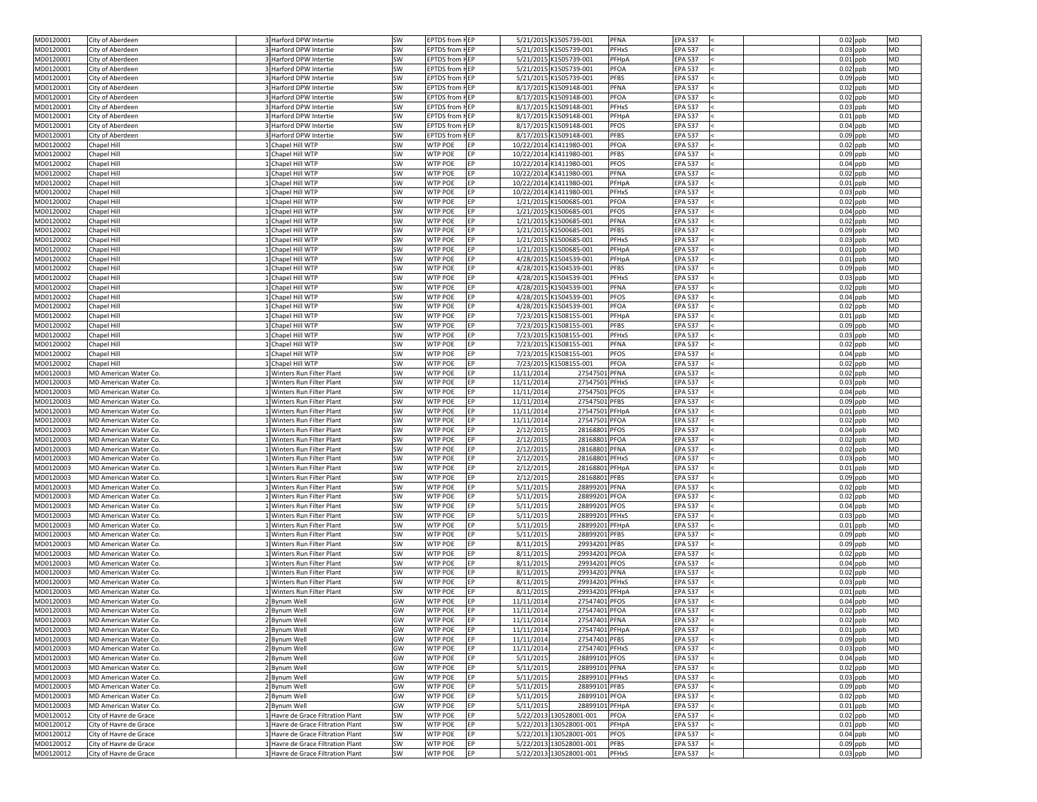| MD0120001 | City of Aberdeen       | 3 Harford DPW Intertie            | SW       | <b>EPTDS</b> from HEP |            |            | 5/21/2015 K1505739-001  | PFNA<br><b>EPA 537</b>         | $0.02$ ppb<br><b>MD</b> |
|-----------|------------------------|-----------------------------------|----------|-----------------------|------------|------------|-------------------------|--------------------------------|-------------------------|
| MD0120001 | City of Aberdeen       | 3 Harford DPW Intertie            | SW       | <b>EPTDS</b> from HEP |            |            | 5/21/2015 K1505739-001  | <b>PFHxS</b><br><b>EPA 537</b> | $0.03$ ppb<br><b>MD</b> |
| MD0120001 | City of Aberdeen       | 3 Harford DPW Intertie            | SW       | <b>EPTDS</b> from HEP |            |            | 5/21/2015 K1505739-001  | <b>EPA 537</b><br>PFHpA        | $0.01$ ppb<br><b>MD</b> |
| MD0120001 | City of Aberdeen       | 3 Harford DPW Intertie            | SW       | <b>EPTDS</b> from HEP |            |            | 5/21/2015 K1505739-001  | PFOA<br><b>EPA 537</b>         | $0.02$ ppb<br><b>MD</b> |
| MD0120001 | City of Aberdeen       | 3 Harford DPW Intertie            | SW       | <b>EPTDS</b> from HEP |            |            | 5/21/2015 K1505739-001  | <b>PFBS</b><br><b>EPA 537</b>  | $0.09$ ppb<br><b>MD</b> |
| MD0120001 | City of Aberdeen       | Harford DPW Intertie              | SW       | <b>EPTDS</b> from HEP |            |            | 8/17/2015 K1509148-001  | <b>PFNA</b><br><b>EPA 537</b>  | $0.02$ ppb<br><b>MD</b> |
| MD0120001 | City of Aberdeen       | 3 Harford DPW Intertie            | SW       | <b>EPTDS</b> from HEP |            |            | 8/17/2015 K1509148-001  | PFOA<br><b>EPA 537</b>         | <b>MD</b><br>$0.02$ ppb |
| MD0120001 | City of Aberdeen       | 3 Harford DPW Intertie            | SW       | <b>EPTDS</b> from HEP |            |            | 8/17/2015 K1509148-001  | PFHxS<br><b>EPA 537</b>        | <b>MD</b><br>$0.03$ ppb |
|           |                        |                                   |          | <b>EPTDS</b> from HEP |            |            |                         |                                |                         |
| MD0120001 | City of Aberdeen       | 3 Harford DPW Intertie            | SW       |                       |            |            | 8/17/2015 K1509148-001  | PFHpA<br><b>EPA 537</b>        | $0.01$ ppb<br><b>MD</b> |
| MD0120001 | City of Aberdeen       | 3 Harford DPW Intertie            | SW       | <b>EPTDS</b> from HEP |            |            | 8/17/2015 K1509148-001  | PFOS<br><b>EPA 537</b>         | $0.04$ ppb<br><b>MD</b> |
| MD0120001 | City of Aberdeen       | 3 Harford DPW Intertie            | SW       | <b>EPTDS</b> from HEP |            |            | 8/17/2015 K1509148-001  | <b>PFBS</b><br><b>EPA 537</b>  | $0.09$ ppb<br><b>MD</b> |
| MD0120002 | Chapel Hill            | 1 Chapel Hill WTP                 | SW       | <b>WTP POE</b>        | EP         |            | 10/22/2014 K1411980-001 | PFOA<br><b>EPA 537</b>         | $0.02$ ppb<br><b>MD</b> |
| MD0120002 | Chapel Hill            | LChapel Hill WTP                  | SW       | <b>WTP POE</b>        | <b>EP</b>  |            | 10/22/2014 K1411980-001 | <b>PFBS</b><br><b>EPA 537</b>  | $0.09$ ppb<br><b>MD</b> |
| MD0120002 | Chapel Hill            | 1 Chapel Hill WTP                 | SW       | <b>WTP POE</b>        | <b>EP</b>  |            | 10/22/2014 K1411980-001 | <b>PFOS</b><br><b>EPA 537</b>  | $0.04$ ppb<br><b>MD</b> |
| MD0120002 | Chapel Hill            | 1 Chapel Hill WTP                 | SW       | <b>WTP POE</b>        | EP         |            | 10/22/2014 K1411980-001 | PFNA<br><b>EPA 537</b>         | $0.02$ ppb<br><b>MD</b> |
| MD0120002 | Chapel Hill            | 1 Chapel Hill WTP                 | SW       | <b>WTP POE</b>        | EP         |            | 10/22/2014 K1411980-001 | PFHpA<br><b>EPA 537</b>        | $0.01$ ppb<br><b>MD</b> |
| MD0120002 | Chapel Hill            | 1 Chapel Hill WTP                 | SW       | <b>WTP POE</b>        | EP         |            | 10/22/2014 K1411980-001 | PFHxS<br><b>EPA 537</b>        | $0.03$ ppb<br><b>MD</b> |
| MD0120002 | Chapel Hill            | 1 Chapel Hill WTP                 | SW       | <b>WTP POE</b>        | <b>EP</b>  |            | 1/21/2015 K1500685-001  | PFOA<br><b>EPA 537</b>         | $0.02$ ppb<br><b>MD</b> |
| MD0120002 | Chapel Hill            | 1 Chapel Hill WTP                 | SW       | <b>WTP POE</b>        | EP         |            | 1/21/2015 K1500685-001  | <b>PFOS</b><br><b>EPA 537</b>  | $0.04$ ppb<br><b>MD</b> |
| MD0120002 | Chapel Hill            | LChapel Hill WTP                  | SW       | <b>WTP POE</b>        | <b>EP</b>  |            | 1/21/2015 K1500685-001  | PFNA<br><b>EPA 537</b>         | <b>MD</b><br>$0.02$ ppb |
| MD0120002 |                        | 1 Chapel Hill WTP                 |          | <b>WTP POE</b>        | <b>EP</b>  |            |                         | <b>PFBS</b><br><b>EPA 537</b>  | $0.09$ ppb<br><b>MD</b> |
|           | Chapel Hill            |                                   | SW       |                       |            |            | 1/21/2015 K1500685-001  |                                |                         |
| MD0120002 | <b>Chapel Hill</b>     | 1 Chapel Hill WTP                 | SW       | <b>WTP POE</b>        | EP         |            | 1/21/2015 K1500685-001  | <b>PFHxS</b><br><b>EPA 537</b> | $0.03$ ppb<br><b>MD</b> |
| MD0120002 | Chapel Hill            | 1 Chapel Hill WTP                 | SW       | <b>WTP POE</b>        | EP         |            | 1/21/2015 K1500685-001  | PFHpA<br><b>EPA 537</b>        | <b>MD</b><br>$0.01$ ppb |
| MD0120002 | Chapel Hill            | 1 Chapel Hill WTP                 | SW       | <b>WTP POE</b>        | EP         |            | 4/28/2015 K1504539-001  | PFHpA<br><b>EPA 537</b>        | $0.01$ ppb<br><b>MD</b> |
| MD0120002 | Chapel Hill            | LChapel Hill WTP                  | SW       | <b>WTP POE</b>        | <b>EP</b>  |            | 4/28/2015 K1504539-001  | <b>PFBS</b><br><b>EPA 537</b>  | $0.09$ ppb<br><b>MD</b> |
| MD0120002 | Chapel Hill            | 1 Chapel Hill WTP                 | SW       | <b>WTP POE</b>        | EP         |            | 4/28/2015 K1504539-001  | <b>PFHxS</b><br><b>EPA 537</b> | <b>MD</b><br>$0.03$ ppb |
| MD0120002 | Chapel Hill            | LChapel Hill WTP                  | SW       | <b>WTP POE</b>        | <b>EP</b>  |            | 4/28/2015 K1504539-001  | <b>EPA 537</b><br>PFNA         | $0.02$ ppb<br><b>MD</b> |
| MD0120002 | Chapel Hill            | LChapel Hill WTP                  | SW       | <b>WTP POE</b>        | EP         |            | 4/28/2015 K1504539-001  | <b>PFOS</b><br><b>EPA 537</b>  | $0.04$ ppb<br><b>MD</b> |
| MD0120002 | Chapel Hill            | 1 Chapel Hill WTP                 | SW       | <b>WTP POE</b>        | EP         |            | 4/28/2015 K1504539-001  | PFOA<br><b>EPA 537</b>         | $0.02$ ppb<br><b>MD</b> |
| MD0120002 | Chapel Hill            | 1 Chapel Hill WTP                 | SW       | <b>WTP POE</b>        | EP         |            | 7/23/2015 K1508155-001  | <b>EPA 537</b><br>PFHpA        | $0.01$ ppb<br><b>MD</b> |
| MD0120002 | <b>Chapel Hill</b>     | 1 Chapel Hill WTP                 | SW       | <b>WTP POE</b>        |            |            | 7/23/2015 K1508155-001  | <b>PFBS</b><br><b>EPA 537</b>  | $0.09$ ppb<br><b>MD</b> |
| MD0120002 | Chapel Hill            | 1 Chapel Hill WTP                 | SW       | <b>WTP POE</b>        | EP         |            | 7/23/2015 K1508155-001  | <b>PFHxS</b><br><b>EPA 537</b> | $0.03$ ppb<br><b>MD</b> |
| MD0120002 | Chapel Hill            | 1 Chapel Hill WTP                 | SW       | <b>WTP POE</b>        | <b>EP</b>  |            | 7/23/2015 K1508155-001  | PFNA<br><b>EPA 537</b>         | $0.02$ ppb<br><b>MD</b> |
| MD0120002 | <b>Chapel Hill</b>     | 1 Chapel Hill WTP                 |          | <b>WTP POE</b>        | EP         |            | 7/23/2015 K1508155-001  | PFOS<br><b>EPA 537</b>         | $0.04$ ppb<br><b>MD</b> |
|           |                        |                                   | SW       |                       |            |            |                         |                                |                         |
| MD0120002 | <b>Chapel Hill</b>     | 1 Chapel Hill WTP                 | SW       | <b>WTP POE</b>        | <b>EP</b>  |            | 7/23/2015 K1508155-001  | PFOA<br><b>EPA 537</b>         | $0.02$ ppb<br><b>MD</b> |
| MD0120003 | MD American Water Co.  | 1 Winters Run Filter Plant        | SW       | <b>WTP POE</b>        | EP         | 11/11/2014 | 27547501 PFNA           | <b>EPA 537</b>                 | $0.02$ ppb<br><b>MD</b> |
| MD0120003 | MD American Water Co.  | L Winters Run Filter Plant        | SW       | <b>WTP POE</b>        | <b>EP</b>  | 11/11/2014 | 27547501 PFHxS          | <b>EPA 537</b>                 | $0.03$ ppb<br><b>MD</b> |
| MD0120003 | MD American Water Co.  | L Winters Run Filter Plant        | SW       | <b>WTP POE</b>        | EP         | 11/11/2014 | 27547501 PFOS           | <b>EPA 537</b>                 | <b>MD</b><br>$0.04$ ppb |
| MD0120003 | MD American Water Co.  | Winters Run Filter Plant          | SW       | <b>WTP POE</b>        | EP         | 11/11/2014 | 27547501 PFBS           | <b>EPA 537</b>                 | $0.09$ ppb<br><b>MD</b> |
| MD0120003 | MD American Water Co.  | L Winters Run Filter Plant        | SW       | <b>WTP POE</b>        | EP         | 11/11/2014 | 27547501 PFHpA          | <b>EPA 537</b>                 | $0.01$ ppb<br><b>MD</b> |
| MD0120003 | MD American Water Co.  | 1 Winters Run Filter Plant        | SW       | <b>WTP POE</b>        | EP         | 11/11/2014 | 27547501 PFOA           | <b>EPA 537</b>                 | $0.02$ ppb<br><b>MD</b> |
| MD0120003 | MD American Water Co.  | Winters Run Filter Plant          | SW       | <b>WTP POE</b>        | EP         | 2/12/2015  | 28168801 PFOS           | <b>EPA 537</b>                 | $0.04$ ppb<br><b>MD</b> |
| MD0120003 | MD American Water Co.  | L Winters Run Filter Plant        | SW       | <b>WTP POE</b>        | EP         | 2/12/2015  | 28168801 PFOA           | <b>EPA 537</b>                 | $0.02$ ppb<br><b>MD</b> |
| MD0120003 | MD American Water Co.  | L Winters Run Filter Plant        | SW       | <b>WTP POE</b>        | EP         | 2/12/2015  | 28168801 PFNA           | <b>EPA 537</b>                 | $0.02$ ppb<br><b>MD</b> |
| MD0120003 | MD American Water Co.  | L Winters Run Filter Plant        | SW       | <b>WTP POE</b>        | EP         | 2/12/2015  | 28168801 PFHxS          | <b>EPA 537</b>                 | $0.03$ ppb<br><b>MD</b> |
| MD0120003 | MD American Water Co.  | 1 Winters Run Filter Plant        | SW       | <b>WTP POE</b>        | EP         | 2/12/2015  | 28168801 PFHpA          | <b>EPA 537</b>                 | $0.01$ ppb<br><b>MD</b> |
|           |                        |                                   |          | <b>WTP POE</b>        | <b>EP</b>  |            |                         | <b>EPA 537</b>                 | <b>MD</b>               |
| MD0120003 | MD American Water Co.  | UWinters Run Filter Plant         | SW       |                       |            | 2/12/2015  | 28168801 PFBS           |                                | $0.09$ ppb              |
| MD0120003 | MD American Water Co.  | 1 Winters Run Filter Plant        | SW       | <b>WTP POE</b>        | EP         | 5/11/2015  | 28899201 PFNA           | <b>EPA 537</b>                 | <b>MD</b><br>$0.02$ ppb |
| MD0120003 | MD American Water Co.  | L Winters Run Filter Plant        | SW       | <b>WTP POE</b>        | EP         | 5/11/2015  | 28899201 PFOA           | <b>EPA 537</b>                 | $0.02$ ppb<br><b>MD</b> |
| MD0120003 | MD American Water Co.  | 1 Winters Run Filter Plant        | SW       | <b>WTP POE</b>        | <b>EP</b>  | 5/11/2015  | 28899201 PFOS           | <b>EPA 537</b>                 | $0.04$ ppb<br><b>MD</b> |
| MD0120003 | MD American Water Co.  | Winters Run Filter Plant          | SW       | <b>WTP POE</b>        | <b>EP</b>  | 5/11/2015  | 28899201 PFHxS          | <b>EPA 537</b>                 | $0.03$ ppb<br><b>MD</b> |
| MD0120003 | MD American Water Co.  | UWinters Run Filter Plant         | SW       | <b>WTP POE</b>        | EP         | 5/11/2015  | 28899201 PFHpA          | <b>EPA 537</b>                 | $0.01$ ppb<br><b>MD</b> |
| MD0120003 | MD American Water Co.  | 1 Winters Run Filter Plant        | SW       | <b>WTP POE</b>        | <b>EP</b>  | 5/11/2015  | 28899201 PFBS           | <b>EPA 537</b>                 | $0.09$ ppb<br><b>MD</b> |
| MD0120003 | MD American Water Co.  | L Winters Run Filter Plant        | SW       | <b>WTP POE</b>        | <b>EP</b>  | 8/11/2015  | 29934201 PFBS           | <b>EPA 537</b>                 | $0.09$ ppb<br><b>MD</b> |
| MD0120003 | MD American Water Co.  | 1 Winters Run Filter Plant        | SW       | <b>WTP POE</b>        | EP         | 8/11/2015  | 29934201 PFOA           | <b>EPA 537</b>                 | $0.02$ ppb<br><b>MD</b> |
| MD0120003 | MD American Water Co.  | Winters Run Filter Plant          | SW       | <b>WTP POE</b>        | EP         | 8/11/2015  | 29934201 PFOS           | <b>EPA 537</b>                 | $0.04$ ppb<br><b>MD</b> |
| MD0120003 | MD American Water Co.  | L Winters Run Filter Plant        | SW       | <b>WTP POE</b>        | EP         | 8/11/2015  | 29934201 PFNA           | <b>EPA 537</b>                 | <b>MD</b><br>$0.02$ ppb |
| MD0120003 | MD American Water Co.  | UWinters Run Filter Plant         | SW       | <b>WTP POE</b>        | EP         | 8/11/2015  | 29934201 PFHxS          | <b>EPA 537</b>                 | <b>MD</b><br>$0.03$ ppb |
| MD0120003 | MD American Water Co.  | UWinters Run Filter Plant         | SW       | <b>WTP POE</b>        | <b>EP</b>  | 8/11/2015  | 29934201 PFHpA          | <b>EPA 537</b>                 | $0.01$ ppb<br><b>MD</b> |
| MD0120003 | MD American Water Co.  | 2 Bynum Well                      | GW       | <b>WTP POE</b>        | <b>EP</b>  | 11/11/2014 | 27547401 PFOS           | <b>EPA 537</b>                 | $0.04$ ppb<br><b>MD</b> |
| MD0120003 | MD American Water Co.  | 2 Bynum Well                      | GW       | <b>WTP POE</b>        | <b>EP</b>  | 11/11/2014 | 27547401 PFOA           | <b>EPA 537</b>                 | $0.02$ ppb<br><b>MD</b> |
| MD0120003 | MD American Water Co.  | 2 Bynum Well                      |          | <b>WTP POE</b>        | FP.        | 11/11/2014 | 27547401 PFNA           | <b>EPA 537</b>                 | $0.02$ ppb<br><b>MD</b> |
|           |                        |                                   | GW<br>GW |                       | <b>IEP</b> |            |                         | <b>EPA 537</b>                 | <b>MD</b>               |
| MD0120003 | MD American Water Co.  | 2 Bynum Well                      |          | <b>WTP POE</b>        |            | 11/11/2014 | 27547401 PFHpA          |                                | $0.01$ ppb              |
| MD0120003 | MD American Water Co.  | 2 Bynum Well                      | GW       | <b>WTP POE</b>        | <b>EP</b>  | 11/11/2014 | 27547401 PFBS           | <b>EPA 537</b>                 | $0.09$ ppb<br><b>MD</b> |
| MD0120003 | MD American Water Co.  | 2 Bynum Well                      | GW       | <b>WTP POE</b>        | EP         | 11/11/2014 | 27547401 PFHxS          | <b>EPA 537</b>                 | $0.03$ ppb<br><b>MD</b> |
| MD0120003 | MD American Water Co.  | 2 Bynum Well                      | GW       | <b>WTP POE</b>        | EP         | 5/11/2015  | 28899101 PFOS           | <b>EPA 537</b>                 | $0.04$ ppb<br><b>MD</b> |
| MD0120003 | MD American Water Co.  | 2 Bynum Well                      | GW       | <b>WTP POE</b>        | EP         | 5/11/2015  | 28899101 PFNA           | <b>EPA 537</b>                 | $0.02$ ppb<br><b>MD</b> |
| MD0120003 | MD American Water Co.  | 2 Bynum Well                      | GW       | <b>WTP POE</b>        | EP         | 5/11/2015  | 28899101 PFHxS          | <b>EPA 537</b>                 | $0.03$ ppb<br><b>MD</b> |
| MD0120003 | MD American Water Co.  | 2 Bynum Well                      | GW       | <b>WTP POE</b>        | EP         | 5/11/2015  | 28899101 PFBS           | <b>EPA 537</b>                 | $0.09$ ppb<br><b>MD</b> |
| MD0120003 | MD American Water Co.  | 2 Bynum Well                      | GW       | <b>WTP POE</b>        | EP         | 5/11/2015  | 28899101 PFOA           | <b>EPA 537</b>                 | $0.02$ ppb<br><b>MD</b> |
| MD0120003 | MD American Water Co.  | 2 Bynum Well                      | GW       | <b>WTP POE</b>        | EP         | 5/11/2015  | 28899101 PFHpA          | <b>EPA 537</b>                 | $0.01$ ppb<br><b>MD</b> |
| MD0120012 | City of Havre de Grace | 1 Havre de Grace Filtration Plant | SW       | <b>WTP POE</b>        | EP         |            | 5/22/2013 130528001-001 | PFOA<br><b>EPA 537</b>         | $0.02$ ppb<br><b>MD</b> |
| MD0120012 | City of Havre de Grace | 1 Havre de Grace Filtration Plant | SW       | <b>WTP POE</b>        | EP         |            | 5/22/2013 130528001-001 | <b>EPA 537</b><br>PFHpA        | $0.01$ ppb<br><b>MD</b> |
| MD0120012 | City of Havre de Grace | 1 Havre de Grace Filtration Plant | SW       | <b>WTP POE</b>        | EP         |            | 5/22/2013 130528001-001 | <b>PFOS</b><br><b>EPA 537</b>  | $0.04$ ppb<br><b>MD</b> |
|           |                        |                                   |          |                       |            |            |                         |                                |                         |
| MD0120012 | City of Havre de Grace | 1 Havre de Grace Filtration Plant | SW       | <b>WTP POE</b>        | EP         |            | 5/22/2013 130528001-001 | <b>PFBS</b><br><b>EPA 537</b>  | $0.09$ ppb<br><b>MD</b> |
| MD0120012 | City of Havre de Grace | 1 Havre de Grace Filtration Plant | SW       | <b>WTP POE</b>        | EP         |            | 5/22/2013 130528001-001 | <b>EPA 537</b><br>PFHxS        | <b>MD</b><br>$0.03$ ppb |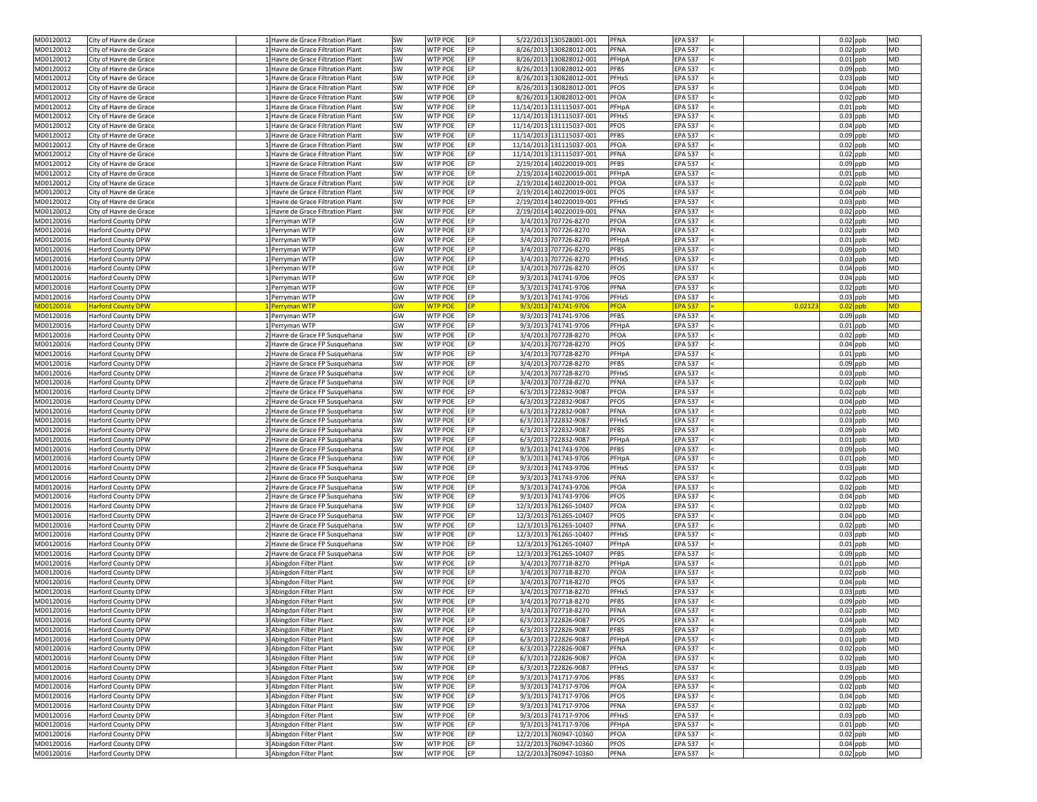| MD0120012              | City of Havre de Grace                                 | 1 Havre de Grace Filtration Plant                  | SW        | <b>WTP POE</b>                   | EP              | 5/22/2013 130528001-001                      | PFNA                 | <b>EPA 537</b>                   |         |            | $0.02$ ppb               | <b>MD</b>              |
|------------------------|--------------------------------------------------------|----------------------------------------------------|-----------|----------------------------------|-----------------|----------------------------------------------|----------------------|----------------------------------|---------|------------|--------------------------|------------------------|
| MD0120012              | City of Havre de Grace                                 | Havre de Grace Filtration Plant                    | SW        | <b>WTP POE</b>                   | EP              | 8/26/2013 130828012-001                      | <b>PFNA</b>          | <b>EPA 537</b>                   |         |            | $0.02$ ppb               | <b>MD</b>              |
| MD0120012              | City of Havre de Grace                                 | Havre de Grace Filtration Plant                    | SW        | <b>WTP POE</b>                   | EP              | 8/26/2013 130828012-001                      | PFHpA                | <b>EPA 537</b>                   |         |            | $0.01$ ppb               | <b>MD</b>              |
| MD0120012              | City of Havre de Grace                                 | LHavre de Grace Filtration Plant                   | SW        | <b>WTP POE</b>                   | EP              | 8/26/2013 130828012-001                      | <b>PFBS</b>          | <b>EPA 537</b>                   |         |            | $0.09$ ppb               | <b>MD</b>              |
| MD0120012              | City of Havre de Grace                                 | 1 Havre de Grace Filtration Plant                  | SW        | <b>WTP POE</b>                   | EP              | 8/26/2013 130828012-001                      | PFHxS                | <b>EPA 537</b>                   |         |            | $0.03$ ppb               | <b>MD</b>              |
| MD0120012              | City of Havre de Grace                                 | Havre de Grace Filtration Plant                    | SW        | <b>WTP POE</b>                   | EP              | 8/26/2013 130828012-001                      | <b>PFOS</b>          | <b>EPA 537</b>                   |         |            | $0.04$ ppb               | MD                     |
| MD0120012              | City of Havre de Grace                                 | Havre de Grace Filtration Plant                    | SW        | <b>WTP POE</b>                   | <b>EP</b>       | 8/26/2013 130828012-001                      | PFOA                 | <b>EPA 537</b>                   |         |            | $0.02$ ppb               | <b>MD</b>              |
| MD0120012              | City of Havre de Grace                                 | Havre de Grace Filtration Plant                    | SW        | <b>WTP POE</b>                   | EP              | 11/14/2013 131115037-001                     | PFHpA                | <b>EPA 537</b>                   |         |            | $0.01$ ppb               | <b>MD</b>              |
| MD0120012              | City of Havre de Grace                                 | LHavre de Grace Filtration Plant                   | SW        | <b>WTP POE</b>                   | EP              | 11/14/2013 131115037-001                     | PFHxS                | <b>EPA 537</b>                   |         |            | $0.03$ ppb               | <b>MD</b>              |
| MD0120012              | City of Havre de Grace                                 | LHavre de Grace Filtration Plant                   | SW        | <b>WTP POE</b>                   | EP              | 11/14/2013 131115037-001                     | <b>PFOS</b>          | <b>EPA 537</b>                   |         |            | $0.04$ ppb               | <b>MD</b>              |
| MD0120012              | City of Havre de Grace                                 | LHavre de Grace Filtration Plant                   | SW        | <b>WTP POE</b>                   | EP              | 11/14/2013 131115037-001                     | <b>PFBS</b>          | <b>EPA 537</b>                   |         |            | $0.09$ ppb               | MD                     |
| MD0120012              | City of Havre de Grace                                 | LHavre de Grace Filtration Plant                   | SW        | <b>WTP POE</b>                   | EP              | 11/14/2013 131115037-001                     | PFOA                 | <b>EPA 537</b>                   |         |            | $0.02$ ppb               | <b>MD</b>              |
| MD0120012              | City of Havre de Grace                                 | Havre de Grace Filtration Plant                    | SW        | <b>WTP POE</b>                   | <b>EP</b>       | 11/14/2013 131115037-001                     | PFNA                 | <b>EPA 537</b>                   |         |            | $0.02$ ppb               | MD                     |
| MD0120012              | City of Havre de Grace                                 | Havre de Grace Filtration Plant                    | SW        | <b>WTP POE</b>                   | EP              | 2/19/2014 140220019-001                      | <b>PFBS</b>          | <b>EPA 537</b>                   |         |            | $0.09$ ppb               | <b>MD</b>              |
| MD0120012              | City of Havre de Grace                                 | Havre de Grace Filtration Plant                    | SW        | <b>WTP POE</b>                   | EP              | 2/19/2014 140220019-001                      | PFHpA                | <b>EPA 537</b>                   |         |            | $0.01$ ppb               | <b>MD</b>              |
| MD0120012              | City of Havre de Grace                                 | LHavre de Grace Filtration Plant                   | SW        | <b>WTP POE</b>                   | EP              | 2/19/2014 140220019-001                      | PFOA                 | <b>EPA 537</b>                   |         |            | $0.02$ ppb               | <b>MD</b>              |
| MD0120012              | City of Havre de Grace                                 | LHavre de Grace Filtration Plant                   | SW        | <b>WTP POE</b>                   | EP              | 2/19/2014 140220019-001                      | <b>PFOS</b>          | <b>EPA 537</b>                   |         |            | $0.04$ ppb               | MD                     |
| MD0120012              | City of Havre de Grace                                 | Havre de Grace Filtration Plant                    | SW        | <b>WTP POE</b>                   | EP              | 2/19/2014 140220019-001                      | PFHxS                | <b>EPA 537</b>                   |         |            | $0.03$ ppb               | <b>MD</b>              |
| MD0120012              | City of Havre de Grace                                 | LHavre de Grace Filtration Plant                   | SW        | <b>WTP POE</b>                   | EP              | 2/19/2014 140220019-001                      | PFNA                 | <b>EPA 537</b>                   |         |            | $0.02$ ppb               | <b>MD</b>              |
| MD0120016              | <b>Harford County DPW</b>                              | Perryman WTP                                       | GW        | <b>WTP POE</b>                   | EP              | 3/4/2013 707726-8270                         | PFOA                 | <b>EPA 537</b>                   |         |            | $0.02$ ppb               | <b>MD</b>              |
| MD0120016              | <b>Harford County DPW</b>                              | Perryman WTP                                       | GW        | <b>WTP POE</b>                   | EP              | 3/4/2013 707726-8270                         | <b>PFNA</b>          | <b>EPA 537</b>                   |         |            | $0.02$ ppb               | <b>MD</b>              |
| MD0120016              | <b>Harford County DPW</b>                              | Perryman WTP                                       | GW        | <b>WTP POE</b>                   | EP              | 3/4/2013 707726-8270                         | PFHpA                | <b>EPA 537</b>                   |         |            | $0.01$ ppb               | <b>MD</b>              |
| MD0120016              | <b>Harford County DPW</b>                              | I Perryman WTP                                     | GW        | <b>WTP POE</b>                   | EP              | 3/4/2013 707726-8270                         | <b>PFBS</b>          | <b>EPA 537</b>                   |         |            | $0.09$ ppb               | MD                     |
| MD0120016              | <b>Harford County DPW</b>                              | 1 Perryman WTP                                     | <b>GW</b> | <b>WTP POE</b>                   | EP              | 3/4/2013 707726-8270                         | PFHxS                | <b>EPA 537</b>                   |         |            | $0.03$ ppb               | <b>MD</b>              |
| MD0120016              | Harford County DPW                                     | Perryman WTP                                       | <b>GW</b> | <b>WTP POE</b>                   | EP              | 3/4/2013 707726-8270                         | <b>PFOS</b>          | <b>EPA 537</b>                   |         |            | $0.04$ ppb               | MD                     |
| MD0120016              | <b>Harford County DPW</b>                              | L Perryman WTP                                     | GW        | <b>WTP POE</b>                   | EP              | 9/3/2013 741741-9706                         | <b>PFOS</b>          | <b>EPA 537</b>                   |         |            | $0.04$ ppb               | <b>MD</b>              |
| MD0120016              | <b>Harford County DPW</b>                              | Perryman WTP                                       | GW        | <b>WTP POE</b>                   | EP              | 9/3/2013 741741-9706                         | <b>PFNA</b>          | <b>EPA 537</b>                   |         |            | $0.02$ ppb               | <b>MD</b>              |
| MD0120016              | <b>Harford County DPW</b>                              | Perryman WTP                                       | GW        | <b>WTP POE</b>                   | EP              | 9/3/2013 741741-9706                         | PFHxS                | <b>EPA 537</b>                   |         |            | $0.03$ ppb               | <b>MD</b>              |
| MD0120016              | <b>Harford County DPW</b>                              | <b>Perryman WTP</b>                                | <b>GW</b> | <b>WTP POE</b>                   | EP.             | 9/3/2013 741741-9706                         | <b>PFOA</b>          | <b>EPA 537</b>                   | 0.02123 | $0.02$ ppb |                          | <b>MD</b>              |
| MD0120016              | Harford County DPW                                     | 1 Perryman WTP                                     | GW        | <b>WTP POE</b>                   | EP              | 9/3/2013 741741-9706                         | <b>PFBS</b>          | <b>EPA 537</b>                   |         |            | $0.09$ ppb               | <b>MD</b>              |
| MD0120016              | <b>Harford County DPW</b>                              | 1 Perryman WTP                                     | <b>GW</b> | <b>WTP POE</b>                   | <b>EP</b>       | 9/3/2013 741741-9706                         | PFHpA                | <b>EPA 537</b>                   |         |            | $0.01$ ppb               | <b>MD</b>              |
| MD0120016              | Harford County DPW                                     | 2 Havre de Grace FP Susquehana                     | SW        | <b>WTP POE</b>                   | EP              | 3/4/2013 707728-8270                         | PFOA                 | <b>EPA 537</b>                   |         |            | $0.02$ ppb               | <b>MD</b>              |
| MD0120016              | <b>Harford County DPW</b>                              | 2 Havre de Grace FP Susquehana                     | SW        | <b>WTP POE</b>                   | EP              | 3/4/2013 707728-8270                         | <b>PFOS</b>          | <b>EPA 537</b>                   |         |            | $0.04$ ppb               | <b>MD</b>              |
| MD0120016              | <b>Harford County DPW</b>                              | 2 Havre de Grace FP Susquehana                     | SW        | <b>WTP POE</b>                   | EP              | 3/4/2013 707728-8270                         | PFHpA                | <b>EPA 537</b>                   |         |            | $0.01$ ppb               | <b>MD</b>              |
| MD0120016              | <b>Harford County DPW</b>                              | 2 Havre de Grace FP Susquehana                     | SW        | <b>WTP POE</b>                   | EP              | 3/4/2013 707728-8270                         | <b>PFBS</b>          | <b>EPA 537</b>                   |         |            | $0.09$ ppb               | MD                     |
| MD0120016              | <b>Harford County DPW</b>                              | 2 Havre de Grace FP Susquehana                     | SW        | <b>WTP POE</b>                   | EP              | 3/4/2013 707728-8270                         | PFHxS                | <b>EPA 537</b>                   |         |            | $0.03$ ppb               | MD                     |
| MD0120016              | Harford County DPW                                     | 2 Havre de Grace FP Susquehana                     | SW        | <b>WTP POE</b>                   | EP              | 3/4/2013 707728-8270                         | <b>PFNA</b>          | <b>EPA 537</b>                   |         |            | $0.02$ ppb               | <b>MD</b>              |
| MD0120016              | Harford County DPW                                     | Havre de Grace FP Susquehana                       | SW        | <b>WTP POE</b>                   | EP              | 6/3/2013 722832-9087                         | PFOA                 | <b>EPA 537</b>                   |         |            | $0.02$ ppb               | <b>MD</b>              |
| MD0120016              | <b>Harford County DPW</b>                              | Havre de Grace FP Susquehana                       | SW        | <b>WTP POE</b>                   | EP              | 6/3/2013 722832-9087                         | <b>PFOS</b>          | <b>EPA 537</b>                   |         |            | $0.04$ ppb               | MD                     |
| MD0120016              | <b>Harford County DPW</b>                              | 2 Havre de Grace FP Susquehana                     | SW        | <b>WTP POE</b>                   | EP              | 6/3/2013 722832-9087                         | <b>PFNA</b>          | <b>EPA 537</b>                   |         |            | $0.02$ ppb               | <b>MD</b>              |
| MD0120016              | <b>Harford County DPW</b>                              | 2 Havre de Grace FP Susquehana                     | SW        | <b>WTP POE</b>                   | EP              | 6/3/2013 722832-9087                         | PFHxS                | <b>EPA 537</b>                   |         |            | $0.03$ ppb               | <b>MD</b>              |
| MD0120016              | <b>Harford County DPW</b>                              | 2 Havre de Grace FP Susquehana                     | SW        | <b>WTP POE</b>                   | EP              | 6/3/2013 722832-9087                         | <b>PFBS</b>          | <b>EPA 537</b>                   |         |            | $0.09$ ppb               | MD                     |
| MD0120016              | <b>Harford County DPW</b>                              | 2 Havre de Grace FP Susquehana                     | SW        | <b>WTP POE</b>                   | EP              | 6/3/2013 722832-9087                         | PFHpA                | <b>EPA 537</b>                   |         |            | $0.01$ ppb               | <b>MD</b>              |
| MD0120016              | Harford County DPW                                     | Havre de Grace FP Susquehana                       | SW        | <b>WTP POE</b>                   | EP              | 9/3/2013 741743-9706                         | <b>PFBS</b>          | <b>EPA 537</b>                   |         |            | $0.09$ ppb               | <b>MD</b>              |
| MD0120016              | <b>Harford County DPW</b>                              | 2 Havre de Grace FP Susquehana                     | SW        | <b>WTP POE</b>                   | EP              | 9/3/2013 741743-9706                         | PFHpA                | <b>EPA 537</b>                   |         |            | $0.01$ ppb               | <b>MD</b>              |
| MD0120016              | <b>Harford County DPW</b>                              | 2 Havre de Grace FP Susquehana                     | SW        | <b>WTP POE</b>                   | EP              | 9/3/2013 741743-9706                         | PFHxS                | <b>EPA 537</b>                   |         |            | $0.03$ ppb               | <b>MD</b>              |
| MD0120016              | <b>Harford County DPW</b>                              | 2 Havre de Grace FP Susquehana                     | SW        | <b>WTP POE</b>                   | EP              | 9/3/2013 741743-9706                         | <b>PFNA</b>          | <b>EPA 537</b>                   |         |            | $0.02$ ppb               | <b>MD</b>              |
| MD0120016              | <b>Harford County DPW</b>                              | 2 Havre de Grace FP Susquehana                     | SW        | <b>WTP POE</b>                   | EP              | 9/3/2013 741743-9706                         | PFOA                 | <b>EPA 537</b>                   |         |            | $0.02$ ppb               | <b>MD</b>              |
| MD0120016              | Harford County DPW                                     | 2 Havre de Grace FP Susquehana                     | SW        | <b>WTP POE</b>                   | EP              | 9/3/2013 741743-9706                         | <b>PFOS</b>          | <b>EPA 537</b>                   |         |            | $0.04$ ppb               | <b>MD</b>              |
| MD0120016              | <b>Harford County DPW</b>                              | 2 Havre de Grace FP Susquehana                     | SW        | <b>WTP POE</b>                   | EP              | 12/3/2013 761265-10407                       | PFOA                 | <b>EPA 537</b>                   |         |            | $0.02$ ppb               | <b>MD</b>              |
| MD0120016              | <b>Harford County DPW</b>                              | Havre de Grace FP Susquehana                       | SW        | <b>WTP POE</b>                   | EP              | 12/3/2013 761265-10407                       | <b>PFOS</b>          | <b>EPA 537</b>                   |         |            | $0.04$ ppb               | <b>MD</b>              |
| MD0120016              | <b>Harford County DPW</b>                              | 2 Havre de Grace FP Susquehana                     | SW        | <b>WTP POE</b>                   | EP              | 12/3/2013 761265-10407                       | <b>PFNA</b>          | <b>EPA 537</b>                   |         |            | $0.02$ ppb               | <b>MD</b>              |
| MD0120016              | <b>Harford County DPW</b>                              | 2 Havre de Grace FP Susquehana                     | SW        | <b>WTP POE</b>                   | EP              | 12/3/2013 761265-10407                       | PFHxS                | <b>EPA 537</b>                   |         |            | $0.03$ ppb               | <b>MD</b>              |
| MD0120016              | <b>Harford County DPW</b>                              | 2 Havre de Grace FP Susquehana                     | SW        | <b>WTP POE</b>                   | EP              | 12/3/2013 761265-10407                       | PFHpA                | <b>EPA 537</b>                   |         |            | $0.01$ ppb               | MD                     |
| MD0120016              | <b>Harford County DPW</b>                              | 2 Havre de Grace FP Susquehana                     | SW<br>SW  | <b>WTP POE</b><br><b>WTP POE</b> | EP<br>EP        | 12/3/2013 761265-10407                       | <b>PFBS</b>          | <b>EPA 537</b>                   |         |            | $0.09$ ppb               | <b>MD</b><br>MD        |
| MD0120016              | Harford County DPW                                     | Abingdon Filter Plant                              |           |                                  |                 | 3/4/2013 707718-8270                         | PFHpA                | <b>EPA 537</b>                   |         |            | $0.01$ ppb               |                        |
| MD0120016<br>MD0120016 | <b>Harford County DPW</b><br><b>Harford County DPW</b> | 3 Abingdon Filter Plant<br>3 Abingdon Filter Plant | SW<br>SW  | <b>WTP POE</b><br><b>WTP POE</b> | EP<br><b>EP</b> | 3/4/2013 707718-8270<br>3/4/2013 707718-8270 | PFOA<br><b>PFOS</b>  | <b>EPA 537</b><br><b>EPA 537</b> |         |            | $0.02$ ppb<br>$0.04$ ppb | <b>MD</b><br><b>MD</b> |
|                        |                                                        |                                                    |           |                                  |                 |                                              |                      |                                  |         |            |                          |                        |
| MD0120016              | <b>Harford County DPW</b><br><b>Harford County DPW</b> | 3 Abingdon Filter Plant<br>3 Abingdon Filter Plant | SW<br>SW  | <b>WTP POE</b><br><b>WTP POE</b> | EP<br>EP        | 3/4/2013 707718-8270<br>3/4/2013 707718-8270 | PFHxS<br><b>PFBS</b> | <b>EPA 537</b><br><b>EPA 537</b> |         |            | $0.03$ ppb               | <b>MD</b><br><b>MD</b> |
| MD0120016<br>MD0120016 | <b>Harford County DPW</b>                              | 3 Abingdon Filter Plant                            | SW        | <b>WTP POE</b>                   | EP              | 3/4/2013 707718-8270                         | PFNA                 | <b>EPA 537</b>                   |         |            | $0.09$ ppb<br>$0.02$ ppb | <b>MD</b>              |
|                        |                                                        |                                                    |           | <b>WTP POE</b>                   | <b>EP</b>       | 6/3/2013 722826-9087                         | PFOS                 | <b>EPA 537</b>                   |         |            | $0.04$ ppb               |                        |
| MD0120016<br>MD0120016 | <b>Harford County DPW</b><br>Harford County DPW        | 3 Abingdon Filter Plant<br>3 Abingdon Filter Plant | SW<br>SW  | <b>WTP POE</b>                   | EP              | 6/3/2013 722826-9087                         | <b>PFBS</b>          | <b>EPA 537</b>                   |         |            | $0.09$ ppb               | <b>MD</b><br><b>MD</b> |
| MD0120016              | <b>Harford County DPW</b>                              | 3 Abingdon Filter Plant                            | SW        | <b>WTP POE</b>                   | EP              | 6/3/2013 722826-9087                         | PFHpA                | <b>EPA 537</b>                   |         |            | $0.01$ ppb               | <b>MD</b>              |
| MD0120016              | Harford County DPW                                     | 3 Abingdon Filter Plant                            | SW        | <b>WTP POE</b>                   | EP              | 6/3/2013 722826-9087                         | PFNA                 | <b>EPA 537</b>                   |         |            | $0.02$ ppb               | MD                     |
| MD0120016              | <b>Harford County DPW</b>                              | 3 Abingdon Filter Plant                            | SW        | <b>WTP POE</b>                   | EP              | 6/3/2013 722826-9087                         | PFOA                 | <b>EPA 537</b>                   |         |            | $0.02$ ppb               | MD                     |
| MD0120016              | Harford County DPW                                     | 3 Abingdon Filter Plant                            | SW        | <b>WTP POE</b>                   | EP              | 6/3/2013 722826-9087                         | PFHxS                | <b>EPA 537</b>                   |         |            | $0.03$ ppb               | MD                     |
| MD0120016              | <b>Harford County DPW</b>                              | 3 Abingdon Filter Plant                            | SW        | <b>WTP POE</b>                   | EP              | 9/3/2013 741717-9706                         | <b>PFBS</b>          | <b>EPA 537</b>                   |         |            | $0.09$ ppb               | <b>MD</b>              |
| MD0120016              | <b>Harford County DPW</b>                              | 3 Abingdon Filter Plant                            | SW        | <b>WTP POE</b>                   | EP              | 9/3/2013 741717-9706                         | PFOA                 | <b>EPA 537</b>                   |         |            | $0.02$ ppb               | <b>MD</b>              |
| MD0120016              | <b>Harford County DPW</b>                              | 3 Abingdon Filter Plant                            | SW        | WTP POE                          | EP              | 9/3/2013 741717-9706                         | <b>PFOS</b>          | <b>EPA 537</b>                   |         |            | $0.04$ ppb               | MD                     |
| MD0120016              | <b>Harford County DPW</b>                              | 3 Abingdon Filter Plant                            | SW        | <b>WTP POE</b>                   | EP              | 9/3/2013 741717-9706                         | <b>PFNA</b>          | <b>EPA 537</b>                   |         |            | $0.02$ ppb               | MD                     |
| MD0120016              | <b>Harford County DPW</b>                              | 3 Abingdon Filter Plant                            | SW        | <b>WTP POE</b>                   | EP              | 9/3/2013 741717-9706                         | PFHxS                | <b>EPA 537</b>                   |         |            | $0.03$ ppb               | <b>MD</b>              |
| MD0120016              | Harford County DPW                                     | 3 Abingdon Filter Plant                            | SW        | <b>WTP POE</b>                   | EP              | 9/3/2013 741717-9706                         | PFHpA                | <b>EPA 537</b>                   |         |            | $0.01$ ppb               | MD                     |
| MD0120016              | <b>Harford County DPW</b>                              | 3 Abingdon Filter Plant                            | SW        | <b>WTP POE</b>                   | EP              | 12/2/2013 760947-10360                       | PFOA                 | <b>EPA 537</b>                   |         |            | $0.02$ ppb               | MD                     |
| MD0120016              | <b>Harford County DPW</b>                              | 3 Abingdon Filter Plant                            | SW        | <b>WTP POE</b>                   | EP              | 12/2/2013 760947-10360                       | <b>PFOS</b>          | <b>EPA 537</b>                   |         |            | $0.04$ ppb               | <b>MD</b>              |
| MD0120016              | Harford County DPW                                     | 3 Abingdon Filter Plant                            | SW        | <b>WTP POE</b>                   | EP              | 12/2/2013 760947-10360                       | PFNA                 | <b>EPA 537</b>                   |         |            | $0.02$ ppb               | <b>MD</b>              |
|                        |                                                        |                                                    |           |                                  |                 |                                              |                      |                                  |         |            |                          |                        |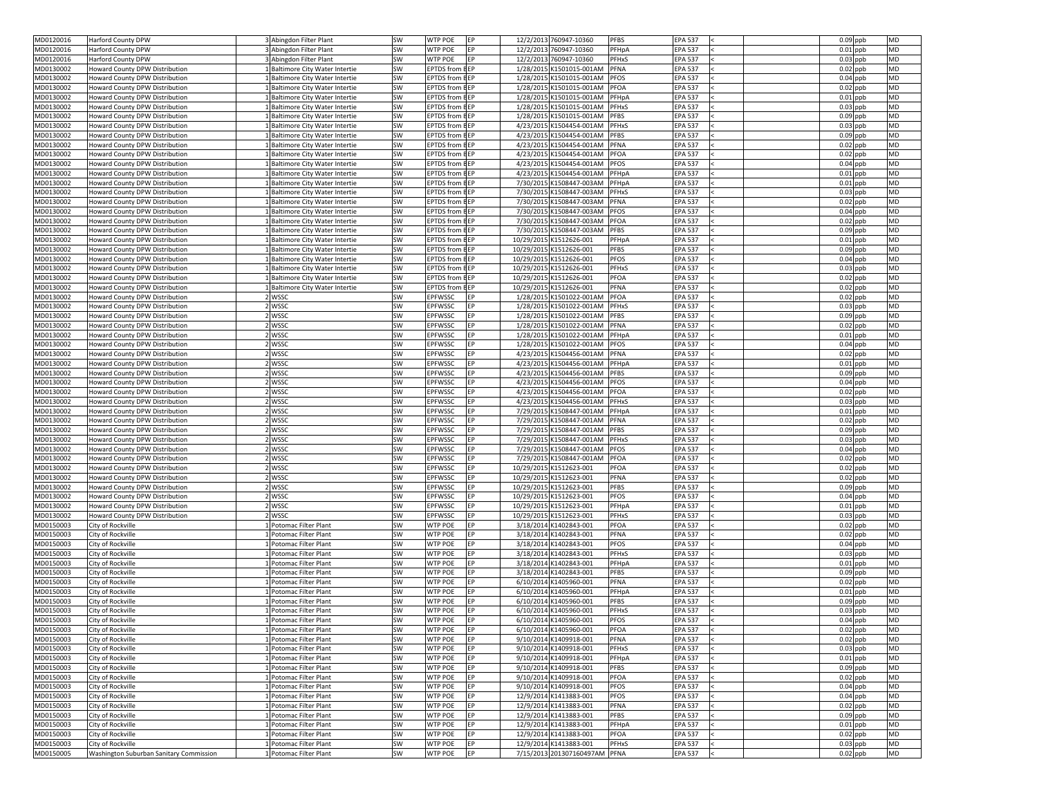| MD0120016              | <b>Harford County DPW</b>               | 3 Abingdon Filter Plant                      | SW        | <b>WTP POE</b><br><b>IEP</b>  | 12/2/2013 760947-10360                           | <b>PFBS</b><br><b>EPA 537</b>  | $0.09$ ppb<br><b>MD</b>               |
|------------------------|-----------------------------------------|----------------------------------------------|-----------|-------------------------------|--------------------------------------------------|--------------------------------|---------------------------------------|
| MD0120016              | <b>Harford County DPW</b>               | Abingdon Filter Plant                        | SW        | <b>WTP POE</b><br>EP          | 12/2/2013 760947-10360                           | PFHpA<br><b>EPA 537</b>        | $0.01$ ppb<br><b>MD</b>               |
| MD0120016              | Harford County DPW                      | 3 Abingdon Filter Plant                      | SW        | <b>WTP POE</b><br>EP          | 12/2/2013 760947-10360                           | <b>PFHxS</b><br><b>EPA 537</b> | $0.03$ ppb<br><b>MD</b>               |
| MD0130002              | Howard County DPW Distribution          | Baltimore City Water Intertie                | SW        | <b>EPTDS</b> from <b>BEP</b>  | 1/28/2015 K1501015-001AM                         | PFNA<br><b>EPA 537</b>         | $0.02$ ppb<br><b>MD</b>               |
| MD0130002              | Howard County DPW Distribution          | Baltimore City Water Intertie                | SW        | <b>EPTDS</b> from <b>BEP</b>  | 1/28/2015 K1501015-001AM                         | PFOS<br><b>EPA 537</b>         | $0.04$ ppb<br><b>MD</b>               |
| MD0130002              | <b>Howard County DPW Distribution</b>   | Baltimore City Water Intertie                | SW        | <b>EPTDS from BEP</b>         | 1/28/2015 K1501015-001AM                         | PFOA<br><b>EPA 537</b>         | $0.02$ ppb<br>MD                      |
| MD0130002              | Howard County DPW Distribution          | Baltimore City Water Intertie                | SW        | <b>EPTDS from BEP</b>         | 1/28/2015 K1501015-001AM                         | PFHpA<br><b>EPA 537</b>        | $0.01$ ppb<br><b>MD</b>               |
| MD0130002              | Howard County DPW Distribution          | Baltimore City Water Intertie                | SW        | <b>EPTDS from BEP</b>         | 1/28/2015 K1501015-001AM                         | PFHxS<br><b>EPA 537</b>        | $0.03$ ppb<br><b>MD</b>               |
| MD0130002              | Howard County DPW Distribution          | Baltimore City Water Intertie                | SW        | <b>EPTDS</b> from <b>BEP</b>  | 1/28/2015 K1501015-001AM                         | PFBS<br><b>EPA 537</b>         | $0.09$ ppb<br><b>MD</b>               |
| MD0130002              | Howard County DPW Distribution          | Baltimore City Water Intertie                | <b>SW</b> | <b>EPTDS from BEP</b>         | 4/23/2015 K1504454-001AM                         | PFHxS<br><b>EPA 537</b>        | <b>MD</b><br>$0.03$ ppb               |
| MD0130002              | Howard County DPW Distribution          | Baltimore City Water Intertie                | <b>SW</b> | <b>EPTDS</b> from <b>BEP</b>  | 4/23/2015 K1504454-001AM                         | <b>PFBS</b><br><b>EPA 537</b>  | $0.09$ ppb<br>MD                      |
| MD0130002              | Howard County DPW Distribution          | Baltimore City Water Intertie                | SW        | <b>EPTDS</b> from <b>BEP</b>  | 4/23/2015 K1504454-001AM                         | PFNA<br><b>EPA 537</b>         | $0.02$ ppb<br><b>MD</b>               |
| MD0130002              | Howard County DPW Distribution          | Baltimore City Water Intertie                | SW        | <b>EPTDS</b> from <b>BEP</b>  | 4/23/2015 K1504454-001AM                         | PFOA<br><b>EPA 537</b>         | $0.02$ ppb<br><b>MD</b>               |
| MD0130002              | Howard County DPW Distribution          | Baltimore City Water Intertie                | SW        | <b>EPTDS</b> from <b>BEP</b>  | 4/23/2015 K1504454-001AM                         | PFOS<br><b>EPA 537</b>         | $0.04$ ppb<br><b>MD</b>               |
| MD0130002              | Howard County DPW Distribution          | Baltimore City Water Intertie                | SW        | <b>EPTDS from BEP</b>         | 4/23/2015 K1504454-001AM                         | PFHpA<br><b>EPA 537</b>        | $0.01$ ppb<br><b>MD</b>               |
| MD0130002              | Howard County DPW Distribution          | Baltimore City Water Intertie                | <b>SW</b> | <b>EPTDS</b> from <b>B</b> EP | 7/30/2015 K1508447-003AM                         | <b>EPA 537</b><br>PFHpA        | $0.01$ ppb<br><b>MD</b>               |
| MD0130002              | Howard County DPW Distribution          | Baltimore City Water Intertie                | SW        | <b>EPTDS</b> from <b>BEP</b>  | 7/30/2015 K1508447-003AM                         | PFHxS<br><b>EPA 537</b>        | $0.03$ ppb<br>MD                      |
| MD0130002              | Howard County DPW Distribution          | Baltimore City Water Intertie                | SW        | <b>EPTDS</b> from <b>BEP</b>  | 7/30/2015 K1508447-003AM                         | PFNA<br><b>EPA 537</b>         | $0.02$ ppb<br><b>MD</b>               |
| MD0130002              | Howard County DPW Distribution          | Baltimore City Water Intertie                | SW        | <b>EPTDS</b> from <b>BEP</b>  | 7/30/2015 K1508447-003AM                         | <b>PFOS</b><br><b>EPA 537</b>  | $0.04$ ppb<br><b>MD</b>               |
| MD0130002              | <b>Howard County DPW Distribution</b>   | Baltimore City Water Intertie                | SW        | <b>EPTDS from EEP</b>         | 7/30/2015 K1508447-003AM                         | PFOA<br><b>EPA 537</b>         | <b>MD</b><br>$0.02$ ppb               |
| MD0130002              | Howard County DPW Distribution          | Baltimore City Water Intertie                | SW        | <b>EPTDS</b> from <b>BEP</b>  | 7/30/2015 K1508447-003AM                         | <b>PFBS</b><br><b>EPA 537</b>  | $0.09$ ppb<br><b>MD</b>               |
| MD0130002              | Howard County DPW Distribution          | Baltimore City Water Intertie                | SW        | <b>EPTDS from BEP</b>         | 10/29/2015 K1512626-001                          | <b>EPA 537</b><br>PFHpA        | $0.01$ ppb<br><b>MD</b>               |
| MD0130002              | Howard County DPW Distribution          | Baltimore City Water Intertie                | SW        | <b>EPTDS</b> from <b>BEP</b>  | 10/29/2015 K1512626-001                          | <b>PFBS</b><br><b>EPA 537</b>  | <b>MD</b><br>$0.09$ ppb               |
| MD0130002              | Howard County DPW Distribution          | Baltimore City Water Intertie                | SW        | <b>EPTDS</b> from <b>BEP</b>  | 10/29/2015 K1512626-001                          | <b>PFOS</b><br><b>EPA 537</b>  | <b>MD</b><br>$0.04$ ppb               |
| MD0130002              | <b>Howard County DPW Distribution</b>   | Baltimore City Water Intertie                | SW        | <b>EPTDS from BEP</b>         | 10/29/2015 K1512626-001                          | <b>PFHxS</b><br><b>EPA 537</b> | $0.03$ ppb<br>MD                      |
| MD0130002              | Howard County DPW Distribution          | Baltimore City Water Intertie                | SW        | <b>EPTDS</b> from <b>BEP</b>  | 10/29/2015 K1512626-001                          | PFOA<br><b>EPA 537</b>         | <b>MD</b><br>$0.02$ ppb               |
|                        |                                         |                                              |           | <b>EPTDS from BEP</b>         | 10/29/2015 K1512626-001                          | <b>EPA 537</b><br><b>PFNA</b>  | <b>MD</b>                             |
| MD0130002              | Howard County DPW Distribution          | Baltimore City Water Intertie                | <b>SW</b> |                               |                                                  |                                | $0.02$ ppb                            |
| MD0130002              | Howard County DPW Distribution          | WSSC                                         | SW        | EP<br><b>EPFWSSC</b>          | 1/28/2015 K1501022-001AM                         | <b>PFOA</b><br><b>EPA 537</b>  | $0.02$ ppb<br><b>MD</b>               |
| MD0130002              | Howard County DPW Distribution          | 2 WSSC                                       | <b>SW</b> | EP<br><b>EPFWSSC</b>          | 1/28/2015 K1501022-001AM                         | PFHxS<br><b>EPA 537</b>        | <b>MD</b><br>$0.03$ ppb               |
| MD0130002              | Howard County DPW Distribution          | 2 WSSC                                       | SW        | EP<br><b>EPFWSSC</b>          | 1/28/2015 K1501022-001AM                         | PFBS<br><b>EPA 537</b>         | $0.09$ ppb<br><b>MD</b>               |
| MD0130002              | <b>Howard County DPW Distribution</b>   | 2 WSSC                                       | SW        | <b>EPFWSSC</b><br>EP          | 1/28/2015 K1501022-001AM                         | <b>EPA 537</b><br>PFNA         | $0.02$ ppb<br>MD                      |
| MD0130002              | Howard County DPW Distribution          | 2 WSSC                                       | SW        | <b>EPFWSSC</b><br><b>EP</b>   | 1/28/2015 K1501022-001AM                         | <b>EPA 537</b><br>PFHpA        | $0.01$ ppb<br><b>MD</b>               |
| MD0130002              | Howard County DPW Distribution          | 2 WSSC                                       | SW        | <b>EPFWSSC</b><br><b>EP</b>   | 1/28/2015 K1501022-001AM                         | <b>EPA 537</b><br><b>PFOS</b>  | $0.04$ ppb<br><b>MD</b>               |
| MD0130002              | Howard County DPW Distribution          | 2 WSSC                                       | <b>SW</b> | <b>EPFWSSC</b><br>EP          | 4/23/2015 K1504456-001AM                         | <b>EPA 537</b><br>PFNA         | $0.02$ ppb<br><b>MD</b>               |
| MD0130002              | Howard County DPW Distribution          | 2 WSSC                                       | SW        | <b>EPFWSSC</b><br>EP          | 4/23/2015 K1504456-001AM                         | <b>EPA 537</b><br>PFHpA        | $0.01$ ppb<br><b>MD</b>               |
| MD0130002              | Howard County DPW Distribution          | 2 WSSC                                       | SW        | <b>EPFWSSC</b><br>EP          | 4/23/2015 K1504456-001AM                         | <b>EPA 537</b><br><b>PFBS</b>  | $0.09$ ppb<br><b>MD</b>               |
| MD0130002              | Howard County DPW Distribution          | 2 WSSC                                       | SW        | <b>EP</b><br><b>EPFWSSC</b>   | 4/23/2015 K1504456-001AM                         | <b>PFOS</b><br><b>EPA 537</b>  | $0.04$ ppb<br>MD                      |
| MD0130002              | Howard County DPW Distribution          | 2 WSSC                                       | SW        | <b>EPFWSSC</b><br>EP          | 4/23/2015 K1504456-001AM                         | PFOA<br><b>EPA 537</b>         | $0.02$ ppb<br><b>MD</b>               |
| MD0130002              | Howard County DPW Distribution          | 2 WSSC                                       | SW        | <b>EPFWSSC</b><br>EP          | 4/23/2015 K1504456-001AM                         | PFHxS<br><b>EPA 537</b>        | <b>MD</b><br>$0.03$ ppb               |
| MD0130002              | Howard County DPW Distribution          | 2 WSSC                                       | SW        | <b>EPFWSSC</b><br><b>EP</b>   | 7/29/2015 K1508447-001AM                         | PFHpA<br><b>EPA 537</b>        | <b>MD</b><br>$0.01$ ppb               |
| MD0130002              | Howard County DPW Distribution          | 2 WSSC                                       | <b>SW</b> | <b>EPFWSSC</b><br>EP          | 7/29/2015 K1508447-001AM                         | PFNA<br><b>EPA 537</b>         | $0.02$ ppb<br><b>MD</b>               |
| MD0130002              | Howard County DPW Distribution          | WSSC                                         | SW        | EP<br><b>EPFWSSC</b>          | 7/29/2015 K1508447-001AM                         | <b>PFBS</b><br><b>EPA 537</b>  | <b>MD</b><br>$0.09$ ppb               |
| MD0130002              | Howard County DPW Distribution          | 2 WSSC                                       | SW        | <b>EPFWSSC</b><br>EP          | 7/29/2015 K1508447-001AM                         | <b>EPA 537</b><br><b>PFHxS</b> | $0.03$ ppb<br><b>MD</b>               |
| MD0130002              | Howard County DPW Distribution          | 2 WSSC                                       | SW        | <b>EPFWSSC</b><br>EP          | 7/29/2015 K1508447-001AM                         | <b>PFOS</b><br><b>EPA 537</b>  | $0.04$ ppb<br><b>MD</b>               |
| MD0130002              | Howard County DPW Distribution          | 2 WSSC                                       | SW        | <b>EPFWSSC</b><br>EP          | 7/29/2015 K1508447-001AM                         | PFOA<br><b>EPA 537</b>         | $0.02$ ppb<br><b>MD</b>               |
| MD0130002              | Howard County DPW Distribution          | 2 WSSC                                       | <b>SW</b> | <b>EPFWSSC</b><br><b>EP</b>   | 10/29/2015 K1512623-001                          | PFOA<br><b>EPA 537</b>         | $0.02$ ppb<br><b>MD</b>               |
| MD0130002              | Howard County DPW Distribution          | <b>WSSC</b>                                  | SW        | <b>EP</b><br><b>EPFWSSC</b>   | 10/29/2015 K1512623-001                          | <b>PFNA</b><br><b>EPA 537</b>  | $0.02$ ppb<br><b>MD</b>               |
| MD0130002              | Howard County DPW Distribution          | 2 WSSC                                       | SW        | <b>EPFWSSC</b><br>EP          | 10/29/2015 K1512623-001                          | <b>PFBS</b><br><b>EPA 537</b>  | $0.09$ ppb<br><b>MD</b>               |
| MD0130002              | Howard County DPW Distribution          | 2 WSSC                                       | SW        | <b>EPFWSSC</b><br><b>EP</b>   | 10/29/2015 K1512623-001                          | <b>PFOS</b><br><b>EPA 537</b>  | $0.04$ ppb<br><b>MD</b>               |
| MD0130002              | Howard County DPW Distribution          | 2 WSSC                                       | SW        | <b>EPFWSSC</b><br>EP          | 10/29/2015 K1512623-001                          | PFHpA<br><b>EPA 537</b>        | $0.01$ ppb<br><b>MD</b>               |
| MD0130002              | Howard County DPW Distribution          | 2 WSSC                                       | SW        | <b>EPFWSSC</b><br><b>EP</b>   | 10/29/2015 K1512623-001                          | <b>PFHxS</b><br><b>EPA 537</b> | <b>MD</b><br>$0.03$ ppb               |
| MD0150003              | City of Rockville                       | Potomac Filter Plant                         | SW        | <b>WTP POE</b><br>EP          | 3/18/2014 K1402843-001                           | PFOA<br><b>EPA 537</b>         | $0.02$ ppb<br><b>MD</b>               |
| MD0150003              | City of Rockville                       | Potomac Filter Plant                         | SW        | <b>WTP POE</b><br>EP          | 3/18/2014 K1402843-001                           | <b>PFNA</b><br><b>EPA 537</b>  | $0.02$ ppb<br><b>MD</b>               |
| MD0150003              | City of Rockville                       | Potomac Filter Plant                         | SW        | <b>WTP POE</b><br>EP          | 3/18/2014 K1402843-001                           | <b>PFOS</b><br><b>EPA 537</b>  | $0.04$ ppb<br><b>MD</b>               |
| MD0150003              | City of Rockville                       | Potomac Filter Plant                         | SW        | EP<br><b>WTP POE</b>          | 3/18/2014 K1402843-001                           | <b>PFHxS</b><br><b>EPA 537</b> | $0.03$ ppb<br><b>MD</b>               |
| MD0150003              | City of Rockville                       | Potomac Filter Plant                         | SW        | EP<br><b>WTP POE</b>          | 3/18/2014 K1402843-001                           | PFHpA<br><b>EPA 537</b>        | $0.01$ ppb<br><b>MD</b>               |
| MD0150003              | City of Rockville                       | Potomac Filter Plant                         | SW        | <b>WTP POE</b><br><b>EP</b>   | 3/18/2014 K1402843-001                           | <b>PFBS</b><br><b>EPA 537</b>  | <b>MD</b><br>$0.09$ ppb               |
| MD0150003              | City of Rockville                       | Potomac Filter Plant                         | SW        | <b>WTP POE</b><br>EP          | 6/10/2014 K1405960-001                           | <b>PFNA</b><br><b>EPA 537</b>  | $0.02$ ppb<br><b>MD</b>               |
| MD0150003              | City of Rockville                       | Potomac Filter Plant                         | SW        | <b>WTP POE</b><br>EP          | 6/10/2014 K1405960-001                           | PFHpA<br><b>EPA 537</b>        | $0.01$ ppb<br><b>MD</b>               |
|                        | City of Rockville                       |                                              | <b>SW</b> | EP<br><b>WTP POE</b>          |                                                  | <b>PFBS</b><br><b>EPA 537</b>  | <b>MD</b>                             |
| MD0150003              | City of Rockville                       | Potomac Filter Plant<br>Potomac Filter Plant |           | EP<br><b>WTP POE</b>          | 6/10/2014 K1405960-001                           | <b>PFHxS</b><br><b>EPA 537</b> | $0.09$ ppb<br><b>MD</b>               |
| MD0150003<br>MD0150003 | City of Rockville                       | 1 Potomac Filter Plant                       | SW<br>SW  | <b>WTP POE</b><br>EP          | 6/10/2014 K1405960-001<br>6/10/2014 K1405960-001 | <b>PFOS</b><br><b>EPA 537</b>  | $0.03$ ppb<br><b>MD</b><br>$0.04$ ppb |
|                        |                                         |                                              |           |                               |                                                  |                                |                                       |
| MD0150003              | City of Rockville                       | 1 Potomac Filter Plant                       | SW        | <b>WTP POE</b><br>EP          | 6/10/2014 K1405960-001                           | <b>PFOA</b><br><b>EPA 537</b>  | $0.02$ ppb<br><b>MD</b>               |
| MD0150003              | City of Rockville                       | Potomac Filter Plant                         | SW        | EP<br><b>WTP POE</b>          | 9/10/2014 K1409918-001                           | <b>EPA 537</b><br><b>PFNA</b>  | $0.02$ ppb<br><b>MD</b>               |
| MD0150003              | City of Rockville                       | 1 Potomac Filter Plant                       | SW        | <b>WTP POE</b><br>EP          | 9/10/2014 K1409918-001                           | <b>EPA 537</b><br>PFHxS        | $0.03$ ppb<br><b>MD</b>               |
| MD0150003              | City of Rockville                       | Potomac Filter Plant                         | SW        | <b>WTP POE</b><br>EP          | 9/10/2014 K1409918-001                           | <b>EPA 537</b><br>PFHpA        | $0.01$ ppb<br><b>MD</b>               |
| MD0150003              | City of Rockville                       | Potomac Filter Plant                         | SW        | <b>WTP POE</b><br>EP          | 9/10/2014 K1409918-001                           | <b>PFBS</b><br><b>EPA 537</b>  | $0.09$ ppb<br><b>MD</b>               |
| MD0150003              | City of Rockville                       | Potomac Filter Plant                         | SW        | EP<br><b>WTP POE</b>          | 9/10/2014 K1409918-001                           | PFOA<br><b>EPA 537</b>         | $0.02$ ppb<br><b>MD</b>               |
| MD0150003              | City of Rockville                       | Potomac Filter Plant                         | SW        | EP<br><b>WTP POE</b>          | 9/10/2014 K1409918-001                           | <b>PFOS</b><br><b>EPA 537</b>  | $0.04$ ppb<br><b>MD</b>               |
| MD0150003              | City of Rockville                       | Potomac Filter Plant                         | SW        | <b>WTP POE</b><br>EP          | 12/9/2014 K1413883-001                           | <b>PFOS</b><br><b>EPA 537</b>  | $0.04$ ppb<br><b>MD</b>               |
| MD0150003              | City of Rockville                       | Potomac Filter Plant                         | SW        | <b>WTP POE</b><br>EP          | 12/9/2014 K1413883-001                           | <b>EPA 537</b><br><b>PFNA</b>  | $0.02$ ppb<br><b>MD</b>               |
| MD0150003              | City of Rockville                       | Potomac Filter Plant                         | SW        | <b>WTP POE</b><br>EP          | 12/9/2014 K1413883-001                           | <b>PFBS</b><br><b>EPA 537</b>  | $0.09$ ppb<br><b>MD</b>               |
| MD0150003              | City of Rockville                       | Potomac Filter Plant                         | SW        | EP<br><b>WTP POE</b>          | 12/9/2014 K1413883-001                           | <b>EPA 537</b><br>PFHpA        | $0.01$ ppb<br><b>MD</b>               |
| MD0150003              | City of Rockville                       | 1 Potomac Filter Plant                       | SW        | EP<br><b>WTP POE</b>          | 12/9/2014 K1413883-001                           | <b>PFOA</b><br><b>EPA 537</b>  | $0.02$ ppb<br><b>MD</b>               |
| MD0150003              | City of Rockville                       | Potomac Filter Plant                         | SW        | EP<br><b>WTP POE</b>          | 12/9/2014 K1413883-001                           | <b>PFHxS</b><br><b>EPA 537</b> | $0.03$ ppb<br><b>MD</b>               |
| MD0150005              | Washington Suburban Sanitary Commission | 1 Potomac Filter Plant                       | SW        | <b>WTP POE</b><br>EP          | 7/15/2013 201307160497AM PFNA                    | <b>EPA 537</b>                 | MD<br>$0.02$ ppb                      |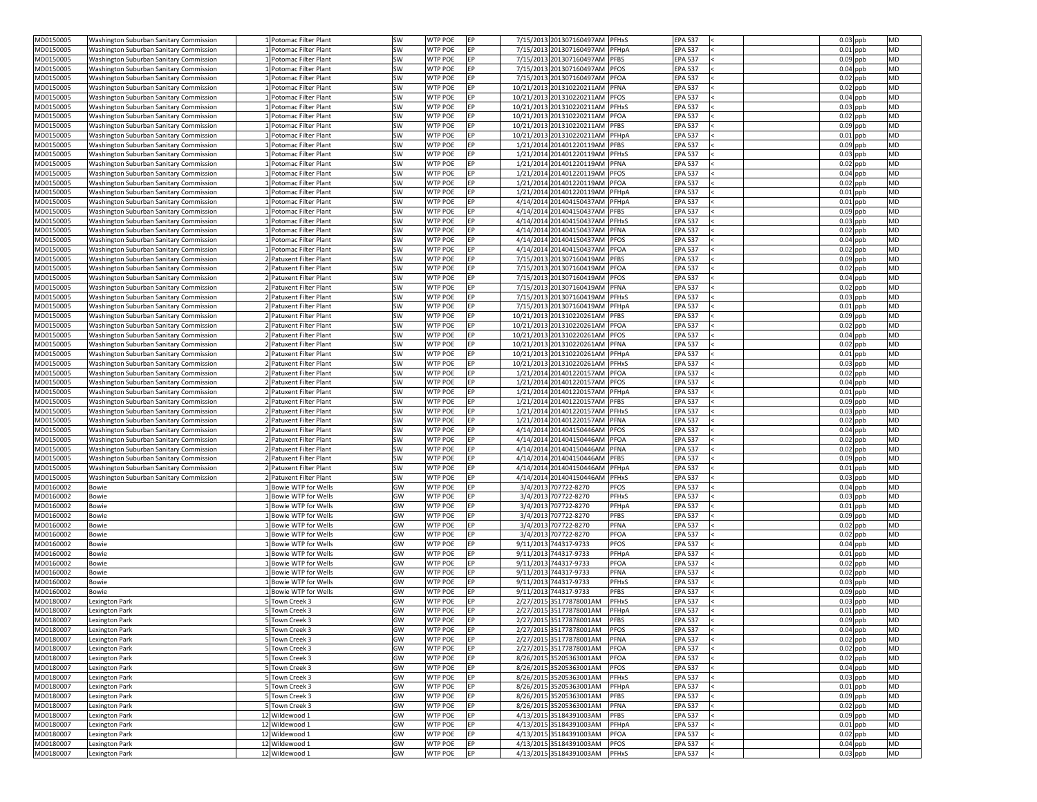| MD0150005                           | Washington Suburban Sanitary Commission        | 1 Potomac Filter Plant           | <b>SW</b> | <b>WTP POE</b>                   | EP         | 7/15/2013 201307160497AM PFHxS                     | <b>EPA 537</b>                                                  | $0.03$ ppb<br><b>MD</b>                            |
|-------------------------------------|------------------------------------------------|----------------------------------|-----------|----------------------------------|------------|----------------------------------------------------|-----------------------------------------------------------------|----------------------------------------------------|
| MD0150005                           | Washington Suburban Sanitary Commission        | 1 Potomac Filter Plant           | SW        | <b>WTP POE</b>                   | IFP.       | 7/15/2013 201307160497AM PFHpA                     | <b>EPA 537</b>                                                  | $0.01$ ppb<br><b>MD</b>                            |
| MD0150005                           | Washington Suburban Sanitary Commission        | LPotomac Filter Plant            | SW        | WTP POE                          | <b>FP</b>  | 7/15/2013 201307160497AM                           | PFBS<br><b>EPA 537</b>                                          | $0.09$ ppb<br><b>MD</b>                            |
| MD0150005                           | Washington Suburban Sanitary Commission        | 1 Potomac Filter Plant           | SW        | <b>WTP POE</b>                   | EP         | 7/15/2013 201307160497AM                           | <b>PFOS</b><br><b>EPA 537</b>                                   | $0.04$ ppb<br><b>MD</b>                            |
|                                     |                                                |                                  |           | <b>WTP POE</b>                   | <b>IEP</b> | 7/15/2013 201307160497AM PFOA                      | <b>EPA 537</b>                                                  | <b>MD</b>                                          |
| MD0150005                           | Washington Suburban Sanitary Commission        | 1 Potomac Filter Plant           | SW        |                                  |            |                                                    |                                                                 | $0.02$ ppb                                         |
| MD0150005                           | Washington Suburban Sanitary Commission        | 1 Potomac Filter Plant           | SW        | <b>WTP POE</b>                   | EP         | 10/21/2013 201310220211AM                          | <b>EPA 537</b><br>PFNA                                          | $0.02$ ppb<br><b>MD</b>                            |
| MD0150005                           | Washington Suburban Sanitary Commission        | 1 Potomac Filter Plant           | SW        | <b>WTP POE</b>                   | IEP.       | 10/21/2013 201310220211AM PFOS                     | <b>EPA 537</b>                                                  | $0.04$ ppb<br><b>MD</b>                            |
| MD0150005                           | Washington Suburban Sanitary Commission        | 1 Potomac Filter Plant           | SW        | <b>WTP POE</b>                   | FP         | 10/21/2013 201310220211AM                          | PFHxS<br><b>EPA 537</b>                                         | <b>MD</b><br>$0.03$ ppb                            |
| MD0150005                           | Washington Suburban Sanitary Commission        | 1  Potomac Filter Plant          | SW        | <b>WTP POE</b>                   | FP.        | 10/21/2013 201310220211AM                          | <b>EPA 537</b><br>PFOA                                          | $0.02$ ppb<br><b>MD</b>                            |
| MD0150005                           | Washington Suburban Sanitary Commission        | L Potomac Filter Plant           | SW        | <b>WTP POE</b>                   | <b>FP</b>  | 10/21/2013 201310220211AM PFBS                     | <b>EPA 537</b>                                                  | $0.09$ ppb<br><b>MD</b>                            |
| MD0150005                           | Washington Suburban Sanitary Commission        | 1 Potomac Filter Plant           | SW        | <b>WTP POE</b>                   | EP         | 10/21/2013 201310220211AM                          | <b>EPA 537</b><br>PFHpA                                         | $0.01$ ppb<br><b>MD</b>                            |
| MD0150005                           | Washington Suburban Sanitary Commission        | 1 Potomac Filter Plant           | <b>SW</b> | <b>WTP POE</b>                   | IEP.       | 1/21/2014 201401220119AM PFBS                      | <b>EPA 537</b>                                                  | <b>MD</b><br>$0.09$ ppb                            |
| MD0150005                           | Washington Suburban Sanitary Commission        | 1 Potomac Filter Plant           | SW        | <b>WTP POE</b>                   | <b>FP</b>  | 1/21/2014 201401220119AM                           | <b>EPA 537</b><br><b>PFHxS</b>                                  | $0.03$ ppb<br><b>MD</b>                            |
|                                     |                                                |                                  |           |                                  |            |                                                    |                                                                 |                                                    |
| MD0150005                           | <b>Washington Suburban Sanitary Commission</b> | 1   Potomac Filter Plant         | SW        | <b>WTP POE</b>                   | FP         | 1/21/2014 201401220119AM PFNA                      | <b>EPA 537</b>                                                  | <b>MD</b><br>$0.02$ ppb                            |
| MD0150005                           | Washington Suburban Sanitary Commission        | LPotomac Filter Plant            | SW        | <b>WTP POE</b>                   | <b>FP</b>  | 1/21/2014 201401220119AM PFOS                      | <b>EPA 537</b>                                                  | <b>MD</b><br>$0.04$ ppb                            |
| MD0150005                           | Washington Suburban Sanitary Commission        | 1 Potomac Filter Plant           | <b>SW</b> | <b>WTP POE</b>                   | IEP.       | 1/21/2014 201401220119AM                           | <b>EPA 537</b><br>PFOA                                          | $0.02$ ppb<br><b>MD</b>                            |
| MD0150005                           | <b>Washington Suburban Sanitary Commission</b> | 1 Potomac Filter Plant           | SW        | WTP POE                          | IEP.       | 1/21/2014 201401220119AM PFHpA                     | <b>EPA 537</b>                                                  | $0.01$ ppb<br><b>MD</b>                            |
| MD0150005                           | Washington Suburban Sanitary Commission        | 1 Potomac Filter Plant           | SW        | <b>WTP POE</b>                   | EP         | 4/14/2014 201404150437AM                           | PFHpA<br><b>EPA 537</b>                                         | $0.01$ ppb<br><b>MD</b>                            |
| MD0150005                           | Washington Suburban Sanitary Commission        | 1 Potomac Filter Plant           | <b>SW</b> | <b>WTP POE</b>                   | IEP.       | 4/14/2014 201404150437AM PFBS                      | <b>EPA 537</b>                                                  | $0.09$ ppb<br><b>MD</b>                            |
| MD0150005                           | Washington Suburban Sanitary Commission        | LPotomac Filter Plant            | SW        | WTP POE                          | IEP.       | 4/14/2014 201404150437AM PFHxS                     | <b>EPA 537</b>                                                  | $0.03$ ppb<br><b>MD</b>                            |
| MD0150005                           | Washington Suburban Sanitary Commission        | 1 Potomac Filter Plant           | SW        | <b>WTP POE</b>                   | FP         | 4/14/2014 201404150437AM PFNA                      | <b>EPA 537</b>                                                  | $0.02$ ppb<br><b>MD</b>                            |
|                                     |                                                |                                  |           |                                  |            |                                                    |                                                                 |                                                    |
| MD0150005                           | Washington Suburban Sanitary Commission        | 1 Potomac Filter Plant           | SW        | <b>WTP POE</b>                   | FP.        | 4/14/2014 201404150437AM                           | <b>PFOS</b><br><b>EPA 537</b>                                   | $0.04$ ppb<br><b>MD</b>                            |
| MD0150005                           | Washington Suburban Sanitary Commission        | 1 Potomac Filter Plant           | SW        | <b>WTP POE</b>                   | EP         | 4/14/2014 201404150437AM                           | PFOA<br><b>EPA 537</b>                                          | $0.02$ ppb<br><b>MD</b>                            |
| MD0150005                           | Washington Suburban Sanitary Commission        | 2 Patuxent Filter Plant          | SW        | <b>WTP POE</b>                   | <b>IEP</b> | 7/15/2013 201307160419AM PFBS                      | <b>EPA 537</b>                                                  | <b>MD</b><br>$0.09$ ppb                            |
| MD0150005                           | Washington Suburban Sanitary Commission        | 2 Patuxent Filter Plant          | SW        | <b>WTP POE</b>                   | EP         | 7/15/2013 201307160419AM PFOA                      | <b>EPA 537</b>                                                  | $0.02$ ppb<br><b>MD</b>                            |
| MD0150005                           | <b>Washington Suburban Sanitary Commission</b> | 2 Patuxent Filter Plant          | SW        | <b>WTP POE</b>                   | FP.        | 7/15/2013 201307160419AM PFOS                      | <b>EPA 537</b>                                                  | $0.04$ ppb<br><b>MD</b>                            |
| MD0150005                           | <b>Washington Suburban Sanitary Commission</b> | 2 Patuxent Filter Plant          | SW        | <b>WTP POE</b>                   | FP.        | 7/15/2013 201307160419AM                           | <b>PFNA</b><br><b>EPA 537</b>                                   | <b>MD</b><br>$0.02$ ppb                            |
| MD0150005                           | Washington Suburban Sanitary Commission        | 2 Patuxent Filter Plant          | SW        | <b>WTP POE</b>                   | EP.        | 7/15/2013 201307160419AM                           | PFHxS<br><b>EPA 537</b>                                         | $0.03$ ppb<br><b>MD</b>                            |
| MD0150005                           | Washington Suburban Sanitary Commission        | 2 Patuxent Filter Plant          | SW        | WTP POE                          | IEP.       | 7/15/2013 201307160419AM PFHpA                     | <b>EPA 537</b>                                                  | $0.01$ ppb<br><b>MD</b>                            |
| MD0150005                           |                                                |                                  |           | <b>WTP POE</b>                   | IEP.       | 10/21/2013 201310220261AM PFBS                     |                                                                 | <b>MD</b>                                          |
|                                     | Washington Suburban Sanitary Commission        | 2 Patuxent Filter Plant          | <b>SW</b> |                                  |            |                                                    | <b>EPA 537</b>                                                  | $0.09$ ppb                                         |
| MD0150005                           | <b>Washington Suburban Sanitary Commission</b> | 2 Patuxent Filter Plant          | <b>SW</b> | <b>WTP POE</b>                   | IFP.       | 10/21/2013 201310220261AM PFOA                     | <b>EPA 537</b>                                                  | $0.02$ ppb<br><b>MD</b>                            |
| MD0150005                           | Washington Suburban Sanitary Commission        | 2 Patuxent Filter Plant          | SW        | <b>WTP POE</b>                   | EP         | 10/21/2013 201310220261AM PFOS                     | <b>EPA 537</b>                                                  | $0.04$ ppb<br><b>MD</b>                            |
| MD0150005                           | Washington Suburban Sanitary Commission        | 2 Patuxent Filter Plant          | SW        | <b>WTP POE</b>                   | IFP.       | 10/21/2013 201310220261AM PFNA                     | <b>EPA 537</b>                                                  | $0.02$ ppb<br><b>MD</b>                            |
| MD0150005                           | Washington Suburban Sanitary Commission        | 2 Patuxent Filter Plant          | SW        | WTP POE                          | FP.        | 10/21/2013 201310220261AM                          | PFHpA<br><b>EPA 537</b>                                         | <b>MD</b><br>$0.01$ ppb                            |
| MD0150005                           | Washington Suburban Sanitary Commission        | 2 Patuxent Filter Plant          | SW        | <b>WTP POE</b>                   | EP         | 10/21/2013 201310220261AM                          | PFHxS<br><b>EPA 537</b>                                         | $0.03$ ppb<br><b>MD</b>                            |
| MD0150005                           | Washington Suburban Sanitary Commission        | 2 Patuxent Filter Plant          | SW        | <b>WTP POE</b>                   | IEP.       | 1/21/2014 201401220157AM PFOA                      | <b>EPA 537</b>                                                  | $0.02$ ppb<br><b>MD</b>                            |
| MD0150005                           | Washington Suburban Sanitary Commission        | 2 Patuxent Filter Plant          | SW        | <b>WTP POE</b>                   | EP         | 1/21/2014 201401220157AM PFOS                      | <b>EPA 537</b>                                                  | $0.04$ ppb<br><b>MD</b>                            |
| MD0150005                           | Washington Suburban Sanitary Commission        | 2 Patuxent Filter Plant          | SW        | <b>WTP POE</b>                   | IEP.       | 1/21/2014 201401220157AM PFHpA                     | <b>EPA 537</b>                                                  | $0.01$ ppb<br><b>MD</b>                            |
|                                     |                                                |                                  |           |                                  |            |                                                    |                                                                 |                                                    |
| MD0150005                           | <b>Washington Suburban Sanitary Commission</b> | 2 Patuxent Filter Plant          | SW        | <b>WTP POE</b>                   | FP.        | 1/21/2014 201401220157AM PFBS                      | <b>EPA 537</b>                                                  | $0.09$ ppb<br><b>MD</b>                            |
| MD0150005                           | Washington Suburban Sanitary Commission        | 2 Patuxent Filter Plant          | SW        | <b>WTP POE</b>                   | FP.        | 1/21/2014 201401220157AM                           | PFHxS<br><b>EPA 537</b>                                         | $0.03$ ppb<br><b>MD</b>                            |
| MD0150005                           | Washington Suburban Sanitary Commission        | 2 Patuxent Filter Plant          | SW        | <b>WTP POE</b>                   | IFP.       | 1/21/2014 201401220157AM PFNA                      | <b>EPA 537</b>                                                  | $0.02$ ppb<br><b>MD</b>                            |
| MD0150005                           | Washington Suburban Sanitary Commission        | 2 Patuxent Filter Plant          | SW        | <b>WTP POE</b>                   | EP         | 4/14/2014 201404150446AM                           | <b>EPA 537</b><br><b>PFOS</b>                                   | $0.04$ ppb<br><b>MD</b>                            |
| MD0150005                           | Washington Suburban Sanitary Commission        | 2 Patuxent Filter Plant          | SW        | <b>WTP POE</b>                   | <b>IEP</b> | 4/14/2014 201404150446AM PFOA                      | <b>EPA 537</b>                                                  | $0.02$ ppb<br><b>MD</b>                            |
| MD0150005                           | Washington Suburban Sanitary Commission        | 2 Patuxent Filter Plant          | SW        | <b>WTP POE</b>                   | <b>FP</b>  | 4/14/2014 201404150446AM PFNA                      | <b>EPA 537</b>                                                  | $0.02$ ppb<br><b>MD</b>                            |
| MD0150005                           | Washington Suburban Sanitary Commission        | 2 Patuxent Filter Plant          | SW        | <b>WTP POE</b>                   | FP         | 4/14/2014 201404150446AM                           | <b>PFBS</b><br><b>EPA 537</b>                                   | <b>MD</b><br>$0.09$ ppb                            |
| MD0150005                           | Washington Suburban Sanitary Commission        | 2 Patuxent Filter Plant          | SW        | <b>WTP POE</b>                   | FP         | 4/14/2014 201404150446AM                           | PFHpA<br><b>EPA 537</b>                                         | $0.01$ ppb<br><b>MD</b>                            |
| MD0150005                           | Washington Suburban Sanitary Commission        | 2 Patuxent Filter Plant          | SW        | <b>WTP POE</b>                   | EP         | 4/14/2014 201404150446AM                           | <b>EPA 537</b><br>PFHxS                                         | $0.03$ ppb<br><b>MD</b>                            |
|                                     |                                                |                                  |           |                                  |            |                                                    |                                                                 |                                                    |
| MD0160002                           | <b>Bowie</b>                                   | 1 Bowie WTP for Wells            | GW        | <b>WTP POE</b>                   | <b>IEP</b> | 3/4/2013 707722-8270                               | <b>PFOS</b><br><b>EPA 537</b>                                   | $0.04$ ppb<br><b>MD</b>                            |
| MD0160002                           | <b>Bowie</b>                                   | LBowie WTP for Wells             | GW        | <b>WTP POE</b>                   | EP         | 3/4/2013 707722-8270                               | <b>PFHxS</b><br><b>EPA 537</b>                                  | $0.03$ ppb<br><b>MD</b>                            |
| MD0160002                           | Bowie                                          | 1 Bowie WTP for Wells            | GW        | <b>WTP POE</b>                   | <b>IEP</b> | 3/4/2013 707722-8270                               | PFHpA<br><b>EPA 537</b>                                         | <b>MD</b><br>$0.01$ ppb                            |
| MD0160002                           | <b>Bowie</b>                                   | LBowie WTP for Wells             | GW        | <b>WTP POE</b>                   | IEP.       | 3/4/2013 707722-8270                               | <b>PFBS</b><br><b>EPA 537</b>                                   | <b>MD</b><br>$0.09$ ppb                            |
| MD0160002                           | <b>Bowie</b>                                   | 1 Bowie WTP for Wells            | GW        | <b>WTP POE</b>                   | FP.        | 3/4/2013 707722-8270                               | PFNA<br><b>EPA 537</b>                                          | $0.02$ ppb<br><b>MD</b>                            |
| MD0160002                           | <b>Bowie</b>                                   | LBowie WTP for Wells             | GW        | <b>WTP POE</b>                   | <b>FP</b>  | 3/4/2013 707722-8270                               | PFOA<br><b>EPA 537</b>                                          | $0.02$ ppb<br><b>MD</b>                            |
| MD0160002                           | <b>Bowie</b>                                   | LBowie WTP for Wells             | GW        | <b>WTP POE</b>                   | EP         | 9/11/2013 744317-9733                              | PFOS<br><b>EPA 537</b>                                          | $0.04$ ppb<br><b>MD</b>                            |
| MD0160002                           | <b>Bowie</b>                                   | 1 Bowie WTP for Wells            | GW        | <b>WTP POE</b>                   | <b>IEP</b> | 9/11/2013 744317-9733                              | <b>EPA 537</b><br>PFHpA                                         | $0.01$ ppb<br><b>MD</b>                            |
| MD0160002                           | <b>Bowie</b>                                   | LBowie WTP for Wells             | GW        | <b>WTP POE</b>                   | EP         | 9/11/2013 744317-9733                              | <b>PFOA</b><br><b>EPA 537</b>                                   | $0.02$ ppb<br><b>MD</b>                            |
|                                     |                                                |                                  |           |                                  |            |                                                    |                                                                 |                                                    |
| MD0160002                           | <b>Bowie</b>                                   | 1 Bowie WTP for Wells            | GW        | <b>WTP POE</b>                   | IEP.       | 9/11/2013 744317-9733                              | PFNA<br><b>EPA 537</b>                                          | $0.02$ ppb<br><b>MD</b>                            |
| MD0160002                           | <b>Bowie</b>                                   | 1 Bowie WTP for Wells            | GW        | <b>WTP POE</b>                   | FP.        | 9/11/2013 744317-9733                              | PFHxS<br><b>EPA 537</b>                                         | $0.03$ ppb<br><b>MD</b>                            |
| MD0160002                           | <b>Bowie</b>                                   | 1Bowie WTP for Wells             | GW        | <b>WTP POE</b>                   | EP         | 9/11/2013 744317-9733                              | <b>PFBS</b><br><b>EPA 537</b>                                   | $0.09$ ppb<br><b>MD</b>                            |
| MD0180007                           | Lexington Park                                 | 5 Town Creek 3                   | GW        | WTP POE                          | <b>IEP</b> | 2/27/2015 35177878001AM                            | <b>PFHxS</b><br><b>EPA 537</b>                                  | $0.03$ ppb<br><b>MD</b>                            |
| MD0180007                           | <b>Lexington Park</b>                          | 5 Town Creek 3                   | GW        | <b>WTP POE</b>                   | EP         | 2/27/2015 35177878001AM                            | <b>EPA 537</b><br>PFHpA                                         | $0.01$ ppb<br><b>MD</b>                            |
| MD0180007                           | <b>Lexington Park</b>                          | 5 Town Creek 3                   | GW        | <b>WTP POE</b>                   | IFP.       | 2/27/2015 35177878001AM                            | <b>PFBS</b><br><b>EPA 537</b>                                   | $0.09$ ppb<br><b>MD</b>                            |
| MD0180007                           | Lexington Park                                 | 5 Town Creek 3                   | GW        | <b>WTP POE</b>                   | EP         | 2/27/2015 35177878001AM                            | PFOS<br><b>EPA 537</b>                                          | $0.04$ ppb<br><b>MD</b>                            |
| MD0180007                           | Lexington Park                                 | 5 Town Creek 3                   | GW        | <b>WTP POE</b>                   | EP         | 2/27/2015 35177878001AM                            | PFNA<br><b>EPA 537</b>                                          | $0.02$ ppb<br><b>MD</b>                            |
|                                     |                                                |                                  |           |                                  |            |                                                    |                                                                 |                                                    |
| MD0180007                           | Lexington Park                                 | 5 Town Creek 3                   | GW        | <b>WTP POE</b>                   | EP         | 2/27/2015 35177878001AM                            | PFOA<br><b>EPA 537</b>                                          | <b>MD</b><br>$0.02$ ppb                            |
| MD0180007                           | Lexington Park                                 | 5 Town Creek 3                   | GW        | <b>WTP POE</b>                   | EP         | 8/26/2015 35205363001AM                            | <b>PFOA</b><br><b>EPA 537</b>                                   | MD<br>$0.02$ ppb                                   |
| MD0180007                           | Lexington Park                                 | 5 Town Creek 3                   | GW        | <b>WTP POE</b>                   | EP         | 8/26/2015 35205363001AM                            | <b>PFOS</b><br><b>EPA 537</b>                                   | $0.04$ ppb<br><b>MD</b>                            |
| MD0180007                           | Lexington Park                                 | 5 Town Creek 3                   | GW        | <b>WTP POE</b>                   | EP         | 8/26/2015 35205363001AM                            | <b>EPA 537</b><br>PFHxS                                         | <b>MD</b><br>$0.03$ ppb                            |
| MD0180007                           | Lexington Park                                 | 5 Town Creek 3                   | GW        | <b>WTP POE</b>                   | EP         | 8/26/2015 35205363001AM                            | <b>EPA 537</b><br>PFHpA                                         | $0.01$ ppb<br><b>MD</b>                            |
| MD0180007                           | Lexington Park                                 | 5 Town Creek 3                   | GW        | <b>WTP POE</b>                   | EP         | 8/26/2015 35205363001AM                            | <b>PFBS</b><br><b>EPA 537</b>                                   | $0.09$ ppb<br><b>MD</b>                            |
| MD0180007                           | Lexington Park                                 | 5 Town Creek 3                   | GW        | <b>WTP POE</b>                   | EP         | 8/26/2015 35205363001AM                            | <b>EPA 537</b><br>PFNA                                          | $0.02$ ppb<br><b>MD</b>                            |
| MD0180007                           | Lexington Park                                 | 12 Wildewood 1                   | GW        | <b>WTP POE</b>                   | EP         | 4/13/2015 35184391003AM                            | <b>PFBS</b><br><b>EPA 537</b>                                   | $0.09$ ppb<br><b>MD</b>                            |
|                                     |                                                |                                  |           |                                  |            |                                                    |                                                                 | $0.01$ ppb<br><b>MD</b>                            |
| MD0180007                           |                                                |                                  |           |                                  |            |                                                    |                                                                 |                                                    |
|                                     | Lexington Park                                 | 12 Wildewood 1                   | GW        | <b>WTP POE</b>                   | EP         | 4/13/2015 35184391003AM                            | <b>EPA 537</b><br>PFHpA                                         |                                                    |
|                                     | Lexington Park                                 | 12 Wildewood 1                   | GW        | <b>WTP POE</b>                   | EP         | 4/13/2015 35184391003AM                            | PFOA<br><b>EPA 537</b>                                          | $0.02$ ppb<br><b>MD</b>                            |
| MD0180007<br>MD0180007<br>MD0180007 | Lexington Park<br>Lexington Park               | 12 Wildewood 1<br>12 Wildewood 1 | GW<br>GW  | <b>WTP POE</b><br><b>WTP POE</b> | EP<br>EP   | 4/13/2015 35184391003AM<br>4/13/2015 35184391003AM | <b>PFOS</b><br><b>EPA 537</b><br><b>PFHxS</b><br><b>EPA 537</b> | $0.04$ ppb<br><b>MD</b><br>$0.03$ ppb<br><b>MD</b> |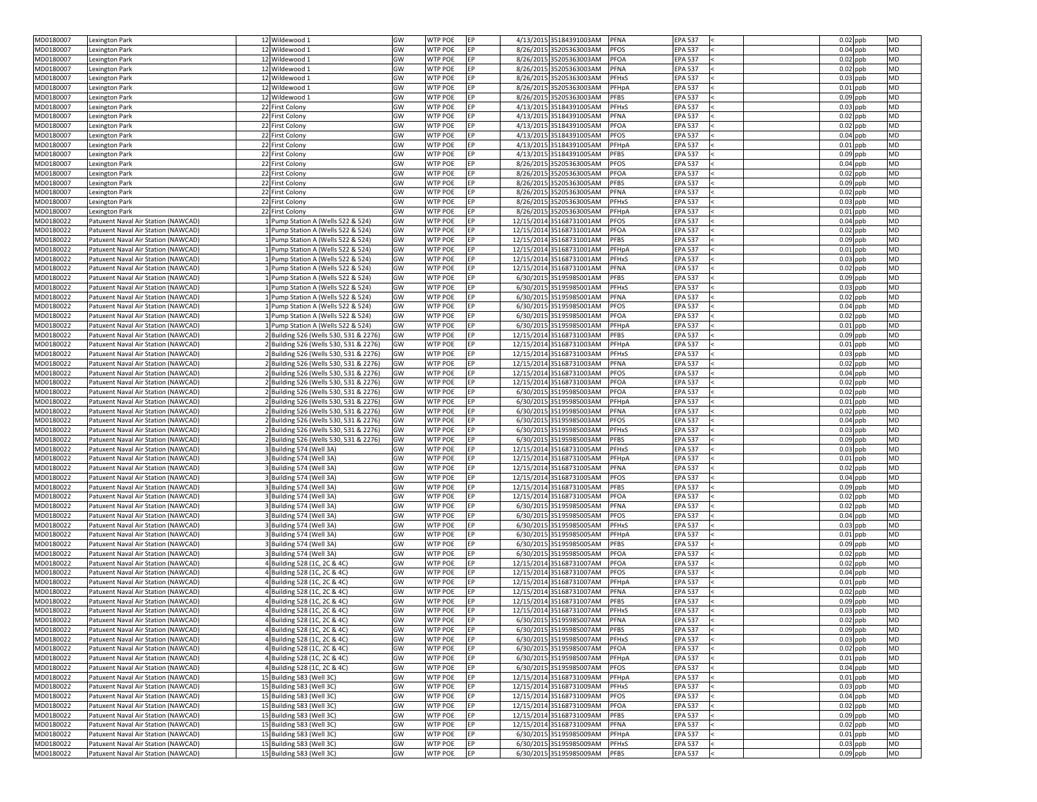| MD0180007 | <b>Lexington Park</b>               | 12 Wildewood 1                         | GW | <b>WTP POE</b> | <b>IEP</b> | 4/13/2015 35184391003AM  | <b>PFNA</b>  | <b>EPA 537</b> | $0.02$ ppb | <b>MD</b> |
|-----------|-------------------------------------|----------------------------------------|----|----------------|------------|--------------------------|--------------|----------------|------------|-----------|
| MD0180007 | Lexington Park                      | 12 Wildewood 1                         | GW | <b>WTP POE</b> | EP         | 8/26/2015 35205363003AM  | <b>PFOS</b>  | <b>EPA 537</b> | $0.04$ ppb | <b>MD</b> |
| MD0180007 | Lexington Park                      | 12 Wildewood 1                         | GW | WTP POE        | EP         | 8/26/2015 35205363003AM  | PFOA         | <b>EPA 537</b> | $0.02$ ppb | <b>MD</b> |
| MD0180007 | Lexington Park                      | 12 Wildewood 1                         | GW | <b>WTP POE</b> | EP         | 8/26/2015 35205363003AM  | <b>PFNA</b>  | <b>EPA 537</b> | $0.02$ ppb | <b>MD</b> |
| MD0180007 | Lexington Park                      | 12 Wildewood 1                         | GW | <b>WTP POE</b> | <b>FP</b>  | 8/26/2015 35205363003AM  | PFHxS        | <b>EPA 537</b> | $0.03$ ppb | <b>MD</b> |
| MD0180007 | Lexington Park                      | 12 Wildewood 1                         | GW | <b>WTP POE</b> | FP         | 8/26/2015 35205363003AM  | PFHpA        | <b>EPA 537</b> | $0.01$ ppb | <b>MD</b> |
| MD0180007 | Lexington Park                      | 12 Wildewood 1                         | GW | WTP POE        | FP.        | 8/26/2015 35205363003AM  | <b>PFBS</b>  | <b>EPA 537</b> | $0.09$ ppb | <b>MD</b> |
| MD0180007 | Lexington Park                      | 22 First Colony                        | GW | WTP POE        | EP         | 4/13/2015 35184391005AM  | <b>PFHxS</b> | <b>EPA 537</b> | $0.03$ ppb | <b>MD</b> |
| MD0180007 | Lexington Park                      | 22 First Colony                        | GW | <b>WTP POE</b> | EP         | 4/13/2015 35184391005AM  | PFNA         | <b>EPA 537</b> | $0.02$ ppb | MD        |
| MD0180007 | Lexington Park                      | 22 First Colony                        | GW | <b>WTP POE</b> | IEP.       | 4/13/2015 35184391005AM  | PFOA         | <b>EPA 537</b> | $0.02$ ppb | <b>MD</b> |
| MD0180007 | Lexington Park                      | 22 First Colony                        | GW | <b>WTP POE</b> | EP         | 4/13/2015 35184391005AM  | <b>PFOS</b>  | <b>EPA 537</b> | $0.04$ ppb | <b>MD</b> |
| MD0180007 | Lexington Park                      | 22 First Colony                        | GW | <b>WTP POE</b> | <b>IFP</b> | 4/13/2015 35184391005AM  | PFHpA        | <b>EPA 537</b> | $0.01$ ppb | <b>MD</b> |
| MD0180007 | Lexington Park                      | 22 First Colony                        | GW | WTP POE        | FP.        | 4/13/2015 35184391005AM  | <b>PFBS</b>  | <b>EPA 537</b> | $0.09$ ppb | MD        |
| MD0180007 | Lexington Park                      | 22 First Colony                        | GW | <b>WTP POE</b> | EP         | 8/26/2015 35205363005AM  | <b>PFOS</b>  | <b>EPA 537</b> | $0.04$ ppb | MD        |
| MD0180007 | Lexington Park                      | 22 First Colony                        | GW | <b>WTP POE</b> | IEP.       | 8/26/2015 35205363005AM  | PFOA         | <b>EPA 537</b> | $0.02$ ppb | <b>MD</b> |
| MD0180007 | Lexington Park                      | 22 First Colony                        | GW | <b>WTP POE</b> | EP         | 8/26/2015 35205363005AM  | <b>PFBS</b>  | <b>EPA 537</b> | $0.09$ ppb | <b>MD</b> |
| MD0180007 | Lexington Park                      | 22 First Colony                        | GW | <b>WTP POE</b> | EP         | 8/26/2015 35205363005AM  | <b>PFNA</b>  | <b>EPA 537</b> | $0.02$ ppb | <b>MD</b> |
| MD0180007 |                                     | 22 First Colony                        | GW | <b>WTP POE</b> |            | 8/26/2015 35205363005AM  | <b>PFHxS</b> | <b>EPA 537</b> | $0.03$ ppb | MD        |
|           | Lexington Park                      |                                        | GW | WTP POE        | EP<br>FP.  |                          |              |                |            | <b>MD</b> |
| MD0180007 | Lexington Park                      | 22 First Colony                        |    |                |            | 8/26/2015 35205363005AM  | PFHpA        | <b>EPA 537</b> | $0.01$ ppb |           |
| MD0180022 | Patuxent Naval Air Station (NAWCAD) | 1 Pump Station A (Wells 522 & 524)     | GW | WTP POE        | EP         | 12/15/2014 35168731001AM | <b>PFOS</b>  | <b>EPA 537</b> | $0.04$ ppb | <b>MD</b> |
| MD0180022 | Patuxent Naval Air Station (NAWCAD) | 1 Pump Station A (Wells 522 & 524)     | GW | <b>WTP POE</b> | EP         | 12/15/2014 35168731001AM | PFOA         | <b>EPA 537</b> | $0.02$ ppb | <b>MD</b> |
| MD0180022 | Patuxent Naval Air Station (NAWCAD) | 1 Pump Station A (Wells 522 & 524)     | GW | <b>WTP POE</b> | EP         | 12/15/2014 35168731001AM | <b>PFBS</b>  | <b>EPA 537</b> | $0.09$ ppb | <b>MD</b> |
| MD0180022 | Patuxent Naval Air Station (NAWCAD) | 1 Pump Station A (Wells 522 & 524)     | GW | <b>WTP POE</b> | EP         | 12/15/2014 35168731001AM | PFHpA        | <b>EPA 537</b> | $0.01$ ppb | <b>MD</b> |
| MD0180022 | Patuxent Naval Air Station (NAWCAD) | 1 Pump Station A (Wells 522 & 524)     | GW | <b>WTP POE</b> | EP         | 12/15/2014 35168731001AM | PFHxS        | <b>EPA 537</b> | $0.03$ ppb | <b>MD</b> |
| MD0180022 | Patuxent Naval Air Station (NAWCAD) | 1 Pump Station A (Wells 522 & 524)     | GW | <b>WTP POE</b> | EP         | 12/15/2014 35168731001AM | <b>PFNA</b>  | <b>EPA 537</b> | $0.02$ ppb | <b>MD</b> |
| MD0180022 | Patuxent Naval Air Station (NAWCAD) | 1 Pump Station A (Wells 522 & 524)     | GW | <b>WTP POE</b> | <b>EP</b>  | 6/30/2015 35195985001AM  | <b>PFBS</b>  | <b>EPA 537</b> | $0.09$ ppb | MD        |
| MD0180022 | Patuxent Naval Air Station (NAWCAD) | 1 Pump Station A (Wells 522 & 524)     | GW | <b>WTP POE</b> | IEP.       | 6/30/2015 35195985001AM  | <b>PFHxS</b> | <b>EPA 537</b> | $0.03$ ppb | <b>MD</b> |
| MD0180022 | Patuxent Naval Air Station (NAWCAD) | 1 Pump Station A (Wells 522 & 524)     | GW | <b>WTP POE</b> | EP         | 6/30/2015 35195985001AM  | PFNA         | <b>EPA 537</b> | $0.02$ ppb | <b>MD</b> |
| MD0180022 | Patuxent Naval Air Station (NAWCAD) | 1 Pump Station A (Wells 522 & 524)     | GW | <b>WTP POE</b> | EP         | 6/30/2015 35195985001AM  | <b>PFOS</b>  | <b>EPA 537</b> | $0.04$ ppb | <b>MD</b> |
| MD0180022 | Patuxent Naval Air Station (NAWCAD) | 1 Pump Station A (Wells 522 & 524)     | GW | <b>WTP POE</b> | EP         | 6/30/2015 35195985001AM  | <b>PFOA</b>  | <b>EPA 537</b> | $0.02$ ppb | <b>MD</b> |
| MD0180022 | Patuxent Naval Air Station (NAWCAD) | 1 Pump Station A (Wells 522 & 524)     | GW | <b>WTP POE</b> |            | 6/30/2015 35195985001AM  | PFHpA        | <b>EPA 537</b> | $0.01$ ppb | MD        |
| MD0180022 | Patuxent Naval Air Station (NAWCAD) | 2 Building 526 (Wells 530, 531 & 2276) | GW | <b>WTP POE</b> | <b>IEP</b> | 12/15/2014 35168731003AM | <b>PFBS</b>  | <b>EPA 537</b> | $0.09$ ppb | MD        |
| MD0180022 | Patuxent Naval Air Station (NAWCAD) | 2 Building 526 (Wells 530, 531 & 2276) | GW | <b>WTP POE</b> | EP         | 12/15/2014 35168731003AM | PFHpA        | <b>EPA 537</b> | $0.01$ ppb | <b>MD</b> |
| MD0180022 | Patuxent Naval Air Station (NAWCAD) | 2 Building 526 (Wells 530, 531 & 2276) | GW | <b>WTP POE</b> | EP         | 12/15/2014 35168731003AM | <b>PFHxS</b> | <b>EPA 537</b> | $0.03$ ppb | <b>MD</b> |
| MD0180022 | Patuxent Naval Air Station (NAWCAD) | 2 Building 526 (Wells 530, 531 & 2276) | GW | <b>WTP POE</b> | EP         | 12/15/2014 35168731003AM | PFNA         | <b>EPA 537</b> | $0.02$ ppb | <b>MD</b> |
| MD0180022 | Patuxent Naval Air Station (NAWCAD) | 2 Building 526 (Wells 530, 531 & 2276) | GW | <b>WTP POE</b> | <b>IEP</b> | 12/15/2014 35168731003AM | <b>PFOS</b>  | <b>EPA 537</b> | $0.04$ ppb | <b>MD</b> |
| MD0180022 | Patuxent Naval Air Station (NAWCAD) | 2 Building 526 (Wells 530, 531 & 2276) | GW | <b>WTP POE</b> | <b>FP</b>  | 12/15/2014 35168731003AM | PFOA         | <b>EPA 537</b> | $0.02$ ppb | MD        |
| MD0180022 | Patuxent Naval Air Station (NAWCAD) | 2 Building 526 (Wells 530, 531 & 2276) | GW | <b>WTP POE</b> | FP         | 6/30/2015 35195985003AM  | PFOA         | <b>EPA 537</b> | $0.02$ ppb | <b>MD</b> |
| MD0180022 | Patuxent Naval Air Station (NAWCAD) | 2 Building 526 (Wells 530, 531 & 2276) | GW | WTP POE        | EP         | 6/30/2015 35195985003AM  | PFHpA        | <b>EPA 537</b> | $0.01$ ppb | <b>MD</b> |
| MD0180022 | Patuxent Naval Air Station (NAWCAD) | 2 Building 526 (Wells 530, 531 & 2276) | GW | <b>WTP POE</b> | EP         | 6/30/2015 35195985003AM  | PFNA         | <b>EPA 537</b> | $0.02$ ppb | MD        |
| MD0180022 | Patuxent Naval Air Station (NAWCAD) | 2 Building 526 (Wells 530, 531 & 2276) | GW | <b>WTP POE</b> | IEP.       | 6/30/2015 35195985003AM  | <b>PFOS</b>  | <b>EPA 537</b> | $0.04$ ppb | <b>MD</b> |
| MD0180022 | Patuxent Naval Air Station (NAWCAD) | 2 Building 526 (Wells 530, 531 & 2276) | GW | <b>WTP POE</b> | EP         | 6/30/2015 35195985003AM  | <b>PFHxS</b> | <b>EPA 537</b> | $0.03$ ppb | <b>MD</b> |
| MD0180022 | Patuxent Naval Air Station (NAWCAD) | 2 Building 526 (Wells 530, 531 & 2276) | GW | <b>WTP POE</b> | EP         | 6/30/2015 35195985003AM  | <b>PFBS</b>  | <b>EPA 537</b> | $0.09$ ppb | <b>MD</b> |
| MD0180022 | Patuxent Naval Air Station (NAWCAD) | 3 Building 574 (Well 3A)               | GW | WTP POE        |            | 12/15/2014 35168731005AM | <b>PFHxS</b> | <b>EPA 537</b> | $0.03$ ppb | <b>MD</b> |
| MD0180022 | Patuxent Naval Air Station (NAWCAD) | 3 Building 574 (Well 3A)               | GW | <b>WTP POE</b> | EP         | 12/15/2014 35168731005AM | PFHpA        | <b>EPA 537</b> | $0.01$ ppb | <b>MD</b> |
|           |                                     |                                        | GW | <b>WTP POE</b> | <b>FP</b>  | 12/15/2014 35168731005AM | PFNA         | <b>EPA 537</b> | $0.02$ ppb | <b>MD</b> |
| MD0180022 | Patuxent Naval Air Station (NAWCAD) | 3 Building 574 (Well 3A)               |    |                |            |                          |              |                |            |           |
| MD0180022 | Patuxent Naval Air Station (NAWCAD) | 3 Building 574 (Well 3A)               | GW | <b>WTP POE</b> | EP         | 12/15/2014 35168731005AM | <b>PFOS</b>  | <b>EPA 537</b> | $0.04$ ppb | <b>MD</b> |
| MD0180022 | Patuxent Naval Air Station (NAWCAD) | 3 Building 574 (Well 3A)               | GW | <b>WTP POE</b> | EP         | 12/15/2014 35168731005AM | <b>PFBS</b>  | <b>EPA 537</b> | $0.09$ ppb | <b>MD</b> |
| MD0180022 | Patuxent Naval Air Station (NAWCAD) | 3 Building 574 (Well 3A)               | GW | <b>WTP POE</b> | EP         | 12/15/2014 35168731005AM | PFOA         | <b>EPA 537</b> | $0.02$ ppb | MD        |
| MD0180022 | Patuxent Naval Air Station (NAWCAD) | 3 Building 574 (Well 3A)               | GW | <b>WTP POE</b> | IFP.       | 6/30/2015 35195985005AM  | PFNA         | <b>EPA 537</b> | $0.02$ ppb | <b>MD</b> |
| MD0180022 | Patuxent Naval Air Station (NAWCAD) | 3 Building 574 (Well 3A)               | GW | <b>WTP POE</b> | EP         | 6/30/2015 35195985005AM  | <b>PFOS</b>  | <b>EPA 537</b> | $0.04$ ppb | <b>MD</b> |
| MD0180022 | Patuxent Naval Air Station (NAWCAD) | 3 Building 574 (Well 3A)               | GW | <b>WTP POE</b> | EP         | 6/30/2015 35195985005AM  | PFHxS        | <b>EPA 537</b> | $0.03$ ppb | <b>MD</b> |
| MD0180022 | Patuxent Naval Air Station (NAWCAD) | 3 Building 574 (Well 3A)               | GW | <b>WTP POE</b> | EP         | 6/30/2015 35195985005AM  | PFHpA        | <b>EPA 537</b> | $0.01$ ppb | <b>MD</b> |
| MD0180022 | Patuxent Naval Air Station (NAWCAD) | 3 Building 574 (Well 3A)               | GW | <b>WTP POE</b> | EP         | 6/30/2015 35195985005AM  | <b>PFBS</b>  | <b>EPA 537</b> | $0.09$ ppb | <b>MD</b> |
| MD0180022 | Patuxent Naval Air Station (NAWCAD) | 3 Building 574 (Well 3A)               | GW | <b>WTP POE</b> | EP         | 6/30/2015 35195985005AM  | PFOA         | <b>EPA 537</b> | $0.02$ ppb | <b>MD</b> |
| MD0180022 | Patuxent Naval Air Station (NAWCAD) | 4 Building 528 (1C, 2C & 4C)           | GW | WTP POE        | EP         | 12/15/2014 35168731007AM | PFOA         | <b>EPA 537</b> | $0.02$ ppb | <b>MD</b> |
| MD0180022 | Patuxent Naval Air Station (NAWCAD) | 4 Building 528 (1C, 2C & 4C)           | GW | <b>WTP POE</b> | EP         | 12/15/2014 35168731007AM | <b>PFOS</b>  | <b>EPA 537</b> | $0.04$ ppb | <b>MD</b> |
| MD0180022 | Patuxent Naval Air Station (NAWCAD) | 4 Building 528 (1C, 2C & 4C)           | GW | WTP POE        | EP         | 12/15/2014 35168731007AM | PFHpA        | <b>EPA 537</b> | $0.01$ ppb | <b>MD</b> |
| MD0180022 | Patuxent Naval Air Station (NAWCAD) | 4 Building 528 (1C, 2C & 4C)           | GW | <b>WTP POE</b> | EP         | 12/15/2014 35168731007AM | PFNA         | <b>EPA 537</b> | $0.02$ ppb | <b>MD</b> |
| MD0180022 | Patuxent Naval Air Station (NAWCAD) | 4 Building 528 (1C, 2C & 4C)           | GW | <b>WTP POE</b> | EP         | 12/15/2014 35168731007AM | <b>PFBS</b>  | <b>EPA 537</b> | $0.09$ ppb | <b>MD</b> |
| MD0180022 | Patuxent Naval Air Station (NAWCAD) | 4 Building 528 (1C, 2C & 4C)           | GW | <b>WTP POE</b> | EP         | 12/15/2014 35168731007AM | <b>PFHxS</b> | <b>EPA 537</b> | $0.03$ ppb | MD        |
| MD0180022 | Patuxent Naval Air Station (NAWCAD) | 4 Building 528 (1C, 2C & 4C)           | GW | <b>WTP POE</b> |            | 6/30/2015 35195985007AM  | PFNA         | <b>EPA 537</b> | $0.02$ ppb | <b>MD</b> |
| MD0180022 | Patuxent Naval Air Station (NAWCAD) | 4 Building 528 (1C, 2C & 4C)           | GW | <b>WTP POE</b> | EP         | 6/30/2015 35195985007AM  | PFBS         | <b>EPA 537</b> | $0.09$ ppb | MD        |
| MD0180022 | Patuxent Naval Air Station (NAWCAD) | 4 Building 528 (1C, 2C & 4C)           | GW | <b>WTP POE</b> | EP         | 6/30/2015 35195985007AM  | PFHxS        | <b>EPA 537</b> | $0.03$ ppb | <b>MD</b> |
| MD0180022 | Patuxent Naval Air Station (NAWCAD) | 4 Building 528 (1C, 2C & 4C)           | GW | <b>WTP POE</b> | EP         | 6/30/2015 35195985007AM  | <b>PFOA</b>  | <b>EPA 537</b> | $0.02$ ppb | <b>MD</b> |
| MD0180022 | Patuxent Naval Air Station (NAWCAD) | 4 Building 528 (1C, 2C & 4C)           | GW | <b>WTP POE</b> | EP         | 6/30/2015 35195985007AM  | PFHpA        | <b>EPA 537</b> | $0.01$ ppb | <b>MD</b> |
| MD0180022 | Patuxent Naval Air Station (NAWCAD) | 4 Building 528 (1C, 2C & 4C)           | GW | <b>WTP POE</b> | EP         | 6/30/2015 35195985007AM  | <b>PFOS</b>  | <b>EPA 537</b> | $0.04$ ppb | <b>MD</b> |
| MD0180022 | Patuxent Naval Air Station (NAWCAD) | 15 Building 583 (Well 3C)              | GW | <b>WTP POE</b> | EP         | 12/15/2014 35168731009AM | PFHpA        | <b>EPA 537</b> | $0.01$ ppb | <b>MD</b> |
| MD0180022 | Patuxent Naval Air Station (NAWCAD) | 15 Building 583 (Well 3C)              | GW | <b>WTP POE</b> | EP         | 12/15/2014 35168731009AM | PFHxS        | <b>EPA 537</b> | $0.03$ ppb | MD        |
| MD0180022 | Patuxent Naval Air Station (NAWCAD) | 15 Building 583 (Well 3C)              | GW | <b>WTP POE</b> | <b>IEP</b> | 12/15/2014 35168731009AM | <b>PFOS</b>  | <b>EPA 537</b> | $0.04$ ppb | MD        |
| MD0180022 | Patuxent Naval Air Station (NAWCAD) | 15 Building 583 (Well 3C)              | GW | <b>WTP POE</b> | EP         | 12/15/2014 35168731009AM | PFOA         | <b>EPA 537</b> | $0.02$ ppb | <b>MD</b> |
| MD0180022 | Patuxent Naval Air Station (NAWCAD) | 15 Building 583 (Well 3C)              | GW | <b>WTP POE</b> | EP         | 12/15/2014 35168731009AM | <b>PFBS</b>  | <b>EPA 537</b> | $0.09$ ppb | <b>MD</b> |
| MD0180022 | Patuxent Naval Air Station (NAWCAD) | 15 Building 583 (Well 3C)              | GW | <b>WTP POE</b> | EP         | 12/15/2014 35168731009AM | <b>PFNA</b>  | <b>EPA 537</b> | $0.02$ ppb | MD        |
| MD0180022 | Patuxent Naval Air Station (NAWCAD) | 15 Building 583 (Well 3C)              | GW | <b>WTP POE</b> | EP         | 6/30/2015 35195985009AM  | PFHpA        | <b>EPA 537</b> | $0.01$ ppb | <b>MD</b> |
|           |                                     |                                        |    | <b>WTP POE</b> |            | 6/30/2015 35195985009AM  | PFHxS        | <b>EPA 537</b> | $0.03$ ppb | <b>MD</b> |
| MD0180022 | Patuxent Naval Air Station (NAWCAD) | 15 Building 583 (Well 3C)              | GW |                | IEP.<br>EP |                          |              |                |            | <b>MD</b> |
| MD0180022 | Patuxent Naval Air Station (NAWCAD) | 15 Building 583 (Well 3C)              | GW | <b>WTP POE</b> |            | 6/30/2015 35195985009AM  | <b>PFBS</b>  | <b>EPA 537</b> | $0.09$ ppb |           |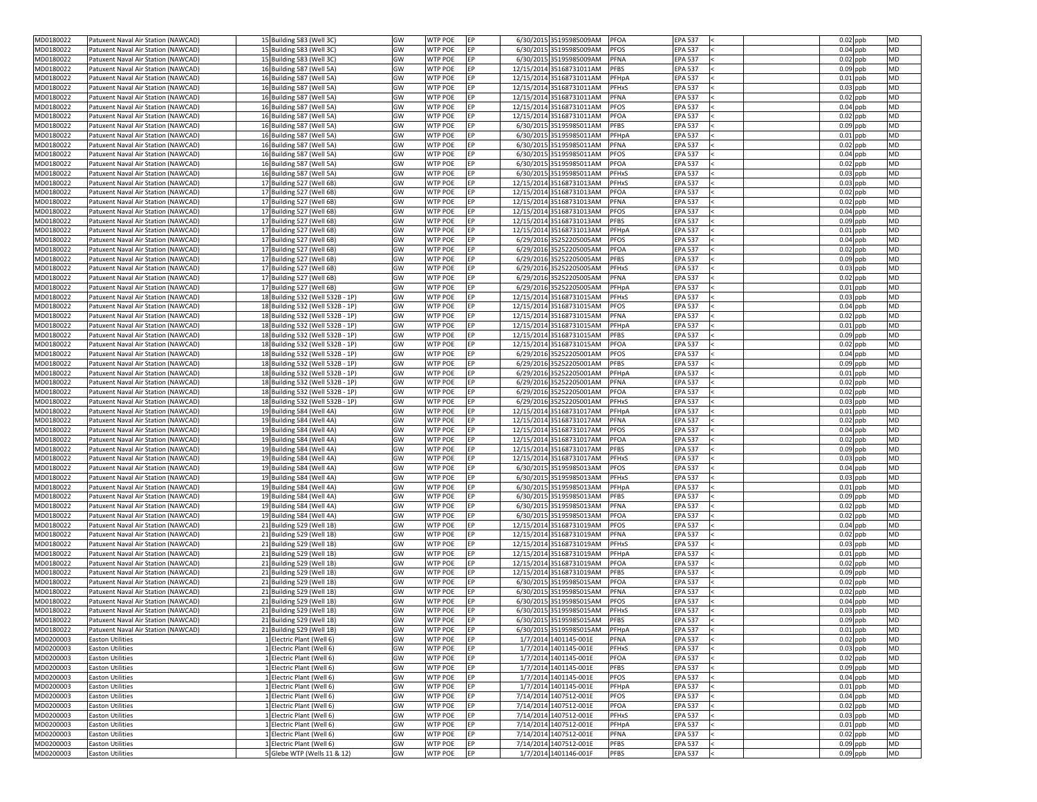| MD0180022              | Patuxent Naval Air Station (NAWCAD)                | 15 Building 583 (Well 3C)                                | GW       | <b>WTP POE</b>                   | EP        | 6/30/2015 35195985009AM                         | <b>PFOA</b><br><b>EPA 537</b>                                  | $0.02$ ppb               | MD              |
|------------------------|----------------------------------------------------|----------------------------------------------------------|----------|----------------------------------|-----------|-------------------------------------------------|----------------------------------------------------------------|--------------------------|-----------------|
| MD0180022              | Patuxent Naval Air Station (NAWCAD)                | 15 Building 583 (Well 3C)                                | GW       | <b>WTP POE</b>                   | <b>EP</b> | 6/30/2015 35195985009AM                         | <b>PFOS</b><br><b>EPA 537</b>                                  | $0.04$ ppb               | MD              |
| MD0180022              | Patuxent Naval Air Station (NAWCAD)                | 15 Building 583 (Well 3C)                                | GW       | <b>WTP POE</b>                   | <b>EP</b> | 6/30/2015 35195985009AM                         | <b>PFNA</b><br><b>EPA 537</b>                                  | $0.02$ ppb               | <b>MD</b>       |
| MD0180022              | Patuxent Naval Air Station (NAWCAD)                | 16 Building 587 (Well 5A)                                | GW       | <b>WTP POE</b>                   | <b>EP</b> | 12/15/2014 35168731011AM                        | <b>PFBS</b><br><b>EPA 537</b>                                  | $0.09$ ppb               | MD              |
| MD0180022              | Patuxent Naval Air Station (NAWCAD)                | 16 Building 587 (Well 5A)                                | GW       | <b>WTP POE</b>                   | EP        | 12/15/2014 35168731011AM                        | PFHpA<br><b>EPA 537</b>                                        | $0.01$ ppb               | <b>MD</b>       |
| MD0180022              | Patuxent Naval Air Station (NAWCAD)                | 16 Building 587 (Well 5A)                                | GW       | <b>WTP POE</b>                   | EP        | 12/15/2014 35168731011AM                        | PFHxS<br><b>EPA 537</b>                                        | $0.03$ ppb               | MD              |
| MD0180022              | Patuxent Naval Air Station (NAWCAD)                | 16 Building 587 (Well 5A)                                | GW       | <b>WTP POE</b>                   | EP        | 12/15/2014 35168731011AM                        | <b>EPA 537</b><br><b>PFNA</b>                                  | $0.02$ ppb               | <b>MD</b>       |
| MD0180022              | Patuxent Naval Air Station (NAWCAD)                | 16 Building 587 (Well 5A)                                | GW       | <b>WTP POE</b>                   | <b>EP</b> | 12/15/2014 35168731011AM                        | <b>PFOS</b><br><b>EPA 537</b>                                  | $0.04$ ppb               | MD              |
| MD0180022              | Patuxent Naval Air Station (NAWCAD)                | 16 Building 587 (Well 5A)                                | GW       | <b>WTP POE</b>                   | EP        | 12/15/2014 35168731011AM                        | PFOA<br><b>EPA 537</b>                                         | $0.02$ ppb               | <b>MD</b>       |
| MD0180022              | Patuxent Naval Air Station (NAWCAD)                | 16 Building 587 (Well 5A)                                | GW       | <b>WTP POE</b>                   | EP        | 6/30/2015 35195985011AM                         | <b>PFBS</b><br><b>EPA 537</b>                                  | $0.09$ ppb               | <b>MD</b>       |
| MD0180022              | Patuxent Naval Air Station (NAWCAD)                | 16 Building 587 (Well 5A)                                | GW       | <b>WTP POE</b>                   | EP        | 6/30/2015 35195985011AM                         | <b>EPA 537</b><br>PFHpA                                        | $0.01$ ppb               | MD              |
| MD0180022              | Patuxent Naval Air Station (NAWCAD)                | 16 Building 587 (Well 5A)                                | GW       | <b>WTP POE</b>                   | EP        | 6/30/2015 35195985011AM                         | <b>PFNA</b><br><b>EPA 537</b>                                  | $0.02$ ppb               | <b>MD</b>       |
| MD0180022              | Patuxent Naval Air Station (NAWCAD)                | 16 Building 587 (Well 5A)                                | GW       | <b>WTP POE</b>                   | EP.       | 6/30/2015 35195985011AM                         | <b>PFOS</b><br><b>EPA 537</b>                                  | $0.04$ ppb               | MD              |
| MD0180022              | Patuxent Naval Air Station (NAWCAD)                | 16 Building 587 (Well 5A)                                | GW       | <b>WTP POE</b>                   | EP        | 6/30/2015 35195985011AM                         | <b>PFOA</b><br><b>EPA 537</b>                                  | $0.02$ ppb               | <b>MD</b>       |
|                        |                                                    | 16 Building 587 (Well 5A)                                |          | <b>WTP POE</b>                   | <b>EP</b> |                                                 | <b>PFHxS</b><br><b>EPA 537</b>                                 | $0.03$ ppb               | <b>MD</b>       |
| MD0180022              | Patuxent Naval Air Station (NAWCAD)                |                                                          | GW       |                                  |           | 6/30/2015 35195985011AM                         |                                                                |                          |                 |
| MD0180022              | Patuxent Naval Air Station (NAWCAD)                | 17 Building 527 (Well 6B)                                | GW       | <b>WTP POE</b>                   | <b>EP</b> | 12/15/2014 35168731013AM                        | PFHxS<br><b>EPA 537</b>                                        | $0.03$ ppb               | <b>MD</b>       |
| MD0180022              | Patuxent Naval Air Station (NAWCAD)                | 17 Building 527 (Well 6B)                                | GW       | <b>WTP POE</b>                   | <b>EP</b> | 12/15/2014 35168731013AM                        | <b>PFOA</b><br><b>EPA 537</b>                                  | $0.02$ ppb               | <b>MD</b>       |
| MD0180022              | Patuxent Naval Air Station (NAWCAD)                | 17 Building 527 (Well 6B)                                | GW       | <b>WTP POE</b>                   | EP        | 12/15/2014 35168731013AM                        | PFNA<br><b>EPA 537</b>                                         | $0.02$ ppb               | MD              |
| MD0180022              | Patuxent Naval Air Station (NAWCAD)                | 17 Building 527 (Well 6B)                                | GW       | <b>WTP POE</b>                   | EP        | 12/15/2014 35168731013AM                        | <b>PFOS</b><br><b>EPA 537</b>                                  | $0.04$ ppb               | <b>MD</b>       |
| MD0180022              | Patuxent Naval Air Station (NAWCAD)                | 17 Building 527 (Well 6B)                                | GW       | <b>WTP POE</b>                   | EP.       | 12/15/2014 35168731013AM                        | <b>PFBS</b><br><b>EPA 537</b>                                  | $0.09$ ppb               | MD              |
| MD0180022              | Patuxent Naval Air Station (NAWCAD)                | 17 Building 527 (Well 6B)                                | GW       | <b>WTP POE</b>                   | EP        | 12/15/2014 35168731013AM                        | PFHpA<br><b>EPA 537</b>                                        | $0.01$ ppb               | <b>MD</b>       |
| MD0180022              | Patuxent Naval Air Station (NAWCAD)                | 17 Building 527 (Well 6B)                                | GW       | <b>WTP POE</b>                   | <b>EP</b> | 6/29/2016 35252205005AM                         | <b>PFOS</b><br><b>EPA 537</b>                                  | $0.04$ ppb               | <b>MD</b>       |
| MD0180022              | Patuxent Naval Air Station (NAWCAD)                | 17 Building 527 (Well 6B)                                | GW       | <b>WTP POE</b>                   | EP        | 6/29/2016 35252205005AM                         | <b>PFOA</b><br><b>EPA 537</b>                                  | $0.02$ ppb               | <b>MD</b>       |
| MD0180022              | Patuxent Naval Air Station (NAWCAD)                | 17 Building 527 (Well 6B)                                | GW       | <b>WTP POE</b>                   | <b>EP</b> | 6/29/2016 35252205005AM                         | <b>PFBS</b><br><b>EPA 537</b>                                  | $0.09$ ppb               | <b>MD</b>       |
| MD0180022              | Patuxent Naval Air Station (NAWCAD)                | 17 Building 527 (Well 6B)                                | GW       | <b>WTP POE</b>                   | EP        | 6/29/2016 35252205005AM                         | PFHxS<br><b>EPA 537</b>                                        | $0.03$ ppb               | MD              |
| MD0180022              | Patuxent Naval Air Station (NAWCAD)                | 17 Building 527 (Well 6B)                                | GW       | <b>WTP POE</b>                   | EP        | 6/29/2016 35252205005AM                         | <b>PFNA</b><br><b>EPA 537</b>                                  | $0.02$ ppb               | <b>MD</b>       |
| MD0180022              | Patuxent Naval Air Station (NAWCAD)                | 17 Building 527 (Well 6B)                                | GW       | <b>WTP POE</b>                   | <b>EP</b> | 6/29/2016 35252205005AM                         | PFHpA<br><b>EPA 537</b>                                        | $0.01$ ppb               | <b>MD</b>       |
| MD0180022              | Patuxent Naval Air Station (NAWCAD)                | 18 Building 532 (Well 532B - 1P)                         | GW       | <b>WTP POE</b>                   | <b>EP</b> | 12/15/2014 35168731015AM                        | PFHxS<br><b>EPA 537</b>                                        | $0.03$ ppb               | <b>MD</b>       |
| MD0180022              | Patuxent Naval Air Station (NAWCAD)                | 18 Building 532 (Well 532B - 1P)                         | GW       | <b>WTP POE</b>                   | <b>EP</b> | 12/15/2014 35168731015AM                        | <b>PFOS</b><br><b>EPA 537</b>                                  | $0.04$ ppb               | <b>MD</b>       |
| MD0180022              | Patuxent Naval Air Station (NAWCAD)                | 18 Building 532 (Well 532B - 1P)                         | GW       | <b>WTP POE</b>                   | <b>EP</b> | 12/15/2014 35168731015AM                        | <b>EPA 537</b><br><b>PFNA</b>                                  | $0.02$ ppb               | <b>MD</b>       |
|                        |                                                    |                                                          |          |                                  |           |                                                 |                                                                |                          |                 |
| MD0180022              | Patuxent Naval Air Station (NAWCAD)                | 18 Building 532 (Well 532B - 1P)                         | GW       | <b>WTP POE</b>                   |           | 12/15/2014 35168731015AM                        | <b>EPA 537</b><br>PFHpA                                        | $0.01$ ppb               | MD              |
| MD0180022              | Patuxent Naval Air Station (NAWCAD)                | 18 Building 532 (Well 532B - 1P)                         | GW       | <b>WTP POE</b>                   | <b>EP</b> | 12/15/2014 35168731015AM                        | <b>PFBS</b><br><b>EPA 537</b>                                  | $0.09$ ppb               | MD              |
| MD0180022              | Patuxent Naval Air Station (NAWCAD)                | 18 Building 532 (Well 532B - 1P)                         | GW       | <b>WTP POE</b>                   | EP        | 12/15/2014 35168731015AM                        | PFOA<br><b>EPA 537</b>                                         | $0.02$ ppb               | <b>MD</b>       |
| MD0180022              | Patuxent Naval Air Station (NAWCAD)                | 18 Building 532 (Well 532B - 1P)                         | GW       | <b>WTP POE</b>                   | EP        | 6/29/2016 35252205001AM                         | <b>PFOS</b><br><b>EPA 537</b>                                  | $0.04$ ppb               | MD              |
| MD0180022              | Patuxent Naval Air Station (NAWCAD)                | 18 Building 532 (Well 532B - 1P)                         | GW       | <b>WTP POE</b>                   | <b>EP</b> | 6/29/2016 35252205001AM                         | <b>PFBS</b><br><b>EPA 537</b>                                  | $0.09$ ppb               | MD              |
| MD0180022              | Patuxent Naval Air Station (NAWCAD)                | 18 Building 532 (Well 532B - 1P)                         | GW       | <b>WTP POE</b>                   | EP        | 6/29/2016 35252205001AM                         | <b>EPA 537</b><br>PFHpA                                        | $0.01$ ppb               | <b>MD</b>       |
| MD0180022              | Patuxent Naval Air Station (NAWCAD)                | 18 Building 532 (Well 532B - 1P)                         | GW       | <b>WTP POE</b>                   | <b>EP</b> | 6/29/2016 35252205001AM                         | <b>PFNA</b><br><b>EPA 537</b>                                  | $0.02$ ppb               | MD              |
| MD0180022              | Patuxent Naval Air Station (NAWCAD)                | 18 Building 532 (Well 532B - 1P)                         | GW       | <b>WTP POE</b>                   | EP        | 6/29/2016 35252205001AM                         | PFOA<br><b>EPA 537</b>                                         | $0.02$ ppb               | <b>MD</b>       |
| MD0180022              | Patuxent Naval Air Station (NAWCAD)                | 18 Building 532 (Well 532B - 1P)                         | GW       | <b>WTP POE</b>                   | EP        | 6/29/2016 35252205001AM                         | <b>PFHxS</b><br><b>EPA 537</b>                                 | $0.03$ ppb               | MD              |
| MD0180022              | Patuxent Naval Air Station (NAWCAD)                | 19 Building 584 (Well 4A)                                | GW       | <b>WTP POE</b>                   | EP        | 12/15/2014 35168731017AM                        | <b>EPA 537</b><br>PFHpA                                        | $0.01$ ppb               | <b>MD</b>       |
| MD0180022              | Patuxent Naval Air Station (NAWCAD)                | 19 Building 584 (Well 4A)                                | GW       | <b>WTP POE</b>                   | EP        | 12/15/2014 35168731017AM                        | <b>EPA 537</b><br>PFNA                                         | $0.02$ ppb               | MD              |
| MD0180022              | Patuxent Naval Air Station (NAWCAD)                | 19 Building 584 (Well 4A)                                | GW       | <b>WTP POE</b>                   | EP        | 12/15/2014 35168731017AM                        | <b>PFOS</b><br><b>EPA 537</b>                                  | $0.04$ ppb               | MD              |
| MD0180022              | Patuxent Naval Air Station (NAWCAD)                | 19 Building 584 (Well 4A)                                | GW       | <b>WTP POE</b>                   | EP        | 12/15/2014 35168731017AM                        | PFOA<br><b>EPA 537</b>                                         | $0.02$ ppb               | MD              |
| MD0180022              | Patuxent Naval Air Station (NAWCAD)                | 19 Building 584 (Well 4A)                                | GW       | <b>WTP POE</b>                   | EP.       | 12/15/2014 35168731017AM                        | <b>PFBS</b><br><b>EPA 537</b>                                  | $0.09$ ppb               | MD              |
| MD0180022              | Patuxent Naval Air Station (NAWCAD)                | 19 Building 584 (Well 4A)                                | GW       | <b>WTP POE</b>                   | EP        | 12/15/2014 35168731017AM                        | <b>EPA 537</b><br>PFHxS                                        | $0.03$ ppb               | <b>MD</b>       |
|                        |                                                    |                                                          |          |                                  |           |                                                 |                                                                |                          |                 |
| MD0180022              | Patuxent Naval Air Station (NAWCAD)                | 19 Building 584 (Well 4A)                                | GW       | <b>WTP POE</b>                   | <b>EP</b> | 6/30/2015 35195985013AM                         | <b>PFOS</b><br><b>EPA 537</b>                                  | $0.04$ ppb               | MD              |
| MD0180022              | Patuxent Naval Air Station (NAWCAD)                | 19 Building 584 (Well 4A)                                | GW       | <b>WTP POE</b>                   | <b>EP</b> | 6/30/2015 35195985013AM                         | <b>PFHxS</b><br><b>EPA 537</b>                                 | $0.03$ ppb               | <b>MD</b>       |
| MD0180022              | Patuxent Naval Air Station (NAWCAD)                | 19 Building 584 (Well 4A)                                | GW       | <b>WTP POE</b>                   | EP        | 6/30/2015 35195985013AM                         | PFHpA<br><b>EPA 537</b>                                        | $0.01$ ppb               | <b>MD</b>       |
| MD0180022              | Patuxent Naval Air Station (NAWCAD)                | 19 Building 584 (Well 4A)                                | GW       | <b>WTP POE</b>                   | EP        | 6/30/2015 35195985013AM                         | <b>PFBS</b><br><b>EPA 537</b>                                  | $0.09$ ppb               | MD              |
| MD0180022              | Patuxent Naval Air Station (NAWCAD)                | 19 Building 584 (Well 4A)                                | GW       | <b>WTP POE</b>                   | EP        | 6/30/2015 35195985013AM                         | <b>PFNA</b><br><b>EPA 537</b>                                  | $0.02$ ppb               | MD              |
| MD0180022              | Patuxent Naval Air Station (NAWCAD)                | 19 Building 584 (Well 4A)                                | GW       | <b>WTP POE</b>                   | <b>EP</b> | 6/30/2015 35195985013AM                         | <b>PFOA</b><br><b>EPA 537</b>                                  | $0.02$ ppb               | MD              |
| MD0180022              | Patuxent Naval Air Station (NAWCAD)                | 21 Building 529 (Well 1B)                                | GW       | <b>WTP POE</b>                   | EP        | 12/15/2014 35168731019AM                        | <b>PFOS</b><br><b>EPA 537</b>                                  | $0.04$ ppb               | <b>MD</b>       |
| MD0180022              | Patuxent Naval Air Station (NAWCAD)                | 21 Building 529 (Well 1B)                                | GW       | <b>WTP POE</b>                   | EP        | 12/15/2014 35168731019AM                        | <b>PFNA</b><br><b>EPA 537</b>                                  | $0.02$ ppb               | <b>MD</b>       |
| MD0180022              | Patuxent Naval Air Station (NAWCAD)                | 21 Building 529 (Well 1B)                                | GW       | <b>WTP POE</b>                   | <b>EP</b> | 12/15/2014 35168731019AM                        | <b>PFHxS</b><br><b>EPA 537</b>                                 | $0.03$ ppb               | MD              |
| MD0180022              | Patuxent Naval Air Station (NAWCAD)                | 21 Building 529 (Well 1B)                                | GW       | <b>WTP POE</b>                   | <b>EP</b> | 12/15/2014 35168731019AM                        | <b>EPA 537</b><br>PFHpA                                        | $0.01$ ppb               | <b>MD</b>       |
| MD0180022              | Patuxent Naval Air Station (NAWCAD)                | 21 Building 529 (Well 1B)                                | GW       | <b>WTP POE</b>                   | EP        | 12/15/2014 35168731019AM                        | PFOA<br><b>EPA 537</b>                                         | $0.02$ ppb               | MD              |
| MD0180022              | Patuxent Naval Air Station (NAWCAD)                | 21 Building 529 (Well 1B)                                | GW       | <b>WTP POE</b>                   | EP        | 12/15/2014 35168731019AM                        | <b>PFBS</b><br><b>EPA 537</b>                                  | $0.09$ ppb               | <b>MD</b>       |
| MD0180022              | Patuxent Naval Air Station (NAWCAD)                | 21 Building 529 (Well 1B)                                | GW       | <b>WTP POE</b>                   | <b>EP</b> | 6/30/2015 35195985015AM                         | PFOA<br><b>EPA 537</b>                                         | $0.02$ ppb               | <b>MD</b>       |
| MD0180022              | Patuxent Naval Air Station (NAWCAD)                | 21 Building 529 (Well 1B)                                | GW       | <b>WTP POE</b>                   | <b>EP</b> | 6/30/2015 35195985015AM                         | <b>PFNA</b><br><b>EPA 537</b>                                  | $0.02$ ppb               | <b>MD</b>       |
| MD0180022              | Patuxent Naval Air Station (NAWCAD)                | 21 Building 529 (Well 1B)                                | GW       | <b>WTP POE</b>                   | <b>EP</b> | 6/30/2015 35195985015AM                         | <b>EPA 537</b><br><b>PFOS</b>                                  | $0.04$ ppb               | MD              |
| MD0180022              | Patuxent Naval Air Station (NAWCAD)                | 21 Building 529 (Well 1B)                                | GW       | <b>WTP POE</b>                   | <b>EP</b> | 6/30/2015 35195985015AM                         | <b>PFHxS</b><br><b>EPA 537</b>                                 | $0.03$ ppb               | MD              |
| MD0180022              | Patuxent Naval Air Station (NAWCAD)                | 21 Building 529 (Well 1B)                                | GW       | <b>WTP POE</b>                   |           | 6/30/2015 35195985015AM                         | <b>EPA 537</b><br><b>PFBS</b>                                  | $0.09$ ppb               | <b>MD</b>       |
|                        |                                                    |                                                          |          |                                  |           | 6/30/2015 35195985015AM                         |                                                                |                          |                 |
| MD0180022              | Patuxent Naval Air Station (NAWCAD)                | 21 Building 529 (Well 1B)                                | GW       | <b>WTP POE</b>                   | EP        |                                                 | PFHpA<br><b>EPA 537</b>                                        | $0.01$ ppb               | MD              |
| MD0200003              | <b>Easton Utilities</b>                            | 1 Electric Plant (Well 6)                                | GW       | <b>WTP POE</b>                   | EP        | 1/7/2014 1401145-001E                           | <b>EPA 537</b><br><b>PFNA</b>                                  | $0.02$ ppb               | <b>MD</b>       |
| MD0200003              | <b>Easton Utilities</b>                            | 1 Electric Plant (Well 6)                                | GW       | <b>WTP POE</b>                   | EP        | 1/7/2014 1401145-001E                           | <b>EPA 537</b><br><b>PFHxS</b>                                 | $0.03$ ppb               | <b>MD</b>       |
| MD0200003              | <b>Easton Utilities</b>                            | 1 Electric Plant (Well 6)                                | GW       | <b>WTP POE</b>                   | EP        | 1/7/2014 1401145-001E                           | <b>EPA 537</b><br>PFOA                                         | $0.02$ ppb               | <b>MD</b>       |
| MD0200003              | <b>Easton Utilities</b>                            | 1 Electric Plant (Well 6)                                | GW       | <b>WTP POE</b>                   | EP        | 1/7/2014 1401145-001E                           | <b>PFBS</b><br><b>EPA 537</b>                                  | $0.09$ ppb               | <b>MD</b>       |
| MD0200003              | <b>Easton Utilities</b>                            | 1 Electric Plant (Well 6)                                | GW       | <b>WTP POE</b>                   | EP        | 1/7/2014 1401145-001E                           | <b>PFOS</b><br><b>EPA 537</b>                                  | $0.04$ ppb               | MD              |
| MD0200003              | <b>Easton Utilities</b>                            | 1 Electric Plant (Well 6)                                | GW       | <b>WTP POE</b>                   | EP        | 1/7/2014 1401145-001E                           | <b>EPA 537</b><br>PFHpA                                        | $0.01$ ppb               | <b>MD</b>       |
| MD0200003              | <b>Easton Utilities</b>                            | Electric Plant (Well 6)                                  | GW       | <b>WTP POE</b>                   | EP        | 7/14/2014 1407512-001E                          | <b>PFOS</b><br><b>EPA 537</b>                                  | $0.04$ ppb               | MD              |
| MD0200003              | <b>Easton Utilities</b>                            | LElectric Plant (Well 6)                                 | GW       | <b>WTP POE</b>                   | EP        | 7/14/2014 1407512-001E                          | PFOA<br><b>EPA 537</b>                                         | $0.02$ ppb               | <b>MD</b>       |
| MD0200003              | <b>Easton Utilities</b>                            | 1 Electric Plant (Well 6)                                | GW       | <b>WTP POE</b>                   | EP        | 7/14/2014 1407512-001E                          | <b>EPA 537</b><br><b>PFHxS</b>                                 | $0.03$ ppb               | <b>MD</b>       |
| MD0200003              | <b>Easton Utilities</b>                            | 1 Electric Plant (Well 6)                                | GW       | <b>WTP POE</b>                   | EP        | 7/14/2014 1407512-001E                          | <b>EPA 537</b><br>PFHpA                                        | $0.01$ ppb               | <b>MD</b>       |
| MD0200003              | <b>Easton Utilities</b>                            | 1 Electric Plant (Well 6)                                | GW       | <b>WTP POE</b>                   | EP        | 7/14/2014 1407512-001E                          | <b>EPA 537</b><br><b>PFNA</b>                                  | $0.02$ ppb               | <b>MD</b>       |
|                        |                                                    |                                                          |          |                                  |           |                                                 |                                                                |                          |                 |
|                        |                                                    |                                                          |          |                                  |           |                                                 |                                                                |                          |                 |
| MD0200003<br>MD0200003 | <b>Easton Utilities</b><br><b>Easton Utilities</b> | 1 Electric Plant (Well 6)<br>5 Glebe WTP (Wells 11 & 12) | GW<br>GW | <b>WTP POE</b><br><b>WTP POE</b> | EP<br>EP  | 7/14/2014 1407512-001E<br>1/7/2014 1401146-001F | <b>PFBS</b><br><b>EPA 537</b><br><b>PFBS</b><br><b>EPA 537</b> | $0.09$ ppb<br>$0.09$ ppb | <b>MD</b><br>MD |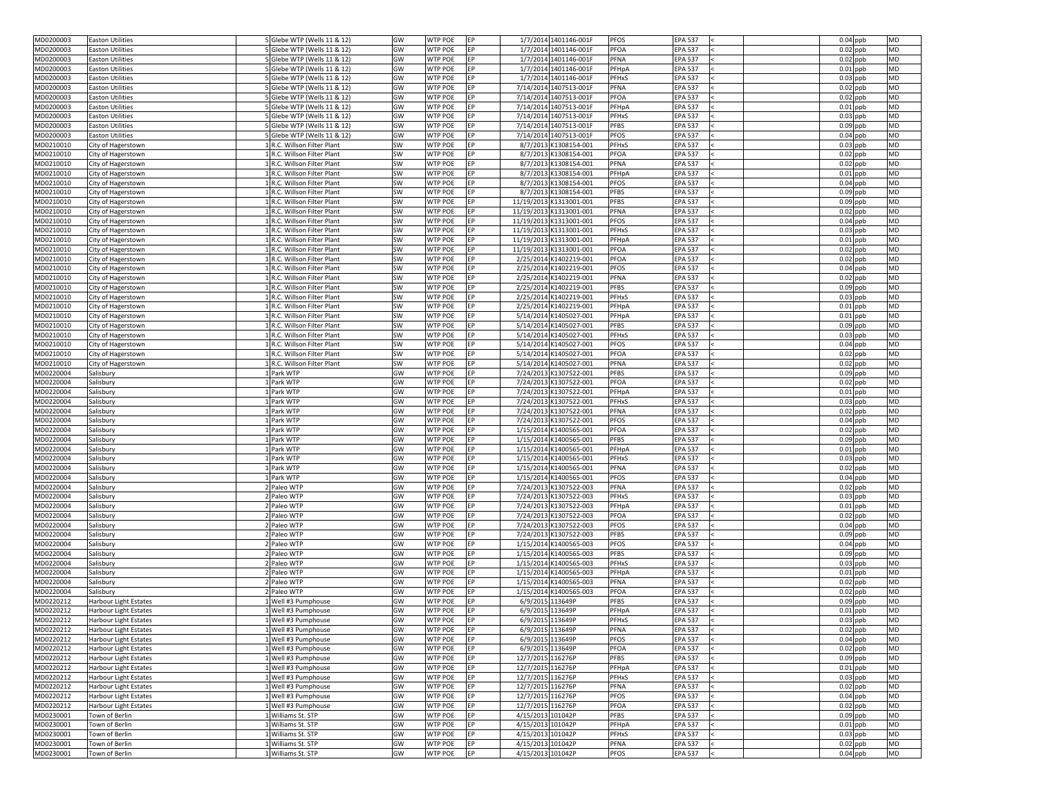| MD0200003 | <b>Easton Utilities</b>      | 5 Glebe WTP (Wells 11 & 12) | GW        | <b>WTP POE</b><br><b>IEP</b> |                   | 1/7/2014 1401146-001F   | <b>PFOS</b><br><b>EPA 537</b>  | $0.04$ ppb | <b>MD</b> |
|-----------|------------------------------|-----------------------------|-----------|------------------------------|-------------------|-------------------------|--------------------------------|------------|-----------|
| MD0200003 | <b>Easton Utilities</b>      | 5 Glebe WTP (Wells 11 & 12) | GW        | <b>WTP POE</b><br>EP         |                   | 1/7/2014 1401146-001F   | PFOA<br><b>EPA 537</b>         | $0.02$ ppb | <b>MD</b> |
| MD0200003 | <b>Easton Utilities</b>      | 5 Glebe WTP (Wells 11 & 12) | GW        | <b>WTP POE</b><br>EP         |                   | 1/7/2014 1401146-001F   | PFNA<br><b>EPA 537</b>         | $0.02$ ppb | <b>MD</b> |
| MD0200003 | <b>Easton Utilities</b>      | 5 Glebe WTP (Wells 11 & 12) | GW        | <b>WTP POE</b><br>EP         |                   | 1/7/2014 1401146-001F   | <b>EPA 537</b><br>PFHpA        | $0.01$ ppb | <b>MD</b> |
| MD0200003 | <b>Easton Utilities</b>      | 5 Glebe WTP (Wells 11 & 12) | GW        | <b>WTP POE</b><br><b>EP</b>  |                   | 1/7/2014 1401146-001F   | PFHxS<br><b>EPA 537</b>        | $0.03$ ppb | <b>MD</b> |
| MD0200003 | <b>Easton Utilities</b>      | 5 Glebe WTP (Wells 11 & 12) | GW        | <b>WTP POE</b><br><b>EP</b>  |                   | 7/14/2014 1407513-001F  | PFNA<br><b>EPA 537</b>         | $0.02$ ppb | <b>MD</b> |
| MD0200003 | <b>Easton Utilities</b>      | 5 Glebe WTP (Wells 11 & 12) | GW        | <b>WTP POE</b><br><b>EP</b>  |                   | 7/14/2014 1407513-001F  | <b>PFOA</b><br><b>EPA 537</b>  | $0.02$ ppb | <b>MD</b> |
| MD0200003 | <b>Easton Utilities</b>      | 5 Glebe WTP (Wells 11 & 12) | GW        | <b>WTP POE</b><br>EP         |                   | 7/14/2014 1407513-001F  | PFHpA<br><b>EPA 537</b>        | $0.01$ ppb | <b>MD</b> |
| MD0200003 | <b>Easton Utilities</b>      | 5 Glebe WTP (Wells 11 & 12) | GW        | <b>WTP POE</b><br>EP         |                   | 7/14/2014 1407513-001F  | <b>EPA 537</b><br><b>PFHxS</b> | $0.03$ ppb | <b>MD</b> |
|           |                              |                             |           |                              |                   |                         |                                |            |           |
| MD0200003 | <b>Easton Utilities</b>      | 5 Glebe WTP (Wells 11 & 12) | GW        | <b>WTP POE</b><br><b>EP</b>  |                   | 7/14/2014 1407513-001F  | <b>PFBS</b><br><b>EPA 537</b>  | $0.09$ ppb | <b>MD</b> |
| MD0200003 | <b>Easton Utilities</b>      | 5 Glebe WTP (Wells 11 & 12) | GW        | <b>WTP POE</b><br>EP         |                   | 7/14/2014 1407513-001F  | <b>PFOS</b><br><b>EPA 537</b>  | $0.04$ ppb | <b>MD</b> |
| MD0210010 | City of Hagerstown           | 1 R.C. Willson Filter Plant | SW        | <b>WTP POE</b><br><b>IEP</b> |                   | 8/7/2013 K1308154-001   | <b>PFHxS</b><br><b>EPA 537</b> | $0.03$ ppb | <b>MD</b> |
| MD0210010 | City of Hagerstown           | R.C. Willson Filter Plant   | SW        | <b>WTP POE</b><br><b>IEP</b> |                   | 8/7/2013 K1308154-001   | PFOA<br><b>EPA 537</b>         | $0.02$ ppb | <b>MD</b> |
| MD0210010 | City of Hagerstown           | R.C. Willson Filter Plant   | SW        | <b>WTP POE</b><br>EP         |                   | 8/7/2013 K1308154-001   | <b>PFNA</b><br><b>EPA 537</b>  | $0.02$ ppb | <b>MD</b> |
| MD0210010 | City of Hagerstown           | 1R.C. Willson Filter Plant  | SW        | <b>WTP POE</b><br><b>EP</b>  |                   | 8/7/2013 K1308154-001   | PFHpA<br><b>EPA 537</b>        | $0.01$ ppb | <b>MD</b> |
| MD0210010 | City of Hagerstown           | 1 R.C. Willson Filter Plant | SW        | <b>WTP POE</b><br>EP         |                   | 8/7/2013 K1308154-001   | <b>PFOS</b><br><b>EPA 537</b>  | $0.04$ ppb | <b>MD</b> |
| MD0210010 | City of Hagerstown           | 1R.C. Willson Filter Plant  | SW        | <b>WTP POE</b><br>EP         |                   | 8/7/2013 K1308154-001   | <b>PFBS</b><br><b>EPA 537</b>  | $0.09$ ppb | <b>MD</b> |
| MD0210010 | City of Hagerstown           | R.C. Willson Filter Plant   | SW        | <b>WTP POE</b><br>EP         |                   | 11/19/2013 K1313001-001 | <b>PFBS</b><br><b>EPA 537</b>  | $0.09$ ppb | <b>MD</b> |
| MD0210010 | City of Hagerstown           | LR.C. Willson Filter Plant  | SW        | <b>WTP POE</b><br><b>IEP</b> |                   | 11/19/2013 K1313001-001 | <b>PFNA</b><br><b>EPA 537</b>  | $0.02$ ppb | <b>MD</b> |
| MD0210010 | City of Hagerstown           | R.C. Willson Filter Plant   | SW        | <b>WTP POE</b><br>EP         |                   | 11/19/2013 K1313001-001 | <b>PFOS</b><br><b>EPA 537</b>  | $0.04$ ppb | <b>MD</b> |
| MD0210010 | City of Hagerstown           | LR.C. Willson Filter Plant  | SW        | <b>WTP POE</b><br>EP         |                   | 11/19/2013 K1313001-001 | <b>PFHxS</b><br><b>EPA 537</b> | $0.03$ ppb | <b>MD</b> |
| MD0210010 | City of Hagerstown           | LR.C. Willson Filter Plant  | SW        | <b>WTP POE</b><br>EP         |                   | 11/19/2013 K1313001-001 | <b>EPA 537</b><br>PFHpA        | $0.01$ ppb | <b>MD</b> |
| MD0210010 | City of Hagerstown           | R.C. Willson Filter Plant   | SW        | <b>WTP POE</b><br>EP         |                   | 11/19/2013 K1313001-001 | <b>PFOA</b><br><b>EPA 537</b>  | $0.02$ ppb | <b>MD</b> |
| MD0210010 | City of Hagerstown           | 1 R.C. Willson Filter Plant | SW        | <b>WTP POE</b><br><b>IEP</b> |                   | 2/25/2014 K1402219-001  | PFOA<br><b>EPA 537</b>         | $0.02$ ppb | <b>MD</b> |
| MD0210010 | City of Hagerstown           | R.C. Willson Filter Plant   | SW        | <b>WTP POE</b><br>EP         |                   | 2/25/2014 K1402219-001  | <b>PFOS</b><br><b>EPA 537</b>  | $0.04$ ppb | <b>MD</b> |
| MD0210010 | City of Hagerstown           | 1R.C. Willson Filter Plant  | SW        | <b>WTP POE</b><br>EP         |                   | 2/25/2014 K1402219-001  | <b>PFNA</b><br><b>EPA 537</b>  | $0.02$ ppb | <b>MD</b> |
| MD0210010 | City of Hagerstown           | 1 R.C. Willson Filter Plant | SW        | <b>WTP POE</b><br><b>IEP</b> |                   | 2/25/2014 K1402219-001  | <b>PFBS</b><br><b>EPA 537</b>  | $0.09$ ppb | <b>MD</b> |
| MD0210010 | City of Hagerstown           | R.C. Willson Filter Plant   | SW        | <b>WTP POE</b><br>EP         |                   | 2/25/2014 K1402219-001  | <b>PFHxS</b><br><b>EPA 537</b> | $0.03$ ppb | <b>MD</b> |
| MD0210010 | City of Hagerstown           | 1R.C. Willson Filter Plant  | <b>SW</b> | <b>WTP POE</b><br>EP         |                   | 2/25/2014 K1402219-001  | PFHpA<br><b>EPA 537</b>        | $0.01$ ppb | <b>MD</b> |
| MD0210010 | City of Hagerstown           | 1R.C. Willson Filter Plant  | SW        | <b>WTP POE</b><br>EP         |                   | 5/14/2014 K1405027-001  | <b>EPA 537</b><br>PFHpA        | $0.01$ ppb | <b>MD</b> |
| MD0210010 | City of Hagerstown           | 1 R.C. Willson Filter Plant | SW        | <b>WTP POE</b><br>IEP.       |                   | 5/14/2014 K1405027-001  | <b>PFBS</b><br><b>EPA 537</b>  | $0.09$ ppb | <b>MD</b> |
| MD0210010 | City of Hagerstown           | 1 R.C. Willson Filter Plant | <b>SW</b> | <b>WTP POE</b><br><b>IEP</b> |                   | 5/14/2014 K1405027-001  | <b>PFHxS</b><br><b>EPA 537</b> | $0.03$ ppb | <b>MD</b> |
| MD0210010 | City of Hagerstown           | 1R.C. Willson Filter Plant  | SW        | <b>WTP POE</b><br><b>EP</b>  |                   | 5/14/2014 K1405027-001  | <b>PFOS</b><br><b>EPA 537</b>  | $0.04$ ppb | <b>MD</b> |
| MD0210010 | City of Hagerstown           | 1 R.C. Willson Filter Plant | SW        | <b>WTP POE</b><br>EP         |                   | 5/14/2014 K1405027-001  | <b>PFOA</b><br><b>EPA 537</b>  | $0.02$ ppb | <b>MD</b> |
| MD0210010 | City of Hagerstown           | LR.C. Willson Filter Plant  | SW        | <b>WTP POE</b><br>EP         |                   | 5/14/2014 K1405027-001  | <b>PFNA</b><br><b>EPA 537</b>  | $0.02$ ppb | <b>MD</b> |
| MD0220004 | Salisbury                    | L Park WTP                  | GW        | <b>WTP POE</b><br>EP         |                   | 7/24/2013 K1307522-001  | <b>PFBS</b><br><b>EPA 537</b>  | $0.09$ ppb | <b>MD</b> |
| MD0220004 | Salisbury                    | Park WTP                    | GW        | <b>WTP POE</b><br><b>IEP</b> |                   | 7/24/2013 K1307522-001  | <b>PFOA</b><br><b>EPA 537</b>  | $0.02$ ppb | <b>MD</b> |
| MD0220004 | Salisbury                    | Park WTP                    | GW        | <b>WTP POE</b><br><b>EP</b>  |                   | 7/24/2013 K1307522-001  | PFHpA<br><b>EPA 537</b>        | $0.01$ ppb | <b>MD</b> |
| MD0220004 | Salisbury                    | Park WTP                    | GW        | <b>WTP POE</b><br><b>IEP</b> |                   | 7/24/2013 K1307522-001  | <b>PFHxS</b><br><b>EPA 537</b> | $0.03$ ppb | <b>MD</b> |
| MD0220004 | Salisbury                    | Park WTP                    | GW        | <b>WTP POE</b><br>EP         |                   | 7/24/2013 K1307522-001  | <b>EPA 537</b><br><b>PFNA</b>  | $0.02$ ppb | <b>MD</b> |
| MD0220004 | Salisbury                    | Park WTP                    | GW        | <b>WTP POE</b><br><b>EP</b>  |                   | 7/24/2013 K1307522-001  | <b>PFOS</b><br><b>EPA 537</b>  | $0.04$ ppb | <b>MD</b> |
| MD0220004 | Salisbury                    | Park WTP                    | GW        | <b>WTP POE</b><br>EP         |                   | 1/15/2014 K1400565-001  | <b>PFOA</b><br><b>EPA 537</b>  | $0.02$ ppb | <b>MD</b> |
| MD0220004 | Salisbury                    | 1 Park WTP                  | GW        | <b>WTP POE</b><br><b>IEP</b> |                   | 1/15/2014 K1400565-001  | <b>PFBS</b><br><b>EPA 537</b>  | $0.09$ ppb | <b>MD</b> |
| MD0220004 | Salisbury                    | Park WTP                    | GW        | <b>WTP POE</b><br>IEP.       |                   | 1/15/2014 K1400565-001  | PFHpA<br><b>EPA 537</b>        | $0.01$ ppb | <b>MD</b> |
| MD0220004 | Salisbury                    | Park WTP                    | GW        | <b>WTP POE</b><br>EP         |                   | 1/15/2014 K1400565-001  | <b>PFHxS</b><br><b>EPA 537</b> | $0.03$ ppb | <b>MD</b> |
| MD0220004 | Salisbury                    | Park WTP                    | GW        | <b>WTP POE</b><br>EP         |                   | 1/15/2014 K1400565-001  | <b>EPA 537</b><br>PFNA         | $0.02$ ppb | <b>MD</b> |
| MD0220004 | Salisbury                    | Park WTP                    | GW        | <b>WTP POE</b><br>EP         |                   | 1/15/2014 K1400565-001  | <b>PFOS</b><br><b>EPA 537</b>  | $0.04$ ppb | <b>MD</b> |
| MD0220004 | Salisbury                    | 2 Paleo WTP                 | GW        | <b>WTP POE</b><br>EP         |                   | 7/24/2013 K1307522-003  | <b>PFNA</b><br><b>EPA 537</b>  | $0.02$ ppb | <b>MD</b> |
|           |                              |                             |           | <b>WTP POE</b>               |                   |                         | <b>PFHxS</b>                   |            | <b>MD</b> |
| MD0220004 | Salisbury                    | 2 Paleo WTP                 | GW        | EP                           |                   | 7/24/2013 K1307522-003  | <b>EPA 537</b>                 | $0.03$ ppb |           |
| MD0220004 | Salisbury                    | 2 Paleo WTP                 | GW        | <b>WTP POE</b><br><b>EP</b>  |                   | 7/24/2013 K1307522-003  | PFHpA<br><b>EPA 537</b>        | $0.01$ ppb | <b>MD</b> |
| MD0220004 | Salisbury                    | Paleo WTP                   | GW        | <b>WTP POE</b><br><b>IEP</b> |                   | 7/24/2013 K1307522-003  | <b>PFOA</b><br><b>EPA 537</b>  | $0.02$ ppb | <b>MD</b> |
| MD0220004 | Salisbury                    | 2 Paleo WTP                 | GW        | <b>WTP POE</b><br>EP         |                   | 7/24/2013 K1307522-003  | <b>PFOS</b><br><b>EPA 537</b>  | $0.04$ ppb | <b>MD</b> |
| MD0220004 | Salisbury                    | 2 Paleo WTP                 | GW        | <b>WTP POE</b><br>EP         |                   | 7/24/2013 K1307522-003  | <b>PFBS</b><br><b>EPA 537</b>  | $0.09$ ppb | <b>MD</b> |
| MD0220004 | Salisbury                    | 2 Paleo WTP                 | GW        | <b>WTP POE</b><br>EP         |                   | 1/15/2014 K1400565-003  | <b>PFOS</b><br><b>EPA 537</b>  | $0.04$ ppb | <b>MD</b> |
| MD0220004 | Salisbury                    | 2 Paleo WTP                 | GW        | <b>WTP POE</b><br><b>IEP</b> |                   | 1/15/2014 K1400565-003  | <b>PFBS</b><br><b>EPA 537</b>  | $0.09$ ppb | <b>MD</b> |
| MD0220004 | Salisbury                    | Paleo WTP                   | GW        | <b>WTP POE</b><br>IEP.       |                   | 1/15/2014 K1400565-003  | <b>PFHxS</b><br><b>EPA 537</b> | $0.03$ ppb | <b>MD</b> |
| MD0220004 | Salisbury                    | 2 Paleo WTP                 | GW        | <b>WTP POE</b><br>EP         |                   | 1/15/2014 K1400565-003  | PFHpA<br><b>EPA 537</b>        | $0.01$ ppb | <b>MD</b> |
| MD0220004 | Salisbury                    | 2 Paleo WTP                 | GW        | <b>WTP POE</b><br><b>IEP</b> |                   | 1/15/2014 K1400565-003  | <b>PFNA</b><br><b>EPA 537</b>  | $0.02$ ppb | <b>MD</b> |
| MD0220004 | Salisbury                    | 2 Paleo WTP                 | GW        | <b>WTP POE</b><br>EP         |                   | 1/15/2014 K1400565-003  | PFOA<br><b>EPA 537</b>         | $0.02$ ppb | <b>MD</b> |
| MD0220212 | Harbour Light Estates        | Well #3 Pumphouse           | GW        | <b>WTP POE</b><br><b>IEP</b> |                   | 6/9/2015 113649P        | <b>PFBS</b><br><b>EPA 537</b>  | $0.09$ ppb | <b>MD</b> |
| MD0220212 | Harbour Light Estates        | Well #3 Pumphouse           | GW        | <b>WTP POE</b><br>EP         |                   | 6/9/2015 113649P        | PFHpA<br><b>EPA 537</b>        | $0.01$ ppb | <b>MD</b> |
| MD0220212 | Harbour Light Estates        | 1 Well #3 Pumphouse         | GW        | <b>WTP POE</b><br>IEP.       |                   | 6/9/2015 113649P        | PFHxS<br><b>EPA 537</b>        | $0.03$ ppb | <b>MD</b> |
| MD0220212 | <b>Harbour Light Estates</b> | 1 Well #3 Pumphouse         | GW        | <b>WTP POE</b><br>EP         |                   | 6/9/2015 113649P        | <b>EPA 537</b><br><b>PFNA</b>  | $0.02$ ppb | <b>MD</b> |
| MD0220212 | <b>Harbour Light Estates</b> | Well #3 Pumphouse           | GW        | EP<br><b>WTP POE</b>         |                   | 6/9/2015 113649P        | <b>PFOS</b><br><b>EPA 537</b>  | $0.04$ ppb | <b>MD</b> |
| MD0220212 | <b>Harbour Light Estates</b> | 1 Well #3 Pumphouse         | GW        | <b>WTP POE</b><br>EP         |                   | 6/9/2015 113649P        | PFOA<br><b>EPA 537</b>         | $0.02$ ppb | <b>MD</b> |
| MD0220212 | Harbour Light Estates        | Well #3 Pumphouse           | GW        | <b>WTP POE</b><br>EP         | 12/7/2015 116276P |                         | <b>PFBS</b><br><b>EPA 537</b>  | $0.09$ ppb | <b>MD</b> |
| MD0220212 | Harbour Light Estates        | Well #3 Pumphouse           | GW        | <b>WTP POE</b><br>EP         | 12/7/2015 116276P |                         | PFHpA<br><b>EPA 537</b>        | $0.01$ ppb | <b>MD</b> |
| MD0220212 | Harbour Light Estates        | Well #3 Pumphouse           | GW        | <b>WTP POE</b><br>EP         | 12/7/2015 116276P |                         | <b>PFHxS</b><br><b>EPA 537</b> | $0.03$ ppb | <b>MD</b> |
| MD0220212 | Harbour Light Estates        | Well #3 Pumphouse           | GW        | <b>WTP POE</b><br><b>IEP</b> | 12/7/2015 116276P |                         | PFNA<br><b>EPA 537</b>         | $0.02$ ppb | <b>MD</b> |
| MD0220212 | Harbour Light Estates        | Well #3 Pumphouse           | GW        | <b>WTP POE</b><br>EP         | 12/7/2015 116276P |                         | <b>PFOS</b><br><b>EPA 537</b>  | $0.04$ ppb | <b>MD</b> |
| MD0220212 | <b>Harbour Light Estates</b> | Well #3 Pumphouse           | GW        | <b>WTP POE</b><br>EP         | 12/7/2015 116276P |                         | <b>EPA 537</b><br><b>PFOA</b>  | $0.02$ ppb | <b>MD</b> |
| MD0230001 | Town of Berlin               | Williams St. STP            | GW        | <b>WTP POE</b><br>EP         | 4/15/2013 101042P |                         | <b>PFBS</b><br><b>EPA 537</b>  | $0.09$ ppb | <b>MD</b> |
| MD0230001 | Town of Berlin               | Williams St. STP            | GW        | EP<br><b>WTP POE</b>         | 4/15/2013 101042P |                         | PFHpA<br><b>EPA 537</b>        | $0.01$ ppb | <b>MD</b> |
| MD0230001 | Town of Berlin               | UWilliams St. STP           | GW        | EP<br><b>WTP POE</b>         | 4/15/2013 101042P |                         | PFHxS<br><b>EPA 537</b>        | $0.03$ ppb | <b>MD</b> |
| MD0230001 | Town of Berlin               | Williams St. STP            | GW        | <b>WTP POE</b><br>EP         | 4/15/2013 101042P |                         | PFNA<br><b>EPA 537</b>         | $0.02$ ppb | <b>MD</b> |
| MD0230001 | Town of Berlin               | 1 Williams St. STP          | GW        | <b>WTP POE</b><br>EP         | 4/15/2013 101042P |                         | <b>PFOS</b><br><b>EPA 537</b>  | $0.04$ ppb | <b>MD</b> |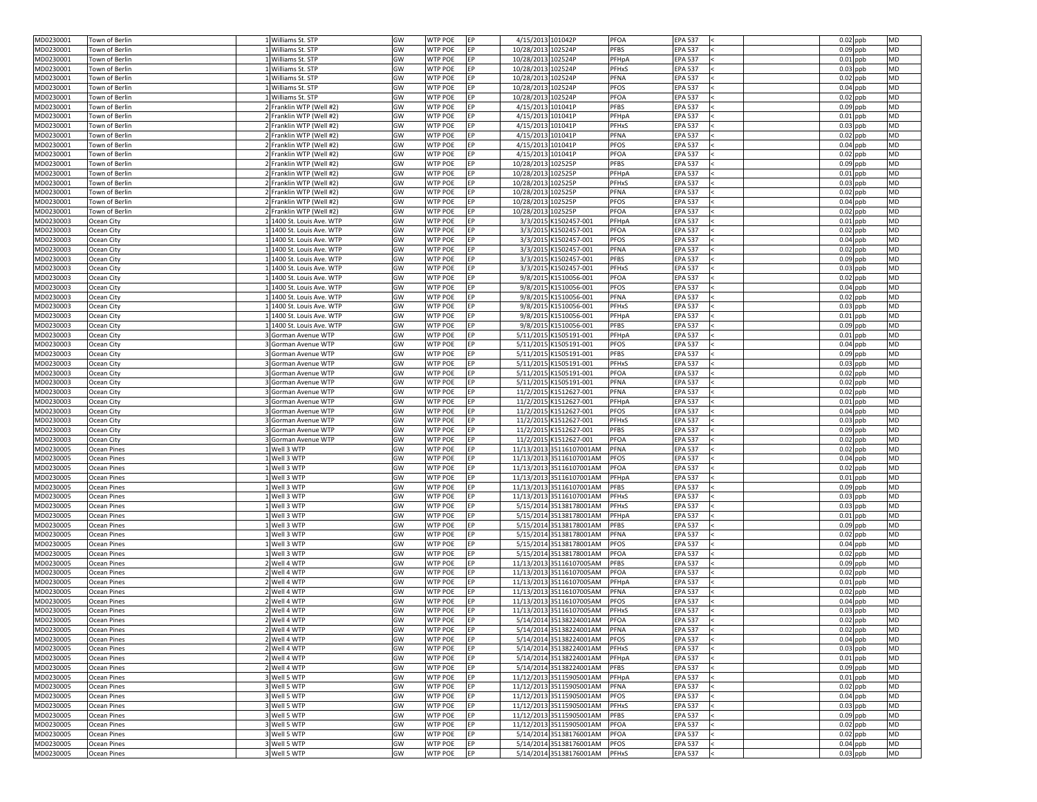| MD0230001                                                                  | Town of Berlin     | 1 Williams St. STP        | GW | <b>WTP POE</b><br>IEP.       | 4/15/2013 101042P  |                          | <b>PFOA</b><br><b>EPA 537</b>  | $0.02$ ppb<br><b>MD</b> |
|----------------------------------------------------------------------------|--------------------|---------------------------|----|------------------------------|--------------------|--------------------------|--------------------------------|-------------------------|
| MD0230001                                                                  | Town of Berlin     | 1 Williams St. STP        | GW | <b>WTP POE</b><br>EP         | 10/28/2013 102524P |                          | <b>PFBS</b><br><b>EPA 537</b>  | $0.09$ ppb<br><b>MD</b> |
| MD0230001                                                                  | Town of Berlin     | 1 Williams St. STP        | GW | <b>WTP POE</b><br><b>IEP</b> | 10/28/2013 102524P |                          | PFHpA<br><b>EPA 537</b>        | $0.01$ ppb<br><b>MD</b> |
| MD0230001                                                                  | Town of Berlin     | 1 Williams St. STP        | GW | <b>WTP POE</b><br>EP         | 10/28/2013 102524P |                          | <b>PFHxS</b><br><b>EPA 537</b> | $0.03$ ppb<br><b>MD</b> |
| MD0230001                                                                  | Town of Berlin     | 1 Williams St. STP        | GW | <b>WTP POE</b><br>IEP.       | 10/28/2013 102524P |                          | PFNA<br><b>EPA 537</b>         | $0.02$ ppb<br><b>MD</b> |
| MD0230001                                                                  | Town of Berlin     | L Williams St. STP        | GW | <b>WTP POE</b><br>FP.        | 10/28/2013 102524P |                          | <b>PFOS</b><br><b>EPA 537</b>  | $0.04$ ppb<br><b>MD</b> |
| MD0230001                                                                  | Town of Berlin     | 1 Williams St. STP        | GW | <b>WTP POE</b><br>FP.        | 10/28/2013 102524P |                          | <b>PFOA</b><br><b>EPA 537</b>  | <b>MD</b><br>$0.02$ ppb |
| MD0230001                                                                  | Town of Berlin     | 2 Franklin WTP (Well #2)  | GW | <b>WTP POE</b><br>IEP.       | 4/15/2013 101041P  |                          | <b>PFBS</b><br><b>EPA 537</b>  | <b>MD</b><br>$0.09$ ppb |
| MD0230001                                                                  | Town of Berlin     | 2 Franklin WTP (Well #2)  | GW | <b>WTP POE</b><br>EP         | 4/15/2013 101041P  |                          | PFHpA<br><b>EPA 537</b>        | $0.01$ ppb<br><b>MD</b> |
| MD0230001                                                                  | Town of Berlin     | 2 Franklin WTP (Well #2)  | GW | <b>WTP POE</b><br>IEP.       | 4/15/2013 101041P  |                          | PFHxS<br><b>EPA 537</b>        | $0.03$ ppb<br><b>MD</b> |
| MD0230001                                                                  | Town of Berlin     | 2 Franklin WTP (Well #2)  | GW | <b>WTP POE</b><br>EP         | 4/15/2013 101041P  |                          | <b>PFNA</b><br><b>EPA 537</b>  | $0.02$ ppb<br><b>MD</b> |
| MD0230001                                                                  | Town of Berlin     | 2 Franklin WTP (Well #2)  | GW | <b>WTP POE</b><br>IEP.       | 4/15/2013 101041P  |                          | <b>PFOS</b><br><b>EPA 537</b>  | $0.04$ ppb<br><b>MD</b> |
| MD0230001                                                                  | Town of Berlin     | 2 Franklin WTP (Well #2)  | GW | <b>WTP POE</b>               | 4/15/2013 101041P  |                          | <b>PFOA</b><br><b>EPA 537</b>  | $0.02$ ppb<br><b>MD</b> |
| MD0230001                                                                  | Town of Berlin     | 2 Franklin WTP (Well #2)  | GW | <b>WTP POE</b><br>EP         | 10/28/2013 102525P |                          | <b>PFBS</b><br><b>EPA 537</b>  | $0.09$ ppb<br><b>MD</b> |
| MD0230001                                                                  | Town of Berlin     | 2 Franklin WTP (Well #2)  | GW | <b>WTP POE</b><br>IEP.       | 10/28/2013 102525P |                          | PFHpA<br><b>EPA 537</b>        | $0.01$ ppb<br><b>MD</b> |
|                                                                            |                    |                           |    |                              |                    |                          |                                |                         |
| MD0230001                                                                  | Town of Berlin     | 2 Franklin WTP (Well #2)  | GW | <b>WTP POE</b><br>EP         | 10/28/2013 102525P |                          | <b>PFHxS</b><br><b>EPA 537</b> | $0.03$ ppb<br><b>MD</b> |
| MD0230001                                                                  | Town of Berlin     | 2 Franklin WTP (Well #2)  | GW | <b>WTP POE</b><br><b>IEP</b> | 10/28/2013 102525P |                          | PFNA<br><b>EPA 537</b>         | $0.02$ ppb<br><b>MD</b> |
| MD0230001                                                                  | Town of Berlin     | 2 Franklin WTP (Well #2)  | GW | <b>WTP POE</b><br>EP         | 10/28/2013 102525P |                          | <b>PFOS</b><br><b>EPA 537</b>  | $0.04$ ppb<br><b>MD</b> |
| MD0230001                                                                  | Town of Berlin     | 2 Franklin WTP (Well #2)  | GW | <b>WTP POE</b><br><b>FP</b>  | 10/28/2013 102525P |                          | <b>PFOA</b><br><b>EPA 537</b>  | $0.02$ ppb<br><b>MD</b> |
| MD0230003                                                                  | Ocean City         | 1 1400 St. Louis Ave. WTP | GW | WTP POE<br><b>IEP</b>        |                    | 3/3/2015 K1502457-001    | PFHpA<br><b>EPA 537</b>        | <b>MD</b><br>$0.01$ ppb |
| MD0230003                                                                  | Ocean City         | 1 1400 St. Louis Ave. WTP | GW | <b>WTP POE</b><br>EP         |                    | 3/3/2015 K1502457-001    | PFOA<br><b>EPA 537</b>         | $0.02$ ppb<br><b>MD</b> |
| MD0230003                                                                  | Ocean City         | 1 1400 St. Louis Ave. WTP | GW | <b>WTP POE</b><br><b>IEP</b> |                    | 3/3/2015 K1502457-001    | <b>PFOS</b><br><b>EPA 537</b>  | $0.04$ ppb<br><b>MD</b> |
| MD0230003                                                                  | Ocean City         | 1 1400 St. Louis Ave. WTP | GW | <b>WTP POE</b><br>EP         |                    | 3/3/2015 K1502457-001    | <b>PFNA</b><br><b>EPA 537</b>  | $0.02$ ppb<br><b>MD</b> |
| MD0230003                                                                  | Ocean City         | 1 1400 St. Louis Ave. WTP | GW | <b>WTP POE</b><br>IEP.       |                    | 3/3/2015 K1502457-001    | <b>PFBS</b><br><b>EPA 537</b>  | $0.09$ ppb<br><b>MD</b> |
| MD0230003                                                                  | Ocean City         | 1 1400 St. Louis Ave. WTP | GW | <b>WTP POE</b><br>IEP.       |                    | 3/3/2015 K1502457-001    | <b>PFHxS</b><br><b>EPA 537</b> | <b>MD</b><br>$0.03$ ppb |
| MD0230003                                                                  | Ocean City         | 1 1400 St. Louis Ave. WTP | GW | <b>WTP POE</b><br><b>IEP</b> |                    | 9/8/2015 K1510056-001    | PFOA<br><b>EPA 537</b>         | <b>MD</b><br>$0.02$ ppb |
| MD0230003                                                                  | Ocean City         | 1 1400 St. Louis Ave. WTP | GW | <b>WTP POE</b><br>IEP.       |                    | 9/8/2015 K1510056-001    | <b>PFOS</b><br><b>EPA 537</b>  | $0.04$ ppb<br><b>MD</b> |
| MD0230003                                                                  | Ocean City         | 1 1400 St. Louis Ave. WTP | GW | <b>WTP POE</b><br>EP         |                    | 9/8/2015 K1510056-001    | PFNA<br><b>EPA 537</b>         | $0.02$ ppb<br><b>MD</b> |
| MD0230003                                                                  | Ocean City         | 1 1400 St. Louis Ave. WTP | GW | <b>WTP POE</b><br>EP         |                    | 9/8/2015 K1510056-001    | <b>PFHxS</b><br><b>EPA 537</b> | $0.03$ ppb<br><b>MD</b> |
| MD0230003                                                                  | Ocean City         | 1 1400 St. Louis Ave. WTP | GW | <b>WTP POE</b><br>IEP.       |                    | 9/8/2015 K1510056-001    | <b>EPA 537</b><br>PFHpA        | $0.01$ ppb<br><b>MD</b> |
|                                                                            |                    |                           | GW | <b>WTP POE</b>               |                    |                          | <b>PFBS</b><br><b>EPA 537</b>  | <b>MD</b>               |
| MD0230003                                                                  | Ocean City         | 1 1400 St. Louis Ave. WTP |    |                              |                    | 9/8/2015 K1510056-001    |                                | $0.09$ ppb              |
| MD0230003                                                                  | Ocean City         | 3 Gorman Avenue WTP       | GW | <b>WTP POE</b><br>EP         |                    | 5/11/2015 K1505191-001   | PFHpA<br><b>EPA 537</b>        | $0.01$ ppb<br><b>MD</b> |
| MD0230003                                                                  | Ocean City         | 3 Gorman Avenue WTP       | GW | <b>WTP POE</b><br>EP         |                    | 5/11/2015 K1505191-001   | <b>PFOS</b><br><b>EPA 537</b>  | $0.04$ ppb<br><b>MD</b> |
| MD0230003                                                                  | Ocean City         | 3 Gorman Avenue WTP       | GW | <b>WTP POE</b><br>EP         |                    | 5/11/2015 K1505191-001   | <b>PFBS</b><br><b>EPA 537</b>  | $0.09$ ppb<br><b>MD</b> |
| MD0230003                                                                  | Ocean City         | 3 Gorman Avenue WTP       | GW | <b>WTP POE</b><br>EP         |                    | 5/11/2015 K1505191-001   | <b>PFHxS</b><br><b>EPA 537</b> | $0.03$ ppb<br><b>MD</b> |
| MD0230003                                                                  | Ocean City         | 3 Gorman Avenue WTP       | GW | <b>WTP POE</b><br>EP         |                    | 5/11/2015 K1505191-001   | <b>PFOA</b><br><b>EPA 537</b>  | $0.02$ ppb<br><b>MD</b> |
| MD0230003                                                                  | Ocean City         | 3 Gorman Avenue WTP       | GW | <b>WTP POE</b><br>IEP.       |                    | 5/11/2015 K1505191-001   | <b>PFNA</b><br><b>EPA 537</b>  | $0.02$ ppb<br><b>MD</b> |
| MD0230003                                                                  | Ocean City         | 3 Gorman Avenue WTP       | GW | <b>WTP POE</b><br>EP         |                    | 11/2/2015 K1512627-001   | <b>PFNA</b><br><b>EPA 537</b>  | <b>MD</b><br>$0.02$ ppb |
| MD0230003                                                                  | Ocean City         | 3 Gorman Avenue WTP       | GW | <b>WTP POE</b><br><b>IEP</b> |                    | 11/2/2015 K1512627-001   | PFHpA<br><b>EPA 537</b>        | $0.01$ ppb<br><b>MD</b> |
| MD0230003                                                                  | Ocean City         | 3 Gorman Avenue WTP       | GW | <b>WTP POE</b><br>EP         |                    | 11/2/2015 K1512627-001   | <b>PFOS</b><br><b>EPA 537</b>  | $0.04$ ppb<br><b>MD</b> |
| MD0230003                                                                  | Ocean City         | 3 Gorman Avenue WTP       | GW | <b>WTP POE</b><br>EP         |                    | 11/2/2015 K1512627-001   | <b>PFHxS</b><br><b>EPA 537</b> | $0.03$ ppb<br><b>MD</b> |
| MD0230003                                                                  | Ocean City         | 3 Gorman Avenue WTP       | GW | <b>WTP POE</b><br>EP         |                    | 11/2/2015 K1512627-001   | <b>PFBS</b><br><b>EPA 537</b>  | $0.09$ ppb<br><b>MD</b> |
| MD0230003                                                                  | Ocean City         | 3 Gorman Avenue WTP       | GW | <b>WTP POE</b><br>IEP.       |                    | 11/2/2015 K1512627-001   | <b>PFOA</b><br><b>EPA 537</b>  | $0.02$ ppb<br><b>MD</b> |
| MD0230005                                                                  | <b>Ocean Pines</b> | L Well 3 WTP              | GW | <b>WTP POE</b><br>IEP.       |                    | 11/13/2013 35116107001AM | <b>PFNA</b><br><b>EPA 537</b>  | $0.02$ ppb<br><b>MD</b> |
| MD0230005                                                                  | <b>Ocean Pines</b> | $1$ Well 3 WTP            | GW | <b>WTP POE</b><br>IEP.       |                    | 11/13/2013 35116107001AM | <b>EPA 537</b><br><b>PFOS</b>  | $0.04$ ppb<br><b>MD</b> |
| MD0230005                                                                  | <b>Ocean Pines</b> | L Well 3 WTP              | GW | <b>WTP POE</b><br>IFP.       |                    | 11/13/2013 35116107001AM | <b>PFOA</b><br><b>EPA 537</b>  | $0.02$ ppb<br><b>MD</b> |
|                                                                            |                    | L Well 3 WTP              | GW | <b>WTP POE</b><br>EP         |                    |                          |                                | <b>MD</b>               |
| MD0230005                                                                  | <b>Ocean Pines</b> |                           | GW |                              |                    | 11/13/2013 35116107001AM | PFHpA<br><b>EPA 537</b>        | $0.01$ ppb<br><b>MD</b> |
| MD0230005                                                                  | <b>Ocean Pines</b> | 1 Well 3 WTP              |    | <b>WTP POE</b><br>EP         |                    | 11/13/2013 35116107001AM | <b>PFBS</b><br><b>EPA 537</b>  | $0.09$ ppb              |
| MD0230005                                                                  | <b>Ocean Pines</b> | L Well 3 WTP              | GW | <b>WTP POE</b><br>EP         |                    | 11/13/2013 35116107001AM | <b>EPA 537</b><br><b>PFHxS</b> | $0.03$ ppb<br><b>MD</b> |
| MD0230005                                                                  | <b>Ocean Pines</b> | 1 Well 3 WTP              | GW | <b>WTP POE</b><br>IEP.       |                    | 5/15/2014 35138178001AM  | PFHxS<br><b>EPA 537</b>        | $0.03$ ppb<br><b>MD</b> |
| MD0230005                                                                  | <b>Ocean Pines</b> | L Well 3 WTP              | GW | <b>WTP POE</b><br><b>IEP</b> |                    | 5/15/2014 35138178001AM  | <b>EPA 537</b><br>PFHpA        | $0.01$ ppb<br><b>MD</b> |
| MD0230005                                                                  | <b>Ocean Pines</b> | L Well 3 WTP              | GW | <b>WTP POE</b><br>EP         |                    | 5/15/2014 35138178001AM  | <b>PFBS</b><br><b>EPA 537</b>  | $0.09$ ppb<br><b>MD</b> |
| MD0230005                                                                  | <b>Ocean Pines</b> | L Well 3 WTP              | GW | <b>WTP POE</b><br><b>IEP</b> |                    | 5/15/2014 35138178001AM  | <b>EPA 537</b><br>PFNA         | $0.02$ ppb<br><b>MD</b> |
| MD0230005                                                                  | <b>Ocean Pines</b> | L Well 3 WTP              | GW | <b>WTP POE</b><br>EP         |                    | 5/15/2014 35138178001AM  | <b>PFOS</b><br><b>EPA 537</b>  | $0.04$ ppb<br><b>MD</b> |
| MD0230005                                                                  | <b>Ocean Pines</b> | 1 Well 3 WTP              | GW | <b>WTP POE</b><br>IEP.       |                    | 5/15/2014 35138178001AM  | PFOA<br><b>EPA 537</b>         | $0.02$ ppb<br><b>MD</b> |
| MD0230005                                                                  | <b>Ocean Pines</b> | Well 4 WTP                | GW | WTP POE<br>IEP.              |                    | 11/13/2013 35116107005AM | <b>PFBS</b><br><b>EPA 537</b>  | $0.09$ ppb<br><b>MD</b> |
| MD0230005                                                                  | <b>Ocean Pines</b> | 2 Well 4 WTP              | GW | <b>WTP POE</b><br>EP         |                    | 11/13/2013 35116107005AM | PFOA<br><b>EPA 537</b>         | <b>MD</b><br>$0.02$ ppb |
| MD0230005                                                                  | <b>Ocean Pines</b> | 2 Well 4 WTP              | GW | <b>WTP POE</b><br>IEP.       |                    | 11/13/2013 35116107005AM | <b>EPA 537</b><br>PFHpA        | $0.01$ ppb<br><b>MD</b> |
| MD0230005                                                                  | <b>Ocean Pines</b> | 2 Well 4 WTP              | GW | <b>WTP POE</b><br>EP         |                    | 11/13/2013 35116107005AM | <b>EPA 537</b><br><b>PFNA</b>  | $0.02$ ppb<br><b>MD</b> |
| MD0230005                                                                  | <b>Ocean Pines</b> | 2 Well 4 WTP              | GW | <b>WTP POE</b><br><b>IEP</b> |                    | 11/13/2013 35116107005AM | <b>PFOS</b><br><b>EPA 537</b>  | $0.04$ ppb<br><b>MD</b> |
| MD0230005                                                                  | <b>Ocean Pines</b> | 2 Well 4 WTP              | GW | <b>WTP POE</b><br>IEP.       |                    | 11/13/2013 35116107005AM | PFHxS<br><b>EPA 537</b>        | $0.03$ ppb<br><b>MD</b> |
| MD0230005                                                                  | <b>Ocean Pines</b> | 2 Well 4 WTP              | GW | <b>WTP POE</b>               |                    | 5/14/2014 35138224001AM  | PFOA<br><b>EPA 537</b>         | $0.02$ ppb<br><b>MD</b> |
| MD0230005                                                                  | <b>Ocean Pines</b> | 2 Well 4 WTP              | GW | <b>WTP POE</b><br>EP         |                    | 5/14/2014 35138224001AM  | <b>EPA 537</b><br>PFNA         | $0.02$ ppb<br><b>MD</b> |
| MD0230005                                                                  | <b>Ocean Pines</b> | 2 Well 4 WTP              | GW | <b>WTP POE</b><br>EP         |                    | 5/14/2014 35138224001AM  | <b>EPA 537</b><br><b>PFOS</b>  | $0.04$ ppb<br><b>MD</b> |
| MD0230005                                                                  | <b>Ocean Pines</b> | 2 Well 4 WTP              | GW | <b>WTP POE</b><br>EP         |                    | 5/14/2014 35138224001AM  | <b>EPA 537</b><br>PFHxS        | $0.03$ ppb<br><b>MD</b> |
| MD0230005                                                                  | <b>Ocean Pines</b> | 2 Well 4 WTP              | GW | <b>WTP POE</b><br>EP         |                    | 5/14/2014 35138224001AM  | <b>EPA 537</b><br>PFHpA        | $0.01$ ppb<br><b>MD</b> |
| MD0230005                                                                  |                    | 2 Well 4 WTP              | GW |                              |                    | 5/14/2014 35138224001AM  |                                | <b>MD</b>               |
|                                                                            |                    |                           |    | <b>WTP POE</b><br>EP         |                    |                          | <b>PFBS</b><br><b>EPA 537</b>  | $0.09$ ppb              |
|                                                                            | <b>Ocean Pines</b> |                           |    |                              |                    |                          |                                |                         |
|                                                                            | <b>Ocean Pines</b> | 3 Well 5 WTP              | GW | <b>WTP POE</b><br>EP         |                    | 11/12/2013 35115905001AM | <b>EPA 537</b><br>PFHpA        | $0.01$ ppb<br><b>MD</b> |
|                                                                            | <b>Ocean Pines</b> | 3 Well 5 WTP              | GW | <b>WTP POE</b><br>EP         |                    | 11/12/2013 35115905001AM | <b>EPA 537</b><br>PFNA         | $0.02$ ppb<br><b>MD</b> |
|                                                                            | <b>Ocean Pines</b> | 3 Well 5 WTP              | GW | <b>WTP POE</b><br>EP         |                    | 11/12/2013 35115905001AM | <b>PFOS</b><br><b>EPA 537</b>  | $0.04$ ppb<br><b>MD</b> |
|                                                                            | <b>Ocean Pines</b> | 3 Well 5 WTP              | GW | <b>WTP POE</b><br>EP         |                    | 11/12/2013 35115905001AM | <b>EPA 537</b><br>PFHxS        | $0.03$ ppb<br><b>MD</b> |
|                                                                            | <b>Ocean Pines</b> | 3 Well 5 WTP              | GW | <b>WTP POE</b><br>EP         |                    | 11/12/2013 35115905001AM | <b>EPA 537</b><br><b>PFBS</b>  | $0.09$ ppb<br><b>MD</b> |
| MD0230005<br>MD0230005<br>MD0230005<br>MD0230005<br>MD0230005<br>MD0230005 | <b>Ocean Pines</b> | 3 Well 5 WTP              | GW | <b>WTP POE</b><br>EP         |                    | 11/12/2013 35115905001AM | <b>EPA 537</b><br>PFOA         | $0.02$ ppb<br><b>MD</b> |
| MD0230005                                                                  | <b>Ocean Pines</b> | 3 Well 5 WTP              | GW | <b>WTP POE</b><br>EP         |                    | 5/14/2014 35138176001AM  | PFOA<br><b>EPA 537</b>         | $0.02$ ppb<br><b>MD</b> |
| MD0230005                                                                  | <b>Ocean Pines</b> | 3 Well 5 WTP              | GW | <b>WTP POE</b><br>IEP.       |                    | 5/14/2014 35138176001AM  | <b>PFOS</b><br><b>EPA 537</b>  | $0.04$ ppb<br><b>MD</b> |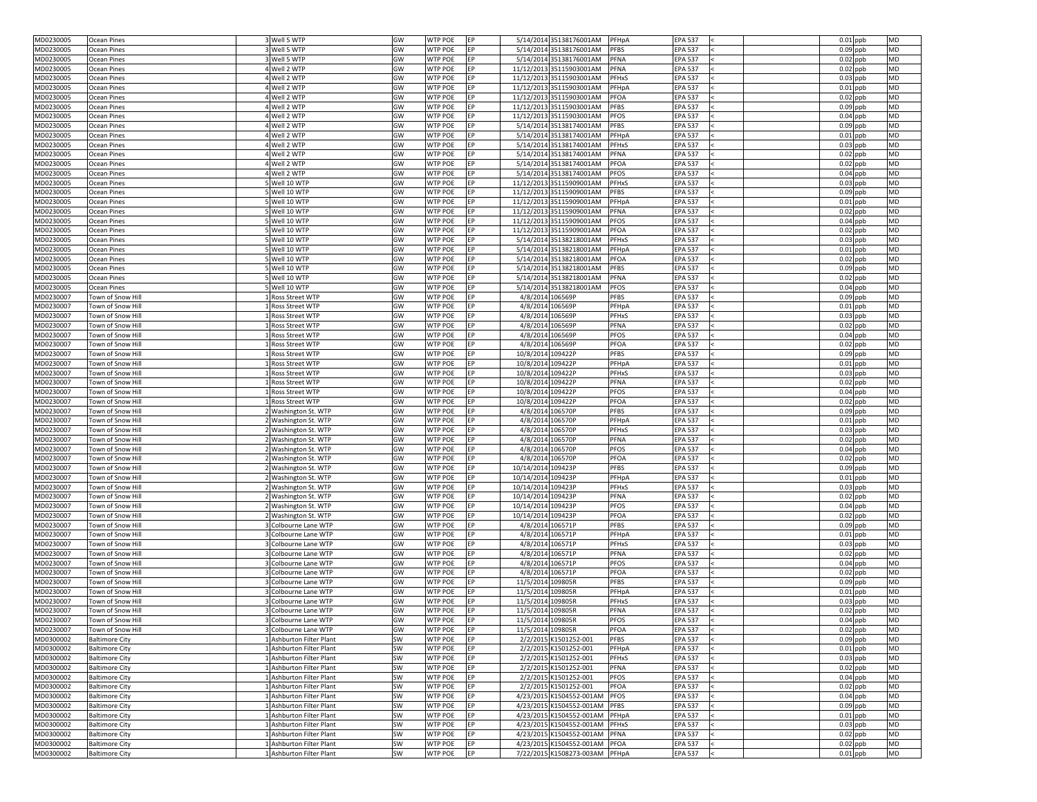| MD0230005                                                                                                                                                                          | <b>Ocean Pines</b>                             | 3 Well 5 WTP                                         | GW                     | <b>WTP POE</b><br><b>IEP</b>                     |                                       | 5/14/2014 35138176001AM                                    | PFHpA<br><b>EPA 537</b>                                        | $0.01$ ppb<br><b>MD</b>                            |
|------------------------------------------------------------------------------------------------------------------------------------------------------------------------------------|------------------------------------------------|------------------------------------------------------|------------------------|--------------------------------------------------|---------------------------------------|------------------------------------------------------------|----------------------------------------------------------------|----------------------------------------------------|
| MD0230005                                                                                                                                                                          | <b>Ocean Pines</b>                             | 3 Well 5 WTP                                         | GW                     | <b>WTP POE</b><br>EP                             |                                       | 5/14/2014 35138176001AM                                    | <b>EPA 537</b><br><b>PFBS</b>                                  | $0.09$ ppb<br><b>MD</b>                            |
| MD0230005                                                                                                                                                                          | <b>Ocean Pines</b>                             | 3 Well 5 WTP                                         | GW                     | <b>WTP POE</b><br>IEP.                           |                                       | 5/14/2014 35138176001AM                                    | PFNA<br><b>EPA 537</b>                                         | $0.02$ ppb<br><b>MD</b>                            |
| MD0230005                                                                                                                                                                          | <b>Ocean Pines</b>                             | Well 2 WTP                                           | GW                     | <b>WTP POE</b><br>EP                             |                                       | 11/12/2013 35115903001AM                                   | <b>PFNA</b><br><b>EPA 537</b>                                  | $0.02$ ppb<br><b>MD</b>                            |
| MD0230005                                                                                                                                                                          | <b>Ocean Pines</b>                             | 4Well 2 WTP                                          | GW                     | <b>WTP POE</b><br>EP                             |                                       | 11/12/2013 35115903001AM                                   | <b>EPA 537</b><br>PFHxS                                        | $0.03$ ppb<br><b>MD</b>                            |
| MD0230005                                                                                                                                                                          | <b>Ocean Pines</b>                             | I Well 2 WTP                                         | GW                     | <b>WTP POE</b><br>IEP.                           |                                       | 11/12/2013 35115903001AM                                   | <b>EPA 537</b><br>PFHpA                                        | $0.01$ ppb<br><b>MD</b>                            |
| MD0230005                                                                                                                                                                          | <b>Ocean Pines</b>                             | 4 Well 2 WTP                                         | GW                     | <b>WTP POE</b><br>EP                             |                                       | 11/12/2013 35115903001AM                                   | PFOA<br><b>EPA 537</b>                                         | <b>MD</b><br>$0.02$ ppb                            |
| MD0230005                                                                                                                                                                          | <b>Ocean Pines</b>                             | Well 2 WTP                                           | GW                     | <b>WTP POE</b><br>IFP.                           |                                       | 11/12/2013 35115903001AM                                   | <b>PFBS</b><br><b>EPA 537</b>                                  | <b>MD</b><br>$0.09$ ppb                            |
| MD0230005                                                                                                                                                                          | <b>Ocean Pines</b>                             | Well 2 WTP                                           | GW                     | <b>WTP POE</b><br>EP                             |                                       | 11/12/2013 35115903001AM                                   | <b>EPA 537</b><br><b>PFOS</b>                                  | $0.04$ ppb<br><b>MD</b>                            |
| MD0230005                                                                                                                                                                          | <b>Ocean Pines</b>                             | I Well 2 WTP                                         | GW                     | <b>WTP POE</b><br>EP                             |                                       | 5/14/2014 35138174001AM                                    | <b>EPA 537</b><br><b>PFBS</b>                                  | $0.09$ ppb<br><b>MD</b>                            |
| MD0230005                                                                                                                                                                          | <b>Ocean Pines</b>                             | Well 2 WTP                                           | GW                     | <b>WTP POE</b><br>EP                             |                                       | 5/14/2014 35138174001AM                                    | PFHpA<br><b>EPA 537</b>                                        | $0.01$ ppb<br><b>MD</b>                            |
| MD0230005<br>MD0230005                                                                                                                                                             | <b>Ocean Pines</b><br><b>Ocean Pines</b>       | 4 Well 2 WTP<br>Well 2 WTP                           | GW<br>GW               | <b>WTP POE</b><br>EP<br>WTP POE<br>IEP.          |                                       | 5/14/2014 35138174001AM<br>5/14/2014 35138174001AM         | PFHxS<br><b>EPA 537</b><br>PFNA<br><b>EPA 537</b>              | $0.03$ ppb<br><b>MD</b><br>$0.02$ ppb<br><b>MD</b> |
| MD0230005                                                                                                                                                                          | <b>Ocean Pines</b>                             | I Well 2 WTP                                         | GW                     | <b>WTP POE</b><br>EP                             |                                       | 5/14/2014 35138174001AM                                    | <b>PFOA</b><br><b>EPA 537</b>                                  | $0.02$ ppb<br><b>MD</b>                            |
| MD0230005                                                                                                                                                                          | <b>Ocean Pines</b>                             | Well 2 WTP                                           | GW                     | <b>WTP POE</b><br>IEP.                           |                                       | 5/14/2014 35138174001AM                                    | <b>PFOS</b><br><b>EPA 537</b>                                  | $0.04$ ppb<br><b>MD</b>                            |
| MD0230005                                                                                                                                                                          | <b>Ocean Pines</b>                             | 5 Well 10 WTP                                        | GW                     | <b>WTP POE</b><br>EP                             |                                       | 11/12/2013 35115909001AM                                   | PFHxS<br><b>EPA 537</b>                                        | $0.03$ ppb<br><b>MD</b>                            |
| MD0230005                                                                                                                                                                          | <b>Ocean Pines</b>                             | 5 Well 10 WTP                                        | GW                     | <b>WTP POE</b><br><b>IEP</b>                     |                                       | 11/12/2013 35115909001AM                                   | <b>PFBS</b><br><b>EPA 537</b>                                  | <b>MD</b><br>$0.09$ ppb                            |
| MD0230005                                                                                                                                                                          | <b>Ocean Pines</b>                             | 5 Well 10 WTP                                        | GW                     | <b>WTP POE</b><br>EP                             |                                       | 11/12/2013 35115909001AM                                   | <b>EPA 537</b><br>PFHpA                                        | $0.01$ ppb<br><b>MD</b>                            |
| MD0230005                                                                                                                                                                          | <b>Ocean Pines</b>                             | 5 Well 10 WTP                                        | GW                     | <b>WTP POE</b><br>IEP.                           |                                       | 11/12/2013 35115909001AM                                   | PFNA<br><b>EPA 537</b>                                         | $0.02$ ppb<br><b>MD</b>                            |
| MD0230005                                                                                                                                                                          | <b>Ocean Pines</b>                             | 5 Well 10 WTP                                        | GW                     | <b>WTP POE</b><br><b>FP</b>                      |                                       | 11/12/2013 35115909001AM                                   | <b>PFOS</b><br><b>EPA 537</b>                                  | $0.04$ ppb<br><b>MD</b>                            |
| MD0230005                                                                                                                                                                          | <b>Ocean Pines</b>                             | 5 Well 10 WTP                                        | GW                     | <b>WTP POE</b><br>EP                             |                                       | 11/12/2013 35115909001AM                                   | <b>PFOA</b><br><b>EPA 537</b>                                  | $0.02$ ppb<br><b>MD</b>                            |
| MD0230005                                                                                                                                                                          | <b>Ocean Pines</b>                             | 5 Well 10 WTP                                        | GW                     | <b>WTP POE</b><br>IEP.                           |                                       | 5/14/2014 35138218001AM                                    | PFHxS<br><b>EPA 537</b>                                        | $0.03$ ppb<br><b>MD</b>                            |
| MD0230005                                                                                                                                                                          | <b>Ocean Pines</b>                             | 5 Well 10 WTP                                        | GW                     | <b>WTP POE</b><br>EP                             |                                       | 5/14/2014 35138218001AM                                    | <b>EPA 537</b><br>PFHpA                                        | $0.01$ ppb<br><b>MD</b>                            |
| MD0230005                                                                                                                                                                          | <b>Ocean Pines</b>                             | 5 Well 10 WTP                                        | GW                     | <b>WTP POE</b><br>EP                             |                                       | 5/14/2014 35138218001AM                                    | PFOA<br><b>EPA 537</b>                                         | $0.02$ ppb<br><b>MD</b>                            |
| MD0230005                                                                                                                                                                          | <b>Ocean Pines</b>                             | 5 Well 10 WTP                                        | GW                     | <b>WTP POE</b><br>IEP.                           |                                       | 5/14/2014 35138218001AM                                    | <b>PFBS</b><br><b>EPA 537</b>                                  | $0.09$ ppb<br><b>MD</b>                            |
| MD0230005                                                                                                                                                                          | <b>Ocean Pines</b>                             | 5 Well 10 WTP                                        | GW                     | <b>WTP POE</b><br>EP                             |                                       | 5/14/2014 35138218001AM                                    | PFNA<br><b>EPA 537</b>                                         | <b>MD</b><br>$0.02$ ppb                            |
| MD0230005                                                                                                                                                                          | <b>Ocean Pines</b>                             | 5 Well 10 WTP                                        | GW                     | <b>WTP POE</b><br>EP                             |                                       | 5/14/2014 35138218001AM                                    | <b>PFOS</b><br><b>EPA 537</b>                                  | <b>MD</b><br>$0.04$ ppb                            |
| MD0230007                                                                                                                                                                          | Town of Snow Hill                              | L Ross Street WTP                                    | GW                     | <b>WTP POE</b><br>EP                             |                                       | 4/8/2014 106569P                                           | <b>PFBS</b><br><b>EPA 537</b>                                  | $0.09$ ppb<br><b>MD</b>                            |
| MD0230007                                                                                                                                                                          | Town of Snow Hill                              | 1 Ross Street WTP                                    | GW                     | <b>WTP POE</b><br>EP                             | 4/8/2014 106569P                      |                                                            | <b>EPA 537</b><br>PFHpA                                        | $0.01$ ppb<br><b>MD</b>                            |
| MD0230007                                                                                                                                                                          | Town of Snow Hill                              | 1 Ross Street WTP                                    | GW                     | <b>WTP POE</b><br>EP                             | 4/8/2014 106569P                      |                                                            | <b>PFHxS</b><br><b>EPA 537</b>                                 | $0.03$ ppb<br><b>MD</b>                            |
| MD0230007                                                                                                                                                                          | Town of Snow Hill                              | 1 Ross Street WTP                                    | GW                     | <b>WTP POE</b><br>IEP.                           |                                       | 4/8/2014 106569P                                           | PFNA<br><b>EPA 537</b>                                         | $0.02$ ppb<br><b>MD</b>                            |
| MD0230007<br>MD0230007                                                                                                                                                             | Town of Snow Hill<br>Town of Snow Hill         | 1 Ross Street WTP<br>1 Ross Street WTP               | GW<br>GW               | <b>WTP POE</b><br>IEP.<br><b>WTP POE</b><br>IEP. | 4/8/2014 106569P<br>4/8/2014 106569P  |                                                            | <b>PFOS</b><br><b>EPA 537</b><br><b>PFOA</b><br><b>EPA 537</b> | $0.04$ ppb<br><b>MD</b><br><b>MD</b><br>$0.02$ ppb |
| MD0230007                                                                                                                                                                          | Town of Snow Hill                              | L Ross Street WTP                                    | GW                     | <b>WTP POE</b><br>IEP.                           | 10/8/2014 109422P                     |                                                            | <b>PFBS</b><br><b>EPA 537</b>                                  | $0.09$ ppb<br><b>MD</b>                            |
| MD0230007                                                                                                                                                                          | Town of Snow Hill                              | I Ross Street WTP                                    | GW                     | <b>WTP POE</b><br>EP                             | 10/8/2014 109422P                     |                                                            | PFHpA<br><b>EPA 537</b>                                        | $0.01$ ppb<br><b>MD</b>                            |
| MD0230007                                                                                                                                                                          | Town of Snow Hill                              | 1 Ross Street WTP                                    | GW                     | <b>WTP POE</b><br>EP                             | 10/8/2014 109422P                     |                                                            | <b>PFHxS</b><br><b>EPA 537</b>                                 | $0.03$ ppb<br><b>MD</b>                            |
| MD0230007                                                                                                                                                                          | Town of Snow Hill                              | L Ross Street WTP                                    | GW                     | <b>WTP POE</b><br>EP                             | 10/8/2014 109422P                     |                                                            | <b>PFNA</b><br><b>EPA 537</b>                                  | $0.02$ ppb<br><b>MD</b>                            |
| MD0230007                                                                                                                                                                          | Town of Snow Hill                              | 1 Ross Street WTP                                    | GW                     | <b>WTP POE</b><br>IFP.                           | 10/8/2014 109422P                     |                                                            | <b>PFOS</b><br><b>EPA 537</b>                                  | <b>MD</b><br>$0.04$ ppb                            |
| MD0230007                                                                                                                                                                          | Town of Snow Hill                              | I Ross Street WTP                                    | GW                     | <b>WTP POE</b><br>FP.                            | 10/8/2014 109422P                     |                                                            | <b>PFOA</b><br><b>EPA 537</b>                                  | <b>MD</b><br>$0.02$ ppb                            |
| MD0230007                                                                                                                                                                          |                                                |                                                      |                        |                                                  |                                       |                                                            |                                                                |                                                    |
|                                                                                                                                                                                    | Town of Snow Hill                              | 2 Washington St. WTP                                 | GW                     | <b>WTP POE</b><br>EP                             | 4/8/2014 106570P                      |                                                            | <b>PFBS</b><br><b>EPA 537</b>                                  | $0.09$ ppb<br><b>MD</b>                            |
| MD0230007                                                                                                                                                                          | Town of Snow Hill                              | 2 Washington St. WTP                                 | GW                     | <b>WTP POE</b><br>EP                             | 4/8/2014 106570P                      |                                                            | PFHpA<br><b>EPA 537</b>                                        | $0.01$ ppb<br><b>MD</b>                            |
|                                                                                                                                                                                    | Town of Snow Hill                              | 2 Washington St. WTP                                 | GW                     | <b>WTP POE</b><br>EP                             | 4/8/2014 106570P                      |                                                            | <b>PFHxS</b><br><b>EPA 537</b>                                 | $0.03$ ppb<br><b>MD</b>                            |
| MD0230007<br>MD0230007                                                                                                                                                             | Town of Snow Hill                              | 2 Washington St. WTP                                 | GW                     | <b>WTP POE</b><br>EP                             | 4/8/2014 106570P                      |                                                            | <b>PFNA</b><br><b>EPA 537</b>                                  | <b>MD</b><br>$0.02$ ppb                            |
| MD0230007                                                                                                                                                                          | Town of Snow Hill                              | 2 Washington St. WTP                                 | GW                     | <b>WTP POE</b><br>IEP.                           | 4/8/2014 106570P                      |                                                            | <b>PFOS</b><br><b>EPA 537</b>                                  | $0.04$ ppb<br><b>MD</b>                            |
| MD0230007                                                                                                                                                                          | Town of Snow Hill                              | 2 Washington St. WTP                                 | GW                     | <b>WTP POE</b><br><b>IEP</b>                     | 4/8/2014 106570P                      |                                                            | <b>PFOA</b><br><b>EPA 537</b>                                  | $0.02$ ppb<br><b>MD</b>                            |
| MD0230007                                                                                                                                                                          | Town of Snow Hill                              | 2 Washington St. WTP                                 | GW                     | <b>WTP POE</b><br>EP                             | 10/14/2014 109423P                    |                                                            | <b>PFBS</b><br><b>EPA 537</b>                                  | $0.09$ ppb<br><b>MD</b>                            |
|                                                                                                                                                                                    | Town of Snow Hill                              | 2 Washington St. WTP                                 | GW                     | <b>WTP POE</b><br>EP                             | 10/14/2014 109423P                    |                                                            | PFHpA<br><b>EPA 537</b>                                        | $0.01$ ppb<br><b>MD</b>                            |
| MD0230007<br>MD0230007                                                                                                                                                             | Town of Snow Hill                              | 2 Washington St. WTP                                 | GW                     | <b>WTP POE</b><br>EP                             | 10/14/2014 109423P                    |                                                            | <b>PFHxS</b><br><b>EPA 537</b>                                 | <b>MD</b><br>$0.03$ ppb                            |
| MD0230007                                                                                                                                                                          | Town of Snow Hill                              | 2 Washington St. WTP                                 | GW                     | <b>WTP POE</b><br>EP                             | 10/14/2014 109423P                    |                                                            | <b>PFNA</b><br><b>EPA 537</b>                                  | <b>MD</b><br>$0.02$ ppb                            |
| MD0230007                                                                                                                                                                          | Town of Snow Hill                              | 2 Washington St. WTP                                 | GW                     | <b>WTP POE</b><br>EP                             | 10/14/2014 109423P                    |                                                            | <b>PFOS</b><br><b>EPA 537</b>                                  | $0.04$ ppb<br><b>MD</b>                            |
| MD0230007                                                                                                                                                                          | Town of Snow Hill                              | 2 Washington St. WTP                                 | GW                     | <b>WTP POE</b><br><b>FP</b>                      | 10/14/2014 109423P                    |                                                            | <b>PFOA</b><br><b>EPA 537</b>                                  | <b>MD</b><br>$0.02$ ppb                            |
| MD0230007                                                                                                                                                                          | Town of Snow Hill                              | 3 Colbourne Lane WTP                                 | GW                     | <b>WTP POE</b><br>EP                             | 4/8/2014 106571P                      |                                                            | <b>PFBS</b><br><b>EPA 537</b>                                  | $0.09$ ppb<br><b>MD</b>                            |
| MD0230007                                                                                                                                                                          | Town of Snow Hill                              | 3 Colbourne Lane WTP                                 | GW                     | <b>WTP POE</b><br>IEP.                           |                                       | 4/8/2014 106571P                                           | PFHpA<br><b>EPA 537</b>                                        | $0.01$ ppb<br><b>MD</b>                            |
| MD0230007                                                                                                                                                                          | Town of Snow Hill                              | 3 Colbourne Lane WTP                                 | GW                     | <b>WTP POE</b><br>EP                             | 4/8/2014 106571P                      |                                                            | <b>PFHxS</b><br><b>EPA 537</b>                                 | $0.03$ ppb<br><b>MD</b>                            |
| MD0230007                                                                                                                                                                          | Town of Snow Hill                              | 3 Colbourne Lane WTP                                 | GW                     | <b>WTP POE</b><br>EP                             |                                       | 4/8/2014 106571P                                           | <b>PFNA</b><br><b>EPA 537</b>                                  | <b>MD</b><br>$0.02$ ppb                            |
| MD0230007                                                                                                                                                                          | Town of Snow Hill                              | 3 Colbourne Lane WTP                                 | GW                     | <b>WTP POE</b><br>EP<br>EP                       |                                       | 4/8/2014 106571P                                           | <b>PFOS</b><br><b>EPA 537</b>                                  | $0.04$ ppb<br><b>MD</b><br><b>MD</b>               |
| MD0230007<br>MD0230007                                                                                                                                                             | Town of Snow Hill<br>Town of Snow Hill         | 3 Colbourne Lane WTP<br>3 Colbourne Lane WTP         | GW<br>GW               | <b>WTP POE</b><br><b>WTP POE</b><br>EP           | 4/8/2014 106571P<br>11/5/2014 109805R |                                                            | <b>PFOA</b><br><b>EPA 537</b><br><b>PFBS</b><br><b>EPA 537</b> | $0.02$ ppb<br><b>MD</b><br>$0.09$ ppb              |
|                                                                                                                                                                                    | Town of Snow Hill                              | 3 Colbourne Lane WTP                                 | GW                     | <b>WTP POE</b><br>EP                             | 11/5/2014 109805R                     |                                                            | <b>EPA 537</b><br>PFHpA                                        | <b>MD</b><br>$0.01$ ppb                            |
|                                                                                                                                                                                    | Town of Snow Hill                              | 3 Colbourne Lane WTP                                 | GW                     | <b>WTP POE</b><br>EP                             | 11/5/2014 109805R                     |                                                            | <b>PFHxS</b><br><b>EPA 537</b>                                 | $0.03$ ppb<br><b>MD</b>                            |
|                                                                                                                                                                                    | Town of Snow Hill                              | 3 Colbourne Lane WTP                                 | GW                     | <b>WTP POE</b><br>EP                             | 11/5/2014 109805R                     |                                                            | <b>PFNA</b><br><b>EPA 537</b>                                  | $0.02$ ppb<br><b>MD</b>                            |
|                                                                                                                                                                                    | Town of Snow Hill                              | 3 Colbourne Lane WTP                                 | GW                     | <b>WTP POE</b><br>IFP.                           | 11/5/2014 109805R                     |                                                            | <b>PFOS</b><br><b>EPA 537</b>                                  | $0.04$ ppb<br><b>MD</b>                            |
|                                                                                                                                                                                    | Town of Snow Hill                              | 3 Colbourne Lane WTP                                 | GW                     | <b>WTP POE</b><br>EP                             | 11/5/2014 109805R                     |                                                            | <b>PFOA</b><br><b>EPA 537</b>                                  | $0.02$ ppb<br><b>MD</b>                            |
|                                                                                                                                                                                    | <b>Baltimore City</b>                          | 1 Ashburton Filter Plant                             | SW                     | <b>WTP POE</b><br>EP                             |                                       | 2/2/2015 K1501252-001                                      | <b>PFBS</b><br><b>EPA 537</b>                                  | $0.09$ ppb<br><b>MD</b>                            |
|                                                                                                                                                                                    | <b>Baltimore City</b>                          | 1 Ashburton Filter Plant                             | <b>SW</b>              | <b>WTP POE</b><br>EP                             |                                       | 2/2/2015 K1501252-001                                      | PFHpA<br><b>EPA 537</b>                                        | $0.01$ ppb<br><b>MD</b>                            |
|                                                                                                                                                                                    | <b>Baltimore City</b>                          | 1 Ashburton Filter Plant                             | <b>SW</b>              | <b>WTP POE</b><br>EP                             |                                       | 2/2/2015 K1501252-001                                      | <b>PFHxS</b><br><b>EPA 537</b>                                 | $0.03$ ppb<br><b>MD</b>                            |
|                                                                                                                                                                                    | <b>Baltimore City</b>                          | 1 Ashburton Filter Plant                             | <b>SW</b>              | <b>WTP POE</b><br>EP                             |                                       | 2/2/2015 K1501252-001                                      | <b>EPA 537</b><br><b>PFNA</b>                                  | $0.02$ ppb<br><b>MD</b>                            |
|                                                                                                                                                                                    | <b>Baltimore City</b>                          | 1 Ashburton Filter Plant                             | SW                     | <b>WTP POE</b><br>EP                             |                                       | 2/2/2015 K1501252-001                                      | <b>EPA 537</b><br><b>PFOS</b>                                  | $0.04$ ppb<br><b>MD</b>                            |
|                                                                                                                                                                                    | <b>Baltimore City</b>                          | 1 Ashburton Filter Plant                             | SW                     | <b>WTP POE</b><br>IEP.                           |                                       | 2/2/2015 K1501252-001                                      | PFOA<br><b>EPA 537</b>                                         | $0.02$ ppb<br><b>MD</b>                            |
|                                                                                                                                                                                    | <b>Baltimore City</b>                          | 1 Ashburton Filter Plant                             | SW                     | <b>WTP POE</b><br>IEP.                           |                                       | 4/23/2015 K1504552-001AM                                   | PFOS<br><b>EPA 537</b>                                         | $0.04$ ppb<br><b>MD</b>                            |
|                                                                                                                                                                                    | <b>Baltimore City</b>                          | 1 Ashburton Filter Plant                             | <b>SW</b>              | <b>WTP POE</b><br>EP                             |                                       | 4/23/2015 K1504552-001AM                                   | <b>PFBS</b><br><b>EPA 537</b>                                  | $0.09$ ppb<br><b>MD</b>                            |
| MD0230007<br>MD0230007<br>MD0230007<br>MD0230007<br>MD0230007<br>MD0300002<br>MD0300002<br>MD0300002<br>MD0300002<br>MD0300002<br>MD0300002<br>MD0300002<br>MD0300002<br>MD0300002 | <b>Baltimore City</b>                          | 1 Ashburton Filter Plant                             | SW                     | <b>WTP POE</b><br>EP                             |                                       | 4/23/2015 K1504552-001AM                                   | PFHpA<br><b>EPA 537</b>                                        | $0.01$ ppb<br><b>MD</b>                            |
| MD0300002                                                                                                                                                                          | <b>Baltimore City</b>                          | 1 Ashburton Filter Plant                             | <b>SW</b>              | <b>WTP POE</b><br>EP                             |                                       | 4/23/2015 K1504552-001AM                                   | <b>EPA 537</b><br>PFHxS                                        | <b>MD</b><br>$0.03$ ppb                            |
| MD0300002                                                                                                                                                                          | <b>Baltimore City</b>                          | 1 Ashburton Filter Plant                             | <b>SW</b>              | <b>WTP POE</b><br>EP                             |                                       | 4/23/2015 K1504552-001AM PFNA                              | <b>EPA 537</b>                                                 | $0.02$ ppb<br><b>MD</b>                            |
| MD0300002<br>MD0300002                                                                                                                                                             | <b>Baltimore City</b><br><b>Baltimore City</b> | 1 Ashburton Filter Plant<br>1 Ashburton Filter Plant | <b>SW</b><br><b>SW</b> | <b>WTP POE</b><br>EP<br><b>WTP POE</b><br>EP     |                                       | 4/23/2015 K1504552-001AM<br>7/22/2015 K1508273-003AM PFHpA | PFOA<br><b>EPA 537</b><br><b>EPA 537</b>                       | $0.02$ ppb<br><b>MD</b><br><b>MD</b><br>$0.01$ ppb |